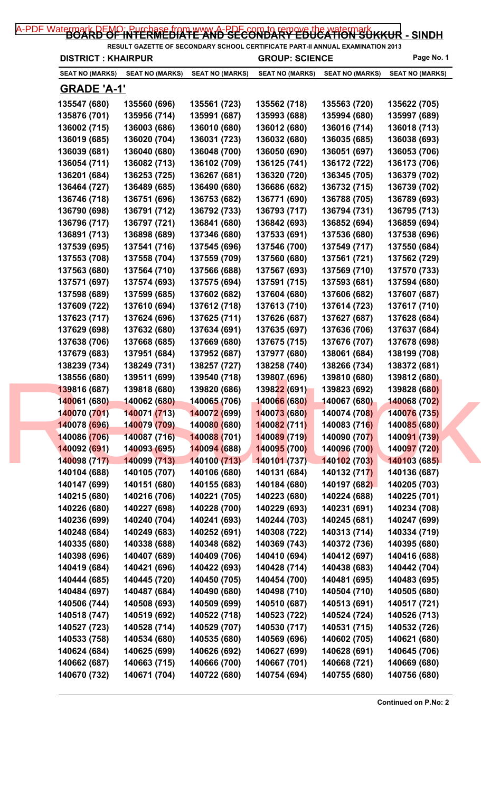| <b>DISTRICT: KHAIRPUR</b>    |                        |                             | <b>GROUP: SCIENCE</b>        |                        | Page No. 1             |
|------------------------------|------------------------|-----------------------------|------------------------------|------------------------|------------------------|
| <b>SEAT NO (MARKS)</b>       | <b>SEAT NO (MARKS)</b> | <b>SEAT NO (MARKS)</b>      | <b>SEAT NO (MARKS)</b>       | <b>SEAT NO (MARKS)</b> | <b>SEAT NO (MARKS)</b> |
| <u>GRADE 'A-1'</u>           |                        |                             |                              |                        |                        |
| 135547 (680)                 | 135560 (696)           | 135561 (723)                | 135562 (718)                 | 135563 (720)           | 135622 (705)           |
| 135876 (701)                 | 135956 (714)           | 135991 (687)                | 135993 (688)                 | 135994 (680)           | 135997 (689)           |
| 136002 (715)                 | 136003 (686)           | 136010 (680)                | 136012 (680)                 | 136016 (714)           | 136018 (713)           |
| 136019 (685)                 | 136020 (704)           | 136031 (723)                | 136032 (680)                 | 136035 (685)           | 136038 (693)           |
| 136039 (681)                 | 136040 (680)           | 136048 (700)                | 136050 (690)                 | 136051 (697)           | 136053 (706)           |
| 136054 (711)                 | 136082 (713)           | 136102 (709)                | 136125 (741)                 | 136172 (722)           | 136173 (706)           |
| 136201 (684)                 | 136253 (725)           | 136267 (681)                | 136320 (720)                 | 136345 (705)           | 136379 (702)           |
| 136464 (727)                 | 136489 (685)           | 136490 (680)                | 136686 (682)                 | 136732 (715)           | 136739 (702)           |
| 136746 (718)                 | 136751 (696)           | 136753 (682)                | 136771 (690)                 | 136788 (705)           | 136789 (693)           |
| 136790 (698)                 | 136791 (712)           | 136792 (733)                | 136793 (717)                 | 136794 (731)           | 136795 (713)           |
| 136796 (717)                 | 136797 (721)           | 136841 (680)                | 136842 (693)                 | 136852 (694)           | 136859 (694)           |
| 136891 (713)                 | 136898 (689)           | 137346 (680)                | 137533 (691)                 | 137536 (680)           | 137538 (696)           |
| 137539 (695)                 | 137541 (716)           | 137545 (696)                | 137546 (700)                 | 137549 (717)           | 137550 (684)           |
| 137553 (708)                 | 137558 (704)           | 137559 (709)                | 137560 (680)                 | 137561 (721)           | 137562 (729)           |
| 137563 (680)                 | 137564 (710)           | 137566 (688)                | 137567 (693)                 | 137569 (710)           | 137570 (733)           |
| 137571 (697)                 | 137574 (693)           | 137575 (694)                | 137591 (715)                 | 137593 (681)           | 137594 (680)           |
| 137598 (689)                 | 137599 (685)           | 137602 (682)                | 137604 (680)                 | 137606 (682)           | 137607 (687)           |
| 137609 (722)                 | 137610 (694)           | 137612 (718)                | 137613 (710)                 | 137614 (723)           | 137617 (710)           |
| 137623 (717)                 | 137624 (696)           | 137625 (711)                | 137626 (687)                 | 137627 (687)           | 137628 (684)           |
| 137629 (698)                 | 137632 (680)           | 137634 (691)                | 137635 (697)                 | 137636 (706)           | 137637 (684)           |
| 137638 (706)                 | 137668 (685)           | 137669 (680)                | 137675 (715)                 | 137676 (707)           | 137678 (698)           |
| 137679 (683)                 | 137951 (684)           | 137952 (687)                | 137977 (680)                 | 138061 (684)           | 138199 (708)           |
| 138239 (734)                 | 138249 (731)           | 138257 (727)                | 138258 (740)                 | 138266 (734)           | 138372 (681)           |
| 138556 (680)                 | 139511 (699)           |                             | 139807 (696)                 | 139810 (680)           | 139812 (680)           |
|                              |                        | 139540 (718)                | 139822 (691)                 |                        |                        |
| 139816 (687)<br>140061 (680) | 139818 (680)           | 139820 (686)                |                              | 139823 (692)           | 139828 (680)           |
|                              | 140062 (680)           | 140065 (706)                | 140066 (680)                 | 140067 (680)           | 140068 (702)           |
| 140070 (701)                 | 140071 (713)           | 140072 (699)                | 140073 (680)<br>140082 (711) | 140074 (708)           | 140076 (735)           |
| 140078 (696)<br>140086 (706) | 140079 (709)           | 14008 <mark>0 (</mark> 680) |                              | 140083 (716)           | 140085 (680)           |
|                              | 140087 (716)           | 140088 (701)                | 140089 (719)                 | 140090 (707)           | 140091 (739)           |
| 140092 (691)                 | 140093 (695)           | 140094 (688)                | 140095 (700)                 | 140096 (700)           | 140097 (720)           |
| 140098 (717)                 | 140099 (713)           | 140100 (713)                | 140101(737)                  | 140102 (703)           | 140103 (685)           |
| 140104 (688)                 | 140105 (707)           | 140106 (680)                | 140131 (684)                 | 140132 (717)           | 140136 (687)           |
| 140147 (699)                 | 140151 (680)           | 140155 (683)                | 140184 (680)                 | 140197 (682)           | 140205 (703)           |
| 140215 (680)                 | 140216 (706)           | 140221 (705)                | 140223 (680)                 | 140224 (688)           | 140225 (701)           |
| 140226 (680)                 | 140227 (698)           | 140228 (700)                | 140229 (693)                 | 140231 (691)           | 140234 (708)           |
| 140236 (699)                 | 140240 (704)           | 140241 (693)                | 140244 (703)                 | 140245 (681)           | 140247 (699)           |
| 140248 (684)                 | 140249 (683)           | 140252 (691)                | 140308 (722)                 | 140313 (714)           | 140334 (719)           |
| 140335 (680)                 | 140338 (688)           | 140348 (682)                | 140369 (743)                 | 140372 (736)           | 140395 (680)           |
| 140398 (696)                 | 140407 (689)           | 140409 (706)                | 140410 (694)                 | 140412 (697)           | 140416 (688)           |
| 140419 (684)                 | 140421 (696)           | 140422 (693)                | 140428 (714)                 | 140438 (683)           | 140442 (704)           |
| 140444 (685)                 | 140445 (720)           | 140450 (705)                | 140454 (700)                 | 140481 (695)           | 140483 (695)           |
| 140484 (697)                 | 140487 (684)           | 140490 (680)                | 140498 (710)                 | 140504 (710)           | 140505 (680)           |
| 140506 (744)                 | 140508 (693)           | 140509 (699)                | 140510 (687)                 | 140513 (691)           | 140517 (721)           |
| 140518 (747)                 | 140519 (692)           | 140522 (718)                | 140523 (722)                 | 140524 (724)           | 140526 (713)           |
| 140527 (723)                 | 140528 (714)           | 140529 (707)                | 140530 (717)                 | 140531 (715)           | 140532 (726)           |
| 140533 (758)                 | 140534 (680)           | 140535 (680)                | 140569 (696)                 | 140602 (705)           | 140621 (680)           |
| 140624 (684)                 | 140625 (699)           | 140626 (692)                | 140627 (699)                 | 140628 (691)           | 140645 (706)           |
| 140662 (687)                 | 140663 (715)           | 140666 (700)                | 140667 (701)                 | 140668 (721)           | 140669 (680)           |
|                              |                        |                             |                              |                        |                        |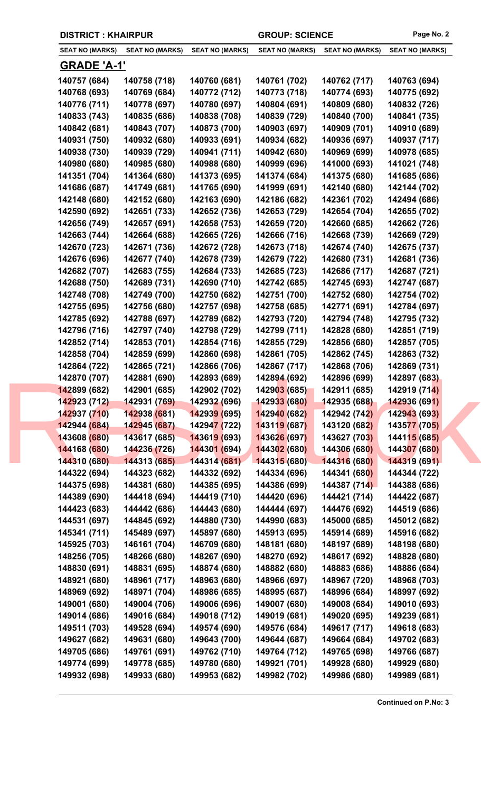|                              | <b>DISTRICT: KHAIRPUR</b> |                              |                              | <b>GROUP: SCIENCE</b>        |                              | Page No. 2                   |
|------------------------------|---------------------------|------------------------------|------------------------------|------------------------------|------------------------------|------------------------------|
|                              | <b>SEAT NO (MARKS)</b>    | <b>SEAT NO (MARKS)</b>       | <b>SEAT NO (MARKS)</b>       | <b>SEAT NO (MARKS)</b>       | <b>SEAT NO (MARKS)</b>       | <b>SEAT NO (MARKS)</b>       |
|                              | <b>GRADE 'A-1'</b>        |                              |                              |                              |                              |                              |
| 140757 (684)                 |                           | 140758 (718)                 | 140760 (681)                 | 140761 (702)                 | 140762 (717)                 | 140763 (694)                 |
| 140768 (693)                 |                           | 140769 (684)                 | 140772 (712)                 | 140773 (718)                 | 140774 (693)                 | 140775 (692)                 |
| 140776 (711)                 |                           | 140778 (697)                 | 140780 (697)                 | 140804 (691)                 | 140809 (680)                 | 140832 (726)                 |
| 140833 (743)                 |                           | 140835 (686)                 | 140838 (708)                 | 140839 (729)                 | 140840 (700)                 | 140841 (735)                 |
| 140842 (681)                 |                           | 140843 (707)                 | 140873 (700)                 | 140903 (697)                 | 140909 (701)                 | 140910 (689)                 |
| 140931 (750)                 |                           | 140932 (680)                 | 140933 (691)                 | 140934 (682)                 | 140936 (697)                 | 140937 (717)                 |
| 140938 (730)                 |                           | 140939 (729)                 | 140941 (711)                 | 140942 (680)                 | 140969 (699)                 | 140978 (685)                 |
| 140980 (680)                 |                           | 140985 (680)                 | 140988 (680)                 | 140999 (696)                 | 141000 (693)                 | 141021 (748)                 |
| 141351 (704)                 |                           | 141364 (680)                 | 141373 (695)                 | 141374 (684)                 | 141375 (680)                 | 141685 (686)                 |
| 141686 (687)                 |                           | 141749 (681)                 | 141765 (690)                 | 141999 (691)                 | 142140 (680)                 | 142144 (702)                 |
| 142148 (680)                 |                           | 142152 (680)                 | 142163 (690)                 | 142186 (682)                 | 142361 (702)                 | 142494 (686)                 |
| 142590 (692)                 |                           | 142651 (733)                 | 142652 (736)                 | 142653 (729)                 | 142654 (704)                 | 142655 (702)                 |
| 142656 (749)                 |                           | 142657 (691)                 | 142658 (753)                 | 142659 (720)                 | 142660 (685)                 | 142662 (726)                 |
| 142663 (744)                 |                           | 142664 (688)                 | 142665 (726)                 | 142666 (716)                 | 142668 (739)                 | 142669 (729)                 |
| 142670 (723)                 |                           | 142671 (736)                 | 142672 (728)                 | 142673 (718)                 | 142674 (740)                 | 142675 (737)                 |
| 142676 (696)                 |                           | 142677 (740)                 | 142678 (739)                 | 142679 (722)                 | 142680 (731)                 | 142681 (736)                 |
| 142682 (707)                 |                           | 142683 (755)                 | 142684 (733)                 | 142685 (723)                 | 142686 (717)                 | 142687 (721)                 |
| 142688 (750)                 |                           | 142689 (731)                 | 142690 (710)                 | 142742 (685)                 | 142745 (693)                 | 142747 (687)                 |
| 142748 (708)                 |                           | 142749 (700)                 | 142750 (682)                 | 142751 (700)                 | 142752 (680)                 | 142754 (702)                 |
| 142755 (695)                 |                           | 142756 (680)                 | 142757 (698)                 | 142758 (685)                 | 142771 (691)                 | 142784 (697)                 |
| 142785 (692)                 |                           | 142788 (697)                 | 142789 (682)                 | 142793 (720)                 | 142794 (748)                 | 142795 (732)                 |
| 142796 (716)                 |                           | 142797 (740)                 | 142798 (729)                 | 142799 (711)                 | 142828 (680)                 | 142851 (719)                 |
| 142852 (714)                 |                           | 142853 (701)                 | 142854 (716)                 | 142855 (729)                 | 142856 (680)                 | 142857 (705)                 |
| 142858 (704)                 |                           | 142859 (699)                 | 142860 (698)                 | 142861 (705)                 | 142862 (745)                 | 142863 (732)                 |
| 142864 (722)                 |                           | 142865 (721)                 | 142866 (706)                 | 142867 (717)                 | 142868 (706)                 | 142869 (731)                 |
| 142870 (707)                 |                           | 142881 (690)                 | 142893 (689)                 | 142894 (692)                 | 142896 (699)                 | 142897 (683)                 |
| 142899 (682)                 |                           | 142901 (685)                 | 142902 (702)                 | 142903 (685)                 | 142911 (685)                 | 142919 (714)                 |
| 142923 (712)                 |                           | 142931 (769)                 | 142932 (696)                 | 142933 (680)                 | 142935 (688)                 | 142936 (691)                 |
| 142937 (710)                 |                           | 142938 (681)                 | 142939 (695)                 | 142940 (682)                 | 142942 (742)                 | 142943 (693)                 |
| 142944 (684)                 |                           | 142945 (687)                 | 14294 <mark>7 (</mark> 722)  | 143119 (687)                 | 143120 (682)                 | 143577 (705)                 |
| 143608 (680)                 |                           | 143617 (685)                 | 143619 (693)                 | 143626 (697)                 | 143627 (703)                 | 144115 (685)                 |
| 144168 (680)                 |                           | 144236 (726)                 | 144301 (694)                 | 144302 (680)                 | 144306 (680)                 | 144307 (680)                 |
| 144310 (680)                 |                           | 144313 (685)                 | 144314 (681)                 | 144315 (680)                 | 144316 (680)                 | 144319 (691)                 |
| 144322 (694)                 |                           | 144323 (682)                 | 144332 (692)                 | 144334 (696)                 | 144341 (68 <mark>0)</mark>   | 144344 (722)                 |
| 144375 (698)                 |                           | 144381 (680)                 | 144385 (695)                 | 144386 (699)                 | 144387 (714)                 | 144388 (686)                 |
| 144389 (690)                 |                           | 144418 (694)                 | 144419 (710)                 | 144420 (696)                 | 144421 (714)                 | 144422 (687)                 |
| 144423 (683)                 |                           | 144442 (686)                 | 144443 (680)                 | 144444 (697)                 | 144476 (692)                 | 144519 (686)                 |
| 144531 (697)                 |                           | 144845 (692)                 | 144880 (730)                 | 144990 (683)                 | 145000 (685)                 | 145012 (682)                 |
| 145341 (711)                 |                           | 145489 (697)                 | 145897 (680)                 | 145913 (695)                 | 145914 (689)                 | 145916 (682)                 |
| 145925 (703)                 |                           | 146161 (704)                 | 146709 (680)                 | 148181 (680)                 | 148197 (689)                 | 148198 (680)                 |
| 148256 (705)                 |                           | 148266 (680)                 | 148267 (690)                 | 148270 (692)                 | 148617 (692)                 | 148828 (680)                 |
| 148830 (691)                 |                           | 148831 (695)                 | 148874 (680)                 | 148882 (680)                 | 148883 (686)                 | 148886 (684)                 |
| 148921 (680)                 |                           | 148961 (717)                 | 148963 (680)                 | 148966 (697)                 | 148967 (720)                 | 148968 (703)                 |
| 148969 (692)                 |                           | 148971 (704)                 | 148986 (685)                 | 148995 (687)                 | 148996 (684)                 | 148997 (692)                 |
| 149001 (680)                 |                           | 149004 (706)                 | 149006 (696)                 | 149007 (680)                 | 149008 (684)                 | 149010 (693)                 |
| 149014 (686)                 |                           | 149016 (684)                 | 149018 (712)                 | 149019 (681)                 | 149020 (695)                 | 149239 (681)                 |
|                              |                           |                              |                              |                              |                              |                              |
| 149511 (703)<br>149627 (682) |                           | 149528 (694)<br>149631 (680) | 149574 (690)<br>149643 (700) | 149576 (684)<br>149644 (687) | 149617 (717)<br>149664 (684) | 149618 (683)<br>149702 (683) |
|                              |                           |                              |                              |                              | 149765 (698)                 |                              |
| 149705 (686)<br>149774 (699) |                           | 149761 (691)<br>149778 (685) | 149762 (710)<br>149780 (680) | 149764 (712)<br>149921 (701) | 149928 (680)                 | 149766 (687)<br>149929 (680) |
| 149932 (698)                 |                           | 149933 (680)                 | 149953 (682)                 | 149982 (702)                 | 149986 (680)                 | 149989 (681)                 |
|                              |                           |                              |                              |                              |                              |                              |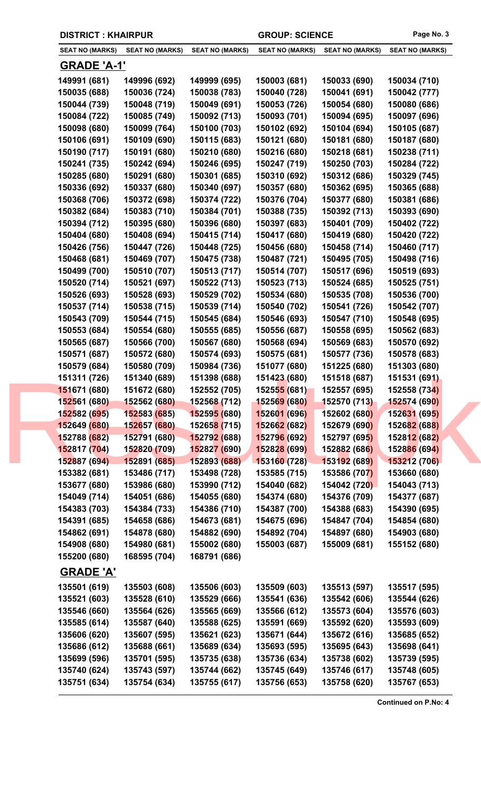|                              | <b>DISTRICT: KHAIRPUR</b> |                              |                              | <b>GROUP: SCIENCE</b>        |                              | Page No. 3                   |  |
|------------------------------|---------------------------|------------------------------|------------------------------|------------------------------|------------------------------|------------------------------|--|
| <b>SEAT NO (MARKS)</b>       |                           | <b>SEAT NO (MARKS)</b>       | <b>SEAT NO (MARKS)</b>       | <b>SEAT NO (MARKS)</b>       | <b>SEAT NO (MARKS)</b>       | <b>SEAT NO (MARKS)</b>       |  |
|                              | <b>GRADE 'A-1'</b>        |                              |                              |                              |                              |                              |  |
| 149991 (681)                 |                           | 149996 (692)                 | 149999 (695)                 | 150003 (681)                 | 150033 (690)                 | 150034 (710)                 |  |
| 150035 (688)                 |                           | 150036 (724)                 | 150038 (783)                 | 150040 (728)                 | 150041 (691)                 | 150042 (777)                 |  |
| 150044 (739)                 |                           | 150048 (719)                 | 150049 (691)                 | 150053 (726)                 | 150054 (680)                 | 150080 (686)                 |  |
| 150084 (722)                 |                           | 150085 (749)                 | 150092 (713)                 | 150093 (701)                 | 150094 (695)                 | 150097 (696)                 |  |
| 150098 (680)                 |                           | 150099 (764)                 | 150100 (703)                 | 150102 (692)                 | 150104 (694)                 | 150105 (687)                 |  |
| 150106 (691)                 |                           | 150109 (690)                 | 150115 (683)                 | 150121 (680)                 | 150181 (680)                 | 150187 (680)                 |  |
| 150190 (717)                 |                           | 150191 (680)                 | 150210 (680)                 | 150216 (680)                 | 150218 (681)                 | 150238 (711)                 |  |
| 150241 (735)                 |                           | 150242 (694)                 | 150246 (695)                 | 150247 (719)                 | 150250 (703)                 | 150284 (722)                 |  |
| 150285 (680)                 |                           | 150291 (680)                 | 150301 (685)                 | 150310 (692)                 | 150312 (686)                 | 150329 (745)                 |  |
| 150336 (692)                 |                           | 150337 (680)                 | 150340 (697)                 | 150357 (680)                 | 150362 (695)                 | 150365 (688)                 |  |
| 150368 (706)                 |                           | 150372 (698)                 | 150374 (722)                 | 150376 (704)                 | 150377 (680)                 | 150381 (686)                 |  |
| 150382 (684)                 |                           | 150383 (710)                 | 150384 (701)                 | 150388 (735)                 | 150392 (713)                 | 150393 (690)                 |  |
| 150394 (712)                 |                           | 150395 (680)                 | 150396 (680)                 | 150397 (683)                 | 150401 (709)                 | 150402 (722)                 |  |
| 150404 (680)                 |                           | 150408 (694)                 | 150415 (714)                 | 150417 (680)                 | 150419 (680)                 | 150420 (722)                 |  |
| 150426 (756)                 |                           | 150447 (726)                 | 150448 (725)                 | 150456 (680)                 | 150458 (714)                 | 150460 (717)                 |  |
| 150468 (681)                 |                           | 150469 (707)                 | 150475 (738)                 | 150487 (721)                 | 150495 (705)                 | 150498 (716)                 |  |
| 150499 (700)                 |                           | 150510 (707)                 | 150513 (717)                 | 150514 (707)                 | 150517 (696)                 | 150519 (693)                 |  |
| 150520 (714)                 |                           | 150521 (697)                 | 150522 (713)                 | 150523 (713)                 | 150524 (685)                 | 150525 (751)                 |  |
| 150526 (693)                 |                           | 150528 (693)                 | 150529 (702)                 | 150534 (680)                 | 150535 (708)                 | 150536 (700)                 |  |
| 150537 (714)                 |                           | 150538 (715)                 | 150539 (714)                 | 150540 (702)                 | 150541 (726)                 | 150542 (707)                 |  |
| 150543 (709)                 |                           | 150544 (715)                 | 150545 (684)                 | 150546 (693)                 | 150547 (710)                 | 150548 (695)                 |  |
| 150553 (684)                 |                           | 150554 (680)                 | 150555 (685)                 | 150556 (687)                 | 150558 (695)                 | 150562 (683)                 |  |
| 150565 (687)                 |                           | 150566 (700)                 | 150567 (680)                 | 150568 (694)                 | 150569 (683)                 | 150570 (692)                 |  |
| 150571 (687)                 |                           | 150572 (680)                 | 150574 (693)                 | 150575 (681)                 | 150577 (736)                 | 150578 (683)                 |  |
| 150579 (684)                 |                           | 150580 (709)                 | 150984 (736)                 | 151077 (680)                 | 151225 (680)                 | 151303 (680)                 |  |
| 151311 (726)                 |                           | 151340 (689)                 | 151398 (688)                 | 151423 (680)                 | 151518 (687)                 | 151531 (691)                 |  |
| 151671 (680)                 |                           | 151672 (680)                 | 152552 (705)                 | 152555 (681)                 | 152557 (695)                 | 152558 (734)                 |  |
| 152561 (680)                 |                           | 152562 (680)                 | 152568 (712)                 | 152569 (680)                 | 152570 (713)                 | <b>152574 (690)</b>          |  |
| 152582 (695)                 |                           | 152583 (685)                 | 152595 (680)                 | 152601 (696)                 | 152602 (680)                 | 152631 (695)                 |  |
| 152649 (680)                 |                           | 152657 (680)                 | 15265 <mark>8 (</mark> 715)  | 152662 (682)                 | 152679 (690)                 | 152682 (688)                 |  |
| 152788 (682)                 |                           | 152791 (680)                 | 152792 (688)                 | 152796 (692)                 | 152797 (695)                 | 152812 (682)                 |  |
| 152817 (704)                 |                           | 152820 (709)                 | 152827 (690)                 | 152828 (699)                 | 152882 (686)                 | 152886 (694)                 |  |
| 152887 (694)                 |                           | 152891 (685)                 | 152893 (688)                 | 153160 (728)                 | 153192 (689)                 | 153212 (706)                 |  |
| 153382 (681)                 |                           | 153486 (717)                 | 153498 (728)                 | 153585 (715)                 | 153586 (707)                 | 153660 (680)                 |  |
| 153677 (680)                 |                           | 153986 (680)                 | 153990 (712)                 | 154040 (682)                 | 154042 (720)                 | 154043 (713)                 |  |
| 154049 (714)                 |                           | 154051 (686)                 | 154055 (680)                 | 154374 (680)                 | 154376 (709)<br>154388 (683) | 154377 (687)                 |  |
| 154383 (703)<br>154391 (685) |                           | 154384 (733)<br>154658 (686) | 154386 (710)<br>154673 (681) | 154387 (700)<br>154675 (696) | 154847 (704)                 | 154390 (695)<br>154854 (680) |  |
| 154862 (691)                 |                           | 154878 (680)                 | 154882 (690)                 | 154892 (704)                 | 154897 (680)                 | 154903 (680)                 |  |
| 154908 (680)                 |                           | 154980 (681)                 | 155002 (680)                 | 155003 (687)                 | 155009 (681)                 | 155152 (680)                 |  |
| 155200 (680)                 |                           | 168595 (704)                 | 168791 (686)                 |                              |                              |                              |  |
| <b>GRADE 'A'</b>             |                           |                              |                              |                              |                              |                              |  |
| 135501 (619)                 |                           | 135503 (608)                 | 135506 (603)                 | 135509 (603)                 | 135513 (597)                 | 135517 (595)                 |  |
|                              |                           | 135528 (610)                 |                              |                              |                              |                              |  |
| 135521 (603)<br>135546 (660) |                           | 135564 (626)                 | 135529 (666)<br>135565 (669) | 135541 (636)<br>135566 (612) | 135542 (606)<br>135573 (604) | 135544 (626)<br>135576 (603) |  |
| 135585 (614)                 |                           | 135587 (640)                 | 135588 (625)                 | 135591 (669)                 | 135592 (620)                 | 135593 (609)                 |  |
| 135606 (620)                 |                           | 135607 (595)                 | 135621 (623)                 | 135671 (644)                 | 135672 (616)                 | 135685 (652)                 |  |
| 135686 (612)                 |                           | 135688 (661)                 | 135689 (634)                 | 135693 (595)                 | 135695 (643)                 | 135698 (641)                 |  |
| 135699 (596)                 |                           | 135701 (595)                 | 135735 (638)                 | 135736 (634)                 | 135738 (602)                 | 135739 (595)                 |  |
| 135740 (624)                 |                           | 135743 (597)                 | 135744 (662)                 | 135745 (649)                 | 135746 (617)                 | 135748 (605)                 |  |
| 135751 (634)                 |                           | 135754 (634)                 | 135755 (617)                 | 135756 (653)                 | 135758 (620)                 | 135767 (653)                 |  |
|                              |                           |                              |                              |                              |                              |                              |  |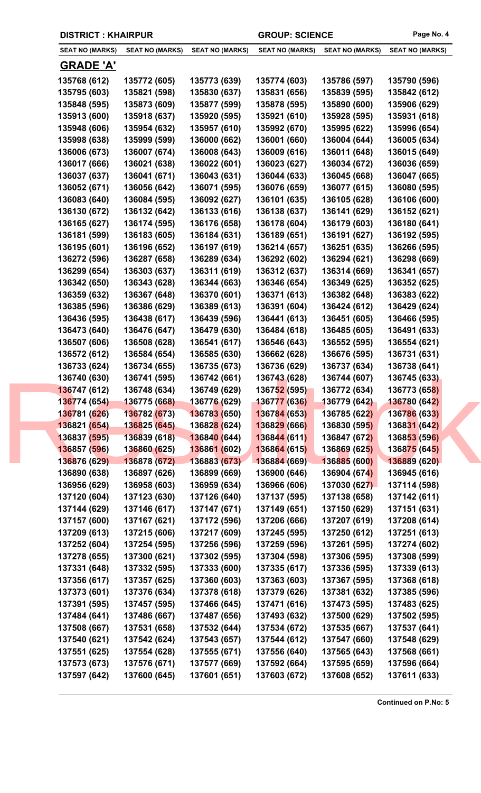| <b>SEAT NO (MARKS)</b> | <b>SEAT NO (MARKS)</b> | <b>SEAT NO (MARKS)</b>      | <b>SEAT NO (MARKS)</b> | <b>SEAT NO (MARKS)</b> | <b>SEAT NO (MARKS)</b> |
|------------------------|------------------------|-----------------------------|------------------------|------------------------|------------------------|
| <u>GRADE 'A'</u>       |                        |                             |                        |                        |                        |
| 135768 (612)           | 135772 (605)           | 135773 (639)                | 135774 (603)           | 135786 (597)           | 135790 (596)           |
| 135795 (603)           | 135821 (598)           | 135830 (637)                | 135831 (656)           | 135839 (595)           | 135842 (612)           |
| 135848 (595)           | 135873 (609)           | 135877 (599)                | 135878 (595)           | 135890 (600)           | 135906 (629)           |
| 135913 (600)           | 135918 (637)           | 135920 (595)                | 135921 (610)           | 135928 (595)           | 135931 (618)           |
| 135948 (606)           | 135954 (632)           | 135957 (610)                | 135992 (670)           | 135995 (622)           | 135996 (654)           |
| 135998 (638)           | 135999 (599)           | 136000 (662)                | 136001 (660)           | 136004 (644)           | 136005 (634)           |
| 136006 (673)           | 136007 (674)           | 136008 (643)                | 136009 (616)           | 136011 (648)           | 136015 (649)           |
| 136017 (666)           | 136021 (638)           | 136022 (601)                | 136023 (627)           | 136034 (672)           | 136036 (659)           |
| 136037 (637)           | 136041 (671)           | 136043 (631)                | 136044 (633)           | 136045 (668)           | 136047 (665)           |
| 136052 (671)           | 136056 (642)           | 136071 (595)                | 136076 (659)           | 136077 (615)           | 136080 (595)           |
| 136083 (640)           | 136084 (595)           | 136092 (627)                | 136101 (635)           | 136105 (628)           | 136106 (600)           |
| 136130 (672)           | 136132 (642)           | 136133 (616)                | 136138 (637)           | 136141 (629)           | 136152 (621)           |
| 136165 (627)           | 136174 (595)           | 136176 (658)                | 136178 (604)           | 136179 (603)           | 136180 (641)           |
| 136181 (599)           | 136183 (605)           | 136184 (631)                | 136189 (651)           | 136191 (627)           | 136192 (595)           |
| 136195 (601)           | 136196 (652)           | 136197 (619)                | 136214 (657)           | 136251 (635)           | 136266 (595)           |
| 136272 (596)           | 136287 (658)           | 136289 (634)                | 136292 (602)           | 136294 (621)           | 136298 (669)           |
| 136299 (654)           | 136303 (637)           | 136311 (619)                | 136312 (637)           | 136314 (669)           | 136341 (657)           |
| 136342 (650)           | 136343 (628)           | 136344 (663)                | 136346 (654)           | 136349 (625)           | 136352 (625)           |
| 136359 (632)           | 136367 (648)           | 136370 (601)                | 136371 (613)           | 136382 (648)           | 136383 (622)           |
| 136385 (596)           | 136386 (629)           | 136389 (613)                | 136391 (604)           | 136424 (612)           | 136429 (624)           |
| 136436 (595)           | 136438 (617)           | 136439 (596)                | 136441 (613)           | 136451 (605)           | 136466 (595)           |
| 136473 (640)           | 136476 (647)           | 136479 (630)                | 136484 (618)           | 136485 (605)           | 136491 (633)           |
| 136507 (606)           | 136508 (628)           | 136541 (617)                | 136546 (643)           | 136552 (595)           | 136554 (621)           |
| 136572 (612)           | 136584 (654)           | 136585 (630)                | 136662 (628)           | 136676 (595)           | 136731 (631)           |
| 136733 (624)           | 136734 (655)           | 136735 (673)                | 136736 (629)           | 136737 (634)           | 136738 (641)           |
| 136740 (630)           | 136741 (595)           | 136742 (661)                | 136743 (628)           | 136744 (607)           | 136745 (633)           |
| 136747 (612)           | 136748 (634)           | 136749 (629)                | 136752 (595)           | 136772 (634)           | 136773 (658)           |
| 136774 (654)           | 136775 (668)           | 136776 (629)                | 136777 (636)           | 136779 (642)           | <b>136780 (642)</b>    |
| 136781 (626)           | 136782 (673)           | 136783 (650)                | 136784 (653)           | 136785 (622)           | 136786 (633)           |
| 136821 (654)           | 136825 (645)           | 13682 <mark>8 (</mark> 624) | 136829 (666)           | 136830 (595)           | 136831 (642)           |
| 136837 (595)           | 136839 (618)           | 136840 (644)                | 136844 (611)           | 136847 (672)           | 136853 (596)           |
| 136857 (596)           | 136860 (625)           | 136861 (602)                | 136864 (615)           | 136869 (625)           | 136875 (645)           |
| 136876 (629)           | 136878 (672)           | 136883 (673)                | 136884 (669)           | 136885 (600)           | 136889 (620)           |
| 136890 (638)           | 136897 (626)           | 136899 (669)                | 136900 (646)           | 136904 (674)           | 136945 (616)           |
| 136956 (629)           | 136958 (603)           | 136959 (634)                | 136966 (606)           | 137030 (627)           | 137114 (598)           |
| 137120 (604)           | 137123 (630)           | 137126 (640)                | 137137 (595)           | 137138 (658)           | 137142 (611)           |
| 137144 (629)           | 137146 (617)           | 137147 (671)                | 137149 (651)           | 137150 (629)           | 137151 (631)           |
| 137157 (600)           | 137167 (621)           | 137172 (596)                | 137206 (666)           | 137207 (619)           | 137208 (614)           |
| 137209 (613)           | 137215 (606)           | 137217 (609)                | 137245 (595)           | 137250 (612)           | 137251 (613)           |
| 137252 (604)           | 137254 (595)           | 137256 (596)                | 137259 (596)           | 137261 (595)           | 137274 (602)           |
| 137278 (655)           | 137300 (621)           | 137302 (595)                | 137304 (598)           | 137306 (595)           | 137308 (599)           |
| 137331 (648)           | 137332 (595)           | 137333 (600)                | 137335 (617)           | 137336 (595)           | 137339 (613)           |
| 137356 (617)           | 137357 (625)           | 137360 (603)                | 137363 (603)           | 137367 (595)           | 137368 (618)           |
| 137373 (601)           | 137376 (634)           | 137378 (618)                | 137379 (626)           | 137381 (632)           | 137385 (596)           |
| 137391 (595)           | 137457 (595)           | 137466 (645)                | 137471 (616)           | 137473 (595)           | 137483 (625)           |
| 137484 (641)           | 137486 (667)           | 137487 (656)                | 137493 (632)           | 137500 (629)           | 137502 (595)           |
| 137508 (667)           | 137531 (658)           | 137532 (644)                | 137534 (672)           | 137535 (667)           | 137537 (641)           |
| 137540 (621)           | 137542 (624)           | 137543 (657)                | 137544 (612)           | 137547 (660)           | 137548 (629)           |
| 137551 (625)           | 137554 (628)           | 137555 (671)                | 137556 (640)           | 137565 (643)           | 137568 (661)           |
| 137573 (673)           | 137576 (671)           | 137577 (669)                | 137592 (664)           | 137595 (659)           | 137596 (664)           |
| 137597 (642)           | 137600 (645)           | 137601 (651)                | 137603 (672)           | 137608 (652)           | 137611 (633)           |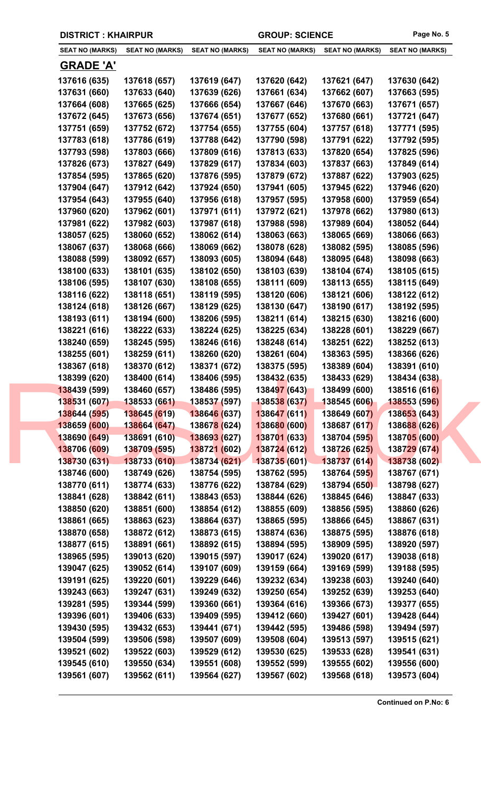| <b>SEAT NO (MARKS)</b> | <b>SEAT NO (MARKS)</b> | <b>SEAT NO (MARKS)</b> | <b>SEAT NO (MARKS)</b> | <b>SEAT NO (MARKS)</b> | <b>SEAT NO (MARKS)</b> |
|------------------------|------------------------|------------------------|------------------------|------------------------|------------------------|
| <u>GRADE 'A'</u>       |                        |                        |                        |                        |                        |
| 137616 (635)           | 137618 (657)           | 137619 (647)           | 137620 (642)           | 137621 (647)           | 137630 (642)           |
| 137631 (660)           | 137633 (640)           | 137639 (626)           | 137661 (634)           | 137662 (607)           | 137663 (595)           |
| 137664 (608)           | 137665 (625)           | 137666 (654)           | 137667 (646)           | 137670 (663)           | 137671 (657)           |
| 137672 (645)           | 137673 (656)           | 137674 (651)           | 137677 (652)           | 137680 (661)           | 137721 (647)           |
| 137751 (659)           | 137752 (672)           | 137754 (655)           | 137755 (604)           | 137757 (618)           | 137771 (595)           |
| 137783 (618)           | 137786 (619)           | 137788 (642)           | 137790 (598)           | 137791 (622)           | 137792 (595)           |
| 137793 (598)           | 137803 (666)           | 137809 (616)           | 137813 (633)           | 137820 (654)           | 137825 (596)           |
| 137826 (673)           | 137827 (649)           | 137829 (617)           | 137834 (603)           | 137837 (663)           | 137849 (614)           |
| 137854 (595)           | 137865 (620)           | 137876 (595)           | 137879 (672)           | 137887 (622)           | 137903 (625)           |
| 137904 (647)           | 137912 (642)           | 137924 (650)           | 137941 (605)           | 137945 (622)           | 137946 (620)           |
| 137954 (643)           | 137955 (640)           | 137956 (618)           | 137957 (595)           | 137958 (600)           | 137959 (654)           |
| 137960 (620)           | 137962 (601)           | 137971 (611)           | 137972 (621)           | 137978 (662)           | 137980 (613)           |
| 137981 (622)           | 137982 (603)           | 137987 (618)           | 137988 (598)           | 137989 (604)           | 138052 (644)           |
| 138057 (625)           | 138060 (652)           | 138062 (614)           | 138063 (663)           | 138065 (669)           | 138066 (663)           |
| 138067 (637)           | 138068 (666)           | 138069 (662)           | 138078 (628)           | 138082 (595)           | 138085 (596)           |
| 138088 (599)           | 138092 (657)           | 138093 (605)           | 138094 (648)           | 138095 (648)           | 138098 (663)           |
| 138100 (633)           | 138101 (635)           | 138102 (650)           | 138103 (639)           | 138104 (674)           | 138105 (615)           |
| 138106 (595)           | 138107 (630)           | 138108 (655)           | 138111 (609)           | 138113 (655)           | 138115 (649)           |
| 138116 (622)           | 138118 (651)           | 138119 (595)           | 138120 (606)           | 138121 (606)           | 138122 (612)           |
| 138124 (618)           | 138126 (667)           | 138129 (625)           | 138130 (647)           | 138190 (617)           | 138192 (595)           |
| 138193 (611)           | 138194 (600)           | 138206 (595)           | 138211 (614)           | 138215 (630)           | 138216 (600)           |
| 138221 (616)           | 138222 (633)           | 138224 (625)           | 138225 (634)           | 138228 (601)           | 138229 (667)           |
| 138240 (659)           | 138245 (595)           | 138246 (616)           | 138248 (614)           | 138251 (622)           | 138252 (613)           |
| 138255 (601)           | 138259 (611)           | 138260 (620)           | 138261 (604)           | 138363 (595)           | 138366 (626)           |
| 138367 (618)           | 138370 (612)           | 138371 (672)           | 138375 (595)           | 138389 (604)           | 138391 (610)           |
| 138399 (620)           | 138400 (614)           | 138406 (595)           | 138432 (635)           | 138433 (629)           | 138434 (638)           |
| 138439 (599)           | 138460 (657)           | 138486 (595)           | 138497 (643)           | 138499 (600)           | 138516 (616)           |
| 138531 (607)           | 138533 (661)           | 138537 (597)           | 138538 (637)           | 138545 (606)           | <b>138553 (596)</b>    |
| 138644 (595)           | 138645 (619)           | 138646 (637)           | 138647 (611)           | 138649 (607)           | 138653 (643)           |
| 138659 (600)           | 138664 (647)           | 138678 (624)           | 138680 (600)           | 138687 (617)           | 138688 (626)           |
| 138690 (649)           | 138691 (610)           | 138693 (627)           | 138701 (633)           | 138704 (595)           | 138705 (600)           |
| 138706 (609)           | 138709 (595)           | 138721 (602)           | 138724 (612)           | 138726 (625)           | 138729 (674)           |
| 138730 (631)           | 138733 (610)           | 138734 (621)           | 138735 (601)           | 138737 (614)           | 138738 (602)           |
| 138746 (600)           | 138749 (626)           | 138754 (595)           | 138762 (595)           | 138764 (595)           | 138767 (671)           |
| 138770 (611)           | 138774 (633)           | 138776 (622)           | 138784 (629)           | 138794 (650)           | 138798 (627)           |
| 138841 (628)           | 138842 (611)           | 138843 (653)           | 138844 (626)           | 138845 (646)           | 138847 (633)           |
| 138850 (620)           | 138851 (600)           | 138854 (612)           | 138855 (609)           | 138856 (595)           | 138860 (626)           |
| 138861 (665)           | 138863 (623)           | 138864 (637)           | 138865 (595)           | 138866 (645)           | 138867 (631)           |
| 138870 (658)           | 138872 (612)           | 138873 (615)           | 138874 (636)           | 138875 (595)           | 138876 (618)           |
| 138877 (615)           | 138891 (661)           | 138892 (615)           | 138894 (595)           | 138909 (595)           | 138920 (597)           |
| 138965 (595)           | 139013 (620)           | 139015 (597)           | 139017 (624)           | 139020 (617)           | 139038 (618)           |
| 139047 (625)           | 139052 (614)           | 139107 (609)           | 139159 (664)           | 139169 (599)           | 139188 (595)           |
| 139191 (625)           | 139220 (601)           | 139229 (646)           | 139232 (634)           | 139238 (603)           | 139240 (640)           |
| 139243 (663)           | 139247 (631)           | 139249 (632)           | 139250 (654)           | 139252 (639)           | 139253 (640)           |
| 139281 (595)           | 139344 (599)           | 139360 (661)           | 139364 (616)           | 139366 (673)           | 139377 (655)           |
| 139396 (601)           | 139406 (633)           | 139409 (595)           | 139412 (660)           | 139427 (601)           | 139428 (644)           |
| 139430 (595)           | 139432 (653)           | 139441 (671)           | 139442 (595)           | 139486 (598)           | 139494 (597)           |
| 139504 (599)           | 139506 (598)           | 139507 (609)           | 139508 (604)           | 139513 (597)           | 139515 (621)           |
| 139521 (602)           | 139522 (603)           | 139529 (612)           | 139530 (625)           | 139533 (628)           | 139541 (631)           |
| 139545 (610)           | 139550 (634)           | 139551 (608)           | 139552 (599)           | 139555 (602)           | 139556 (600)           |
| 139561 (607)           | 139562 (611)           | 139564 (627)           | 139567 (602)           | 139568 (618)           | 139573 (604)           |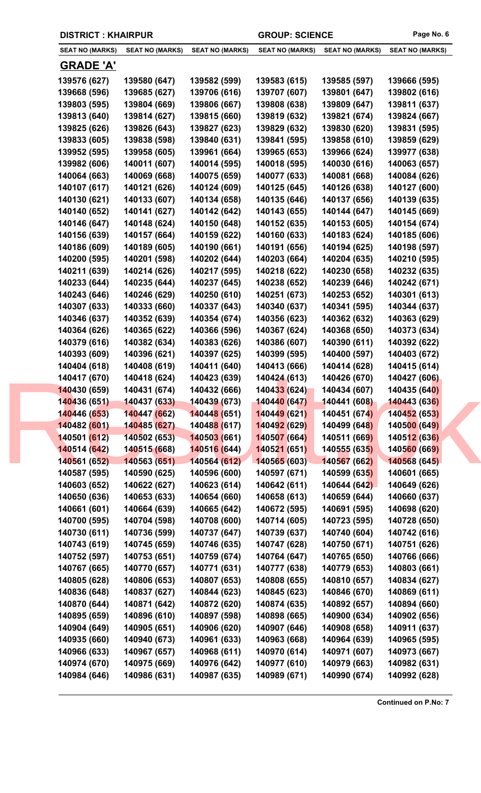| <b>DISTRICT: KHAIRPUR</b> |  |
|---------------------------|--|
|---------------------------|--|

| <b>SEAT NO (MARKS)</b> | <b>SEAT NO (MARKS)</b> | <b>SEAT NO (MARKS)</b>      | <b>SEAT NO (MARKS)</b> | <b>SEAT NO (MARKS)</b> | <b>SEAT NO (MARKS)</b> |
|------------------------|------------------------|-----------------------------|------------------------|------------------------|------------------------|
| <b>GRADE 'A'</b>       |                        |                             |                        |                        |                        |
| 139576 (627)           | 139580 (647)           | 139582 (599)                | 139583 (615)           | 139585 (597)           | 139666 (595)           |
| 139668 (596)           | 139685 (627)           | 139706 (616)                | 139707 (607)           | 139801 (647)           | 139802 (616)           |
| 139803 (595)           | 139804 (669)           | 139806 (667)                | 139808 (638)           | 139809 (647)           | 139811 (637)           |
| 139813 (640)           | 139814 (627)           | 139815 (660)                | 139819 (632)           | 139821 (674)           | 139824 (667)           |
| 139825 (626)           | 139826 (643)           | 139827 (623)                | 139829 (632)           | 139830 (620)           | 139831 (595)           |
|                        | 139838 (598)           |                             |                        |                        |                        |
| 139833 (605)           |                        | 139840 (631)                | 139841 (595)           | 139858 (610)           | 139859 (629)           |
| 139952 (595)           | 139958 (605)           | 139961 (664)                | 139965 (653)           | 139966 (624)           | 139977 (638)           |
| 139982 (606)           | 140011 (607)           | 140014 (595)                | 140018 (595)           | 140030 (616)           | 140063 (657)           |
| 140064 (663)           | 140069 (668)           | 140075 (659)                | 140077 (633)           | 140081 (668)           | 140084 (626)           |
| 140107 (617)           | 140121 (626)           | 140124 (609)                | 140125 (645)           | 140126 (638)           | 140127 (600)           |
| 140130 (621)           | 140133 (607)           | 140134 (658)                | 140135 (646)           | 140137 (656)           | 140139 (635)           |
| 140140 (652)           | 140141 (627)           | 140142 (642)                | 140143 (655)           | 140144 (647)           | 140145 (669)           |
| 140146 (647)           | 140148 (624)           | 140150 (648)                | 140152 (635)           | 140153 (605)           | 140154 (674)           |
| 140156 (639)           | 140157 (664)           | 140159 (622)                | 140160 (633)           | 140183 (624)           | 140185 (606)           |
| 140186 (609)           | 140189 (605)           | 140190 (661)                | 140191 (656)           | 140194 (625)           | 140198 (597)           |
| 140200 (595)           | 140201 (598)           | 140202 (644)                | 140203 (664)           | 140204 (635)           | 140210 (595)           |
| 140211 (639)           | 140214 (626)           | 140217 (595)                | 140218 (622)           | 140230 (658)           | 140232 (635)           |
| 140233 (644)           | 140235 (644)           | 140237 (645)                | 140238 (652)           | 140239 (646)           | 140242 (671)           |
| 140243 (646)           | 140246 (629)           | 140250 (610)                | 140251 (673)           | 140253 (652)           | 140301 (613)           |
| 140307 (633)           | 140333 (660)           | 140337 (643)                | 140340 (637)           | 140341 (595)           | 140344 (637)           |
| 140346 (637)           | 140352 (639)           | 140354 (674)                | 140356 (623)           | 140362 (632)           | 140363 (629)           |
| 140364 (626)           | 140365 (622)           | 140366 (596)                | 140367 (624)           | 140368 (650)           | 140373 (634)           |
| 140379 (616)           | 140382 (634)           | 140383 (626)                | 140386 (607)           | 140390 (611)           | 140392 (622)           |
| 140393 (609)           | 140396 (621)           | 140397 (625)                | 140399 (595)           | 140400 (597)           | 140403 (672)           |
| 140404 (618)           | 140408 (619)           | 140411 (640)                | 140413 (666)           | 140414 (628)           | 140415 (614)           |
| 140417 (670)           | 140418 (624)           | 140423 (639)                | 140424 (613)           | 140426 (670)           | 140427 (606)           |
| 140430 (659)           | 140431 (674)           | 140432 (666)                | 140433 (624)           | 140434 (607)           | 140435 (640)           |
| 140436 (651)           | 140437 (633)           | 140439 (673)                | 140440 (647)           | 140441 (608)           | 140443 (636)           |
| 140446 (653)           | 140447 (662)           | 140448 (651)                | 140449 (621)           | 140451 (674)           | 140452 (653)           |
| 140482 (601)           | 140485 (627)           | 14048 <mark>8 (</mark> 617) | 140492 (629)           | 140499 (648)           | 140500 (649)           |
| 140501 (612)           | 140502 (653)           | 140503 (661)                | 140507 (664)           | 140511 (669)           | 140512 (636)           |
| 140514 (642)           | 140515 (668)           | 140516 (644)                | 140521 (651)           | 140555 (635)           | 140560 (669)           |
| 140561 (652)           | 140563 (651)           | 140564 (612)                | 140565 (603)           | 140567 (662)           | 140568 (645)           |
| 140587 (595)           | 140590 (625)           | 140596 (600)                | 140597 (671)           | 140599 (635)           | 140601 (665)           |
| 140603 (652)           | 140622 (627)           | 140623 (614)                | 140642 (611)           | 140644 (642)           | 140649 (626)           |
| 140650 (636)           | 140653 (633)           | 140654 (660)                | 140658 (613)           | 140659 (644)           | 140660 (637)           |
| 140661 (601)           | 140664 (639)           | 140665 (642)                | 140672 (595)           | 140691 (595)           | 140698 (620)           |
| 140700 (595)           | 140704 (598)           | 140708 (600)                | 140714 (605)           | 140723 (595)           | 140728 (650)           |
| 140730 (611)           | 140736 (599)           | 140737 (647)                | 140739 (637)           | 140740 (604)           | 140742 (616)           |
| 140743 (619)           | 140745 (659)           | 140746 (635)                | 140747 (628)           | 140750 (671)           | 140751 (626)           |
| 140752 (597)           | 140753 (651)           | 140759 (674)                | 140764 (647)           | 140765 (650)           | 140766 (666)           |
| 140767 (665)           | 140770 (657)           | 140771 (631)                | 140777 (638)           | 140779 (653)           | 140803 (661)           |
| 140805 (628)           | 140806 (653)           | 140807 (653)                | 140808 (655)           | 140810 (657)           | 140834 (627)           |
| 140836 (648)           | 140837 (627)           | 140844 (623)                | 140845 (623)           | 140846 (670)           | 140869 (611)           |
| 140870 (644)           | 140871 (642)           | 140872 (620)                | 140874 (635)           | 140892 (657)           | 140894 (660)           |
| 140895 (659)           | 140896 (610)           | 140897 (598)                | 140898 (665)           | 140900 (634)           | 140902 (656)           |
| 140904 (649)           | 140905 (651)           | 140906 (620)                | 140907 (646)           | 140908 (658)           | 140911 (637)           |
| 140935 (660)           | 140940 (673)           | 140961 (633)                | 140963 (668)           | 140964 (639)           | 140965 (595)           |
| 140966 (633)           | 140967 (657)           | 140968 (611)                | 140970 (614)           | 140971 (607)           | 140973 (667)           |
| 140974 (670)           | 140975 (669)           | 140976 (642)                | 140977 (610)           | 140979 (663)           | 140982 (631)           |
| 140984 (646)           | 140986 (631)           | 140987 (635)                | 140989 (671)           | 140990 (674)           | 140992 (628)           |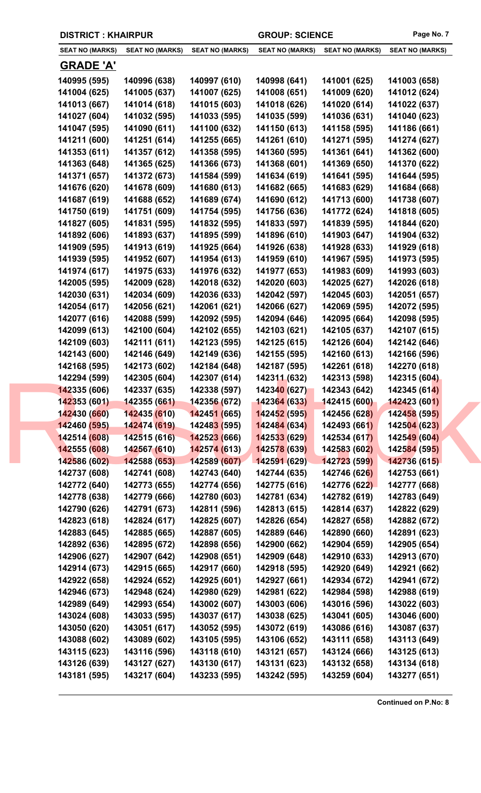| <b>SEAT NO (MARKS)</b> | <b>SEAT NO (MARKS)</b> | <b>SEAT NO (MARKS)</b>           | <b>SEAT NO (MARKS)</b> | <b>SEAT NO (MARKS)</b> | <b>SEAT NO (MARKS)</b> |
|------------------------|------------------------|----------------------------------|------------------------|------------------------|------------------------|
| <b>GRADE 'A'</b>       |                        |                                  |                        |                        |                        |
| 140995 (595)           | 140996 (638)           | 140997 (610)                     | 140998 (641)           | 141001 (625)           | 141003 (658)           |
| 141004 (625)           | 141005 (637)           | 141007 (625)                     | 141008 (651)           | 141009 (620)           | 141012 (624)           |
| 141013 (667)           | 141014 (618)           | 141015 (603)                     | 141018 (626)           | 141020 (614)           | 141022 (637)           |
| 141027 (604)           | 141032 (595)           | 141033 (595)                     | 141035 (599)           | 141036 (631)           | 141040 (623)           |
| 141047 (595)           | 141090 (611)           | 141100 (632)                     | 141150 (613)           | 141158 (595)           | 141186 (661)           |
| 141211 (600)           | 141251 (614)           | 141255 (665)                     | 141261 (610)           | 141271 (595)           | 141274 (627)           |
| 141353 (611)           | 141357 (612)           | 141358 (595)                     | 141360 (595)           | 141361 (641)           | 141362 (600)           |
| 141363 (648)           | 141365 (625)           | 141366 (673)                     | 141368 (601)           | 141369 (650)           | 141370 (622)           |
| 141371 (657)           | 141372 (673)           | 141584 (599)                     | 141634 (619)           | 141641 (595)           | 141644 (595)           |
| 141676 (620)           | 141678 (609)           | 141680 (613)                     | 141682 (665)           | 141683 (629)           | 141684 (668)           |
| 141687 (619)           | 141688 (652)           | 141689 (674)                     | 141690 (612)           | 141713 (600)           | 141738 (607)           |
| 141750 (619)           | 141751 (609)           | 141754 (595)                     | 141756 (636)           | 141772 (624)           | 141818 (605)           |
| 141827 (605)           | 141831 (595)           | 141832 (595)                     | 141833 (597)           | 141839 (595)           | 141844 (620)           |
| 141892 (606)           | 141893 (637)           | 141895 (599)                     | 141896 (610)           | 141903 (647)           | 141904 (632)           |
| 141909 (595)           | 141913 (619)           | 141925 (664)                     | 141926 (638)           | 141928 (633)           | 141929 (618)           |
| 141939 (595)           | 141952 (607)           | 141954 (613)                     | 141959 (610)           | 141967 (595)           | 141973 (595)           |
| 141974 (617)           | 141975 (633)           | 141976 (632)                     | 141977 (653)           | 141983 (609)           | 141993 (603)           |
| 142005 (595)           | 142009 (628)           | 142018 (632)                     | 142020 (603)           | 142025 (627)           | 142026 (618)           |
| 142030 (631)           | 142034 (609)           | 142036 (633)                     | 142042 (597)           | 142045 (603)           | 142051 (657)           |
| 142054 (617)           | 142056 (621)           | 142061 (621)                     | 142066 (627)           | 142069 (595)           | 142072 (595)           |
| 142077 (616)           | 142088 (599)           | 142092 (595)                     | 142094 (646)           | 142095 (664)           | 142098 (595)           |
| 142099 (613)           | 142100 (604)           | 142102 (655)                     | 142103 (621)           | 142105 (637)           | 142107 (615)           |
| 142109 (603)           | 142111 (611)           | 142123 (595)                     | 142125 (615)           | 142126 (604)           | 142142 (646)           |
| 142143 (600)           | 142146 (649)           | 142149 (636)                     | 142155 (595)           | 142160 (613)           | 142166 (596)           |
| 142168 (595)           | 142173 (602)           | 142184 (648)                     | 142187 (595)           | 142261 (618)           | 142270 (618)           |
| 142294 (599)           | 142305 (604)           | 142307 (614)                     | 142311 (632)           | 142313 (598)           | 142315 (604)           |
| 142335 (606)           | 142337 (635)           | 142338 (597)                     | 142340 (627)           | 142343 (642)           | 142345 (614)           |
| 142353 (601)           | 142355 (661)           | 142356 (672)                     | 142364 (633)           | 142415 (600)           | 142423 (601)           |
| 142430 (660)           | 142435 (610)           | 142451 (665)                     | 142452 (595)           | 142456 (628)           | 142458 (595)           |
| 142460 (595)           | 142474 (619)           | 14248 <mark>3 (</mark> 595)      | 142484 (634)           | 142493 (661)           | 142504 (623)           |
| 142514 (608)           | 142515(616)            | <b>14252<mark>3</mark></b> (666) | 142533 (629)           | 142534 (617)           | 142549 (604)           |
| 142555 (608)           | 142567 (610)           | 142574 (613)                     | 142578 (639)           | 142583 (602)           | 142584 (595)           |
| 142586 (602)           | 142588 (653)           | 142589 (607)                     | 142591 (629)           | 142723 (599)           | 142736 (615)           |
| 142737 (608)           | 142741 (608)           | 142743 (640)                     | 142744 (635)           | 142746 (626)           | 142753 (661)           |
| 142772 (640)           | 142773 (655)           | 142774 (656)                     | 142775 (616)           | 142776 (622)           | 142777 (668)           |
| 142778 (638)           | 142779 (666)           | 142780 (603)                     | 142781 (634)           | 142782 (619)           | 142783 (649)           |
| 142790 (626)           | 142791 (673)           | 142811 (596)                     | 142813 (615)           | 142814 (637)           | 142822 (629)           |
| 142823 (618)           | 142824 (617)           | 142825 (607)                     | 142826 (654)           | 142827 (658)           | 142882 (672)           |
| 142883 (645)           | 142885 (665)           | 142887 (605)                     | 142889 (646)           | 142890 (660)           | 142891 (623)           |
| 142892 (636)           | 142895 (672)           | 142898 (656)                     | 142900 (662)           | 142904 (659)           | 142905 (654)           |
| 142906 (627)           | 142907 (642)           | 142908 (651)                     | 142909 (648)           | 142910 (633)           | 142913 (670)           |
| 142914 (673)           | 142915 (665)           | 142917 (660)                     | 142918 (595)           | 142920 (649)           | 142921 (662)           |
| 142922 (658)           | 142924 (652)           | 142925 (601)                     | 142927 (661)           | 142934 (672)           | 142941 (672)           |
| 142946 (673)           | 142948 (624)           | 142980 (629)                     | 142981 (622)           | 142984 (598)           | 142988 (619)           |
| 142989 (649)           | 142993 (654)           | 143002 (607)                     | 143003 (606)           | 143016 (596)           | 143022 (603)           |
| 143024 (608)           | 143033 (595)           | 143037 (617)                     | 143038 (625)           | 143041 (605)           | 143046 (600)           |
| 143050 (620)           | 143051 (617)           | 143052 (595)                     | 143072 (619)           | 143086 (616)           | 143087 (637)           |
| 143088 (602)           | 143089 (602)           | 143105 (595)                     | 143106 (652)           | 143111 (658)           | 143113 (649)           |
| 143115 (623)           | 143116 (596)           | 143118 (610)                     | 143121 (657)           | 143124 (666)           | 143125 (613)           |
| 143126 (639)           | 143127 (627)           | 143130 (617)                     | 143131 (623)           | 143132 (658)           | 143134 (618)           |
| 143181 (595)           | 143217 (604)           | 143233 (595)                     | 143242 (595)           | 143259 (604)           | 143277 (651)           |

**DISTRICT : KHAIRPUR GROUP: SCIENCE Page No. 7**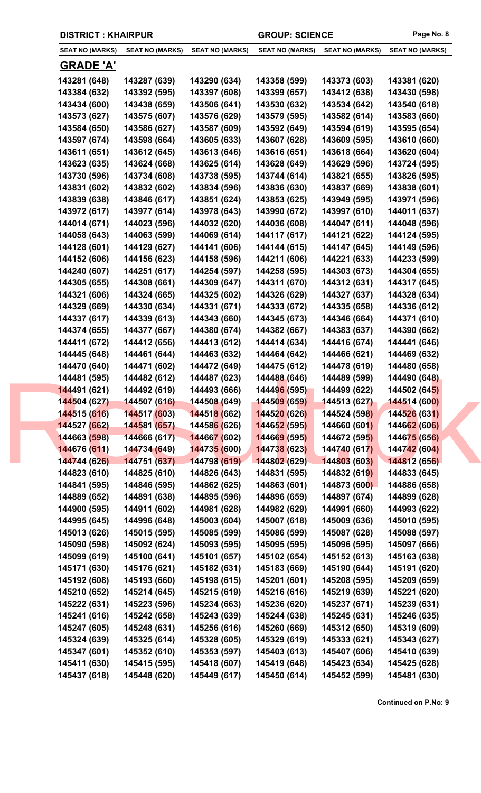|  | <b>DISTRICT: KHAIRPUR</b> |
|--|---------------------------|
|--|---------------------------|

| <b>SEAT NO (MARKS)</b> | <b>SEAT NO (MARKS)</b> | <b>SEAT NO (MARKS)</b>      | <b>SEAT NO (MARKS)</b> | <b>SEAT NO (MARKS)</b> | <b>SEAT NO (MARKS)</b> |
|------------------------|------------------------|-----------------------------|------------------------|------------------------|------------------------|
| <b>GRADE 'A'</b>       |                        |                             |                        |                        |                        |
| 143281 (648)           | 143287 (639)           | 143290 (634)                | 143358 (599)           | 143373 (603)           | 143381 (620)           |
| 143384 (632)           | 143392 (595)           | 143397 (608)                | 143399 (657)           | 143412 (638)           | 143430 (598)           |
| 143434 (600)           | 143438 (659)           | 143506 (641)                | 143530 (632)           | 143534 (642)           | 143540 (618)           |
| 143573 (627)           | 143575 (607)           | 143576 (629)                | 143579 (595)           | 143582 (614)           | 143583 (660)           |
| 143584 (650)           | 143586 (627)           | 143587 (609)                | 143592 (649)           | 143594 (619)           | 143595 (654)           |
| 143597 (674)           | 143598 (664)           | 143605 (633)                | 143607 (628)           | 143609 (595)           | 143610 (660)           |
| 143611 (651)           | 143612 (645)           | 143613 (646)                | 143616 (651)           | 143618 (664)           | 143620 (604)           |
| 143623 (635)           | 143624 (668)           | 143625 (614)                | 143628 (649)           | 143629 (596)           | 143724 (595)           |
| 143730 (596)           | 143734 (608)           | 143738 (595)                | 143744 (614)           | 143821 (655)           | 143826 (595)           |
| 143831 (602)           | 143832 (602)           | 143834 (596)                | 143836 (630)           | 143837 (669)           | 143838 (601)           |
| 143839 (638)           | 143846 (617)           | 143851 (624)                | 143853 (625)           | 143949 (595)           | 143971 (596)           |
| 143972 (617)           | 143977 (614)           | 143978 (643)                | 143990 (672)           | 143997 (610)           | 144011 (637)           |
| 144014 (671)           | 144023 (596)           | 144032 (620)                | 144036 (608)           | 144047 (611)           | 144048 (596)           |
| 144058 (643)           | 144063 (599)           | 144069 (614)                | 144117 (617)           | 144121 (622)           | 144124 (595)           |
| 144128 (601)           | 144129 (627)           | 144141 (606)                | 144144 (615)           | 144147 (645)           | 144149 (596)           |
| 144152 (606)           | 144156 (623)           | 144158 (596)                | 144211 (606)           | 144221 (633)           | 144233 (599)           |
| 144240 (607)           | 144251 (617)           | 144254 (597)                | 144258 (595)           | 144303 (673)           | 144304 (655)           |
| 144305 (655)           | 144308 (661)           | 144309 (647)                | 144311 (670)           | 144312 (631)           | 144317 (645)           |
| 144321 (606)           | 144324 (665)           | 144325 (602)                | 144326 (629)           | 144327 (637)           | 144328 (634)           |
| 144329 (669)           | 144330 (634)           | 144331 (671)                | 144333 (672)           | 144335 (658)           | 144336 (612)           |
| 144337 (617)           | 144339 (613)           | 144343 (660)                | 144345 (673)           | 144346 (664)           | 144371 (610)           |
| 144374 (655)           | 144377 (667)           | 144380 (674)                | 144382 (667)           | 144383 (637)           | 144390 (662)           |
| 144411 (672)           | 144412 (656)           | 144413 (612)                | 144414 (634)           | 144416 (674)           | 144441 (646)           |
| 144445 (648)           | 144461 (644)           | 144463 (632)                | 144464 (642)           | 144466 (621)           | 144469 (632)           |
| 144470 (640)           | 144471 (602)           | 144472 (649)                | 144475 (612)           | 144478 (619)           | 144480 (658)           |
| 144481 (595)           | 144482 (612)           | 144487 (623)                | 144488 (646)           | 144489 (599)           | 144490 (648)           |
| 144491 (621)           | 144492 (619)           | 144493 (666)                | 144496 (595)           | 144499 (622)           | 144502 (645)           |
| 144504 (627)           | 144507 (616)           | 144508 (649)                | 144509 (659)           | 144513 (627)           | 144514 (600)           |
| 144515 (616)           | 144517 (603)           | 144518 (662)                | 144520 (626)           | 144524 (598)           | 144526 (631)           |
| 144527 (662)           | 144581 (657)           | 14458 <mark>6 (</mark> 626) | 144652 (595)           | 144660 (601)           | 144662 (606)           |
| 144663 (598)           | 144666 (617)           | 144667 (602)                | 144669 (595)           | 144672 (595)           | 144675 (656)           |
| 144676 (611)           | 144734 (649)           | 144735 (600)                | 144738 (623)           | 144740 (617)           | 144742 (604)           |
| 144744 (626)           | 144751 (637)           | 144798 (619)                | 144802 (629)           | 144803 (603)           | 144812 (656)           |
| 144823 (610)           | 144825 (610)           | 144826 (643)                | 144831 (595)           | 144832 (619)           | 144833 (645)           |
| 144841 (595)           | 144846 (595)           | 144862 (625)                | 144863 (601)           | 144873 (600)           | 144886 (658)           |
| 144889 (652)           | 144891 (638)           | 144895 (596)                | 144896 (659)           | 144897 (674)           | 144899 (628)           |
| 144900 (595)           | 144911 (602)           | 144981 (628)                | 144982 (629)           | 144991 (660)           | 144993 (622)           |
| 144995 (645)           | 144996 (648)           | 145003 (604)                | 145007 (618)           | 145009 (636)           | 145010 (595)           |
| 145013 (626)           | 145015 (595)           | 145085 (599)                | 145086 (599)           | 145087 (628)           | 145088 (597)           |
| 145090 (598)           | 145092 (624)           | 145093 (595)                | 145095 (595)           | 145096 (595)           | 145097 (666)           |
| 145099 (619)           | 145100 (641)           | 145101 (657)                | 145102 (654)           | 145152 (613)           | 145163 (638)           |
| 145171 (630)           | 145176 (621)           | 145182 (631)                | 145183 (669)           | 145190 (644)           | 145191 (620)           |
| 145192 (608)           | 145193 (660)           | 145198 (615)                | 145201 (601)           | 145208 (595)           | 145209 (659)           |
| 145210 (652)           | 145214 (645)           | 145215 (619)                | 145216 (616)           | 145219 (639)           | 145221 (620)           |
| 145222 (631)           | 145223 (596)           | 145234 (663)                | 145236 (620)           | 145237 (671)           | 145239 (631)           |
| 145241 (616)           | 145242 (658)           | 145243 (639)                | 145244 (638)           | 145245 (631)           | 145246 (635)           |
| 145247 (605)           | 145248 (631)           | 145256 (616)                | 145260 (669)           | 145312 (650)           | 145319 (609)           |
| 145324 (639)           | 145325 (614)           | 145328 (605)                | 145329 (619)           | 145333 (621)           | 145343 (627)           |
| 145347 (601)           | 145352 (610)           | 145353 (597)                | 145403 (613)           | 145407 (606)           | 145410 (639)           |
| 145411 (630)           | 145415 (595)           | 145418 (607)                | 145419 (648)           | 145423 (634)           | 145425 (628)           |
|                        |                        |                             |                        |                        |                        |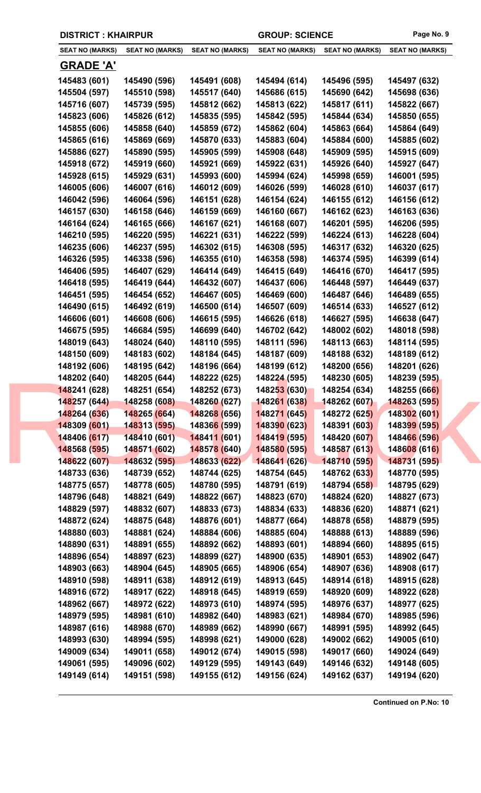|  | <b>DISTRICT: KHAIRPUR</b> |
|--|---------------------------|
|--|---------------------------|

| <b>SEAT NO (MARKS)</b> | <b>SEAT NO (MARKS)</b> | <b>SEAT NO (MARKS)</b>      | <b>SEAT NO (MARKS)</b> | <b>SEAT NO (MARKS)</b> | <b>SEAT NO (MARKS)</b> |
|------------------------|------------------------|-----------------------------|------------------------|------------------------|------------------------|
| <u>GRADE 'A'</u>       |                        |                             |                        |                        |                        |
| 145483 (601)           | 145490 (596)           | 145491 (608)                | 145494 (614)           | 145496 (595)           | 145497 (632)           |
| 145504 (597)           | 145510 (598)           | 145517 (640)                | 145686 (615)           | 145690 (642)           | 145698 (636)           |
| 145716 (607)           | 145739 (595)           | 145812 (662)                | 145813 (622)           | 145817 (611)           | 145822 (667)           |
| 145823 (606)           | 145826 (612)           | 145835 (595)                | 145842 (595)           | 145844 (634)           | 145850 (655)           |
| 145855 (606)           | 145858 (640)           | 145859 (672)                | 145862 (604)           | 145863 (664)           | 145864 (649)           |
| 145865 (616)           | 145869 (669)           | 145870 (633)                | 145883 (604)           | 145884 (600)           | 145885 (602)           |
| 145886 (627)           | 145890 (595)           | 145905 (599)                | 145908 (648)           | 145909 (595)           | 145915 (609)           |
| 145918 (672)           | 145919 (660)           | 145921 (669)                | 145922 (631)           | 145926 (640)           | 145927 (647)           |
| 145928 (615)           | 145929 (631)           | 145993 (600)                | 145994 (624)           | 145998 (659)           | 146001 (595)           |
| 146005 (606)           | 146007 (616)           | 146012 (609)                | 146026 (599)           | 146028 (610)           | 146037 (617)           |
| 146042 (596)           | 146064 (596)           | 146151 (628)                | 146154 (624)           | 146155 (612)           | 146156 (612)           |
| 146157 (630)           | 146158 (646)           | 146159 (669)                | 146160 (667)           | 146162 (623)           | 146163 (636)           |
| 146164 (624)           | 146165 (666)           | 146167 (621)                | 146168 (607)           | 146201 (595)           | 146206 (595)           |
| 146210 (595)           | 146220 (595)           | 146221 (631)                | 146222 (599)           | 146224 (613)           | 146228 (604)           |
| 146235 (606)           | 146237 (595)           | 146302 (615)                | 146308 (595)           | 146317 (632)           | 146320 (625)           |
| 146326 (595)           | 146338 (596)           | 146355 (610)                | 146358 (598)           | 146374 (595)           | 146399 (614)           |
| 146406 (595)           | 146407 (629)           | 146414 (649)                | 146415 (649)           | 146416 (670)           | 146417 (595)           |
| 146418 (595)           | 146419 (644)           | 146432 (607)                | 146437 (606)           | 146448 (597)           | 146449 (637)           |
| 146451 (595)           | 146454 (652)           | 146467 (605)                | 146469 (600)           | 146487 (646)           | 146489 (655)           |
| 146490 (615)           | 146492 (619)           | 146500 (614)                | 146507 (609)           | 146514 (633)           | 146527 (612)           |
| 146606 (601)           | 146608 (606)           | 146615 (595)                | 146626 (618)           | 146627 (595)           | 146638 (647)           |
| 146675 (595)           | 146684 (595)           | 146699 (640)                | 146702 (642)           | 148002 (602)           | 148018 (598)           |
| 148019 (643)           | 148024 (640)           | 148110 (595)                | 148111 (596)           | 148113 (663)           | 148114 (595)           |
| 148150 (609)           | 148183 (602)           | 148184 (645)                | 148187 (609)           | 148188 (632)           | 148189 (612)           |
| 148192 (606)           | 148195 (642)           | 148196 (664)                | 148199 (612)           | 148200 (656)           | 148201 (626)           |
| 148202 (640)           | 148205 (644)           | 148222 (625)                | 148224 (595)           | 148230 (605)           | 148239 (595)           |
| 148241 (628)           | 148251 (654)           | 148252 (673)                | 148253 (630)           | 148254 (634)           | 148255 (666)           |
| 148257 (644)           | 148258 (608)           | 148260 (627)                | 148261 (638)           | 148262 (607)           | <b>148263 (595)</b>    |
| 148264 (636)           | 148265 (664)           | 148268 (656)                | 148271 (645)           | 148272 (625)           | 148302 (601)           |
| 148309 (601)           | 148313 (595)           | 14836 <mark>6 (</mark> 599) | 148390 (623)           | 148391 (603)           | 148399 (595)           |
| 148406 (617)           | 148410(601)            | 148411 (601)                | 148419 (595)           | 148420 (607)           | 148466 (596)           |
| 148568 (595)           | 148571 (602)           | 148578 (640)                | 148580 (595)           | 148587 (613)           | 148608 (616)           |
| 148622 (607)           | 148632 (595)           | 148633 (622)                | 148641 (626)           | 148710 (595)           | 148731 (595)           |
| 148733 (636)           | 148739 (652)           | 148744 (625)                | 148754 (645)           | 148762 (633)           | 148770 (595)           |
| 148775 (657)           | 148778 (605)           | 148780 (595)                | 148791 (619)           | 148794 (658)           | 148795 (629)           |
| 148796 (648)           | 148821 (649)           | 148822 (667)                | 148823 (670)           | 148824 (620)           | 148827 (673)           |
| 148829 (597)           | 148832 (607)           | 148833 (673)                | 148834 (633)           | 148836 (620)           | 148871 (621)           |
| 148872 (624)           | 148875 (648)           | 148876 (601)                | 148877 (664)           | 148878 (658)           | 148879 (595)           |
| 148880 (603)           | 148881 (624)           | 148884 (606)                | 148885 (604)           | 148888 (613)           | 148889 (596)           |
| 148890 (631)           | 148891 (655)           | 148892 (662)                | 148893 (601)           | 148894 (660)           | 148895 (615)           |
| 148896 (654)           | 148897 (623)           | 148899 (627)                | 148900 (635)           | 148901 (653)           | 148902 (647)           |
| 148903 (663)           | 148904 (645)           | 148905 (665)                | 148906 (654)           | 148907 (636)           | 148908 (617)           |
| 148910 (598)           | 148911 (638)           | 148912 (619)                | 148913 (645)           | 148914 (618)           | 148915 (628)           |
| 148916 (672)           | 148917 (622)           | 148918 (645)                | 148919 (659)           | 148920 (609)           | 148922 (628)           |
| 148962 (667)           | 148972 (622)           | 148973 (610)                | 148974 (595)           | 148976 (637)           | 148977 (625)           |
| 148979 (595)           | 148981 (610)           | 148982 (640)                | 148983 (621)           | 148984 (670)           | 148985 (596)           |
| 148987 (616)           | 148988 (670)           | 148989 (662)                | 148990 (667)           | 148991 (595)           | 148992 (645)           |
| 148993 (630)           | 148994 (595)           | 148998 (621)                | 149000 (628)           | 149002 (662)           | 149005 (610)           |
| 149009 (634)           | 149011 (658)           | 149012 (674)                | 149015 (598)           | 149017 (660)           | 149024 (649)           |
| 149061 (595)           | 149096 (602)           | 149129 (595)                | 149143 (649)           | 149146 (632)           | 149148 (605)           |
| 149149 (614)           | 149151 (598)           | 149155 (612)                | 149156 (624)           | 149162 (637)           | 149194 (620)           |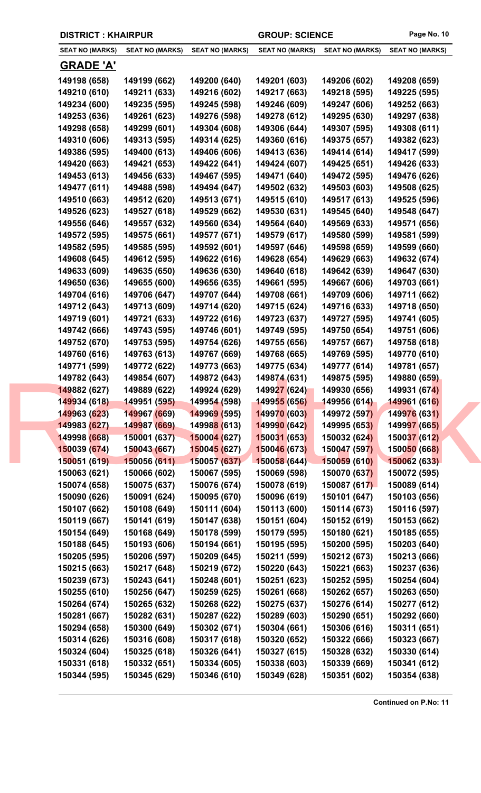| <b>SEAT NO (MARKS)</b> | <b>SEAT NO (MARKS)</b> | <b>SEAT NO (MARKS)</b> | <b>SEAT NO (MARKS)</b> | <b>SEAT NO (MARKS)</b> | <b>SEAT NO (MARKS)</b> |
|------------------------|------------------------|------------------------|------------------------|------------------------|------------------------|
| <u>GRADE 'A'</u>       |                        |                        |                        |                        |                        |
| 149198 (658)           | 149199 (662)           | 149200 (640)           | 149201 (603)           | 149206 (602)           | 149208 (659)           |
| 149210 (610)           | 149211 (633)           | 149216 (602)           | 149217 (663)           | 149218 (595)           | 149225 (595)           |
| 149234 (600)           | 149235 (595)           | 149245 (598)           | 149246 (609)           | 149247 (606)           | 149252 (663)           |
| 149253 (636)           | 149261 (623)           | 149276 (598)           | 149278 (612)           | 149295 (630)           | 149297 (638)           |
| 149298 (658)           | 149299 (601)           | 149304 (608)           | 149306 (644)           | 149307 (595)           | 149308 (611)           |
| 149310 (606)           | 149313 (595)           | 149314 (625)           | 149360 (616)           | 149375 (657)           | 149382 (623)           |
| 149386 (595)           | 149400 (613)           | 149406 (606)           | 149413 (636)           | 149414 (614)           | 149417 (599)           |
| 149420 (663)           | 149421 (653)           | 149422 (641)           | 149424 (607)           | 149425 (651)           | 149426 (633)           |
| 149453 (613)           | 149456 (633)           | 149467 (595)           | 149471 (640)           | 149472 (595)           | 149476 (626)           |
| 149477 (611)           | 149488 (598)           | 149494 (647)           | 149502 (632)           | 149503 (603)           | 149508 (625)           |
|                        |                        |                        |                        |                        |                        |
| 149510 (663)           | 149512 (620)           | 149513 (671)           | 149515 (610)           | 149517 (613)           | 149525 (596)           |
| 149526 (623)           | 149527 (618)           | 149529 (662)           | 149530 (631)           | 149545 (640)           | 149548 (647)           |
| 149556 (646)           | 149557 (632)           | 149560 (634)           | 149564 (640)           | 149569 (633)           | 149571 (656)           |
| 149572 (595)           | 149575 (661)           | 149577 (671)           | 149579 (617)           | 149580 (599)           | 149581 (599)           |
| 149582 (595)           | 149585 (595)           | 149592 (601)           | 149597 (646)           | 149598 (659)           | 149599 (660)           |
| 149608 (645)           | 149612 (595)           | 149622 (616)           | 149628 (654)           | 149629 (663)           | 149632 (674)           |
| 149633 (609)           | 149635 (650)           | 149636 (630)           | 149640 (618)           | 149642 (639)           | 149647 (630)           |
| 149650 (636)           | 149655 (600)           | 149656 (635)           | 149661 (595)           | 149667 (606)           | 149703 (661)           |
| 149704 (616)           | 149706 (647)           | 149707 (644)           | 149708 (661)           | 149709 (606)           | 149711 (662)           |
| 149712 (643)           | 149713 (609)           | 149714 (620)           | 149715 (624)           | 149716 (633)           | 149718 (650)           |
| 149719 (601)           | 149721 (633)           | 149722 (616)           | 149723 (637)           | 149727 (595)           | 149741 (605)           |
| 149742 (666)           | 149743 (595)           | 149746 (601)           | 149749 (595)           | 149750 (654)           | 149751 (606)           |
| 149752 (670)           | 149753 (595)           | 149754 (626)           | 149755 (656)           | 149757 (667)           | 149758 (618)           |
| 149760 (616)           | 149763 (613)           | 149767 (669)           | 149768 (665)           | 149769 (595)           | 149770 (610)           |
| 149771 (599)           | 149772 (622)           | 149773 (663)           | 149775 (634)           | 149777 (614)           | 149781 (657)           |
| 149782 (643)           | 149854 (607)           | 149872 (643)           | 149874 (631)           | 149875 (595)           | 149880 (659)           |
| 149882 (627)           | 149889 (622)           | 149924 (629)           | 149927 (624)           | 149930 (656)           | 149931 (674)           |
| 149934 (618)           | 149951 (595)           | 149954 (598)           | 149955 (656)           | 149956 (614)           | 149961 (616)           |
| 149963 (623)           | 149967 (669)           | 149969 (595)           | 149970 (603)           | 149972 (597)           | 149976 (631)           |
| 149983 (627)           | 149987 (669)           | 149988 (613)           | 149990 (642)           | 149995 (653)           | 149997 (665)           |
| 149998 (668)           | 150001 (637)           | 150004 (627)           | 150031 (653)           | 150032 (624)           | 150037 (612)           |
| 150039 (674)           | 150043 (667)           | 150045 (627)           | 150046 (673)           | 150047 (597)           | 150050 (668)           |
| 150051 (619)           | 150056 (611)           | 150057 (637)           | 150058 (644)           | 150059(610)            | 150062 (633)           |
| 150063 (621)           | 150066 (602)           | 150067 (595)           | 150069 (598)           | 150070 (637)           | 150072 (595)           |
| 150074 (658)           | 150075 (637)           | 150076 (674)           | 150078 (619)           | 150087 (617)           | 150089 (614)           |
| 150090 (626)           | 150091 (624)           | 150095 (670)           | 150096 (619)           | 150101 (647)           | 150103 (656)           |
| 150107 (662)           | 150108 (649)           | 150111 (604)           | 150113 (600)           | 150114 (673)           | 150116 (597)           |
| 150119 (667)           | 150141 (619)           | 150147 (638)           | 150151 (604)           | 150152 (619)           | 150153 (662)           |
| 150154 (649)           | 150168 (649)           | 150178 (599)           | 150179 (595)           | 150180 (621)           | 150185 (655)           |
| 150188 (645)           | 150193 (606)           | 150194 (661)           | 150195 (595)           | 150200 (595)           | 150203 (640)           |
| 150205 (595)           | 150206 (597)           | 150209 (645)           | 150211 (599)           | 150212 (673)           | 150213 (666)           |
| 150215 (663)           | 150217 (648)           | 150219 (672)           | 150220 (643)           | 150221 (663)           | 150237 (636)           |
| 150239 (673)           | 150243 (641)           | 150248 (601)           | 150251 (623)           | 150252 (595)           | 150254 (604)           |
| 150255 (610)           | 150256 (647)           | 150259 (625)           | 150261 (668)           | 150262 (657)           | 150263 (650)           |
| 150264 (674)           | 150265 (632)           | 150268 (622)           | 150275 (637)           | 150276 (614)           | 150277 (612)           |
| 150281 (667)           | 150282 (631)           | 150287 (622)           | 150289 (603)           | 150290 (651)           | 150292 (660)           |
| 150294 (658)           | 150300 (649)           | 150302 (671)           | 150304 (661)           | 150306 (616)           | 150311 (651)           |
| 150314 (626)           | 150316 (608)           | 150317 (618)           | 150320 (652)           | 150322 (666)           | 150323 (667)           |
| 150324 (604)           | 150325 (618)           | 150326 (641)           | 150327 (615)           | 150328 (632)           | 150330 (614)           |
| 150331 (618)           | 150332 (651)           | 150334 (605)           | 150338 (603)           | 150339 (669)           | 150341 (612)           |
| 150344 (595)           | 150345 (629)           | 150346 (610)           | 150349 (628)           | 150351 (602)           | 150354 (638)           |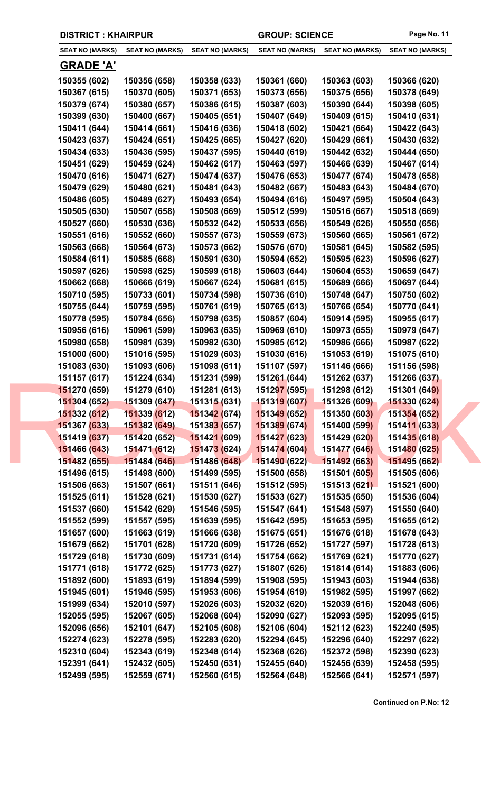| <b>SEAT NO (MARKS)</b> | <b>SEAT NO (MARKS)</b> | <b>SEAT NO (MARKS)</b>      | <b>SEAT NO (MARKS)</b> | SEAT NO (MARKS)     | <b>SEAT NO (MARKS)</b> |
|------------------------|------------------------|-----------------------------|------------------------|---------------------|------------------------|
| <b>GRADE 'A'</b>       |                        |                             |                        |                     |                        |
| 150355 (602)           | 150356 (658)           | 150358 (633)                | 150361 (660)           | 150363 (603)        | 150366 (620)           |
| 150367 (615)           | 150370 (605)           | 150371 (653)                | 150373 (656)           | 150375 (656)        | 150378 (649)           |
| 150379 (674)           | 150380 (657)           | 150386 (615)                | 150387 (603)           | 150390 (644)        | 150398 (605)           |
| 150399 (630)           | 150400 (667)           | 150405 (651)                | 150407 (649)           | 150409 (615)        | 150410 (631)           |
| 150411 (644)           | 150414 (661)           | 150416 (636)                | 150418 (602)           | 150421 (664)        | 150422 (643)           |
| 150423 (637)           | 150424 (651)           | 150425 (665)                | 150427 (620)           | 150429 (661)        | 150430 (632)           |
| 150434 (633)           | 150436 (595)           | 150437 (595)                | 150440 (619)           | 150442 (632)        | 150444 (650)           |
| 150451 (629)           | 150459 (624)           | 150462 (617)                | 150463 (597)           | 150466 (639)        | 150467 (614)           |
| 150470 (616)           | 150471 (627)           | 150474 (637)                | 150476 (653)           | 150477 (674)        | 150478 (658)           |
| 150479 (629)           | 150480 (621)           | 150481 (643)                | 150482 (667)           | 150483 (643)        | 150484 (670)           |
| 150486 (605)           | 150489 (627)           | 150493 (654)                | 150494 (616)           | 150497 (595)        | 150504 (643)           |
| 150505 (630)           | 150507 (658)           | 150508 (669)                | 150512 (599)           | 150516 (667)        | 150518 (669)           |
| 150527 (660)           | 150530 (636)           | 150532 (642)                | 150533 (656)           | 150549 (626)        | 150550 (656)           |
| 150551 (616)           | 150552 (660)           | 150557 (673)                | 150559 (673)           | 150560 (665)        | 150561 (672)           |
| 150563 (668)           | 150564 (673)           | 150573 (662)                | 150576 (670)           | 150581 (645)        | 150582 (595)           |
| 150584 (611)           | 150585 (668)           | 150591 (630)                | 150594 (652)           | 150595 (623)        | 150596 (627)           |
| 150597 (626)           | 150598 (625)           | 150599 (618)                | 150603 (644)           | 150604 (653)        | 150659 (647)           |
| 150662 (668)           | 150666 (619)           | 150667 (624)                | 150681 (615)           | 150689 (666)        | 150697 (644)           |
| 150710 (595)           | 150733 (601)           | 150734 (598)                | 150736 (610)           | 150748 (647)        | 150750 (602)           |
| 150755 (644)           | 150759 (595)           | 150761 (619)                | 150765 (613)           | 150766 (654)        | 150770 (641)           |
| 150778 (595)           | 150784 (656)           | 150798 (635)                | 150857 (604)           | 150914 (595)        | 150955 (617)           |
| 150956 (616)           | 150961 (599)           | 150963 (635)                | 150969 (610)           | 150973 (655)        | 150979 (647)           |
| 150980 (658)           | 150981 (639)           | 150982 (630)                | 150985 (612)           | 150986 (666)        | 150987 (622)           |
| 151000 (600)           | 151016 (595)           | 151029 (603)                | 151030 (616)           | 151053 (619)        | 151075 (610)           |
| 151083 (630)           | 151093 (606)           | 151098 (611)                | 151107 (597)           | 151146 (666)        | 151156 (598)           |
| 151157 (617)           | 151224 (634)           | 151231 (599)                | 151261 (644)           | 151262 (637)        | 151266 (637)           |
| 151270 (659)           | 151279 (610)           | 151281 (613)                | 151297 (595)           | 151298 (612)        | 151301 (649)           |
| 151304 (652)           | 151309 (647)           | 151315 (631)                | 151319 (607)           | 151326 (609)        | 151330 (624)           |
| 151332 (612)           | 151339 (612)           | 151342 (674)                | 151349 (652)           | 151350 (603)        | 151354 (652)           |
| 151367 (633)           | 151382 (649)           | 15138 <mark>3 (</mark> 657) | 151389 (674)           | 151400 (599)        | 151411 (633)           |
| 151419 (637)           | 151420 (652)           | 151421 (609)                | 151427 (623)           | 151429 (620)        | 151435 (618)           |
| 151466 (643)           | 151471 (612)           | 151473 (624)                | 151474 (604)           | 151477 (646)        | 151480 (625)           |
| 151482 (655)           | 151484 (646)           | 151486 (648)                | 151490 (622)           | 151492 (663)        | 151495 (662)           |
| 151496 (615)           | 151498 (600)           | 151499 (595)                | 151500 (658)           | <b>151501 (605)</b> | 151505 (606)           |
| 151506 (663)           | 151507 (661)           | 151511 (646)                | 151512 (595)           | 151513 (621)        | 151521 (600)           |
| 151525 (611)           | 151528 (621)           | 151530 (627)                | 151533 (627)           | 151535 (650)        | 151536 (604)           |
| 151537 (660)           | 151542 (629)           | 151546 (595)                | 151547 (641)           | 151548 (597)        | 151550 (640)           |
| 151552 (599)           | 151557 (595)           | 151639 (595)                | 151642 (595)           | 151653 (595)        | 151655 (612)           |
| 151657 (600)           | 151663 (619)           | 151666 (638)                | 151675 (651)           | 151676 (618)        | 151678 (643)           |
| 151679 (662)           | 151701 (628)           | 151720 (609)                | 151726 (652)           | 151727 (597)        | 151728 (613)           |
| 151729 (618)           | 151730 (609)           | 151731 (614)                | 151754 (662)           | 151769 (621)        | 151770 (627)           |
| 151771 (618)           | 151772 (625)           | 151773 (627)                | 151807 (626)           | 151814 (614)        | 151883 (606)           |
| 151892 (600)           | 151893 (619)           | 151894 (599)                | 151908 (595)           | 151943 (603)        | 151944 (638)           |
| 151945 (601)           | 151946 (595)           | 151953 (606)                | 151954 (619)           | 151982 (595)        | 151997 (662)           |
| 151999 (634)           | 152010 (597)           | 152026 (603)                | 152032 (620)           | 152039 (616)        | 152048 (606)           |
| 152055 (595)           | 152067 (605)           | 152068 (604)                | 152090 (627)           | 152093 (595)        | 152095 (615)           |
| 152096 (656)           | 152101 (647)           | 152105 (608)                | 152106 (604)           | 152112 (623)        | 152240 (595)           |
| 152274 (623)           | 152278 (595)           | 152283 (620)                | 152294 (645)           | 152296 (640)        | 152297 (622)           |
| 152310 (604)           | 152343 (619)           | 152348 (614)                | 152368 (626)           | 152372 (598)        | 152390 (623)           |
| 152391 (641)           | 152432 (605)           | 152450 (631)                | 152455 (640)           | 152456 (639)        | 152458 (595)           |
| 152499 (595)           | 152559 (671)           | 152560 (615)                | 152564 (648)           | 152566 (641)        | 152571 (597)           |
|                        |                        |                             |                        |                     |                        |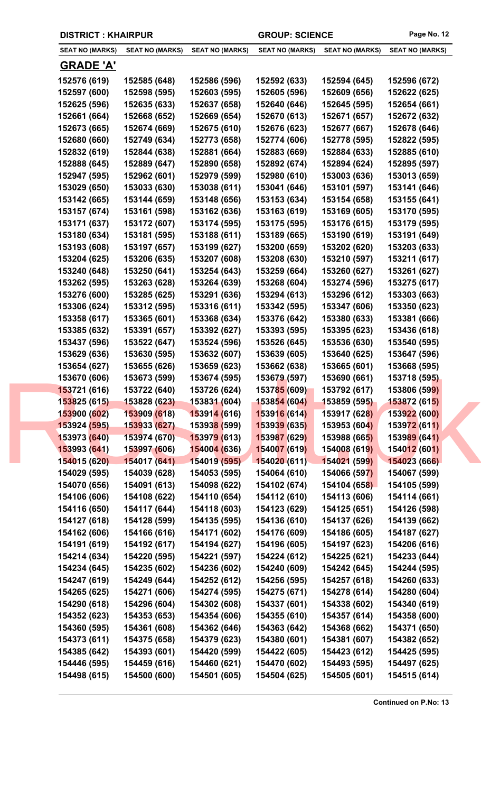| <b>SEAT NO (MARKS)</b> | <b>SEAT NO (MARKS)</b> | <b>SEAT NO (MARKS)</b>      | <b>SEAT NO (MARKS)</b> | <b>SEAT NO (MARKS)</b> | <b>SEAT NO (MARKS)</b> |
|------------------------|------------------------|-----------------------------|------------------------|------------------------|------------------------|
| <u>GRADE 'A'</u>       |                        |                             |                        |                        |                        |
| 152576 (619)           | 152585 (648)           | 152586 (596)                | 152592 (633)           | 152594 (645)           | 152596 (672)           |
| 152597 (600)           | 152598 (595)           | 152603 (595)                | 152605 (596)           | 152609 (656)           | 152622 (625)           |
| 152625 (596)           | 152635 (633)           | 152637 (658)                | 152640 (646)           | 152645 (595)           | 152654 (661)           |
| 152661 (664)           | 152668 (652)           | 152669 (654)                | 152670 (613)           | 152671 (657)           | 152672 (632)           |
| 152673 (665)           | 152674 (669)           | 152675 (610)                | 152676 (623)           | 152677 (667)           | 152678 (646)           |
| 152680 (660)           | 152749 (634)           | 152773 (658)                | 152774 (606)           | 152778 (595)           | 152822 (595)           |
| 152832 (619)           | 152844 (638)           | 152881 (664)                | 152883 (669)           | 152884 (633)           | 152885 (610)           |
| 152888 (645)           | 152889 (647)           | 152890 (658)                | 152892 (674)           | 152894 (624)           | 152895 (597)           |
| 152947 (595)           | 152962 (601)           | 152979 (599)                | 152980 (610)           | 153003 (636)           | 153013 (659)           |
| 153029 (650)           | 153033 (630)           | 153038 (611)                | 153041 (646)           | 153101 (597)           | 153141 (646)           |
| 153142 (665)           | 153144 (659)           | 153148 (656)                | 153153 (634)           | 153154 (658)           | 153155 (641)           |
| 153157 (674)           | 153161 (598)           | 153162 (636)                | 153163 (619)           | 153169 (605)           | 153170 (595)           |
| 153171 (637)           | 153172 (607)           | 153174 (595)                | 153175 (595)           | 153176 (615)           | 153179 (595)           |
| 153180 (634)           | 153181 (595)           | 153188 (611)                | 153189 (665)           | 153190 (619)           | 153191 (649)           |
| 153193 (608)           | 153197 (657)           | 153199 (627)                | 153200 (659)           | 153202 (620)           | 153203 (633)           |
| 153204 (625)           | 153206 (635)           | 153207 (608)                | 153208 (630)           | 153210 (597)           | 153211 (617)           |
| 153240 (648)           | 153250 (641)           | 153254 (643)                | 153259 (664)           | 153260 (627)           | 153261 (627)           |
| 153262 (595)           | 153263 (628)           | 153264 (639)                | 153268 (604)           | 153274 (596)           | 153275 (617)           |
| 153276 (600)           | 153285 (625)           | 153291 (636)                | 153294 (613)           | 153296 (612)           | 153303 (663)           |
| 153306 (624)           | 153312 (595)           | 153316 (611)                | 153342 (595)           | 153347 (606)           | 153350 (623)           |
| 153358 (617)           | 153365 (601)           | 153368 (634)                | 153376 (642)           | 153380 (633)           | 153381 (666)           |
| 153385 (632)           | 153391 (657)           | 153392 (627)                | 153393 (595)           | 153395 (623)           | 153436 (618)           |
| 153437 (596)           | 153522 (647)           | 153524 (596)                | 153526 (645)           | 153536 (630)           | 153540 (595)           |
| 153629 (636)           | 153630 (595)           | 153632 (607)                | 153639 (605)           | 153640 (625)           | 153647 (596)           |
| 153654 (627)           | 153655 (626)           | 153659 (623)                | 153662 (638)           | 153665 (601)           | 153668 (595)           |
| 153670 (606)           | 153673 (599)           | 153674 (595)                | 153679 (597)           | 153690 (661)           | 153718 (595)           |
| 153721 (616)           | 153722 (640)           | 153726 (624)                | 153785 (609)           | 153792 (617)           | 153806 (599)           |
| 153825 (615)           | 153828 (623)           | 153831 (604)                | 153854 (604)           | 153859 (595)           | 153872 (615)           |
| 153900 (602)           | 153909 (618)           | 153914 (616)                | 153916 (614)           | 153917 (628)           | 153922 (600)           |
| 153924 (595)           | 153933 (627)           | 15393 <mark>8 (</mark> 599) | 153939 (635)           | 153953 (604)           | 153972 (611)           |
| 153973 (640)           | 153974 (670)           | <mark>153979 (613)</mark>   | 153987 (629)           | 153988 (665)           | 153989 (641)           |
| 153993 (641)           | 153997 (606)           | 154004 (636)                | 154007 (619)           | 154008 (619)           | 154012 (601)           |
| 154015 (620)           | 154017 (641)           | 154019 (595)                | 154020 (611)           | 154021 (599)           | 154023 (666)           |
| 154029 (595)           | 154039 (628)           | 154053 (595)                | 154064 (610)           | 154066 (597)           | 154067 (599)           |
| 154070 (656)           | 154091 (613)           | 154098 (622)                | 154102 (674)           | 154104 (658)           | 154105 (599)           |
| 154106 (606)           | 154108 (622)           | 154110 (654)                | 154112 (610)           | 154113 (606)           | 154114 (661)           |
| 154116 (650)           | 154117 (644)           | 154118 (603)                | 154123 (629)           | 154125 (651)           | 154126 (598)           |
| 154127 (618)           | 154128 (599)           | 154135 (595)                | 154136 (610)           | 154137 (626)           | 154139 (662)           |
| 154162 (606)           | 154166 (616)           | 154171 (602)                | 154176 (609)           | 154186 (605)           | 154187 (627)           |
| 154191 (619)           | 154192 (617)           | 154194 (627)                | 154196 (605)           | 154197 (623)           | 154206 (616)           |
| 154214 (634)           | 154220 (595)           | 154221 (597)                | 154224 (612)           | 154225 (621)           | 154233 (644)           |
| 154234 (645)           | 154235 (602)           | 154236 (602)                | 154240 (609)           | 154242 (645)           | 154244 (595)           |
| 154247 (619)           | 154249 (644)           | 154252 (612)                | 154256 (595)           | 154257 (618)           | 154260 (633)           |
| 154265 (625)           | 154271 (606)           | 154274 (595)                | 154275 (671)           | 154278 (614)           | 154280 (604)           |
| 154290 (618)           | 154296 (604)           | 154302 (608)                | 154337 (601)           | 154338 (602)           | 154340 (619)           |
| 154352 (623)           | 154353 (653)           | 154354 (606)                | 154355 (610)           | 154357 (614)           | 154358 (600)           |
| 154360 (595)           | 154361 (608)           | 154362 (646)                | 154363 (642)           | 154368 (662)           | 154371 (650)           |
| 154373 (611)           | 154375 (658)           | 154379 (623)                | 154380 (601)           | 154381 (607)           | 154382 (652)           |
| 154385 (642)           | 154393 (601)           | 154420 (599)                | 154422 (605)           | 154423 (612)           | 154425 (595)           |
| 154446 (595)           | 154459 (616)           | 154460 (621)                | 154470 (602)           | 154493 (595)           | 154497 (625)           |
| 154498 (615)           | 154500 (600)           | 154501 (605)                | 154504 (625)           | 154505 (601)           | 154515 (614)           |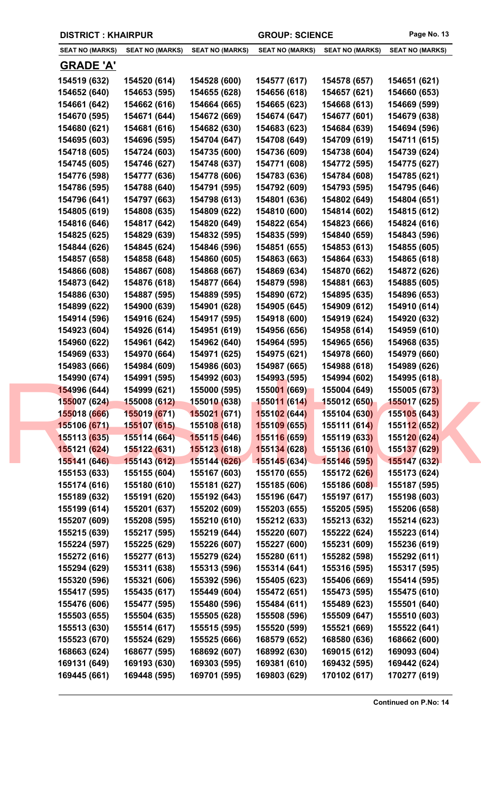| <b>DISTRICT: KHAIRPUR</b> |                        |                        | <b>GROUP: SCIENCE</b>  |                        | Page No. 13                      |  |
|---------------------------|------------------------|------------------------|------------------------|------------------------|----------------------------------|--|
| <b>SEAT NO (MARKS)</b>    | <b>SEAT NO (MARKS)</b> | <b>SEAT NO (MARKS)</b> | <b>SEAT NO (MARKS)</b> | <b>SEAT NO (MARKS)</b> | <b>SEAT NO (MARKS)</b>           |  |
| <b>GRADE 'A'</b>          |                        |                        |                        |                        |                                  |  |
| 154519 (632)              | 154520 (614)           | 154528 (600)           | 154577 (617)           | 154578 (657)           | 154651 (621)                     |  |
| 154652 (640)              | 154653 (595)           | 154655 (628)           | 154656 (618)           | 154657 (621)           | 154660 (653)                     |  |
| 154661 (642)              | 154662 (616)           | 154664 (665)           | 154665 (623)           | 154668 (613)           | 154669 (599)                     |  |
| 154670 (595)              | 154671 (644)           | 154672 (669)           | 154674 (647)           | 154677 (601)           | 154679 (638)                     |  |
| 154680 (621)              | 154681 (616)           | 154682 (630)           | 154683 (623)           | 154684 (639)           | 154694 (596)                     |  |
| 154695 (603)              | 154696 (595)           | 154704 (647)           | 154708 (649)           | 154709 (619)           | 154711 (615)                     |  |
| 154718 (605)              | 154724 (603)           | 154735 (600)           | 154736 (609)           | 154738 (604)           | 154739 (624)                     |  |
| 154745 (605)              | 154746 (627)           | 154748 (637)           | 154771 (608)           | 154772 (595)           | 154775 (627)                     |  |
| 154776 (598)              | 154777 (636)           | 154778 (606)           | 154783 (636)           | 154784 (608)           | 154785 (621)                     |  |
| 154786 (595)              | 154788 (640)           | 154791 (595)           | 154792 (609)           | 154793 (595)           | 154795 (646)                     |  |
| 154796 (641)              | 154797 (663)           | 154798 (613)           | 154801 (636)           | 154802 (649)           | 154804 (651)                     |  |
| 154805 (619)              | 154808 (635)           | 154809 (622)           | 154810 (600)           | 154814 (602)           | 154815 (612)                     |  |
| 154816 (646)              | 154817 (642)           | 154820 (649)           | 154822 (654)           | 154823 (666)           | 154824 (616)                     |  |
| 154825 (625)              | 154829 (639)           | 154832 (595)           | 154835 (599)           | 154840 (659)           | 154843 (596)                     |  |
| 154844 (626)              | 154845 (624)           | 154846 (596)           | 154851 (655)           | 154853 (613)           | 154855 (605)                     |  |
| 154857 (658)              | 154858 (648)           | 154860 (605)           | 154863 (663)           | 154864 (633)           | 154865 (618)                     |  |
| 154866 (608)              | 154867 (608)           | 154868 (667)           | 154869 (634)           | 154870 (662)           | 154872 (626)                     |  |
| 154873 (642)              | 154876 (618)           | 154877 (664)           | 154879 (598)           | 154881 (663)           | 154885 (605)                     |  |
| 154886 (630)              | 154887 (595)           | 154889 (595)           | 154890 (672)           | 154895 (635)           | 154896 (653)                     |  |
| 154899 (622)              | 154900 (639)           | 154901 (628)           | 154905 (645)           | 154909 (612)           | 154910 (614)                     |  |
| 154914 (596)              | 154916 (624)           | 154917 (595)           | 154918 (600)           | 154919 (624)           | 154920 (632)                     |  |
| 154923 (604)              | 154926 (614)           | 154951 (619)           | 154956 (656)           | 154958 (614)           | 154959 (610)                     |  |
| 154960 (622)              | 154961 (642)           | 154962 (640)           | 154964 (595)           | 154965 (656)           | 154968 (635)                     |  |
| 154969 (633)              | 154970 (664)           | 154971 (625)           | 154975 (621)           | 154978 (660)           | 154979 (660)                     |  |
| 154983 (666)              | 154984 (609)           | 154986 (603)           | 154987 (665)           | 154988 (618)           | 154989 (626)                     |  |
| 154990 (674)              | 154991 (595)           | 154992 (603)           | 154993 (595)           | 154994 (602)           | 154995 (618)                     |  |
| 154996 (644)              | 154999 (621)           | 155000 (595)           | 155001 (669)           | 155004 (649)           | 155005 (673)                     |  |
| 155007 (624)              | 155008 (612)           | 155010 (638)           | 155011 (614)           | 155012 (650)           | <b>155017 (62<mark>5)</mark></b> |  |
| 155018 (666)              | 155019 (671)           | 155021 (671)           | 155102 (644)           | 155104 (630)           | 155105 (643)                     |  |
| 155106 (671)              | 155107 (615)           | 155108 (618)           | 155109 (655)           | 155111 (614)           | 155112 (652)                     |  |
| 155113 (635)              | 155114 (664)           | 155115 (646)           | 155116 (659)           | 155119 (633)           | 155120 (624)                     |  |
| 155121 (624)              | 155122 (631)           | <b>155123 (618)</b>    | 155134 (628)           | 155136 (610)           | 155137 (629)                     |  |
| 155141 (646)              | 155143 (612)           | 155144 (626)           | 155145(634)            | 155146 (595)           | 155147 (632)                     |  |
| 155153 (633)              | 155155 (604)           | 155167 (603)           | 155170 (655)           | 155172 (626)           | 155173 (624)                     |  |
| 155174 (616)              | 155180 (610)           | 155181 (627)           | 155185 (606)           | 155186 (608)           | 155187 (595)                     |  |
| 155189 (632)              | 155191 (620)           | 155192 (643)           | 155196 (647)           | 155197 (617)           | 155198 (603)                     |  |

**155199 (614) 155201 (637) 155202 (609) 155203 (655) 155205 (595) 155206 (658) 155207 (609) 155208 (595) 155210 (610) 155212 (633) 155213 (632) 155214 (623) 155215 (639) 155217 (595) 155219 (644) 155220 (607) 155222 (624) 155223 (614) 155224 (597) 155225 (629) 155226 (607) 155227 (600) 155231 (609) 155236 (619) 155272 (616) 155277 (613) 155279 (624) 155280 (611) 155282 (598) 155292 (611) 155294 (629) 155311 (638) 155313 (596) 155314 (641) 155316 (595) 155317 (595) 155320 (596) 155321 (606) 155392 (596) 155405 (623) 155406 (669) 155414 (595) 155417 (595) 155435 (617) 155449 (604) 155472 (651) 155473 (595) 155475 (610) 155476 (606) 155477 (595) 155480 (596) 155484 (611) 155489 (623) 155501 (640) 155503 (655) 155504 (635) 155505 (628) 155508 (596) 155509 (647) 155510 (603) 155513 (630) 155514 (617) 155515 (595) 155520 (599) 155521 (669) 155522 (641) 155523 (670) 155524 (629) 155525 (666) 168579 (652) 168580 (636) 168662 (600) 168663 (624) 168677 (595) 168692 (607) 168992 (630) 169015 (612) 169093 (604) 169131 (649) 169193 (630) 169303 (595) 169381 (610) 169432 (595) 169442 (624) 169445 (661) 169448 (595) 169701 (595) 169803 (629) 170102 (617) 170277 (619)**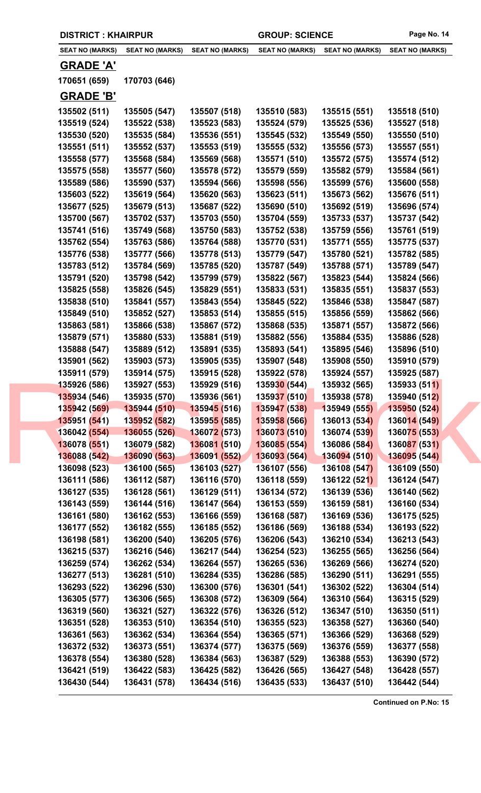**SEAT NO (MARKS) SEAT NO (MARKS) SEAT NO (MARKS) SEAT NO (MARKS) SEAT NO (MARKS) SEAT NO (MARKS)**

## **GRADE 'A'**

**170651 (659) 170703 (646)**

## **GRADE 'B'**

| 135502 (511) | 135505 (547)              | 135507 (518)              | 135510 (583) | 135515 (551) | 135518 (510) |  |
|--------------|---------------------------|---------------------------|--------------|--------------|--------------|--|
| 135519 (524) | 135522 (538)              | 135523 (583)              | 135524 (579) | 135525 (536) | 135527 (518) |  |
| 135530 (520) | 135535 (584)              | 135536 (551)              | 135545 (532) | 135549 (550) | 135550 (510) |  |
| 135551 (511) | 135552 (537)              | 135553 (519)              | 135555 (532) | 135556 (573) | 135557 (551) |  |
| 135558 (577) | 135568 (584)              | 135569 (568)              | 135571 (510) | 135572 (575) | 135574 (512) |  |
| 135575 (558) | 135577 (560)              | 135578 (572)              | 135579 (559) | 135582 (579) | 135584 (561) |  |
| 135589 (586) | 135590 (537)              | 135594 (566)              | 135598 (556) | 135599 (576) | 135600 (558) |  |
| 135603 (522) | 135619 (564)              | 135620 (563)              | 135623 (511) | 135673 (562) | 135676 (511) |  |
| 135677 (525) | 135679 (513)              | 135687 (522)              | 135690 (510) | 135692 (519) | 135696 (574) |  |
| 135700 (567) | 135702 (537)              | 135703 (550)              | 135704 (559) | 135733 (537) | 135737 (542) |  |
| 135741 (516) | 135749 (568)              | 135750 (583)              | 135752 (538) | 135759 (556) | 135761 (519) |  |
| 135762 (554) | 135763 (586)              | 135764 (588)              | 135770 (531) | 135771 (555) | 135775 (537) |  |
| 135776 (538) | 135777 (566)              | 135778 (513)              | 135779 (547) | 135780 (521) | 135782 (585) |  |
| 135783 (512) | 135784 (569)              | 135785 (520)              | 135787 (549) | 135788 (571) | 135789 (547) |  |
| 135791 (520) | 135798 (542)              | 135799 (579)              | 135822 (567) | 135823 (544) | 135824 (566) |  |
| 135825 (558) | 135826 (545)              | 135829 (551)              | 135833 (531) | 135835 (551) | 135837 (553) |  |
| 135838 (510) | 135841 (557)              | 135843 (554)              | 135845 (522) | 135846 (538) | 135847 (587) |  |
| 135849 (510) | 135852 (527)              | 135853 (514)              | 135855 (515) | 135856 (559) | 135862 (566) |  |
| 135863 (581) | 135866 (538)              | 135867 (572)              | 135868 (535) | 135871 (557) | 135872 (566) |  |
| 135879 (571) | 135880 (533)              | 135881 (519)              | 135882 (556) | 135884 (535) | 135886 (528) |  |
| 135888 (547) | 135889 (512)              | 135891 (535)              | 135893 (541) | 135895 (546) | 135896 (510) |  |
| 135901 (562) | 135903 (573)              | 135905 (535)              | 135907 (548) | 135908 (550) | 135910 (579) |  |
| 135911 (579) | 135914 (575)              | 135915 (528)              | 135922 (578) | 135924 (557) | 135925 (587) |  |
| 135926 (586) | 135927 (553)              | 135929 (516)              | 135930 (544) | 135932 (565) | 135933 (511) |  |
| 135934 (546) | 135935 (570)              | 135936 (561)              | 135937 (510) | 135938 (578) | 135940 (512) |  |
| 135942 (569) | 135944 (510)              | 135945 (516)              | 135947 (538) | 135949 (555) | 135950 (524) |  |
| 135951 (541) | 135952 (582)              | 135955 (585)              | 135958 (566) | 136013 (534) | 136014 (549) |  |
| 136042 (554) | 136055 (526)              | <mark>136072 (573)</mark> | 136073 (510) | 136074 (539) | 136075 (553) |  |
| 136078 (551) | 136079 (582)              | 136081 (510)              | 136085 (554) | 136086 (584) | 136087 (531) |  |
|              | 136088 (542) 136090 (563) | 136091 (552)              | 136093 (564) | 136094 (510) | 136095 (544) |  |
| 136098 (523) | 136100 (565)              | 136103 (527)              | 136107 (556) | 136108 (547) | 136109 (550) |  |
| 136111 (586) | 136112 (587)              | 136116 (570)              | 136118 (559) | 136122 (521) | 136124 (547) |  |
| 136127 (535) | 136128 (561)              | 136129 (511)              | 136134 (572) | 136139 (536) | 136140 (562) |  |
| 136143 (559) | 136144 (516)              | 136147 (564)              | 136153 (559) | 136159 (581) | 136160 (534) |  |
| 136161 (580) | 136162 (553)              | 136166 (559)              | 136168 (587) | 136169 (536) | 136175 (525) |  |
| 136177 (552) | 136182 (555)              | 136185 (552)              | 136186 (569) | 136188 (534) | 136193 (522) |  |
| 136198 (581) | 136200 (540)              | 136205 (576)              | 136206 (543) | 136210 (534) | 136213 (543) |  |
| 136215 (537) | 136216 (546)              | 136217 (544)              | 136254 (523) | 136255 (565) | 136256 (564) |  |
| 136259 (574) | 136262 (534)              | 136264 (557)              | 136265 (536) | 136269 (566) | 136274 (520) |  |
| 136277 (513) | 136281 (510)              | 136284 (535)              | 136286 (585) | 136290 (511) | 136291 (555) |  |
| 136293 (522) | 136296 (530)              | 136300 (576)              | 136301 (541) | 136302 (522) | 136304 (514) |  |
| 136305 (577) | 136306 (565)              | 136308 (572)              | 136309 (564) | 136310 (564) | 136315 (529) |  |
| 136319 (560) | 136321 (527)              | 136322 (576)              | 136326 (512) | 136347 (510) | 136350 (511) |  |
| 136351 (528) | 136353 (510)              | 136354 (510)              | 136355 (523) | 136358 (527) | 136360 (540) |  |
| 136361 (563) | 136362 (534)              | 136364 (554)              | 136365 (571) | 136366 (529) | 136368 (529) |  |
| 136372 (532) | 136373 (551)              | 136374 (577)              | 136375 (569) | 136376 (559) | 136377 (558) |  |
| 136378 (554) | 136380 (528)              | 136384 (563)              | 136387 (529) | 136388 (553) | 136390 (572) |  |
| 136421 (519) | 136422 (583)              | 136425 (582)              | 136426 (565) | 136427 (548) | 136428 (557) |  |
| 136430 (544) | 136431 (578)              | 136434 (516)              | 136435 (533) | 136437 (510) | 136442 (544) |  |
|              |                           |                           |              |              |              |  |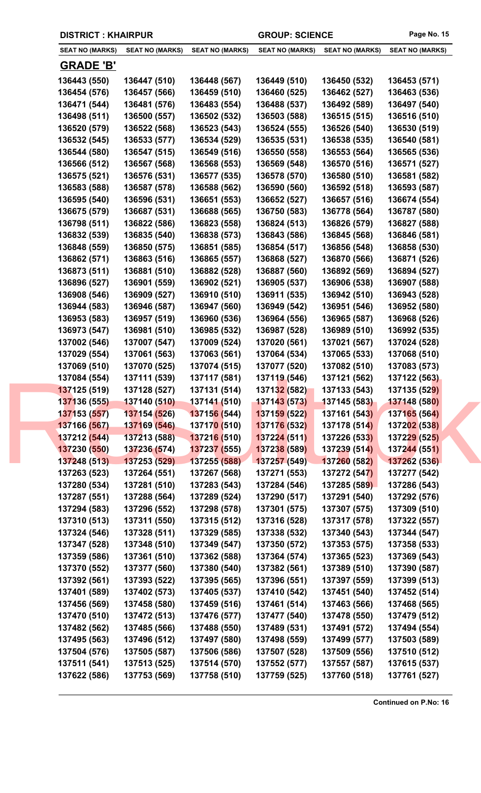| <b>DISTRICT: KHAIRPUR</b>    |                              |                                             | <b>GROUP: SCIENCE</b>        |                              | Page No. 15                         |
|------------------------------|------------------------------|---------------------------------------------|------------------------------|------------------------------|-------------------------------------|
| <b>SEAT NO (MARKS)</b>       | <b>SEAT NO (MARKS)</b>       | <b>SEAT NO (MARKS)</b>                      | <b>SEAT NO (MARKS)</b>       | <b>SEAT NO (MARKS)</b>       | <b>SEAT NO (MARKS)</b>              |
| <b>GRADE 'B'</b>             |                              |                                             |                              |                              |                                     |
| 136443 (550)                 | 136447 (510)                 | 136448 (567)                                | 136449 (510)                 | 136450 (532)                 | 136453 (571)                        |
| 136454 (576)                 | 136457 (566)                 | 136459 (510)                                | 136460 (525)                 | 136462 (527)                 | 136463 (536)                        |
| 136471 (544)                 | 136481 (576)                 | 136483 (554)                                | 136488 (537)                 | 136492 (589)                 | 136497 (540)                        |
| 136498 (511)                 | 136500 (557)                 | 136502 (532)                                | 136503 (588)                 | 136515 (515)                 | 136516 (510)                        |
| 136520 (579)                 | 136522 (568)                 | 136523 (543)                                | 136524 (555)                 | 136526 (540)                 | 136530 (519)                        |
| 136532 (545)                 | 136533 (577)                 | 136534 (529)                                | 136535 (531)                 | 136538 (535)                 | 136540 (581)                        |
| 136544 (580)                 | 136547 (515)                 | 136549 (516)                                | 136550 (558)                 | 136553 (564)                 | 136565 (536)                        |
| 136566 (512)                 | 136567 (568)                 | 136568 (553)                                | 136569 (548)                 | 136570 (516)                 | 136571 (527)                        |
| 136575 (521)                 | 136576 (531)                 | 136577 (535)                                | 136578 (570)                 | 136580 (510)                 | 136581 (582)                        |
| 136583 (588)                 | 136587 (578)                 | 136588 (562)                                | 136590 (560)                 | 136592 (518)                 | 136593 (587)                        |
| 136595 (540)                 | 136596 (531)                 | 136651 (553)                                | 136652 (527)                 | 136657 (516)                 | 136674 (554)                        |
| 136675 (579)                 | 136687 (531)                 | 136688 (565)                                | 136750 (583)                 | 136778 (564)                 | 136787 (580)                        |
| 136798 (511)                 | 136822 (586)                 | 136823 (558)                                | 136824 (513)                 | 136826 (579)                 | 136827 (588)                        |
| 136832 (539)                 | 136835 (540)                 | 136838 (573)                                | 136843 (586)                 | 136845 (568)                 | 136846 (581)                        |
| 136848 (559)                 | 136850 (575)                 | 136851 (585)                                | 136854 (517)                 | 136856 (548)                 | 136858 (530)                        |
| 136862 (571)                 | 136863 (516)                 | 136865 (557)                                | 136868 (527)                 | 136870 (566)                 | 136871 (526)                        |
| 136873 (511)                 | 136881 (510)                 | 136882 (528)                                | 136887 (560)                 | 136892 (569)                 | 136894 (527)                        |
| 136896 (527)                 | 136901 (559)                 | 136902 (521)                                | 136905 (537)                 | 136906 (538)                 | 136907 (588)                        |
| 136908 (546)                 | 136909 (527)                 | 136910 (510)                                | 136911 (535)                 | 136942 (510)                 | 136943 (528)                        |
| 136944 (583)                 | 136946 (587)                 | 136947 (560)                                | 136949 (542)                 | 136951 (546)                 | 136952 (580)                        |
| 136953 (583)                 | 136957 (519)                 | 136960 (536)                                | 136964 (556)                 | 136965 (587)                 | 136968 (526)                        |
| 136973 (547)                 | 136981 (510)                 | 136985 (532)                                | 136987 (528)                 | 136989 (510)                 | 136992 (535)                        |
| 137002 (546)                 | 137007 (547)                 | 137009 (524)                                | 137020 (561)                 | 137021 (567)                 | 137024 (528)                        |
| 137029 (554)                 | 137061 (563)                 | 137063 (561)                                | 137064 (534)                 | 137065 (533)                 | 137068 (510)                        |
| 137069 (510)                 | 137070 (525)                 | 137074 (515)                                | 137077 (520)                 | 137082 (510)                 | 137083 (573)                        |
| 137084 (554)                 | 137111 (539)                 | 137117 (581)                                | 137119 (546)                 | 137121 (562)                 | 137122 (563)                        |
| 137125 (519)                 | 137128 (527)                 | 137131 (514)                                | 137132 (582)                 | 137133 (543)                 | 137135 (529)                        |
| 137136 (555)                 | 137140 (510)                 | 137141 (510)                                | <mark>137143 (573)</mark>    | 137145 (583)                 | 137148 (580)                        |
| 137153 (557)<br>137166 (567) | 137154 (526)<br>137169 (546) | 137156 (544)                                | 137159 (522)<br>137176 (532) | 137161 (543)<br>137178 (514) | 137165 (564)                        |
| 137212 (544)                 | 137213 (588)                 | 13717 <mark>0 (</mark> 510)<br>137216 (510) | 137224(511)                  | 137226 (533)                 | 137202 (538)<br><b>137229 (525)</b> |
| 137230 (550)                 | 137236 (574)                 | 137237 (555)                                | 137238 (589)                 | 137239 (514)                 | 137244 (551)                        |
| 137248 (513)                 | 137253 (529)                 | 137255 (588)                                | 137257 (549)                 | 137260 (582)                 | 137262 (536)                        |
| 137263 (523)                 | 137264 (551)                 | 137267 (568)                                | 137271 (553)                 | 137272 (547)                 | 137277 (542)                        |
| 137280 (534)                 | 137281 (510)                 | 137283 (543)                                | 137284 (546)                 | 137285 (589)                 | 137286 (543)                        |
| 137287 (551)                 | 137288 (564)                 | 137289 (524)                                | 137290 (517)                 | 137291 (540)                 | 137292 (576)                        |
| 137294 (583)                 | 137296 (552)                 | 137298 (578)                                | 137301 (575)                 | 137307 (575)                 | 137309 (510)                        |
| 137310 (513)                 | 137311 (550)                 | 137315 (512)                                | 137316 (528)                 | 137317 (578)                 | 137322 (557)                        |
| 137324 (546)                 | 137328 (511)                 | 137329 (585)                                | 137338 (532)                 | 137340 (543)                 | 137344 (547)                        |
| 137347 (528)                 | 137348 (510)                 | 137349 (547)                                | 137350 (572)                 | 137353 (575)                 | 137358 (533)                        |
| 137359 (586)                 | 137361 (510)                 | 137362 (588)                                | 137364 (574)                 | 137365 (523)                 | 137369 (543)                        |
| 137370 (552)                 | 137377 (560)                 | 137380 (540)                                | 137382 (561)                 | 137389 (510)                 | 137390 (587)                        |
| 137392 (561)                 | 137393 (522)                 | 137395 (565)                                | 137396 (551)                 | 137397 (559)                 | 137399 (513)                        |
| 137401 (589)                 | 137402 (573)                 | 137405 (537)                                | 137410 (542)                 | 137451 (540)                 | 137452 (514)                        |
| 137456 (569)                 | 137458 (580)                 | 137459 (516)                                | 137461 (514)                 | 137463 (566)                 | 137468 (565)                        |
| 137470 (510)                 | 137472 (513)                 | 137476 (577)                                | 137477 (540)                 | 137478 (550)                 | 137479 (512)                        |
| 137482 (562)                 | 137485 (566)                 | 137488 (550)                                | 137489 (531)                 | 137491 (572)                 | 137494 (554)                        |
| 137495 (563)                 | 137496 (512)                 | 137497 (580)                                | 137498 (559)                 | 137499 (577)                 | 137503 (589)                        |
| 137504 (576)                 | 137505 (587)                 | 137506 (586)                                | 137507 (528)                 | 137509 (556)                 | 137510 (512)                        |
| 137511 (541)                 | 137513 (525)                 | 137514 (570)                                | 137552 (577)                 | 137557 (587)                 | 137615 (537)                        |
| 137622 (586)                 | 137753 (569)                 | 137758 (510)                                | 137759 (525)                 | 137760 (518)                 | 137761 (527)                        |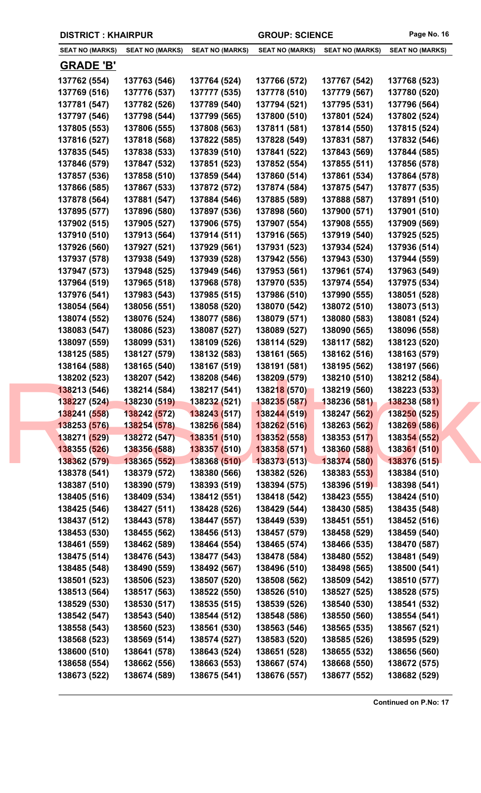|  | <b>DISTRICT: KHAIRPUR</b>    |                              |                              | <b>GROUP: SCIENCE</b>            |                              | Page No. 16                      |
|--|------------------------------|------------------------------|------------------------------|----------------------------------|------------------------------|----------------------------------|
|  | <b>SEAT NO (MARKS)</b>       | <b>SEAT NO (MARKS)</b>       | <b>SEAT NO (MARKS)</b>       | <b>SEAT NO (MARKS)</b>           | <b>SEAT NO (MARKS)</b>       | <b>SEAT NO (MARKS)</b>           |
|  | <b>GRADE 'B'</b>             |                              |                              |                                  |                              |                                  |
|  | 137762 (554)                 | 137763 (546)                 | 137764 (524)                 | 137766 (572)                     | 137767 (542)                 | 137768 (523)                     |
|  | 137769 (516)                 | 137776 (537)                 | 137777 (535)                 | 137778 (510)                     | 137779 (567)                 | 137780 (520)                     |
|  | 137781 (547)                 | 137782 (526)                 | 137789 (540)                 | 137794 (521)                     | 137795 (531)                 | 137796 (564)                     |
|  | 137797 (546)                 | 137798 (544)                 | 137799 (565)                 | 137800 (510)                     | 137801 (524)                 | 137802 (524)                     |
|  | 137805 (553)                 | 137806 (555)                 | 137808 (563)                 | 137811 (581)                     | 137814 (550)                 | 137815 (524)                     |
|  | 137816 (527)                 | 137818 (568)                 | 137822 (585)                 | 137828 (549)                     | 137831 (587)                 | 137832 (546)                     |
|  | 137835 (545)                 | 137838 (533)                 | 137839 (510)                 | 137841 (522)                     | 137843 (569)                 | 137844 (585)                     |
|  | 137846 (579)                 | 137847 (532)                 | 137851 (523)                 | 137852 (554)                     | 137855 (511)                 | 137856 (578)                     |
|  | 137857 (536)                 | 137858 (510)                 | 137859 (544)                 | 137860 (514)                     | 137861 (534)                 | 137864 (578)                     |
|  | 137866 (585)                 | 137867 (533)                 | 137872 (572)                 | 137874 (584)                     | 137875 (547)                 | 137877 (535)                     |
|  | 137878 (564)                 | 137881 (547)                 | 137884 (546)                 | 137885 (589)                     | 137888 (587)                 | 137891 (510)                     |
|  | 137895 (577)                 | 137896 (580)                 | 137897 (536)                 | 137898 (560)                     | 137900 (571)                 | 137901 (510)                     |
|  | 137902 (515)                 | 137905 (527)                 | 137906 (575)                 | 137907 (554)                     | 137908 (555)                 | 137909 (569)                     |
|  | 137910 (510)                 | 137913 (564)                 | 137914 (511)                 | 137916 (565)                     | 137919 (540)                 | 137925 (525)                     |
|  | 137926 (560)                 | 137927 (521)                 | 137929 (561)                 | 137931 (523)                     | 137934 (524)                 | 137936 (514)                     |
|  | 137937 (578)                 | 137938 (549)                 | 137939 (528)                 | 137942 (556)                     | 137943 (530)                 | 137944 (559)                     |
|  | 137947 (573)                 | 137948 (525)                 | 137949 (546)                 | 137953 (561)                     | 137961 (574)                 | 137963 (549)                     |
|  | 137964 (519)                 | 137965 (518)                 | 137968 (578)                 | 137970 (535)                     | 137974 (554)                 | 137975 (534)                     |
|  | 137976 (541)                 | 137983 (543)                 | 137985 (515)                 | 137986 (510)                     | 137990 (555)                 | 138051 (528)                     |
|  | 138054 (564)                 | 138056 (551)                 | 138058 (520)                 | 138070 (542)                     | 138072 (510)                 | 138073 (513)                     |
|  | 138074 (552)                 | 138076 (524)                 | 138077 (586)                 | 138079 (571)                     | 138080 (583)                 | 138081 (524)                     |
|  | 138083 (547)                 | 138086 (523)                 | 138087 (527)                 | 138089 (527)                     | 138090 (565)                 | 138096 (558)                     |
|  | 138097 (559)                 | 138099 (531)                 | 138109 (526)                 | 138114 (529)                     | 138117 (582)                 | 138123 (520)                     |
|  | 138125 (585)                 | 138127 (579)                 | 138132 (583)                 | 138161 (565)                     | 138162 (516)                 | 138163 (579)                     |
|  | 138164 (588)<br>138202 (523) | 138165 (540)<br>138207 (542) | 138167 (519)<br>138208 (546) | 138191 (581)<br>138209 (579)     | 138195 (562)<br>138210 (510) | 138197 (566)<br>138212 (584)     |
|  | 138213 (546)                 | 138214 (584)                 | 138217 (541)                 | 138218 (570)                     | 138219 (560)                 | 138223 (533)                     |
|  | 138227 (524)                 | 138230 (519)                 | 138232 (521)                 | <b>13823<mark>5</mark></b> (587) | 138236 (581)                 | 138238 (581)                     |
|  | 138241 (558)                 | 138242 (572)                 | 138243 (517)                 | 138244 (519)                     | 138247 (562)                 | 138250 (525)                     |
|  | 138253 (576)                 | 138254 (578)                 | 13825 <mark>6 (</mark> 584)  | 138262 (516)                     | 138263 (562)                 | <b>1382<mark>69</mark></b> (586) |
|  | 138271 (529)                 | 138272 (547)                 | 138351 (510)                 | 138352 (558)                     | 138353 (517)                 | 138354 (552)                     |
|  | 138355 (526)                 | 138356 (588)                 | 138357 (510)                 | 138358 (571)                     | 138360 (588)                 | 138361 (510)                     |
|  | 138362 (579)                 | 138365 (552)                 | 138368 (510)                 | 138373(513)                      | 138374 (580)                 | 138376 (515)                     |
|  | 138378 (541)                 | 138379 (572)                 | 138380 (566)                 | 138382 (526)                     | 138383 (553)                 | 138384 (510)                     |
|  | 138387 (510)                 | 138390 (579)                 | 138393 (519)                 | 138394 (575)                     | 138396 (519)                 | 138398 (541)                     |
|  | 138405 (516)                 | 138409 (534)                 | 138412 (551)                 | 138418 (542)                     | 138423 (555)                 | 138424 (510)                     |
|  | 138425 (546)                 | 138427 (511)                 | 138428 (526)                 | 138429 (544)                     | 138430 (585)                 | 138435 (548)                     |
|  | 138437 (512)                 | 138443 (578)                 | 138447 (557)                 | 138449 (539)                     | 138451 (551)                 | 138452 (516)                     |
|  | 138453 (530)                 | 138455 (562)                 | 138456 (513)                 | 138457 (579)                     | 138458 (529)                 | 138459 (540)                     |
|  | 138461 (559)                 | 138462 (589)                 | 138464 (554)                 | 138465 (574)                     | 138466 (535)                 | 138470 (587)                     |
|  | 138475 (514)                 | 138476 (543)                 | 138477 (543)                 | 138478 (584)                     | 138480 (552)                 | 138481 (549)                     |
|  | 138485 (548)                 | 138490 (559)                 | 138492 (567)                 | 138496 (510)                     | 138498 (565)                 | 138500 (541)                     |
|  | 138501 (523)                 | 138506 (523)                 | 138507 (520)                 | 138508 (562)                     | 138509 (542)                 | 138510 (577)                     |
|  | 138513 (564)                 | 138517 (563)                 | 138522 (550)                 | 138526 (510)                     | 138527 (525)                 | 138528 (575)                     |
|  | 138529 (530)                 | 138530 (517)                 | 138535 (515)                 | 138539 (526)                     | 138540 (530)                 | 138541 (532)                     |
|  | 138542 (547)<br>138558 (543) | 138543 (540)<br>138560 (523) | 138544 (512)<br>138561 (530) | 138548 (586)<br>138563 (546)     | 138550 (560)<br>138565 (535) | 138554 (541)<br>138567 (521)     |
|  | 138568 (523)                 | 138569 (514)                 | 138574 (527)                 | 138583 (520)                     | 138585 (526)                 | 138595 (529)                     |
|  | 138600 (510)                 | 138641 (578)                 | 138643 (524)                 | 138651 (528)                     | 138655 (532)                 | 138656 (560)                     |
|  | 138658 (554)                 | 138662 (556)                 | 138663 (553)                 | 138667 (574)                     | 138668 (550)                 | 138672 (575)                     |
|  | 138673 (522)                 | 138674 (589)                 | 138675 (541)                 | 138676 (557)                     | 138677 (552)                 | 138682 (529)                     |
|  |                              |                              |                              |                                  |                              |                                  |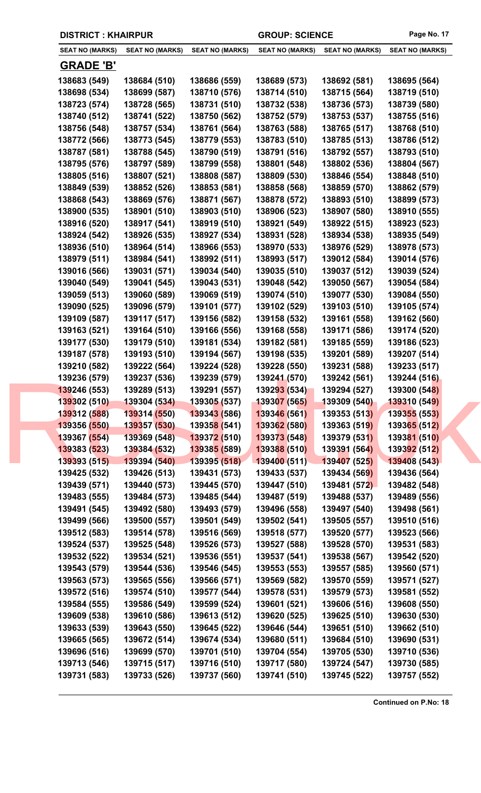|  | <b>DISTRICT: KHAIRPUR</b>    |                              |                              | <b>GROUP: SCIENCE</b>        |                              | Page No. 17                  |
|--|------------------------------|------------------------------|------------------------------|------------------------------|------------------------------|------------------------------|
|  | <b>SEAT NO (MARKS)</b>       | <b>SEAT NO (MARKS)</b>       | <b>SEAT NO (MARKS)</b>       | <b>SEAT NO (MARKS)</b>       | <b>SEAT NO (MARKS)</b>       | <b>SEAT NO (MARKS)</b>       |
|  | <b>GRADE 'B'</b>             |                              |                              |                              |                              |                              |
|  | 138683 (549)                 | 138684 (510)                 | 138686 (559)                 | 138689 (573)                 | 138692 (581)                 | 138695 (564)                 |
|  | 138698 (534)                 | 138699 (587)                 | 138710 (576)                 | 138714 (510)                 | 138715 (564)                 | 138719 (510)                 |
|  | 138723 (574)                 | 138728 (565)                 | 138731 (510)                 | 138732 (538)                 | 138736 (573)                 | 138739 (580)                 |
|  | 138740 (512)                 | 138741 (522)                 | 138750 (562)                 | 138752 (579)                 | 138753 (537)                 | 138755 (516)                 |
|  | 138756 (548)                 | 138757 (534)                 | 138761 (564)                 | 138763 (588)                 | 138765 (517)                 | 138768 (510)                 |
|  | 138772 (566)                 | 138773 (545)                 | 138779 (553)                 | 138783 (510)                 | 138785 (513)                 | 138786 (512)                 |
|  | 138787 (581)                 | 138788 (545)                 | 138790 (519)                 | 138791 (516)                 | 138792 (557)                 | 138793 (510)                 |
|  | 138795 (576)                 | 138797 (589)                 | 138799 (558)                 | 138801 (548)                 | 138802 (536)                 | 138804 (567)                 |
|  | 138805 (516)                 | 138807 (521)                 | 138808 (587)                 | 138809 (530)                 | 138846 (554)                 | 138848 (510)                 |
|  | 138849 (539)                 | 138852 (526)                 | 138853 (581)                 | 138858 (568)                 | 138859 (570)                 | 138862 (579)                 |
|  | 138868 (543)                 | 138869 (576)                 | 138871 (567)                 | 138878 (572)                 | 138893 (510)                 | 138899 (573)                 |
|  | 138900 (535)                 | 138901 (510)                 | 138903 (510)                 | 138906 (523)                 | 138907 (580)                 | 138910 (555)                 |
|  | 138916 (520)                 | 138917 (541)                 | 138919 (510)                 | 138921 (549)                 | 138922 (515)                 | 138923 (523)                 |
|  | 138924 (542)                 | 138926 (535)                 | 138927 (534)                 | 138931 (528)                 | 138934 (538)                 | 138935 (549)                 |
|  | 138936 (510)                 | 138964 (514)                 | 138966 (553)                 | 138970 (533)                 | 138976 (529)                 | 138978 (573)                 |
|  | 138979 (511)                 | 138984 (541)                 | 138992 (511)                 | 138993 (517)                 | 139012 (584)                 | 139014 (576)                 |
|  | 139016 (566)                 | 139031 (571)                 | 139034 (540)                 | 139035 (510)                 | 139037 (512)                 | 139039 (524)                 |
|  | 139040 (549)                 | 139041 (545)                 | 139043 (531)                 | 139048 (542)                 | 139050 (567)                 | 139054 (584)                 |
|  | 139059 (513)                 | 139060 (589)                 | 139069 (519)                 | 139074 (510)                 | 139077 (530)                 | 139084 (550)                 |
|  | 139090 (525)                 | 139096 (579)                 | 139101 (577)                 | 139102 (529)                 | 139103 (510)                 | 139105 (574)                 |
|  | 139109 (587)                 | 139117 (517)                 | 139156 (582)                 | 139158 (532)                 | 139161 (558)                 | 139162 (560)                 |
|  | 139163 (521)                 | 139164 (510)                 | 139166 (556)                 | 139168 (558)                 | 139171 (586)                 | 139174 (520)                 |
|  | 139177 (530)                 | 139179 (510)                 | 139181 (534)                 | 139182 (581)                 | 139185 (559)                 | 139186 (523)                 |
|  | 139187 (578)                 | 139193 (510)                 | 139194 (567)                 | 139198 (535)                 | 139201 (589)                 | 139207 (514)                 |
|  | 139210 (582)<br>139236 (579) | 139222 (564)<br>139237 (536) | 139224 (528)<br>139239 (579) | 139228 (550)<br>139241 (570) | 139231 (588)<br>139242 (561) | 139233 (517)<br>139244 (516) |
|  | 139246 (553)                 | 139289 (513)                 | 139291 (557)                 | 139293 (534)                 | 139294 (527)                 | 139300 (548)                 |
|  | 139302 (510)                 | 139304 (534)                 | <b>139305 (537)</b>          | 139307 (565)                 | 139309 (540)                 | 139310 (549)                 |
|  | 139312 (588)                 | 139314 (550)                 | 139343 (586)                 | 139346 (561)                 | 139353 (513)                 | 139355 (553)                 |
|  | 139356 (550)                 | 139357 (530)                 | 13935 <mark>8 (</mark> 541)  | 139362 (580)                 | 139363 (519)                 | 139365 (512)                 |
|  | 139367 (554)                 | 139369 (548)                 | 139372 (510)                 | 139373 (548)                 | 139379 (531)                 | 139381 (510)                 |
|  | 139383 (523)                 | 139384 (532)                 | 139385 (589)                 | 139388 (510)                 | 139391 (564)                 | 139392 (512)                 |
|  | 139393 (515)                 | 139394 (540)                 | 139395 (518)                 | 139400(511)                  | 139407 (525)                 | 139408 (543)                 |
|  | 139425 (532)                 | 139426 (513)                 | 139431 (573)                 | 139433 (537)                 | 139434 (569)                 | 139436 (564)                 |
|  | 139439 (571)                 | 139440 (573)                 | 139445 (570)                 | 139447 (510)                 | 139481 (572)                 | 139482 (548)                 |
|  | 139483 (555)                 | 139484 (573)                 | 139485 (544)                 | 139487 (519)                 | 139488 (537)                 | 139489 (556)                 |
|  | 139491 (545)                 | 139492 (580)                 | 139493 (579)                 | 139496 (558)                 | 139497 (540)                 | 139498 (561)                 |
|  | 139499 (566)                 | 139500 (557)                 | 139501 (549)                 | 139502 (541)                 | 139505 (557)                 | 139510 (516)                 |
|  | 139512 (583)                 | 139514 (578)                 | 139516 (569)                 | 139518 (577)                 | 139520 (577)                 | 139523 (566)                 |
|  | 139524 (537)                 | 139525 (548)                 | 139526 (573)                 | 139527 (588)                 | 139528 (570)                 | 139531 (583)                 |
|  | 139532 (522)                 | 139534 (521)                 | 139536 (551)                 | 139537 (541)                 | 139538 (567)                 | 139542 (520)                 |
|  | 139543 (579)                 | 139544 (536)                 | 139546 (545)                 | 139553 (553)                 | 139557 (585)                 | 139560 (571)                 |
|  | 139563 (573)                 | 139565 (556)                 | 139566 (571)                 | 139569 (582)                 | 139570 (559)                 | 139571 (527)                 |
|  | 139572 (516)                 | 139574 (510)                 | 139577 (544)                 | 139578 (531)                 | 139579 (573)                 | 139581 (552)                 |
|  | 139584 (555)                 | 139586 (549)                 | 139599 (524)                 | 139601 (521)                 | 139606 (516)                 | 139608 (550)                 |
|  | 139609 (538)<br>139633 (539) | 139610 (586)<br>139643 (550) | 139613 (512)<br>139645 (522) | 139620 (525)<br>139646 (544) | 139625 (510)<br>139651 (510) | 139630 (530)<br>139662 (510) |
|  | 139665 (565)                 | 139672 (514)                 | 139674 (534)                 | 139680 (511)                 | 139684 (510)                 | 139690 (531)                 |
|  | 139696 (516)                 | 139699 (570)                 | 139701 (510)                 | 139704 (554)                 | 139705 (530)                 | 139710 (536)                 |
|  | 139713 (546)                 | 139715 (517)                 | 139716 (510)                 | 139717 (580)                 | 139724 (547)                 | 139730 (585)                 |
|  | 139731 (583)                 | 139733 (526)                 | 139737 (560)                 | 139741 (510)                 | 139745 (522)                 | 139757 (552)                 |
|  |                              |                              |                              |                              |                              |                              |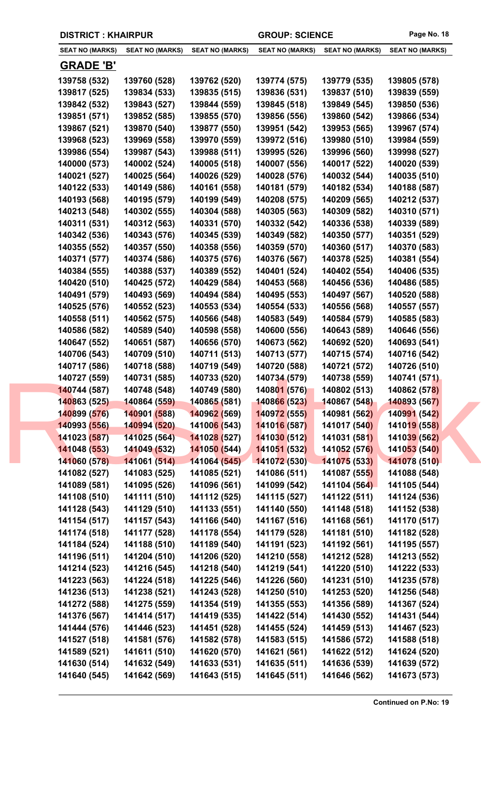| <b>DISTRICT: KHAIRPUR</b>    |                              |                              | <b>GROUP: SCIENCE</b>        |                              | Page No. 18                  |
|------------------------------|------------------------------|------------------------------|------------------------------|------------------------------|------------------------------|
| <b>SEAT NO (MARKS)</b>       | <b>SEAT NO (MARKS)</b>       | <b>SEAT NO (MARKS)</b>       | <b>SEAT NO (MARKS)</b>       | <b>SEAT NO (MARKS)</b>       | <b>SEAT NO (MARKS)</b>       |
| <b>GRADE 'B'</b>             |                              |                              |                              |                              |                              |
| 139758 (532)                 | 139760 (528)                 | 139762 (520)                 | 139774 (575)                 | 139779 (535)                 | 139805 (578)                 |
| 139817 (525)                 | 139834 (533)                 | 139835 (515)                 | 139836 (531)                 | 139837 (510)                 | 139839 (559)                 |
| 139842 (532)                 | 139843 (527)                 | 139844 (559)                 | 139845 (518)                 | 139849 (545)                 | 139850 (536)                 |
| 139851 (571)                 | 139852 (585)                 | 139855 (570)                 | 139856 (556)                 | 139860 (542)                 | 139866 (534)                 |
| 139867 (521)                 | 139870 (540)                 | 139877 (550)                 | 139951 (542)                 | 139953 (565)                 | 139967 (574)                 |
| 139968 (523)                 | 139969 (558)                 | 139970 (559)                 | 139972 (516)                 | 139980 (510)                 | 139984 (559)                 |
| 139986 (554)                 | 139987 (543)                 | 139988 (511)                 | 139995 (526)                 | 139996 (560)                 | 139998 (527)                 |
| 140000 (573)                 | 140002 (524)                 | 140005 (518)                 | 140007 (556)                 | 140017 (522)                 | 140020 (539)                 |
| 140021 (527)                 | 140025 (564)                 | 140026 (529)                 | 140028 (576)                 | 140032 (544)                 | 140035 (510)                 |
| 140122 (533)                 | 140149 (586)                 | 140161 (558)                 | 140181 (579)                 | 140182 (534)                 | 140188 (587)                 |
| 140193 (568)                 | 140195 (579)                 | 140199 (549)                 | 140208 (575)                 | 140209 (565)                 | 140212 (537)                 |
| 140213 (548)                 | 140302 (555)                 | 140304 (588)                 | 140305 (563)                 | 140309 (582)                 | 140310 (571)                 |
| 140311 (531)                 | 140312 (563)                 | 140331 (570)                 | 140332 (542)                 | 140336 (538)                 | 140339 (589)                 |
| 140342 (536)                 | 140343 (576)                 | 140345 (539)                 | 140349 (582)                 | 140350 (577)                 | 140351 (529)                 |
| 140355 (552)                 | 140357 (550)                 | 140358 (556)                 | 140359 (570)                 | 140360 (517)                 | 140370 (583)                 |
| 140371 (577)                 | 140374 (586)                 | 140375 (576)                 | 140376 (567)                 | 140378 (525)                 | 140381 (554)                 |
| 140384 (555)                 | 140388 (537)                 | 140389 (552)                 | 140401 (524)                 | 140402 (554)                 | 140406 (535)                 |
| 140420 (510)                 | 140425 (572)                 | 140429 (584)                 | 140453 (568)                 | 140456 (536)                 | 140486 (585)                 |
| 140491 (579)                 | 140493 (569)                 | 140494 (584)                 | 140495 (553)                 | 140497 (567)                 | 140520 (588)                 |
| 140525 (576)                 | 140552 (523)                 | 140553 (534)                 | 140554 (533)                 | 140556 (568)                 | 140557 (557)                 |
| 140558 (511)                 | 140562 (575)                 | 140566 (548)                 | 140583 (549)                 | 140584 (579)                 | 140585 (583)                 |
| 140586 (582)                 | 140589 (540)                 | 140598 (558)                 | 140600 (556)                 | 140643 (589)                 | 140646 (556)                 |
| 140647 (552)                 | 140651 (587)                 | 140656 (570)                 | 140673 (562)                 | 140692 (520)                 | 140693 (541)                 |
| 140706 (543)                 | 140709 (510)                 | 140711 (513)                 | 140713 (577)                 | 140715 (574)                 | 140716 (542)                 |
| 140717 (586)                 | 140718 (588)                 | 140719 (549)                 | 140720 (588)                 | 140721 (572)                 | 140726 (510)                 |
| 140727 (559)                 | 140731 (585)                 | 140733 (520)                 | 140734 (579)                 | 140738 (559)                 | 140741 (571)                 |
| 140744 (587)                 | 140748 (548)                 | 140749 (580)                 | 140801 (576)                 | 140802 (513)                 | 140862 (578)                 |
| 140863 (525)                 | 140864 (559)                 | 140865 (581)                 | 140866 (523)                 | 140867 (548)                 | 140893 (567)                 |
| 140899 (576)                 | 140901 (588)                 | 140962 (569)                 | 140972 (555)                 | 140981 (562)                 | 140991 (542)                 |
| 140993 (556)                 | 140994 (520)                 | 14100 <mark>6 (</mark> 543)  | 141016 (587)                 | 141017 (540)                 | 141019 (558)                 |
| 141023 (587)                 | 141025 (564)                 | 14102 <mark>8 (527)</mark>   | 141030 (512)                 | 141031 (581)                 | 141039 (562)                 |
| 141048 (553)                 | 141049 (532)                 | 141050 (544)                 | 141051 (532)                 | 141052 (576)                 | 141053 (540)                 |
| 141060 (578)                 | 141061 (514)                 | 141064 (545)                 | 141072 (530)                 | 141075 (533)                 | 141078 (510)                 |
| 141082 (527)                 | 141083 (525)                 | 141085 (521)                 | 141086 (511)                 | 141087 (555)                 | 141088 (548)                 |
| 141089 (581)                 | 141095 (526)                 | 141096 (561)                 | 141099 (542)                 | 141104 (564)                 | 141105 (544)                 |
| 141108 (510)                 | 141111 (510)                 | 141112 (525)<br>141133 (551) | 141115 (527)<br>141140 (550) | 141122 (511)                 | 141124 (536)<br>141152 (538) |
| 141128 (543)<br>141154 (517) | 141129 (510)<br>141157 (543) | 141166 (540)                 | 141167 (516)                 | 141148 (518)<br>141168 (561) | 141170 (517)                 |
| 141174 (518)                 | 141177 (528)                 | 141178 (554)                 | 141179 (528)                 | 141181 (510)                 | 141182 (528)                 |
| 141184 (524)                 | 141188 (510)                 | 141189 (540)                 | 141191 (523)                 | 141192 (561)                 | 141195 (557)                 |
| 141196 (511)                 | 141204 (510)                 | 141206 (520)                 | 141210 (558)                 | 141212 (528)                 | 141213 (552)                 |
| 141214 (523)                 | 141216 (545)                 | 141218 (540)                 | 141219 (541)                 | 141220 (510)                 | 141222 (533)                 |
| 141223 (563)                 | 141224 (518)                 | 141225 (546)                 | 141226 (560)                 | 141231 (510)                 | 141235 (578)                 |
| 141236 (513)                 | 141238 (521)                 | 141243 (528)                 | 141250 (510)                 | 141253 (520)                 | 141256 (548)                 |
| 141272 (588)                 | 141275 (559)                 | 141354 (519)                 | 141355 (553)                 | 141356 (589)                 | 141367 (524)                 |
| 141376 (567)                 | 141414 (517)                 | 141419 (535)                 | 141422 (514)                 | 141430 (552)                 | 141431 (544)                 |
| 141444 (576)                 | 141446 (523)                 | 141451 (528)                 | 141455 (524)                 | 141459 (513)                 | 141467 (523)                 |
| 141527 (518)                 | 141581 (576)                 | 141582 (578)                 | 141583 (515)                 | 141586 (572)                 | 141588 (518)                 |
| 141589 (521)                 | 141611 (510)                 | 141620 (570)                 | 141621 (561)                 | 141622 (512)                 | 141624 (520)                 |
| 141630 (514)                 | 141632 (549)                 | 141633 (531)                 | 141635 (511)                 | 141636 (539)                 | 141639 (572)                 |

**141640 (545) 141642 (569) 141643 (515) 141645 (511) 141646 (562) 141673 (573)**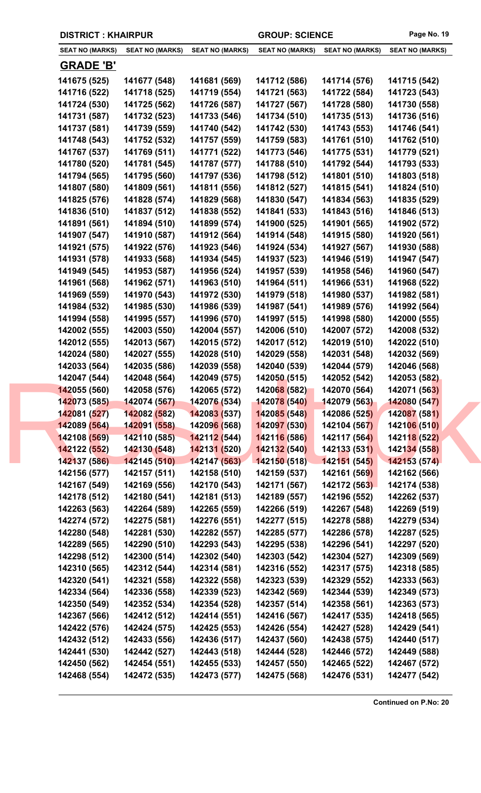| <b>DISTRICT: KHAIRPUR</b> |                        | <b>GROUP: SCIENCE</b>            |                        | Page No. 19            |                        |
|---------------------------|------------------------|----------------------------------|------------------------|------------------------|------------------------|
| <b>SEAT NO (MARKS)</b>    | <b>SEAT NO (MARKS)</b> | <b>SEAT NO (MARKS)</b>           | <b>SEAT NO (MARKS)</b> | <b>SEAT NO (MARKS)</b> | <b>SEAT NO (MARKS)</b> |
| <b>GRADE 'B'</b>          |                        |                                  |                        |                        |                        |
| 141675 (525)              | 141677 (548)           | 141681 (569)                     | 141712 (586)           | 141714 (576)           | 141715 (542)           |
| 141716 (522)              | 141718 (525)           | 141719 (554)                     | 141721 (563)           | 141722 (584)           | 141723 (543)           |
| 141724 (530)              | 141725 (562)           | 141726 (587)                     | 141727 (567)           | 141728 (580)           | 141730 (558)           |
| 141731 (587)              | 141732 (523)           | 141733 (546)                     | 141734 (510)           | 141735 (513)           | 141736 (516)           |
| 141737 (581)              | 141739 (559)           | 141740 (542)                     | 141742 (530)           | 141743 (553)           | 141746 (541)           |
| 141748 (543)              | 141752 (532)           | 141757 (559)                     | 141759 (583)           | 141761 (510)           | 141762 (510)           |
| 141767 (537)              | 141769 (511)           | 141771 (522)                     | 141773 (546)           | 141775 (531)           | 141779 (521)           |
| 141780 (520)              | 141781 (545)           | 141787 (577)                     | 141788 (510)           | 141792 (544)           | 141793 (533)           |
| 141794 (565)              | 141795 (560)           | 141797 (536)                     | 141798 (512)           | 141801 (510)           | 141803 (518)           |
| 141807 (580)              | 141809 (561)           | 141811 (556)                     | 141812 (527)           | 141815 (541)           | 141824 (510)           |
| 141825 (576)              | 141828 (574)           | 141829 (568)                     | 141830 (547)           | 141834 (563)           | 141835 (529)           |
| 141836 (510)              | 141837 (512)           | 141838 (552)                     | 141841 (533)           | 141843 (516)           | 141846 (513)           |
| 141891 (561)              | 141894 (510)           | 141899 (574)                     | 141900 (525)           | 141901 (565)           | 141902 (572)           |
| 141907 (547)              | 141910 (587)           | 141912 (564)                     | 141914 (548)           | 141915 (580)           | 141920 (561)           |
| 141921 (575)              | 141922 (576)           | 141923 (546)                     | 141924 (534)           | 141927 (567)           | 141930 (588)           |
| 141931 (578)              | 141933 (568)           | 141934 (545)                     | 141937 (523)           | 141946 (519)           | 141947 (547)           |
| 141949 (545)              | 141953 (587)           | 141956 (524)                     | 141957 (539)           | 141958 (546)           | 141960 (547)           |
| 141961 (568)              | 141962 (571)           | 141963 (510)                     | 141964 (511)           | 141966 (531)           | 141968 (522)           |
| 141969 (559)              | 141970 (543)           | 141972 (530)                     | 141979 (518)           | 141980 (537)           | 141982 (581)           |
| 141984 (532)              | 141985 (530)           | 141986 (539)                     | 141987 (541)           | 141989 (576)           | 141992 (564)           |
| 141994 (558)              | 141995 (557)           | 141996 (570)                     | 141997 (515)           | 141998 (580)           | 142000 (555)           |
| 142002 (555)              | 142003 (550)           | 142004 (557)                     | 142006 (510)           | 142007 (572)           | 142008 (532)           |
| 142012 (555)              | 142013 (567)           | 142015 (572)                     | 142017 (512)           | 142019 (510)           | 142022 (510)           |
| 142024 (580)              | 142027 (555)           | 142028 (510)                     | 142029 (558)           | 142031 (548)           | 142032 (569)           |
| 142033 (564)              | 142035 (586)           | 142039 (558)                     | 142040 (539)           | 142044 (579)           | 142046 (568)           |
| 142047 (544)              | 142048 (564)           | 142049 (575)                     | 142050 (515)           | 142052 (542)           | 142053 (582)           |
| 142055 (560)              | 142058 (576)           | 142065 (572)                     | 142068 (582)           | 142070 (564)           | 142071 (563)           |
| 142073 (585)              | 142074(567)            | 142076 (534)                     | 142078 (540)           | 142079 (563)           | 142080 (547)           |
| 142081 (527)              | 142082 (582)           | 142083 (537)                     | 142085 (548)           | 142086 (525)           | 142087 (581)           |
| 142089 (564)              | 142091 (558)           | 14209 <mark>6 (</mark> 568)      | 142097 (530)           | 142104 (567)           | 142106 (510)           |
| 142108 (569)              | 142110(585)            | <b>14211<mark>2</mark></b> (544) | 142116 (586)           | 142117 (564)           | 142118 (522)           |
| 142122 (552)              | 142130 (548)           | 142131 (520)                     | 142132 (540)           | 142133 (531)           | 142134 (558)           |
| 142137 (586)              | 142145 (510)           | 142147 (563)                     | 142150 (518)           | 142151 (545)           | 142153 (574)           |
| 142156 (577)              | 142157 (511)           | 142158 (510)                     | 142159 (537)           | 142161 (569)           | 142162 (566)           |
| 142167 (549)              | 142169 (556)           | 142170 (543)                     | 142171 (567)           | 142172 (563)           | 142174 (538)           |
| 142178 (512)              | 142180 (541)           | 142181 (513)                     | 142189 (557)           | 142196 (552)           | 142262 (537)           |
| 142263 (563)              | 142264 (589)           | 142265 (559)                     | 142266 (519)           | 142267 (548)           | 142269 (519)           |
| 142274 (572)              | 142275 (581)           | 142276 (551)                     | 142277 (515)           | 142278 (588)           | 142279 (534)           |
| 142280 (548)              | 142281 (530)           | 142282 (557)                     | 142285 (577)           | 142286 (578)           | 142287 (525)           |
| 142289 (565)              | 142290 (510)           | 142293 (543)                     | 142295 (538)           | 142296 (541)           | 142297 (520)           |
| 142298 (512)              | 142300 (514)           | 142302 (540)                     | 142303 (542)           | 142304 (527)           | 142309 (569)           |
| 142310 (565)              | 142312 (544)           | 142314 (581)                     | 142316 (552)           | 142317 (575)           | 142318 (585)           |
| 142320 (541)              | 142321 (558)           | 142322 (558)                     | 142323 (539)           | 142329 (552)           | 142333 (563)           |
| 142334 (564)              | 142336 (558)           | 142339 (523)                     | 142342 (569)           | 142344 (539)           | 142349 (573)           |
| 142350 (549)              | 142352 (534)           | 142354 (528)                     | 142357 (514)           | 142358 (561)           | 142363 (573)           |
| 142367 (566)              | 142412 (512)           | 142414 (551)                     | 142416 (567)           | 142417 (535)           | 142418 (565)           |
| 142422 (576)              | 142424 (575)           | 142425 (553)                     | 142426 (554)           | 142427 (528)           | 142429 (541)           |
| 142432 (512)              | 142433 (556)           | 142436 (517)                     | 142437 (560)           | 142438 (575)           | 142440 (517)           |
| 142441 (530)              | 142442 (527)           | 142443 (518)                     | 142444 (528)           | 142446 (572)           | 142449 (588)           |
| 142450 (562)              | 142454 (551)           | 142455 (533)                     | 142457 (550)           | 142465 (522)           | 142467 (572)           |
| 142468 (554)              | 142472 (535)           | 142473 (577)                     | 142475 (568)           | 142476 (531)           | 142477 (542)           |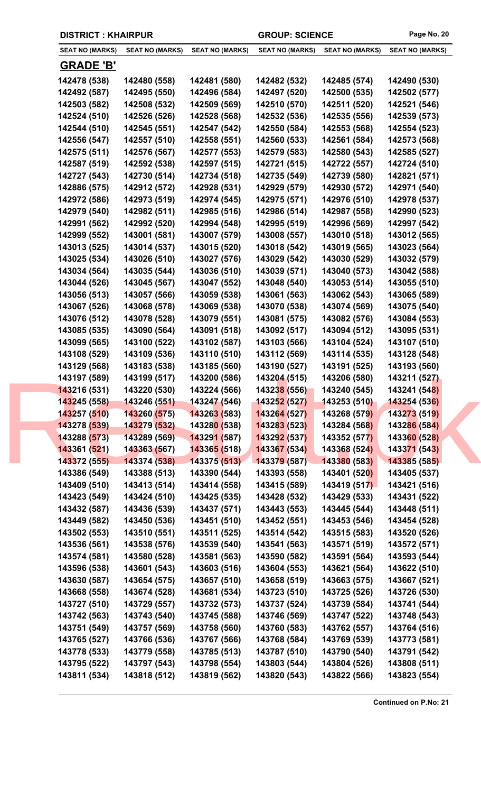|                        | <b>DISTRICT: KHAIRPUR</b> |                                  | <b>GROUP: SCIENCE</b>  |                        | Page No. 20            |
|------------------------|---------------------------|----------------------------------|------------------------|------------------------|------------------------|
| <b>SEAT NO (MARKS)</b> | <b>SEAT NO (MARKS)</b>    | <b>SEAT NO (MARKS)</b>           | <b>SEAT NO (MARKS)</b> | <b>SEAT NO (MARKS)</b> | <b>SEAT NO (MARKS)</b> |
| <b>GRADE 'B'</b>       |                           |                                  |                        |                        |                        |
| 142478 (538)           | 142480 (558)              | 142481 (580)                     | 142482 (532)           | 142485 (574)           | 142490 (530)           |
| 142492 (587)           | 142495 (550)              | 142496 (584)                     | 142497 (520)           | 142500 (535)           | 142502 (577)           |
| 142503 (582)           | 142508 (532)              | 142509 (569)                     | 142510 (570)           | 142511 (520)           | 142521 (546)           |
| 142524 (510)           | 142526 (526)              | 142528 (568)                     | 142532 (536)           | 142535 (556)           | 142539 (573)           |
| 142544 (510)           | 142545 (551)              | 142547 (542)                     | 142550 (584)           | 142553 (568)           | 142554 (523)           |
| 142556 (547)           | 142557 (510)              | 142558 (551)                     | 142560 (533)           | 142561 (584)           | 142573 (568)           |
| 142575 (511)           | 142576 (567)              | 142577 (553)                     | 142579 (583)           | 142580 (543)           | 142585 (527)           |
| 142587 (519)           | 142592 (538)              | 142597 (515)                     | 142721 (515)           | 142722 (557)           | 142724 (510)           |
| 142727 (543)           | 142730 (514)              | 142734 (518)                     | 142735 (549)           | 142739 (580)           | 142821 (571)           |
| 142886 (575)           | 142912 (572)              | 142928 (531)                     | 142929 (579)           | 142930 (572)           | 142971 (540)           |
| 142972 (586)           | 142973 (519)              | 142974 (545)                     | 142975 (571)           | 142976 (510)           | 142978 (537)           |
| 142979 (540)           | 142982 (511)              | 142985 (516)                     | 142986 (514)           | 142987 (558)           | 142990 (523)           |
| 142991 (562)           | 142992 (520)              | 142994 (548)                     | 142995 (519)           | 142996 (569)           | 142997 (542)           |
| 142999 (552)           | 143001 (581)              | 143007 (579)                     | 143008 (557)           | 143010 (518)           | 143012 (565)           |
| 143013 (525)           | 143014 (537)              | 143015 (520)                     | 143018 (542)           | 143019 (565)           | 143023 (564)           |
| 143025 (534)           | 143026 (510)              | 143027 (576)                     | 143029 (542)           | 143030 (529)           | 143032 (579)           |
| 143034 (564)           | 143035 (544)              | 143036 (510)                     | 143039 (571)           | 143040 (573)           | 143042 (588)           |
| 143044 (526)           | 143045 (567)              | 143047 (552)                     | 143048 (540)           | 143053 (514)           | 143055 (510)           |
| 143056 (513)           | 143057 (566)              | 143059 (538)                     | 143061 (563)           | 143062 (543)           | 143065 (589)           |
| 143067 (526)           | 143068 (578)              | 143069 (538)                     | 143070 (538)           | 143074 (569)           | 143075 (540)           |
| 143076 (512)           | 143078 (528)              | 143079 (551)                     | 143081 (575)           | 143082 (576)           | 143084 (553)           |
| 143085 (535)           | 143090 (564)              | 143091 (518)                     | 143092 (517)           | 143094 (512)           | 143095 (531)           |
| 143099 (565)           | 143100 (522)              | 143102 (587)                     | 143103 (566)           | 143104 (524)           | 143107 (510)           |
| 143108 (529)           | 143109 (536)              | 143110 (510)                     | 143112 (569)           | 143114 (535)           | 143128 (548)           |
| 143129 (568)           | 143183 (538)              | 143185 (560)                     | 143190 (527)           | 143191 (525)           | 143193 (560)           |
| 143197 (589)           | 143199 (517)              | 143200 (586)                     | 143204 (515)           | 143206 (580)           | 143211 (527)           |
| 143216 (531)           | 143220 (530)              | 143224 (566)                     | 143238 (556)           | 143240 (545)           | 143241 (548)           |
| 143245 (558)           | 143246 (551)              | 143247 (546)                     | 143252 (527)           | 143253 (510)           | 143254 (536)           |
| 143257 (510)           | 143260 (575)              | 143263 (583)                     | 143264 (527)           | 143268 (579)           | 143273 (519)           |
| 143278 (539)           | 143279 (532)              | 14328 <mark>0 (</mark> 538)      | 143283 (523)           | 143284 (568)           | 143286 (584)           |
| 143288 (573)           | 143289 (569)              | <b>14329<mark>1</mark></b> (587) | 143292 (537)           | 143352 (577)           | 143360 (528)           |
| 143361 (521)           | 143363 (567)              | 143365 (518)                     | 143367 (534)           | 143368 (524)           | 143371 (543)           |
| 143372 (555)           | 143374 (538)              | 143375 (513)                     | 143379 (587)           | 143380 (583)           | 143385 (585)           |
| 143386 (549)           | 143388 (513)              | 143390 (544)                     | 143393 (558)           | 143401 (520)           | 143405 (537)           |
| 143409 (510)           | 143413 (514)              | 143414 (558)                     | 143415 (589)           | 143419 (517)           | 143421 (516)           |
| 143423 (549)           | 143424 (510)              | 143425 (535)                     | 143428 (532)           | 143429 (533)           | 143431 (522)           |
| 143432 (587)           | 143436 (539)              | 143437 (571)                     | 143443 (553)           | 143445 (544)           | 143448 (511)           |
| 143449 (582)           | 143450 (536)              | 143451 (510)                     | 143452 (551)           | 143453 (546)           | 143454 (528)           |
| 143502 (553)           | 143510 (551)              | 143511 (525)                     | 143514 (542)           | 143515 (583)           | 143520 (526)           |
| 143536 (561)           | 143538 (576)              | 143539 (540)                     | 143541 (563)           | 143571 (519)           | 143572 (571)           |
| 143574 (581)           | 143580 (528)              | 143581 (563)                     | 143590 (582)           | 143591 (564)           | 143593 (544)           |
| 143596 (538)           | 143601 (543)              | 143603 (516)                     | 143604 (553)           | 143621 (564)           | 143622 (510)           |
| 143630 (587)           | 143654 (575)              | 143657 (510)                     | 143658 (519)           | 143663 (575)           | 143667 (521)           |
| 143668 (558)           | 143674 (528)              | 143681 (534)                     | 143723 (510)           | 143725 (526)           | 143726 (530)           |
| 143727 (510)           | 143729 (557)              | 143732 (573)                     | 143737 (524)           | 143739 (584)           | 143741 (544)           |
| 143742 (563)           | 143743 (540)              | 143745 (588)                     | 143746 (569)           | 143747 (522)           | 143748 (543)           |
| 143751 (549)           | 143757 (569)              | 143758 (560)                     | 143760 (583)           | 143762 (557)           | 143764 (516)           |
| 143765 (527)           | 143766 (536)              | 143767 (566)                     | 143768 (584)           | 143769 (539)           | 143773 (581)           |
| 143778 (533)           | 143779 (558)              | 143785 (513)                     | 143787 (510)           | 143790 (540)           | 143791 (542)           |
| 143795 (522)           | 143797 (543)              | 143798 (554)                     | 143803 (544)           | 143804 (526)           | 143808 (511)           |
| 143811 (534)           | 143818 (512)              | 143819 (562)                     | 143820 (543)           | 143822 (566)           | 143823 (554)           |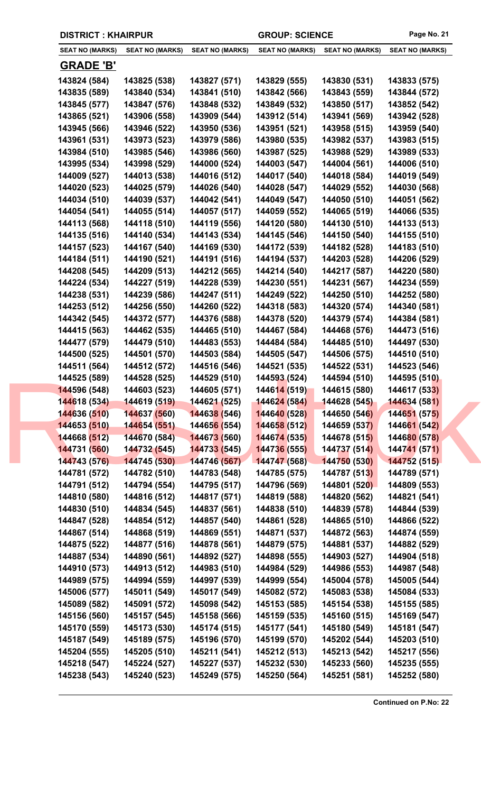| <b>SEAT NO (MARKS)</b> | <b>SEAT NO (MARKS)</b> | <b>SEAT NO (MARKS)</b>      | <b>SEAT NO (MARKS)</b> | <b>SEAT NO (MARKS)</b> | <b>SEAT NO (MARKS)</b> |
|------------------------|------------------------|-----------------------------|------------------------|------------------------|------------------------|
| <b>GRADE 'B'</b>       |                        |                             |                        |                        |                        |
| 143824 (584)           | 143825 (538)           | 143827 (571)                | 143829 (555)           | 143830 (531)           | 143833 (575)           |
| 143835 (589)           | 143840 (534)           | 143841 (510)                | 143842 (566)           | 143843 (559)           | 143844 (572)           |
| 143845 (577)           | 143847 (576)           | 143848 (532)                | 143849 (532)           | 143850 (517)           | 143852 (542)           |
| 143865 (521)           | 143906 (558)           | 143909 (544)                | 143912 (514)           | 143941 (569)           | 143942 (528)           |
| 143945 (566)           | 143946 (522)           | 143950 (536)                | 143951 (521)           | 143958 (515)           | 143959 (540)           |
| 143961 (531)           | 143973 (523)           | 143979 (586)                | 143980 (535)           | 143982 (537)           | 143983 (515)           |
| 143984 (510)           | 143985 (546)           | 143986 (560)                | 143987 (525)           | 143988 (529)           | 143989 (533)           |
| 143995 (534)           | 143998 (529)           | 144000 (524)                | 144003 (547)           | 144004 (561)           | 144006 (510)           |
| 144009 (527)           | 144013 (538)           | 144016 (512)                | 144017 (540)           | 144018 (584)           | 144019 (549)           |
| 144020 (523)           | 144025 (579)           | 144026 (540)                | 144028 (547)           | 144029 (552)           | 144030 (568)           |
| 144034 (510)           | 144039 (537)           | 144042 (541)                | 144049 (547)           | 144050 (510)           | 144051 (562)           |
| 144054 (541)           | 144055 (514)           | 144057 (517)                | 144059 (552)           | 144065 (519)           | 144066 (535)           |
| 144113 (568)           | 144118 (510)           | 144119 (556)                | 144120 (580)           | 144130 (510)           | 144133 (513)           |
| 144135 (516)           | 144140 (534)           | 144143 (534)                | 144145 (546)           | 144150 (540)           | 144155 (510)           |
| 144157 (523)           | 144167 (540)           | 144169 (530)                | 144172 (539)           | 144182 (528)           | 144183 (510)           |
| 144184 (511)           | 144190 (521)           | 144191 (516)                | 144194 (537)           | 144203 (528)           | 144206 (529)           |
| 144208 (545)           | 144209 (513)           | 144212 (565)                | 144214 (540)           | 144217 (587)           | 144220 (580)           |
| 144224 (534)           | 144227 (519)           | 144228 (539)                | 144230 (551)           | 144231 (567)           | 144234 (559)           |
| 144238 (531)           | 144239 (586)           | 144247 (511)                | 144249 (522)           | 144250 (510)           | 144252 (580)           |
| 144253 (512)           | 144256 (550)           | 144260 (522)                | 144318 (583)           | 144320 (574)           | 144340 (581)           |
| 144342 (545)           | 144372 (577)           | 144376 (588)                | 144378 (520)           | 144379 (574)           | 144384 (581)           |
| 144415 (563)           | 144462 (535)           | 144465 (510)                | 144467 (584)           | 144468 (576)           | 144473 (516)           |
| 144477 (579)           | 144479 (510)           | 144483 (553)                | 144484 (584)           | 144485 (510)           | 144497 (530)           |
| 144500 (525)           | 144501 (570)           | 144503 (584)                | 144505 (547)           | 144506 (575)           | 144510 (510)           |
| 144511 (564)           | 144512 (572)           | 144516 (546)                | 144521 (535)           | 144522 (531)           | 144523 (546)           |
| 144525 (589)           | 144528 (525)           | 144529 (510)                | 144593 (524)           | 144594 (510)           | 144595 (510)           |
| 144596 (548)           | 144603 (523)           | 144605 (571)                | 144614 (519)           | 144615 (580)           | 144617 (533)           |
| 144618 (534)           | 144619 (519)           | 144621 (525)                | 144624 (584)           | 144628 (545)           | 144634 (581)           |
| 144636 (510)           | 144637 (560)           | 144638 (546)                | 144640 (528)           | 144650 (546)           | 144651 (575)           |
| 144653 (510)           | 144654 (551)           | 14465 <mark>6 (</mark> 554) | 144658 (512)           | 144659 (537)           | 144661 (542)           |
| 144668 (512)           | 144670 (584)           | 144673 (560)                | 144674 (535)           | 144678 (515)           | 144680 (578)           |
| 144731 (560)           | 144732 (545)           | 144733 (545)                | 144736 (555)           | 144737 (514)           | 144741 (571)           |
| 144743 (576)           | 144745 (530)           | 144746 (567)                | 144747 (568)           | 144750 (530)           | 144752 (515)           |
| 144781 (572)           | 144782 (510)           | 144783 (548)                | 144785 (575)           | 144787 (513)           | 144789 (571)           |
| 144791 (512)           | 144794 (554)           | 144795 (517)                | 144796 (569)           | 144801 (520)           | 144809 (553)           |
| 144810 (580)           | 144816 (512)           | 144817 (571)                | 144819 (588)           | 144820 (562)           | 144821 (541)           |
| 144830 (510)           | 144834 (545)           | 144837 (561)                | 144838 (510)           | 144839 (578)           | 144844 (539)           |
| 144847 (528)           | 144854 (512)           | 144857 (540)                | 144861 (528)           | 144865 (510)           | 144866 (522)           |
| 144867 (514)           | 144868 (519)           | 144869 (551)                | 144871 (537)           | 144872 (563)           | 144874 (559)           |
| 144875 (522)           | 144877 (516)           | 144878 (561)                | 144879 (575)           | 144881 (537)           | 144882 (529)           |
| 144887 (534)           | 144890 (561)           | 144892 (527)                | 144898 (555)           | 144903 (527)           | 144904 (518)           |
| 144910 (573)           | 144913 (512)           | 144983 (510)                | 144984 (529)           | 144986 (553)           | 144987 (548)           |
| 144989 (575)           | 144994 (559)           | 144997 (539)                | 144999 (554)           | 145004 (578)           | 145005 (544)           |
| 145006 (577)           | 145011 (549)           | 145017 (549)                | 145082 (572)           | 145083 (538)           | 145084 (533)           |
| 145089 (582)           | 145091 (572)           | 145098 (542)                | 145153 (585)           | 145154 (538)           | 145155 (585)           |
| 145156 (560)           | 145157 (545)           | 145158 (566)                | 145159 (535)           | 145160 (515)           | 145169 (547)           |
| 145170 (559)           | 145173 (530)           | 145174 (515)                | 145177 (541)           | 145180 (549)           | 145181 (547)           |
| 145187 (549)           | 145189 (575)           | 145196 (570)                | 145199 (570)           | 145202 (544)           | 145203 (510)           |
| 145204 (555)           | 145205 (510)           | 145211 (541)                | 145212 (513)           | 145213 (542)           | 145217 (556)           |
| 145218 (547)           | 145224 (527)           | 145227 (537)                | 145232 (530)           | 145233 (560)           | 145235 (555)           |
| 145238 (543)           | 145240 (523)           | 145249 (575)                | 145250 (564)           | 145251 (581)           | 145252 (580)           |
|                        |                        |                             |                        |                        |                        |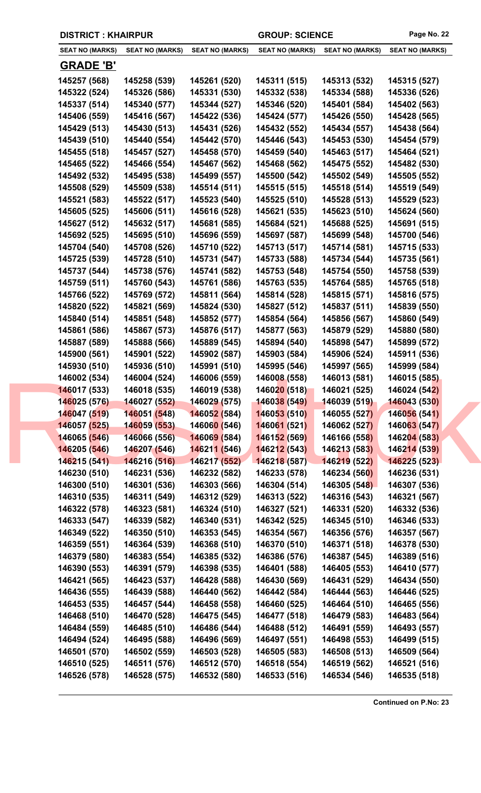|  | <b>DISTRICT: KHAIRPUR</b> |                        |                                  | <b>GROUP: SCIENCE</b>  |                        | Page No. 22            |
|--|---------------------------|------------------------|----------------------------------|------------------------|------------------------|------------------------|
|  | <b>SEAT NO (MARKS)</b>    | <b>SEAT NO (MARKS)</b> | <b>SEAT NO (MARKS)</b>           | <b>SEAT NO (MARKS)</b> | <b>SEAT NO (MARKS)</b> | <b>SEAT NO (MARKS)</b> |
|  | <b>GRADE 'B'</b>          |                        |                                  |                        |                        |                        |
|  | 145257 (568)              | 145258 (539)           | 145261 (520)                     | 145311 (515)           | 145313 (532)           | 145315 (527)           |
|  | 145322 (524)              | 145326 (586)           | 145331 (530)                     | 145332 (538)           | 145334 (588)           | 145336 (526)           |
|  | 145337 (514)              | 145340 (577)           | 145344 (527)                     | 145346 (520)           | 145401 (584)           | 145402 (563)           |
|  | 145406 (559)              | 145416 (567)           | 145422 (536)                     | 145424 (577)           | 145426 (550)           | 145428 (565)           |
|  | 145429 (513)              | 145430 (513)           | 145431 (526)                     | 145432 (552)           | 145434 (557)           | 145438 (564)           |
|  | 145439 (510)              | 145440 (554)           | 145442 (570)                     | 145446 (543)           | 145453 (530)           | 145454 (579)           |
|  | 145455 (518)              | 145457 (527)           | 145458 (570)                     | 145459 (540)           | 145463 (517)           | 145464 (521)           |
|  | 145465 (522)              | 145466 (554)           | 145467 (562)                     | 145468 (562)           | 145475 (552)           | 145482 (530)           |
|  | 145492 (532)              | 145495 (538)           | 145499 (557)                     | 145500 (542)           | 145502 (549)           | 145505 (552)           |
|  | 145508 (529)              | 145509 (538)           | 145514 (511)                     | 145515 (515)           | 145518 (514)           | 145519 (549)           |
|  | 145521 (583)              | 145522 (517)           | 145523 (540)                     | 145525 (510)           | 145528 (513)           | 145529 (523)           |
|  | 145605 (525)              | 145606 (511)           | 145616 (528)                     | 145621 (535)           | 145623 (510)           | 145624 (560)           |
|  | 145627 (512)              | 145632 (517)           | 145681 (585)                     | 145684 (521)           | 145688 (525)           | 145691 (515)           |
|  | 145692 (525)              | 145695 (510)           | 145696 (559)                     | 145697 (587)           | 145699 (548)           | 145700 (546)           |
|  | 145704 (540)              | 145708 (526)           | 145710 (522)                     | 145713 (517)           | 145714 (581)           | 145715 (533)           |
|  | 145725 (539)              | 145728 (510)           | 145731 (547)                     | 145733 (588)           | 145734 (544)           | 145735 (561)           |
|  | 145737 (544)              | 145738 (576)           | 145741 (582)                     | 145753 (548)           | 145754 (550)           | 145758 (539)           |
|  | 145759 (511)              | 145760 (543)           | 145761 (586)                     | 145763 (535)           | 145764 (585)           | 145765 (518)           |
|  | 145766 (522)              | 145769 (572)           | 145811 (564)                     | 145814 (528)           | 145815 (571)           | 145816 (575)           |
|  | 145820 (522)              | 145821 (569)           | 145824 (530)                     | 145827 (512)           | 145837 (511)           | 145839 (550)           |
|  | 145840 (514)              | 145851 (548)           | 145852 (577)                     | 145854 (564)           | 145856 (567)           | 145860 (549)           |
|  | 145861 (586)              | 145867 (573)           | 145876 (517)                     | 145877 (563)           | 145879 (529)           | 145880 (580)           |
|  | 145887 (589)              | 145888 (566)           | 145889 (545)                     | 145894 (540)           | 145898 (547)           | 145899 (572)           |
|  | 145900 (561)              | 145901 (522)           | 145902 (587)                     | 145903 (584)           | 145906 (524)           | 145911 (536)           |
|  | 145930 (510)              | 145936 (510)           | 145991 (510)                     | 145995 (546)           | 145997 (565)           | 145999 (584)           |
|  | 146002 (534)              | 146004 (524)           | 146006 (559)                     | 146008 (558)           | 146013 (581)           | 146015 (585)           |
|  | 146017 (533)              | 146018 (535)           | 146019 (538)                     | 146020 (518)           | 146021 (525)           | 146024 (542)           |
|  | 146025 (576)              | 146027 (552)           | 146029 (575)                     | 146038 (549)           | 146039 (519)           | 146043 (530)           |
|  | 146047 (519)              | 146051 (548)           | 146052 (584)                     | 146053 (510)           | 146055 (527)           | 146056 (541)           |
|  | 146057 (525)              | 146059 (553)           | 14606 <mark>0 (</mark> 546)      | 146061 (521)           | 146062 (527)           | 146063 (547)           |
|  | 146065 (546)              | 146066 (556)           | <b>14606<mark>9</mark></b> (584) | 146152 (569)           | 146166 (558)           | 146204 (583)           |
|  | 146205 (546)              | 146207 (546)           | 146211 (546)                     | 146212(543)            | 146213 (583)           | 146214 (539)           |
|  | 146215 (541)              | 146216 (516)           | 146217 (552)                     | 146218 (587)           | 146219 (522)           | 146225 (523)           |
|  | 146230 (510)              | 146231 (536)           | 146232 (582)                     | 146233 (578)           | 146234 (560)           | 146236 (531)           |
|  | 146300 (510)              | 146301 (536)           | 146303 (566)                     | 146304 (514)           | 146305 (548)           | 146307 (536)           |
|  | 146310 (535)              | 146311 (549)           | 146312 (529)                     | 146313 (522)           | 146316 (543)           | 146321 (567)           |
|  | 146322 (578)              | 146323 (581)           | 146324 (510)                     | 146327 (521)           | 146331 (520)           | 146332 (536)           |
|  | 146333 (547)              | 146339 (582)           | 146340 (531)                     | 146342 (525)           | 146345 (510)           | 146346 (533)           |
|  | 146349 (522)              | 146350 (510)           | 146353 (545)                     | 146354 (567)           | 146356 (576)           | 146357 (567)           |
|  | 146359 (551)              | 146364 (539)           | 146368 (510)                     | 146370 (510)           | 146371 (518)           | 146378 (530)           |
|  | 146379 (580)              | 146383 (554)           | 146385 (532)                     | 146386 (576)           | 146387 (545)           | 146389 (516)           |
|  | 146390 (553)              | 146391 (579)           | 146398 (535)                     | 146401 (588)           | 146405 (553)           | 146410 (577)           |
|  | 146421 (565)              | 146423 (537)           | 146428 (588)                     | 146430 (569)           | 146431 (529)           | 146434 (550)           |
|  | 146436 (555)              | 146439 (588)           | 146440 (562)                     | 146442 (584)           | 146444 (563)           | 146446 (525)           |
|  | 146453 (535)              | 146457 (544)           | 146458 (558)                     | 146460 (525)           | 146464 (510)           | 146465 (556)           |
|  | 146468 (510)              | 146470 (528)           | 146475 (545)                     | 146477 (518)           | 146479 (583)           | 146483 (564)           |
|  | 146484 (559)              | 146485 (510)           | 146486 (544)                     | 146488 (512)           | 146491 (559)           | 146493 (557)           |
|  | 146494 (524)              | 146495 (588)           | 146496 (569)                     | 146497 (551)           | 146498 (553)           | 146499 (515)           |
|  | 146501 (570)              | 146502 (559)           | 146503 (528)                     | 146505 (583)           | 146508 (513)           | 146509 (564)           |
|  | 146510 (525)              | 146511 (576)           | 146512 (570)                     | 146518 (554)           | 146519 (562)           | 146521 (516)           |
|  |                           |                        |                                  |                        |                        |                        |

**146526 (578) 146528 (575) 146532 (580) 146533 (516) 146534 (546) 146535 (518)**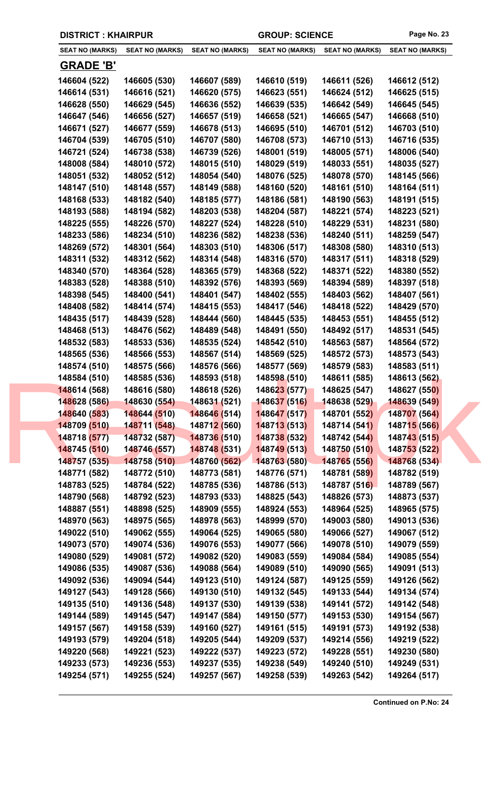| <b>DISTRICT: KHAIRPUR</b>    |                              |                              | <b>GROUP: SCIENCE</b>        |                              | Page No. 23                  |  |
|------------------------------|------------------------------|------------------------------|------------------------------|------------------------------|------------------------------|--|
| <b>SEAT NO (MARKS)</b>       | <b>SEAT NO (MARKS)</b>       | <b>SEAT NO (MARKS)</b>       | <b>SEAT NO (MARKS)</b>       | <b>SEAT NO (MARKS)</b>       | <b>SEAT NO (MARKS)</b>       |  |
| <b>GRADE 'B'</b>             |                              |                              |                              |                              |                              |  |
| 146604 (522)                 | 146605 (530)                 | 146607 (589)                 | 146610 (519)                 | 146611 (526)                 | 146612 (512)                 |  |
| 146614 (531)                 | 146616 (521)                 | 146620 (575)                 | 146623 (551)                 | 146624 (512)                 | 146625 (515)                 |  |
| 146628 (550)                 | 146629 (545)                 | 146636 (552)                 | 146639 (535)                 | 146642 (549)                 | 146645 (545)                 |  |
| 146647 (546)                 | 146656 (527)                 | 146657 (519)                 | 146658 (521)                 | 146665 (547)                 | 146668 (510)                 |  |
| 146671 (527)                 | 146677 (559)                 | 146678 (513)                 | 146695 (510)                 | 146701 (512)                 | 146703 (510)                 |  |
| 146704 (539)                 | 146705 (510)                 | 146707 (580)                 | 146708 (573)                 | 146710 (513)                 | 146716 (535)                 |  |
| 146721 (524)                 | 146738 (538)                 | 146739 (526)                 | 148001 (519)                 | 148005 (571)                 | 148006 (540)                 |  |
| 148008 (584)                 | 148010 (572)                 | 148015 (510)                 | 148029 (519)                 | 148033 (551)                 | 148035 (527)                 |  |
| 148051 (532)                 | 148052 (512)                 | 148054 (540)                 | 148076 (525)                 | 148078 (570)                 | 148145 (566)                 |  |
| 148147 (510)                 | 148148 (557)                 | 148149 (588)                 | 148160 (520)                 | 148161 (510)                 | 148164 (511)                 |  |
| 148168 (533)                 | 148182 (540)                 | 148185 (577)                 | 148186 (581)                 | 148190 (563)                 | 148191 (515)                 |  |
| 148193 (588)                 | 148194 (582)                 | 148203 (538)                 | 148204 (587)                 | 148221 (574)                 | 148223 (521)                 |  |
| 148225 (555)                 | 148226 (570)                 | 148227 (524)                 | 148228 (510)                 | 148229 (531)                 | 148231 (580)                 |  |
| 148233 (586)                 | 148234 (510)                 | 148236 (582)                 | 148238 (536)                 | 148240 (511)                 | 148259 (547)                 |  |
| 148269 (572)                 | 148301 (564)                 | 148303 (510)                 | 148306 (517)                 | 148308 (580)                 | 148310 (513)                 |  |
| 148311 (532)                 | 148312 (562)                 | 148314 (548)                 | 148316 (570)                 | 148317 (511)                 | 148318 (529)                 |  |
| 148340 (570)                 | 148364 (528)                 | 148365 (579)                 | 148368 (522)                 | 148371 (522)                 | 148380 (552)                 |  |
| 148383 (528)                 | 148388 (510)                 | 148392 (576)                 | 148393 (569)                 | 148394 (589)                 | 148397 (518)                 |  |
| 148398 (545)                 | 148400 (541)                 | 148401 (547)                 | 148402 (555)                 | 148403 (562)                 | 148407 (561)                 |  |
| 148408 (582)                 | 148414 (574)                 | 148415 (553)                 | 148417 (546)                 | 148418 (522)                 | 148429 (570)                 |  |
| 148435 (517)                 | 148439 (528)                 | 148444 (560)                 | 148445 (535)                 | 148453 (551)                 | 148455 (512)                 |  |
| 148468 (513)                 | 148476 (562)                 | 148489 (548)                 | 148491 (550)                 | 148492 (517)                 | 148531 (545)                 |  |
| 148532 (583)                 | 148533 (536)                 | 148535 (524)                 | 148542 (510)                 | 148563 (587)                 | 148564 (572)                 |  |
| 148565 (536)                 | 148566 (553)                 | 148567 (514)                 | 148569 (525)                 | 148572 (573)                 | 148573 (543)                 |  |
| 148574 (510)                 | 148575 (566)                 | 148576 (566)                 | 148577 (569)                 | 148579 (583)                 | 148583 (511)                 |  |
| 148584 (510)                 | 148585 (536)                 | 148593 (518)                 | 148598 (510)                 | 148611 (585)                 | 148613 (562)                 |  |
| 148614 (568)                 | 148616 (580)                 | 148618 (526)                 | 148623 (577)                 | 148625 (547)                 | 148627 (550)                 |  |
| 148628 (586)                 | 148630 (554)                 | 148631 (521)                 | 148637 (516)                 | 148638 (529)                 | 148639 (549)                 |  |
| 148640 (583)                 | 148644 (510)                 | 148646 (514)                 | 148647 (517)                 | 148701 (552)                 | 148707 (564)                 |  |
| 148709 (510)<br>148718 (577) | 148711 (548)                 | 14871 <mark>2 (560)</mark>   | 148713 (513)                 | 148714 (541)                 | 148715 (566)                 |  |
| 148745 (510)                 | 148732 (587)<br>148746 (557) | 148736 (510)<br>148748 (531) | 148738 (532)<br>148749 (513) | 148742 (544)<br>148750 (510) | 148743 (515)<br>148753 (522) |  |
| 148757 (535)                 | 148758 (510)                 | 148760 (562)                 | 148763 (580)                 | 148765 (556)                 | 148768 (534)                 |  |
| 148771 (582)                 | 148772 (510)                 | 148773 (581)                 | 148776 (571)                 | 148781 (589)                 | 148782 (519)                 |  |
| 148783 (525)                 | 148784 (522)                 | 148785 (536)                 | 148786 (513)                 | 148787 (516)                 | 148789 (567)                 |  |
| 148790 (568)                 | 148792 (523)                 | 148793 (533)                 | 148825 (543)                 | 148826 (573)                 | 148873 (537)                 |  |
| 148887 (551)                 | 148898 (525)                 | 148909 (555)                 | 148924 (553)                 | 148964 (525)                 | 148965 (575)                 |  |
| 148970 (563)                 | 148975 (565)                 | 148978 (563)                 | 148999 (570)                 | 149003 (580)                 | 149013 (536)                 |  |
| 149022 (510)                 | 149062 (555)                 | 149064 (525)                 | 149065 (580)                 | 149066 (527)                 | 149067 (512)                 |  |
| 149073 (570)                 | 149074 (536)                 | 149076 (553)                 | 149077 (566)                 | 149078 (510)                 | 149079 (559)                 |  |
| 149080 (529)                 | 149081 (572)                 | 149082 (520)                 | 149083 (559)                 | 149084 (584)                 | 149085 (554)                 |  |
| 149086 (535)                 | 149087 (536)                 | 149088 (564)                 | 149089 (510)                 | 149090 (565)                 | 149091 (513)                 |  |
| 149092 (536)                 | 149094 (544)                 | 149123 (510)                 | 149124 (587)                 | 149125 (559)                 | 149126 (562)                 |  |
| 149127 (543)                 | 149128 (566)                 | 149130 (510)                 | 149132 (545)                 | 149133 (544)                 | 149134 (574)                 |  |
| 149135 (510)                 | 149136 (548)                 | 149137 (530)                 | 149139 (538)                 | 149141 (572)                 | 149142 (548)                 |  |
| 149144 (589)                 | 149145 (547)                 | 149147 (584)                 | 149150 (577)                 | 149153 (530)                 | 149154 (567)                 |  |
| 149157 (567)                 | 149158 (539)                 | 149160 (527)                 | 149161 (515)                 | 149191 (573)                 | 149192 (538)                 |  |
| 149193 (579)                 | 149204 (518)                 | 149205 (544)                 | 149209 (537)                 | 149214 (556)                 | 149219 (522)                 |  |
| 149220 (568)                 | 149221 (523)                 | 149222 (537)                 | 149223 (572)                 | 149228 (551)                 | 149230 (580)                 |  |
| 149233 (573)                 | 149236 (553)                 | 149237 (535)                 | 149238 (549)                 | 149240 (510)                 | 149249 (531)                 |  |
| 149254 (571)                 | 149255 (524)                 | 149257 (567)                 | 149258 (539)                 | 149263 (542)                 | 149264 (517)                 |  |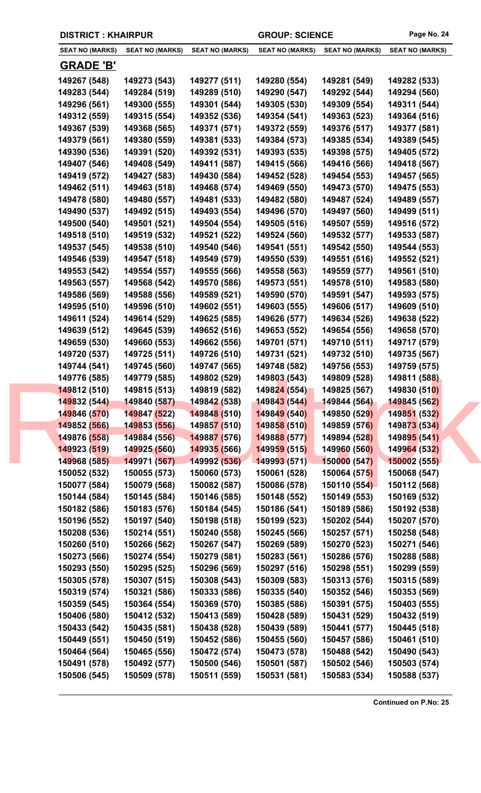| <b>DISTRICT: KHAIRPUR</b>    |                              |                              | <b>GROUP: SCIENCE</b>        |                              | Page No. 24                  |
|------------------------------|------------------------------|------------------------------|------------------------------|------------------------------|------------------------------|
| <b>SEAT NO (MARKS)</b>       | <b>SEAT NO (MARKS)</b>       | <b>SEAT NO (MARKS)</b>       | <b>SEAT NO (MARKS)</b>       | <b>SEAT NO (MARKS)</b>       | <b>SEAT NO (MARKS)</b>       |
| <b>GRADE 'B'</b>             |                              |                              |                              |                              |                              |
| 149267 (548)                 | 149273 (543)                 | 149277 (511)                 | 149280 (554)                 | 149281 (549)                 | 149282 (533)                 |
| 149283 (544)                 | 149284 (519)                 | 149289 (510)                 | 149290 (547)                 | 149292 (544)                 | 149294 (560)                 |
| 149296 (561)                 | 149300 (555)                 | 149301 (544)                 | 149305 (530)                 | 149309 (554)                 | 149311 (544)                 |
| 149312 (559)                 | 149315 (554)                 | 149352 (536)                 | 149354 (541)                 | 149363 (523)                 | 149364 (516)                 |
| 149367 (539)                 | 149368 (565)                 | 149371 (571)                 | 149372 (559)                 | 149376 (517)                 | 149377 (581)                 |
| 149379 (561)                 | 149380 (559)                 | 149381 (533)                 | 149384 (573)                 | 149385 (534)                 | 149389 (545)                 |
| 149390 (536)                 | 149391 (520)                 | 149392 (531)                 | 149393 (535)                 | 149398 (575)                 | 149405 (572)                 |
| 149407 (546)                 | 149408 (549)                 | 149411 (587)                 | 149415 (566)                 | 149416 (566)                 | 149418 (567)                 |
| 149419 (572)                 | 149427 (583)                 | 149430 (584)                 | 149452 (528)                 | 149454 (553)                 | 149457 (565)                 |
| 149462 (511)                 | 149463 (518)                 | 149468 (574)                 | 149469 (550)                 | 149473 (570)                 | 149475 (553)                 |
| 149478 (580)                 | 149480 (557)                 | 149481 (533)                 | 149482 (580)                 | 149487 (524)                 | 149489 (557)                 |
| 149490 (537)                 | 149492 (515)                 | 149493 (554)                 | 149496 (570)                 | 149497 (560)                 | 149499 (511)                 |
| 149500 (540)                 | 149501 (521)                 | 149504 (554)                 | 149505 (516)                 | 149507 (559)                 | 149516 (572)                 |
| 149518 (510)                 | 149519 (532)                 | 149521 (522)                 | 149524 (560)                 | 149532 (577)                 | 149533 (587)                 |
| 149537 (545)                 | 149538 (510)                 | 149540 (546)                 | 149541 (551)                 | 149542 (550)                 | 149544 (553)                 |
| 149546 (539)                 | 149547 (518)                 | 149549 (579)                 | 149550 (539)                 | 149551 (516)                 | 149552 (521)                 |
| 149553 (542)                 | 149554 (557)                 | 149555 (566)                 | 149558 (563)                 | 149559 (577)                 | 149561 (510)                 |
| 149563 (557)                 | 149568 (542)                 | 149570 (586)                 | 149573 (551)                 | 149578 (510)                 | 149583 (580)                 |
| 149586 (569)                 | 149588 (556)                 | 149589 (521)                 | 149590 (570)                 | 149591 (547)                 | 149593 (575)                 |
| 149595 (510)                 | 149596 (510)                 | 149602 (551)                 | 149603 (555)                 | 149606 (517)                 | 149609 (510)                 |
| 149611 (524)                 | 149614 (529)                 | 149625 (585)                 | 149626 (577)                 | 149634 (526)                 | 149638 (522)                 |
| 149639 (512)                 | 149645 (539)                 | 149652 (516)                 | 149653 (552)                 | 149654 (556)                 | 149658 (570)                 |
| 149659 (530)                 | 149660 (553)                 | 149662 (556)                 | 149701 (571)                 | 149710 (511)                 | 149717 (579)                 |
| 149720 (537)                 | 149725 (511)                 | 149726 (510)                 | 149731 (521)                 | 149732 (510)                 | 149735 (567)                 |
| 149744 (541)                 | 149745 (560)                 | 149747 (565)                 | 149748 (582)                 | 149756 (553)                 | 149759 (575)                 |
| 149776 (585)                 | 149779 (585)                 | 149802 (529)                 | 149803 (543)                 | 149809 (528)                 | 149811 (588)                 |
| 149812 (510)                 | 149815 (513)                 | 149819 (582)                 | 149824 (554)                 | 149825 (567)                 | 149830 (510)                 |
| 149832 (544)<br>149846 (570) | 149840 (587)<br>149847 (522) | 149842 (538)<br>149848 (510) | 149843 (544)<br>149849 (540) | 149844 (564)<br>149850 (529) | 149845 (562)<br>149851 (532) |
| 149852 (566)                 | 149853 (556)                 | 149857 (510)                 | 149858 (510)                 | 149859 (576)                 | 149873 (534)                 |
| 149876 (558)                 | 149884 (556)                 | 149887 (576)                 | 149888 (577)                 | 149894 (528)                 | 149895 (541)                 |
| 149923 (519)                 | 149925 (560)                 | 149935 (566)                 | 149959 (515)                 | 149960 (560)                 | 149964 (532)                 |
| 149968 (585)                 | 149971 (567)                 | 149992 (536)                 | 149993 (571)                 | 150000 (547)                 | 150002 (555)                 |
| 150052 (532)                 | 150055 (573)                 | 150060 (573)                 | 150061 (528)                 | 150064 (575)                 | 150068 (547)                 |
| 150077 (584)                 | 150079 (568)                 | 150082 (587)                 | 150086 (578)                 | 150110 (554)                 | 150112 (568)                 |
| 150144 (584)                 | 150145 (584)                 | 150146 (585)                 | 150148 (552)                 | 150149 (553)                 | 150169 (532)                 |
| 150182 (586)                 | 150183 (576)                 | 150184 (545)                 | 150186 (541)                 | 150189 (586)                 | 150192 (538)                 |
| 150196 (552)                 | 150197 (540)                 | 150198 (518)                 | 150199 (523)                 | 150202 (544)                 | 150207 (570)                 |
| 150208 (536)                 | 150214 (551)                 | 150240 (558)                 | 150245 (566)                 | 150257 (571)                 | 150258 (548)                 |
| 150260 (510)                 | 150266 (562)                 | 150267 (547)                 | 150269 (589)                 | 150270 (523)                 | 150271 (546)                 |
| 150273 (566)                 | 150274 (554)                 | 150279 (581)                 | 150283 (561)                 | 150286 (576)                 | 150288 (588)                 |
| 150293 (550)                 | 150295 (525)                 | 150296 (569)                 | 150297 (516)                 | 150298 (551)                 | 150299 (559)                 |
| 150305 (578)                 | 150307 (515)                 | 150308 (543)                 | 150309 (583)                 | 150313 (576)                 | 150315 (589)                 |
| 150319 (574)                 | 150321 (586)                 | 150333 (586)                 | 150335 (540)                 | 150352 (546)                 | 150353 (569)                 |
| 150359 (545)                 | 150364 (554)                 | 150369 (570)                 | 150385 (586)                 | 150391 (575)                 | 150403 (555)                 |
| 150406 (580)                 | 150412 (532)                 | 150413 (589)                 | 150428 (589)                 | 150431 (529)                 | 150432 (519)                 |
| 150433 (542)                 | 150435 (581)                 | 150438 (528)                 | 150439 (589)                 | 150441 (577)                 | 150445 (518)                 |
| 150449 (551)                 | 150450 (519)                 | 150452 (586)                 | 150455 (560)                 | 150457 (586)                 | 150461 (510)                 |
| 150464 (564)                 | 150465 (556)                 | 150472 (574)                 | 150473 (578)                 | 150488 (542)                 | 150490 (543)                 |
| 150491 (578)                 | 150492 (577)                 | 150500 (546)                 | 150501 (587)                 | 150502 (546)                 | 150503 (574)                 |
| 150506 (545)                 | 150509 (578)                 | 150511 (559)                 | 150531 (581)                 | 150583 (534)                 | 150588 (537)                 |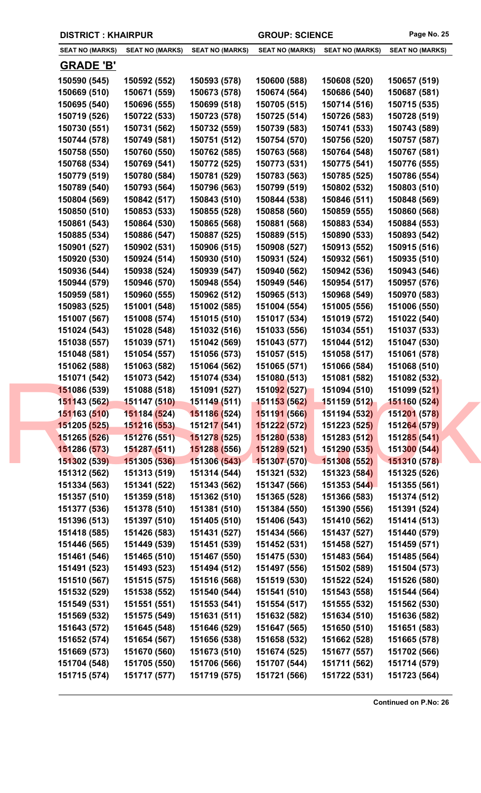| <b>DISTRICT: KHAIRPUR</b><br><b>GROUP: SCIENCE</b>                                                                                                           | Page No. 25                  |
|--------------------------------------------------------------------------------------------------------------------------------------------------------------|------------------------------|
| <b>SEAT NO (MARKS)</b><br><b>SEAT NO (MARKS)</b><br><b>SEAT NO (MARKS)</b><br><b>SEAT NO (MARKS)</b><br><b>SEAT NO (MARKS)</b>                               | <b>SEAT NO (MARKS)</b>       |
| <b>GRADE 'B'</b>                                                                                                                                             |                              |
| 150590 (545)<br>150592 (552)<br>150593 (578)<br>150600 (588)<br>150608 (520)                                                                                 | 150657 (519)                 |
| 150669 (510)<br>150671 (559)<br>150673 (578)<br>150674 (564)<br>150686 (540)                                                                                 | 150687 (581)                 |
| 150695 (540)<br>150696 (555)<br>150699 (518)<br>150705 (515)<br>150714 (516)                                                                                 | 150715 (535)                 |
| 150719 (526)<br>150722 (533)<br>150723 (578)<br>150725 (514)<br>150726 (583)                                                                                 | 150728 (519)                 |
| 150731 (562)<br>150730 (551)<br>150732 (559)<br>150739 (583)<br>150741 (533)                                                                                 | 150743 (589)                 |
| 150744 (578)<br>150749 (581)<br>150751 (512)<br>150754 (570)<br>150756 (520)                                                                                 | 150757 (587)                 |
| 150760 (550)<br>150758 (550)<br>150762 (585)<br>150763 (568)<br>150764 (548)                                                                                 | 150767 (581)                 |
| 150768 (534)<br>150769 (541)<br>150772 (525)<br>150773 (531)<br>150775 (541)                                                                                 | 150776 (555)                 |
| 150779 (519)<br>150780 (584)<br>150781 (529)<br>150783 (563)<br>150785 (525)                                                                                 | 150786 (554)                 |
| 150789 (540)<br>150793 (564)<br>150796 (563)<br>150799 (519)<br>150802 (532)                                                                                 | 150803 (510)                 |
| 150804 (569)<br>150842 (517)<br>150843 (510)<br>150844 (538)<br>150846 (511)                                                                                 | 150848 (569)                 |
| 150850 (510)<br>150853 (533)<br>150855 (528)<br>150858 (560)<br>150859 (555)                                                                                 | 150860 (568)                 |
| 150861 (543)<br>150881 (568)<br>150883 (534)<br>150864 (530)<br>150865 (568)                                                                                 | 150884 (553)                 |
| 150885 (534)<br>150886 (547)<br>150887 (525)<br>150889 (515)<br>150890 (533)                                                                                 | 150893 (542)                 |
| 150906 (515)<br>150908 (527)<br>150913 (552)<br>150901 (527)<br>150902 (531)                                                                                 | 150915 (516)                 |
| 150931 (524)<br>150920 (530)<br>150924 (514)<br>150930 (510)<br>150932 (561)                                                                                 | 150935 (510)                 |
| 150936 (544)<br>150938 (524)<br>150939 (547)<br>150940 (562)<br>150942 (536)                                                                                 | 150943 (546)                 |
| 150944 (579)<br>150946 (570)<br>150948 (554)<br>150949 (546)<br>150954 (517)                                                                                 | 150957 (576)                 |
| 150959 (581)<br>150960 (555)<br>150962 (512)<br>150965 (513)<br>150968 (549)                                                                                 | 150970 (583)                 |
| 150983 (525)<br>151001 (548)<br>151002 (585)<br>151004 (554)<br>151005 (556)                                                                                 | 151006 (550)                 |
| 151007 (567)<br>151008 (574)<br>151015 (510)<br>151017 (534)<br>151019 (572)                                                                                 | 151022 (540)                 |
| 151024 (543)<br>151028 (548)<br>151032 (516)<br>151033 (556)<br>151034 (551)                                                                                 | 151037 (533)                 |
| 151038 (557)<br>151039 (571)<br>151042 (569)<br>151043 (577)<br>151044 (512)                                                                                 | 151047 (530)                 |
| 151048 (581)<br>151054 (557)<br>151056 (573)<br>151057 (515)<br>151058 (517)                                                                                 | 151061 (578)                 |
| 151062 (588)<br>151063 (582)<br>151064 (562)<br>151065 (571)<br>151066 (584)                                                                                 | 151068 (510)                 |
| 151071 (542)<br>151073 (542)<br>151074 (534)<br>151080 (513)<br>151081 (582)                                                                                 | 151082 (532)                 |
| 151086 (539)<br>151088 (518)<br>151092 (527)<br>151094 (510)<br>151091 (527)                                                                                 | 151099 (521)                 |
| 151149 (511)<br>151143 (562)<br>151147 (510)<br><b>151153 (562)</b><br>151159 (512)                                                                          | 151160 (524)                 |
| 151163 (510)<br>151184 (524)<br>151186 (524)<br>151191 (566)<br>151194 (532)                                                                                 | 151201 (578)                 |
| 15121 <mark>7 (</mark> 541)<br>151205 (525)<br>151216 (553)<br>151222 (572)<br>151223 (525)                                                                  | 151264 (579)                 |
| 151265 (526)<br>151278 (525)<br>151280 (538)<br>151283 (512)<br>151276 (551)                                                                                 | 151285 (541)                 |
| 151289 (521)<br>151286 (573)<br>151287 (511)<br>151288 (556)<br>151290 (535)                                                                                 | 151300 (544)                 |
| 151302 (539)<br>151305 (536)<br>151306 (543)<br>151307 (570)<br>151308 (552)                                                                                 | 151310 (578)                 |
| 151314 (544)<br>151321 (532)<br>151312 (562)<br>151313 (519)<br>151323 (584)                                                                                 | 151325 (526)                 |
| 151341 (522)<br>151343 (562)<br>151347 (566)<br>151353 (544)<br>151334 (563)                                                                                 | 151355 (561)                 |
| 151359 (518)<br>151362 (510)<br>151365 (528)<br>151366 (583)<br>151357 (510)                                                                                 | 151374 (512)                 |
| 151384 (550)<br>151390 (556)<br>151377 (536)<br>151378 (510)<br>151381 (510)                                                                                 | 151391 (524)                 |
| 151396 (513)<br>151397 (510)<br>151405 (510)<br>151406 (543)<br>151410 (562)                                                                                 | 151414 (513)                 |
| 151426 (583)<br>151434 (566)<br>151418 (585)<br>151431 (527)<br>151437 (527)                                                                                 | 151440 (579)                 |
| 151446 (565)<br>151449 (539)<br>151451 (539)<br>151452 (531)<br>151458 (527)                                                                                 | 151459 (571)                 |
| 151483 (564)<br>151461 (546)<br>151465 (510)<br>151467 (550)<br>151475 (530)                                                                                 | 151485 (564)                 |
| 151493 (523)<br>151494 (512)<br>151497 (556)<br>151502 (589)<br>151491 (523)                                                                                 | 151504 (573)                 |
| 151510 (567)<br>151515 (575)<br>151516 (568)<br>151519 (530)<br>151522 (524)                                                                                 | 151526 (580)                 |
| 151532 (529)<br>151538 (552)<br>151540 (544)<br>151541 (510)<br>151543 (558)                                                                                 | 151544 (564)                 |
| 151549 (531)<br>151551 (551)<br>151553 (541)<br>151554 (517)<br>151555 (532)                                                                                 | 151562 (530)                 |
| 151632 (582)<br>151569 (532)<br>151575 (549)<br>151631 (511)<br>151634 (510)                                                                                 | 151636 (582)                 |
| 151645 (548)<br>151646 (529)<br>151647 (565)<br>151650 (510)<br>151643 (572)                                                                                 | 151651 (583)                 |
| 151656 (538)<br>151652 (574)<br>151654 (567)<br>151658 (532)<br>151662 (528)                                                                                 | 151665 (578)                 |
| 151670 (560)<br>151673 (510)<br>151677 (557)<br>151669 (573)<br>151674 (525)                                                                                 | 151702 (566)                 |
| 151704 (548)<br>151705 (550)<br>151706 (566)<br>151707 (544)<br>151711 (562)<br>151717 (577)<br>151719 (575)<br>151715 (574)<br>151721 (566)<br>151722 (531) | 151714 (579)<br>151723 (564) |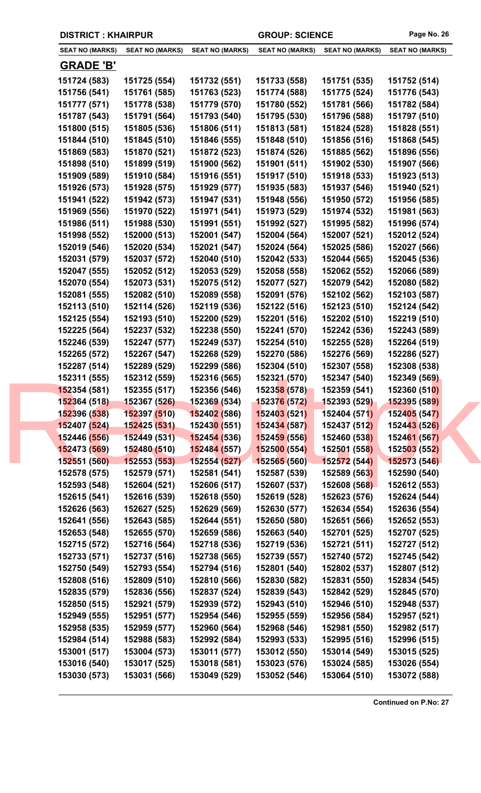| <b>DISTRICT: KHAIRPUR</b>    |                              |                                                                  | <b>GROUP: SCIENCE</b>        |                              | Page No. 26                  |
|------------------------------|------------------------------|------------------------------------------------------------------|------------------------------|------------------------------|------------------------------|
| <b>SEAT NO (MARKS)</b>       | <b>SEAT NO (MARKS)</b>       | <b>SEAT NO (MARKS)</b>                                           | <b>SEAT NO (MARKS)</b>       | <b>SEAT NO (MARKS)</b>       | <b>SEAT NO (MARKS)</b>       |
| <b>GRADE 'B'</b>             |                              |                                                                  |                              |                              |                              |
| 151724 (583)                 | 151725 (554)                 | 151732 (551)                                                     | 151733 (558)                 | 151751 (535)                 | 151752 (514)                 |
| 151756 (541)                 | 151761 (585)                 | 151763 (523)                                                     | 151774 (588)                 | 151775 (524)                 | 151776 (543)                 |
| 151777 (571)                 | 151778 (538)                 | 151779 (570)                                                     | 151780 (552)                 | 151781 (566)                 | 151782 (584)                 |
| 151787 (543)                 | 151791 (564)                 | 151793 (540)                                                     | 151795 (530)                 | 151796 (588)                 | 151797 (510)                 |
| 151800 (515)                 | 151805 (536)                 | 151806 (511)                                                     | 151813 (581)                 | 151824 (528)                 | 151828 (551)                 |
| 151844 (510)                 | 151845 (510)                 | 151846 (555)                                                     | 151848 (510)                 | 151856 (516)                 | 151868 (545)                 |
| 151869 (583)                 | 151870 (521)                 | 151872 (523)                                                     | 151874 (526)                 | 151885 (562)                 | 151896 (556)                 |
| 151898 (510)                 | 151899 (519)                 | 151900 (562)                                                     | 151901 (511)                 | 151902 (530)                 | 151907 (566)                 |
| 151909 (589)                 | 151910 (584)                 | 151916 (551)                                                     | 151917 (510)                 | 151918 (533)                 | 151923 (513)                 |
| 151926 (573)                 | 151928 (575)                 | 151929 (577)                                                     | 151935 (583)                 | 151937 (546)                 | 151940 (521)                 |
| 151941 (522)                 | 151942 (573)                 | 151947 (531)                                                     | 151948 (556)                 | 151950 (572)                 | 151956 (585)                 |
| 151969 (556)                 | 151970 (522)                 | 151971 (541)                                                     | 151973 (529)                 | 151974 (532)                 | 151981 (563)                 |
| 151986 (511)                 | 151988 (530)                 | 151991 (551)                                                     | 151992 (527)                 | 151995 (582)                 | 151996 (574)                 |
| 151998 (552)                 | 152000 (513)                 | 152001 (547)                                                     | 152004 (564)                 | 152007 (521)                 | 152012 (524)                 |
| 152019 (546)                 | 152020 (534)                 | 152021 (547)                                                     | 152024 (564)                 | 152025 (586)                 | 152027 (566)                 |
| 152031 (579)                 | 152037 (572)                 | 152040 (510)                                                     | 152042 (533)                 | 152044 (565)                 | 152045 (536)                 |
| 152047 (555)                 | 152052 (512)                 | 152053 (529)                                                     | 152058 (558)                 | 152062 (552)                 | 152066 (589)                 |
| 152070 (554)                 | 152073 (531)                 | 152075 (512)                                                     | 152077 (527)                 | 152079 (542)                 | 152080 (582)                 |
| 152081 (555)                 | 152082 (510)                 | 152089 (558)                                                     | 152091 (576)                 | 152102 (562)                 | 152103 (587)                 |
| 152113 (510)                 | 152114 (526)                 | 152119 (536)                                                     | 152122 (516)                 | 152123 (510)                 | 152124 (542)                 |
| 152125 (554)                 | 152193 (510)                 | 152200 (529)                                                     | 152201 (516)                 | 152202 (510)                 | 152219 (510)                 |
| 152225 (564)                 | 152237 (532)                 | 152238 (550)                                                     | 152241 (570)                 | 152242 (536)                 | 152243 (589)                 |
| 152246 (539)                 | 152247 (577)                 | 152249 (537)                                                     | 152254 (510)                 | 152255 (528)                 | 152264 (519)                 |
| 152265 (572)                 | 152267 (547)                 | 152268 (529)                                                     | 152270 (586)                 | 152276 (569)                 | 152286 (527)                 |
| 152287 (514)                 | 152289 (529)                 | 152299 (586)                                                     | 152304 (510)                 | 152307 (558)                 | 152308 (538)                 |
| 152311 (555)                 | 152312 (559)                 | 152316 (565)                                                     | 152321 (570)                 | 152347 (540)                 | 152349 (569)                 |
| 152354 (581)                 | 152355 (517)                 | 152356 (546)                                                     | 152358 (578)                 | 152359 (541)                 | 152360 (510)                 |
| 152364 (518)                 | 152367 (526)                 | 152369 (534)                                                     | <b>152376 (572)</b>          | 152393 (529)                 | 152395 (589)                 |
| 152396 (538)<br>152407 (524) | 152397 (510)<br>152425 (531) | <b>15240<mark>2 (</mark>586</b> )<br>15243 <mark>0 (</mark> 551) | 152403 (521)<br>152434 (587) | 152404 (571)<br>152437 (512) | 152405 (547)<br>152443 (526) |
| 152446 (556)                 | 152449 (531)                 | <b>152454 (536)</b>                                              | 152459 (556)                 | 152460 (538)                 | 152461 (567)                 |
| 152473 (569)                 | 152480 (510)                 | 152484 (557)                                                     | 152500(554)                  | 152501 (558)                 | 152503 (552)                 |
| 152551 (560)                 | 152553 (553)                 | 152554 (527)                                                     | 152565 (560)                 | 152572 (544)                 | 152573 (546)                 |
| 152578 (575)                 | 152579 (571)                 | 152581 (541)                                                     | 152587 (539)                 | 152589 (563)                 | 152590 (540)                 |
| 152593 (548)                 | 152604 (521)                 | 152606 (517)                                                     | 152607 (537)                 | 152608 (568)                 | 152612 (553)                 |
| 152615 (541)                 | 152616 (539)                 | 152618 (550)                                                     | 152619 (528)                 | 152623 (576)                 | 152624 (544)                 |
| 152626 (563)                 | 152627 (525)                 | 152629 (569)                                                     | 152630 (577)                 | 152634 (554)                 | 152636 (554)                 |
| 152641 (556)                 | 152643 (585)                 | 152644 (551)                                                     | 152650 (580)                 | 152651 (566)                 | 152652 (553)                 |
| 152653 (548)                 | 152655 (570)                 | 152659 (586)                                                     | 152663 (540)                 | 152701 (525)                 | 152707 (525)                 |
| 152715 (572)                 | 152716 (564)                 | 152718 (536)                                                     | 152719 (536)                 | 152721 (511)                 | 152727 (512)                 |
| 152733 (571)                 | 152737 (516)                 | 152738 (565)                                                     | 152739 (557)                 | 152740 (572)                 | 152745 (542)                 |
| 152750 (549)                 | 152793 (554)                 | 152794 (516)                                                     | 152801 (540)                 | 152802 (537)                 | 152807 (512)                 |
| 152808 (516)                 | 152809 (510)                 | 152810 (566)                                                     | 152830 (582)                 | 152831 (550)                 | 152834 (545)                 |
| 152835 (579)                 | 152836 (556)                 | 152837 (524)                                                     | 152839 (543)                 | 152842 (529)                 | 152845 (570)                 |
| 152850 (515)                 | 152921 (579)                 | 152939 (572)                                                     | 152943 (510)                 | 152946 (510)                 | 152948 (537)                 |
| 152949 (555)                 | 152951 (577)                 | 152954 (546)                                                     | 152955 (559)                 | 152956 (584)                 | 152957 (521)                 |
| 152958 (535)                 | 152959 (577)                 | 152960 (564)                                                     | 152968 (546)                 | 152981 (550)                 | 152982 (517)                 |
| 152984 (514)                 | 152988 (583)                 | 152992 (584)                                                     | 152993 (533)                 | 152995 (516)                 | 152996 (515)                 |
| 153001 (517)                 | 153004 (573)                 | 153011 (577)                                                     | 153012 (550)                 | 153014 (549)                 | 153015 (525)                 |
| 153016 (540)                 | 153017 (525)                 | 153018 (581)                                                     | 153023 (576)                 | 153024 (585)                 | 153026 (554)                 |
| 153030 (573)                 | 153031 (566)                 | 153049 (529)                                                     | 153052 (546)                 | 153064 (510)                 | 153072 (588)                 |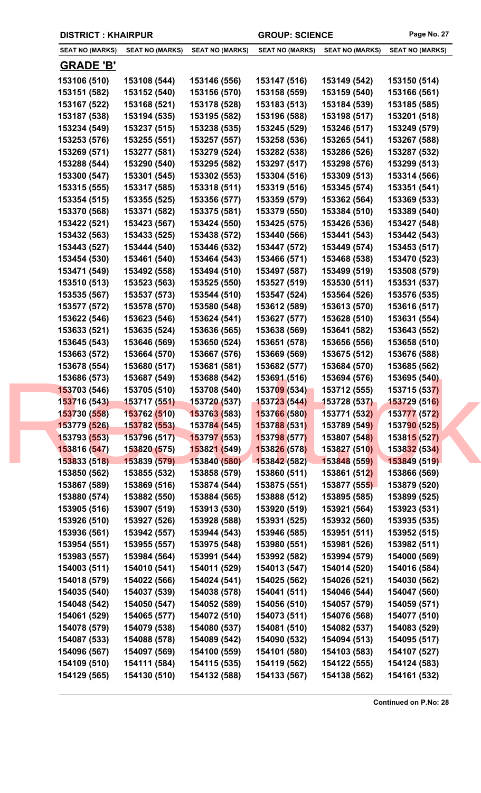|                              | <b>DISTRICT: KHAIRPUR</b>    |                              | <b>GROUP: SCIENCE</b>        |                              | Page No. 27                  |
|------------------------------|------------------------------|------------------------------|------------------------------|------------------------------|------------------------------|
| <b>SEAT NO (MARKS)</b>       | <b>SEAT NO (MARKS)</b>       | <b>SEAT NO (MARKS)</b>       | <b>SEAT NO (MARKS)</b>       | <b>SEAT NO (MARKS)</b>       | <b>SEAT NO (MARKS)</b>       |
| <b>GRADE 'B'</b>             |                              |                              |                              |                              |                              |
| 153106 (510)                 | 153108 (544)                 | 153146 (556)                 | 153147 (516)                 | 153149 (542)                 | 153150 (514)                 |
| 153151 (582)                 | 153152 (540)                 | 153156 (570)                 | 153158 (559)                 | 153159 (540)                 | 153166 (561)                 |
| 153167 (522)                 | 153168 (521)                 | 153178 (528)                 | 153183 (513)                 | 153184 (539)                 | 153185 (585)                 |
| 153187 (538)                 | 153194 (535)                 | 153195 (582)                 | 153196 (588)                 | 153198 (517)                 | 153201 (518)                 |
| 153234 (549)                 | 153237 (515)                 | 153238 (535)                 | 153245 (529)                 | 153246 (517)                 | 153249 (579)                 |
| 153253 (576)                 | 153255 (551)                 | 153257 (557)                 | 153258 (536)                 | 153265 (541)                 | 153267 (588)                 |
| 153269 (571)                 | 153277 (581)                 | 153279 (524)                 | 153282 (538)                 | 153286 (526)                 | 153287 (532)                 |
| 153288 (544)                 | 153290 (540)                 | 153295 (582)                 | 153297 (517)                 | 153298 (576)                 | 153299 (513)                 |
| 153300 (547)                 | 153301 (545)                 | 153302 (553)                 | 153304 (516)                 | 153309 (513)                 | 153314 (566)                 |
| 153315 (555)                 | 153317 (585)                 | 153318 (511)                 | 153319 (516)                 | 153345 (574)                 | 153351 (541)                 |
| 153354 (515)                 | 153355 (525)                 | 153356 (577)                 | 153359 (579)                 | 153362 (564)                 | 153369 (533)                 |
| 153370 (568)                 | 153371 (582)                 | 153375 (581)                 | 153379 (550)                 | 153384 (510)                 | 153389 (540)                 |
| 153422 (521)                 | 153423 (567)                 | 153424 (550)                 | 153425 (575)                 | 153426 (536)                 | 153427 (548)                 |
| 153432 (563)                 | 153433 (525)                 | 153438 (572)                 | 153440 (566)                 | 153441 (543)                 | 153442 (543)                 |
| 153443 (527)                 | 153444 (540)                 | 153446 (532)                 | 153447 (572)                 | 153449 (574)                 | 153453 (517)                 |
| 153454 (530)                 | 153461 (540)                 | 153464 (543)                 | 153466 (571)                 | 153468 (538)                 | 153470 (523)                 |
| 153471 (549)                 | 153492 (558)                 | 153494 (510)                 | 153497 (587)                 | 153499 (519)                 | 153508 (579)                 |
| 153510 (513)                 | 153523 (563)                 | 153525 (550)                 | 153527 (519)                 | 153530 (511)                 | 153531 (537)                 |
| 153535 (567)                 | 153537 (573)                 | 153544 (510)                 | 153547 (524)                 | 153564 (526)                 | 153576 (535)                 |
| 153577 (572)                 | 153578 (570)                 | 153580 (548)                 | 153612 (589)                 | 153613 (570)                 | 153616 (517)                 |
| 153622 (546)                 | 153623 (546)                 | 153624 (541)                 | 153627 (577)                 | 153628 (510)                 | 153631 (554)                 |
| 153633 (521)                 | 153635 (524)                 | 153636 (565)                 | 153638 (569)                 | 153641 (582)                 | 153643 (552)                 |
| 153645 (543)                 | 153646 (569)                 | 153650 (524)                 | 153651 (578)                 | 153656 (556)                 | 153658 (510)                 |
| 153663 (572)                 | 153664 (570)                 | 153667 (576)                 | 153669 (569)                 | 153675 (512)                 | 153676 (588)                 |
| 153678 (554)                 | 153680 (517)                 | 153681 (581)                 | 153682 (577)                 | 153684 (570)                 | 153685 (562)                 |
| 153686 (573)                 | 153687 (549)                 | 153688 (542)                 | 153691 (516)                 | 153694 (576)                 | 153695 (540)                 |
| 153703 (546)                 | 153705 (510)                 | 153708 (540)                 | 153709 (534)                 | 153712 (555)                 | 153715 (537)                 |
| 153716 (543)                 | 153717 (551)                 | 153720 (537)                 | 153723 (544)                 | 153728 (537)                 | 153729 (516)                 |
| 153730 (558)                 | 153762 (510)                 | 153763 (583)                 | 153766 (580)                 | 153771 (532)                 | 153777 (572)                 |
| 153779 (526)                 | 153782 (553)                 | 15378 <mark>4 (</mark> 545)  | 153788 (531)                 | 153789 (549)                 | 153790 (525)                 |
| 153793 (553)<br>153816 (547) | 153796 (517)<br>153820 (575) | 153797 (553)<br>153821 (549) | 153798 (577)<br>153826 (578) | 153807 (548)<br>153827 (510) | 153815 (527)<br>153832 (534) |
| 153833 (518)                 | 153839 (579)                 | 153840 (580)                 | 153842 (582)                 | 153848 (559)                 | 153849 (519)                 |
| 153850 (562)                 | 153855 (532)                 | 153858 (579)                 | 153860 (511)                 | 153861 (512)                 | 153866 (569)                 |
| 153867 (589)                 | 153869 (516)                 | 153874 (544)                 | 153875 (551)                 | 153877 (555)                 | 153879 (520)                 |
| 153880 (574)                 | 153882 (550)                 | 153884 (565)                 | 153888 (512)                 | 153895 (585)                 | 153899 (525)                 |
| 153905 (516)                 | 153907 (519)                 | 153913 (530)                 | 153920 (519)                 | 153921 (564)                 | 153923 (531)                 |
| 153926 (510)                 | 153927 (526)                 | 153928 (588)                 | 153931 (525)                 | 153932 (560)                 | 153935 (535)                 |
| 153936 (561)                 | 153942 (557)                 | 153944 (543)                 | 153946 (585)                 | 153951 (511)                 | 153952 (515)                 |
| 153954 (551)                 | 153955 (557)                 | 153975 (548)                 | 153980 (551)                 | 153981 (526)                 | 153982 (511)                 |
| 153983 (557)                 | 153984 (564)                 | 153991 (544)                 | 153992 (582)                 | 153994 (579)                 | 154000 (569)                 |
| 154003 (511)                 | 154010 (541)                 | 154011 (529)                 | 154013 (547)                 | 154014 (520)                 | 154016 (584)                 |
| 154018 (579)                 | 154022 (566)                 | 154024 (541)                 | 154025 (562)                 | 154026 (521)                 | 154030 (562)                 |
| 154035 (540)                 | 154037 (539)                 | 154038 (578)                 | 154041 (511)                 | 154046 (544)                 | 154047 (560)                 |
| 154048 (542)                 | 154050 (547)                 | 154052 (589)                 | 154056 (510)                 | 154057 (579)                 | 154059 (571)                 |
| 154061 (529)                 | 154065 (577)                 | 154072 (510)                 | 154073 (511)                 | 154076 (568)                 | 154077 (510)                 |
| 154078 (579)                 | 154079 (538)                 | 154080 (537)                 | 154081 (510)                 | 154082 (537)                 | 154083 (529)                 |
| 154087 (533)                 | 154088 (578)                 | 154089 (542)                 | 154090 (532)                 | 154094 (513)                 | 154095 (517)                 |
| 154096 (567)                 | 154097 (569)                 | 154100 (559)                 | 154101 (580)                 | 154103 (583)                 | 154107 (527)                 |
| 154109 (510)                 | 154111 (584)                 | 154115 (535)                 | 154119 (562)                 | 154122 (555)                 | 154124 (583)                 |
| 154129 (565)                 | 154130 (510)                 | 154132 (588)                 | 154133 (567)                 | 154138 (562)                 | 154161 (532)                 |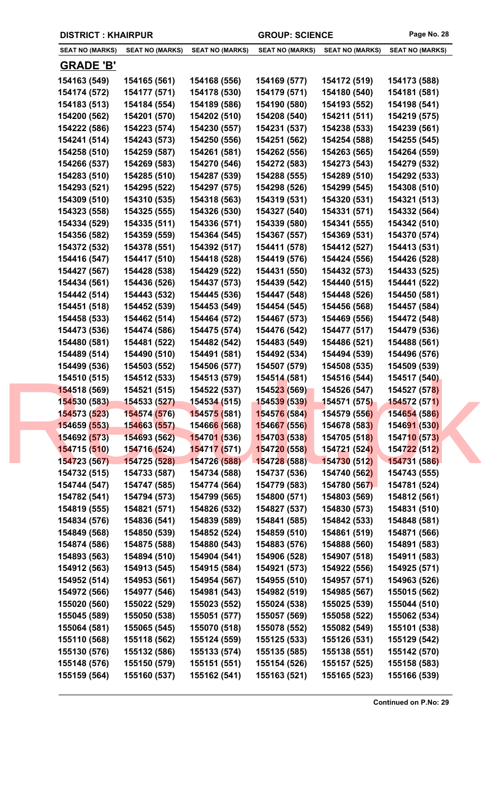|  | <b>DISTRICT: KHAIRPUR</b>    |                              |                              | <b>GROUP: SCIENCE</b>        |                              | Page No. 28                  |  |
|--|------------------------------|------------------------------|------------------------------|------------------------------|------------------------------|------------------------------|--|
|  | <b>SEAT NO (MARKS)</b>       | <b>SEAT NO (MARKS)</b>       | <b>SEAT NO (MARKS)</b>       | <b>SEAT NO (MARKS)</b>       | <b>SEAT NO (MARKS)</b>       | <b>SEAT NO (MARKS)</b>       |  |
|  | <b>GRADE 'B'</b>             |                              |                              |                              |                              |                              |  |
|  | 154163 (549)                 | 154165 (561)                 | 154168 (556)                 | 154169 (577)                 | 154172 (519)                 | 154173 (588)                 |  |
|  | 154174 (572)                 | 154177 (571)                 | 154178 (530)                 | 154179 (571)                 | 154180 (540)                 | 154181 (581)                 |  |
|  | 154183 (513)                 | 154184 (554)                 | 154189 (586)                 | 154190 (580)                 | 154193 (552)                 | 154198 (541)                 |  |
|  | 154200 (562)                 | 154201 (570)                 | 154202 (510)                 | 154208 (540)                 | 154211 (511)                 | 154219 (575)                 |  |
|  | 154222 (586)                 | 154223 (574)                 | 154230 (557)                 | 154231 (537)                 | 154238 (533)                 | 154239 (561)                 |  |
|  | 154241 (514)                 | 154243 (573)                 | 154250 (556)                 | 154251 (562)                 | 154254 (588)                 | 154255 (545)                 |  |
|  | 154258 (510)                 | 154259 (587)                 | 154261 (581)                 | 154262 (556)                 | 154263 (565)                 | 154264 (559)                 |  |
|  | 154266 (537)                 | 154269 (583)                 | 154270 (546)                 | 154272 (583)                 | 154273 (543)                 | 154279 (532)                 |  |
|  | 154283 (510)                 | 154285 (510)                 | 154287 (539)                 | 154288 (555)                 | 154289 (510)                 | 154292 (533)                 |  |
|  | 154293 (521)                 | 154295 (522)                 | 154297 (575)                 | 154298 (526)                 | 154299 (545)                 | 154308 (510)                 |  |
|  | 154309 (510)                 | 154310 (535)                 | 154318 (563)                 | 154319 (531)                 | 154320 (531)                 | 154321 (513)                 |  |
|  | 154323 (558)                 | 154325 (555)                 | 154326 (530)                 | 154327 (540)                 | 154331 (571)                 | 154332 (564)                 |  |
|  | 154334 (529)                 | 154335 (511)                 | 154336 (571)                 | 154339 (580)                 | 154341 (555)                 | 154342 (510)                 |  |
|  | 154356 (582)                 | 154359 (559)                 | 154364 (545)                 | 154367 (557)                 | 154369 (531)                 | 154370 (574)                 |  |
|  | 154372 (532)                 | 154378 (551)                 | 154392 (517)                 | 154411 (578)                 | 154412 (527)                 | 154413 (531)                 |  |
|  | 154416 (547)                 | 154417 (510)                 | 154418 (528)                 | 154419 (576)                 | 154424 (556)                 | 154426 (528)                 |  |
|  | 154427 (567)                 | 154428 (538)                 | 154429 (522)                 | 154431 (550)                 | 154432 (573)                 | 154433 (525)                 |  |
|  | 154434 (561)                 | 154436 (526)                 | 154437 (573)                 | 154439 (542)                 | 154440 (515)                 | 154441 (522)                 |  |
|  | 154442 (514)                 | 154443 (532)                 | 154445 (536)                 | 154447 (548)                 | 154448 (526)                 | 154450 (581)                 |  |
|  | 154451 (518)                 | 154452 (539)                 | 154453 (549)                 | 154454 (545)                 | 154456 (568)                 | 154457 (584)                 |  |
|  | 154458 (533)                 | 154462 (514)                 | 154464 (572)                 | 154467 (573)                 | 154469 (556)                 | 154472 (548)                 |  |
|  | 154473 (536)                 | 154474 (586)                 | 154475 (574)                 | 154476 (542)                 | 154477 (517)                 | 154479 (536)                 |  |
|  | 154480 (581)                 | 154481 (522)                 | 154482 (542)                 | 154483 (549)                 | 154486 (521)                 | 154488 (561)                 |  |
|  | 154489 (514)<br>154499 (536) | 154490 (510)<br>154503 (552) | 154491 (581)<br>154506 (577) | 154492 (534)<br>154507 (579) | 154494 (539)<br>154508 (535) | 154496 (576)<br>154509 (539) |  |
|  | 154510 (515)                 | 154512 (533)                 | 154513 (579)                 | 154514 (581)                 | 154516 (544)                 | 154517 (540)                 |  |
|  | 154518 (569)                 | 154521 (515)                 | 154522 (537)                 | 154523 (569)                 | 154526 (547)                 | 154527 (578)                 |  |
|  | 154530 (583)                 | 154533 (527)                 | 154534 (515)                 | <b>154539 (539)</b>          | 154571 (575)                 | <b>154572 (571)</b>          |  |
|  | 154573 (523)                 | 154574 (576)                 | 154575 (581)                 | 154576 (584)                 | 154579 (556)                 | 154654 (586)                 |  |
|  | 154659 (553)                 | 154663 (557)                 | 15466 <mark>6 (</mark> 568)  | 154667 (556)                 | 154678 (583)                 | 154691 (530)                 |  |
|  | 154692 (573)                 | 154693 (562)                 | 154701 (536)                 | 154703 (538)                 | 154705 (518)                 | 154710 (573)                 |  |
|  | 154715 (510)                 | 154716 (524)                 | 15471 <mark>7 (5</mark> 71)  | 154720 (558)                 | 154721 (524)                 | 154722 (512)                 |  |
|  | 154723 (567)                 | 154725 (528)                 | 154726 (588)                 | 154728 (588)                 | 154730 (512)                 | 154731 (586)                 |  |
|  | 154732 (515)                 | 154733 (587)                 | 154734 (588)                 | 154737 (536)                 | 154740 (562)                 | 154743 (555)                 |  |
|  | 154744 (547)                 | 154747 (585)                 | 154774 (564)                 | 154779 (583)                 | 154780 (567)                 | 154781 (524)                 |  |
|  | 154782 (541)                 | 154794 (573)                 | 154799 (565)                 | 154800 (571)                 | 154803 (569)                 | 154812 (561)                 |  |
|  | 154819 (555)                 | 154821 (571)                 | 154826 (532)                 | 154827 (537)                 | 154830 (573)                 | 154831 (510)                 |  |
|  | 154834 (576)                 | 154836 (541)                 | 154839 (589)                 | 154841 (585)                 | 154842 (533)                 | 154848 (581)                 |  |
|  | 154849 (568)                 | 154850 (539)                 | 154852 (524)                 | 154859 (510)                 | 154861 (519)                 | 154871 (566)                 |  |
|  | 154874 (586)                 | 154875 (588)                 | 154880 (543)                 | 154883 (576)                 | 154888 (560)                 | 154891 (583)                 |  |
|  | 154893 (563)                 | 154894 (510)                 | 154904 (541)                 | 154906 (528)                 | 154907 (518)                 | 154911 (583)                 |  |
|  | 154912 (563)                 | 154913 (545)                 | 154915 (584)                 | 154921 (573)                 | 154922 (556)                 | 154925 (571)                 |  |
|  | 154952 (514)                 | 154953 (561)                 | 154954 (567)                 | 154955 (510)                 | 154957 (571)                 | 154963 (526)                 |  |
|  | 154972 (566)                 | 154977 (546)                 | 154981 (543)                 | 154982 (519)                 | 154985 (567)                 | 155015 (562)                 |  |
|  | 155020 (560)                 | 155022 (529)                 | 155023 (552)                 | 155024 (538)                 | 155025 (539)                 | 155044 (510)                 |  |
|  | 155045 (589)<br>155064 (581) | 155050 (538)<br>155065 (545) | 155051 (577)<br>155070 (518) | 155057 (569)<br>155078 (552) | 155058 (522)<br>155082 (549) | 155062 (534)<br>155101 (538) |  |
|  | 155110 (568)                 | 155118 (562)                 | 155124 (559)                 | 155125 (533)                 | 155126 (531)                 | 155129 (542)                 |  |
|  | 155130 (576)                 | 155132 (586)                 | 155133 (574)                 | 155135 (585)                 | 155138 (551)                 | 155142 (570)                 |  |
|  | 155148 (576)                 | 155150 (579)                 | 155151 (551)                 | 155154 (526)                 | 155157 (525)                 | 155158 (583)                 |  |
|  | 155159 (564)                 | 155160 (537)                 | 155162 (541)                 | 155163 (521)                 | 155165 (523)                 | 155166 (539)                 |  |
|  |                              |                              |                              |                              |                              |                              |  |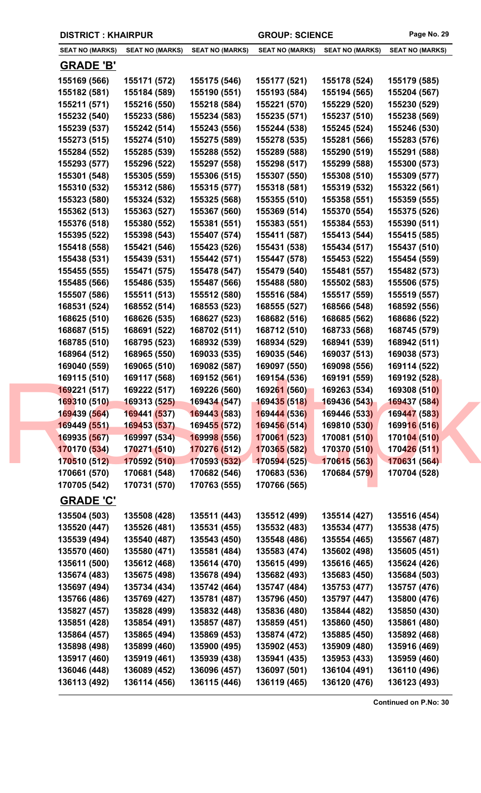| <b>DISTRICT: KHAIRPUR</b> |                        |                             | <b>GROUP: SCIENCE</b>  |                        | Page No. 29            |
|---------------------------|------------------------|-----------------------------|------------------------|------------------------|------------------------|
| <b>SEAT NO (MARKS)</b>    | <b>SEAT NO (MARKS)</b> | <b>SEAT NO (MARKS)</b>      | <b>SEAT NO (MARKS)</b> | <b>SEAT NO (MARKS)</b> | <b>SEAT NO (MARKS)</b> |
| <b>GRADE 'B'</b>          |                        |                             |                        |                        |                        |
| 155169 (566)              | 155171 (572)           | 155175 (546)                | 155177 (521)           | 155178 (524)           | 155179 (585)           |
| 155182 (581)              | 155184 (589)           | 155190 (551)                | 155193 (584)           | 155194 (565)           | 155204 (567)           |
| 155211 (571)              | 155216 (550)           | 155218 (584)                | 155221 (570)           | 155229 (520)           | 155230 (529)           |
| 155232 (540)              | 155233 (586)           | 155234 (583)                | 155235 (571)           | 155237 (510)           | 155238 (569)           |
| 155239 (537)              | 155242 (514)           | 155243 (556)                | 155244 (538)           | 155245 (524)           | 155246 (530)           |
| 155273 (515)              | 155274 (510)           | 155275 (589)                | 155278 (535)           | 155281 (566)           | 155283 (576)           |
| 155284 (552)              | 155285 (539)           | 155288 (552)                | 155289 (588)           | 155290 (519)           | 155291 (588)           |
| 155293 (577)              | 155296 (522)           | 155297 (558)                | 155298 (517)           | 155299 (588)           | 155300 (573)           |
| 155301 (548)              | 155305 (559)           | 155306 (515)                | 155307 (550)           | 155308 (510)           | 155309 (577)           |
| 155310 (532)              | 155312 (586)           | 155315 (577)                | 155318 (581)           | 155319 (532)           | 155322 (561)           |
| 155323 (580)              | 155324 (532)           | 155325 (568)                | 155355 (510)           | 155358 (551)           | 155359 (555)           |
| 155362 (513)              | 155363 (527)           | 155367 (560)                | 155369 (514)           | 155370 (554)           | 155375 (526)           |
| 155376 (518)              | 155380 (552)           | 155381 (551)                | 155383 (551)           | 155384 (553)           | 155390 (511)           |
| 155395 (522)              | 155398 (543)           | 155407 (574)                | 155411 (587)           | 155413 (544)           | 155415 (585)           |
| 155418 (558)              | 155421 (546)           | 155423 (526)                | 155431 (538)           | 155434 (517)           | 155437 (510)           |
| 155438 (531)              | 155439 (531)           | 155442 (571)                | 155447 (578)           | 155453 (522)           | 155454 (559)           |
| 155455 (555)              | 155471 (575)           | 155478 (547)                | 155479 (540)           | 155481 (557)           | 155482 (573)           |
| 155485 (566)              | 155486 (535)           | 155487 (566)                | 155488 (580)           | 155502 (583)           | 155506 (575)           |
| 155507 (586)              | 155511 (513)           | 155512 (580)                | 155516 (584)           | 155517 (559)           | 155519 (557)           |
| 168531 (524)              | 168552 (514)           | 168553 (523)                | 168555 (527)           | 168566 (548)           | 168592 (556)           |
| 168625 (510)              | 168626 (535)           | 168627 (523)                | 168682 (516)           | 168685 (562)           | 168686 (522)           |
| 168687 (515)              | 168691 (522)           | 168702 (511)                | 168712 (510)           | 168733 (568)           | 168745 (579)           |
| 168785 (510)              | 168795 (523)           | 168932 (539)                | 168934 (529)           | 168941 (539)           | 168942 (511)           |
| 168964 (512)              | 168965 (550)           | 169033 (535)                | 169035 (546)           | 169037 (513)           | 169038 (573)           |
| 169040 (559)              | 169065 (510)           | 169082 (587)                | 169097 (550)           | 169098 (556)           | 169114 (522)           |
| 169115 (510)              | 169117 (568)           | 169152 (561)                | 169154 (536)           | 169191 (559)           | 169192 (528)           |
| 169221 (517)              | 169222 (517)           | 169226 (560)                | 169261 (560)           | 169263 (534)           | 169308 (510)           |
| 169310 (510)              | 169313 (525)           | 169434 (547)                | <b>169435 (518)</b>    | 169436 (543)           | 169437 (584)           |
| 169439 (564)              | 169441 (537)           | 169443 (583)                | 169444 (536)           | 169446 (533)           | 169447 (583)           |
| 169449 (551)              | 169453 (537)           | 16945 <mark>5 (</mark> 572) | 169456 (514)           | 169810 (530)           | 169916 (516)           |
| 169935 (567)              | 169997 (534)           | 169998 (556)                | 170061 (523)           | 170081 (510)           | 170104 (510)           |
| 170170 (534)              | 170271 (510)           | 170276 (512)                | 170365 (582)           | 170370 (510)           | 170426 (511)           |
| 170510 (512)              | 170592 (510)           | 170593 (532)                | 170594 (525)           | 170615 (563)           | 170631 (564)           |
| 170661 (570)              | 170681 (548)           | 170682 (546)                | 170683 (536)           | 170684 (579)           | 170704 (528)           |
| 170705 (542)              | 170731 (570)           | 170763 (555)                | 170766 (565)           |                        |                        |
| <b>GRADE 'C'</b>          |                        |                             |                        |                        |                        |
| 135504 (503)              | 135508 (428)           | 135511 (443)                | 135512 (499)           | 135514 (427)           | 135516 (454)           |
| 135520 (447)              | 135526 (481)           | 135531 (455)                | 135532 (483)           | 135534 (477)           | 135538 (475)           |
| 135539 (494)              | 135540 (487)           | 135543 (450)                | 135548 (486)           | 135554 (465)           | 135567 (487)           |
| 135570 (460)              | 135580 (471)           | 135581 (484)                | 135583 (474)           | 135602 (498)           | 135605 (451)           |
| 135611 (500)              | 135612 (468)           | 135614 (470)                | 135615 (499)           | 135616 (465)           | 135624 (426)           |
| 135674 (483)              | 135675 (498)           | 135678 (494)                | 135682 (493)           | 135683 (450)           | 135684 (503)           |
| 135697 (494)              | 135734 (434)           | 135742 (464)                | 135747 (484)           | 135753 (477)           | 135757 (476)           |
| 135766 (486)              | 135769 (427)           | 135781 (487)                | 135796 (450)           | 135797 (447)           | 135800 (476)           |
| 135827 (457)              | 135828 (499)           | 135832 (448)                | 135836 (480)           | 135844 (482)           | 135850 (430)           |
| 135851 (428)              | 135854 (491)           | 135857 (487)                | 135859 (451)           | 135860 (450)           | 135861 (480)           |
| 135864 (457)              | 135865 (494)           | 135869 (453)                | 135874 (472)           | 135885 (450)           | 135892 (468)           |
| 135898 (498)              | 135899 (460)           | 135900 (495)                | 135902 (453)           | 135909 (480)           | 135916 (469)           |
| 135917 (460)              | 135919 (461)           | 135939 (438)                | 135941 (435)           | 135953 (433)           | 135959 (460)           |
| 136046 (448)              | 136089 (452)           | 136096 (457)                | 136097 (501)           | 136104 (491)           | 136110 (496)           |
| 136113 (492)              | 136114 (456)           | 136115 (446)                | 136119 (465)           | 136120 (476)           | 136123 (493)           |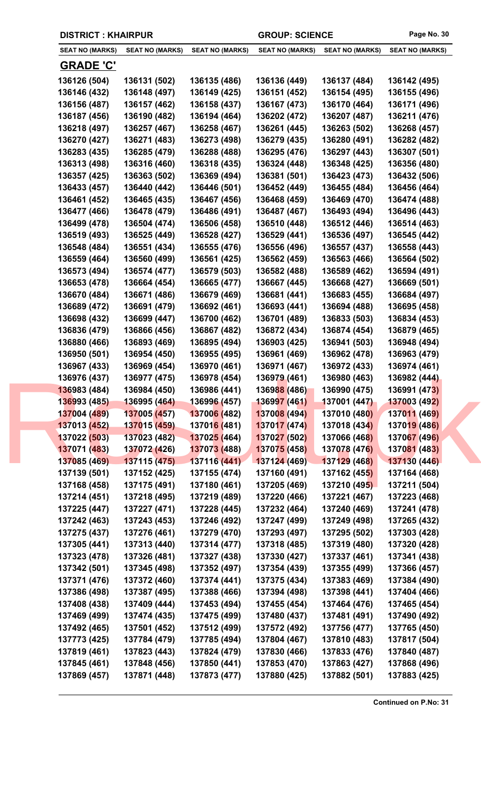| <b>DISTRICT: KHAIRPUR</b> |                        |                             | <b>GROUP: SCIENCE</b>  |                        | Page No. 30            |
|---------------------------|------------------------|-----------------------------|------------------------|------------------------|------------------------|
| <b>SEAT NO (MARKS)</b>    | <b>SEAT NO (MARKS)</b> | <b>SEAT NO (MARKS)</b>      | <b>SEAT NO (MARKS)</b> | <b>SEAT NO (MARKS)</b> | <b>SEAT NO (MARKS)</b> |
| <b>GRADE 'C'</b>          |                        |                             |                        |                        |                        |
| 136126 (504)              | 136131 (502)           | 136135 (486)                | 136136 (449)           | 136137 (484)           | 136142 (495)           |
| 136146 (432)              | 136148 (497)           | 136149 (425)                | 136151 (452)           | 136154 (495)           | 136155 (496)           |
| 136156 (487)              | 136157 (462)           | 136158 (437)                | 136167 (473)           | 136170 (464)           | 136171 (496)           |
| 136187 (456)              | 136190 (482)           | 136194 (464)                | 136202 (472)           | 136207 (487)           | 136211 (476)           |
| 136218 (497)              | 136257 (467)           | 136258 (467)                | 136261 (445)           | 136263 (502)           | 136268 (457)           |
| 136270 (427)              | 136271 (483)           | 136273 (498)                | 136279 (435)           | 136280 (491)           | 136282 (482)           |
| 136283 (435)              | 136285 (479)           | 136288 (488)                | 136295 (476)           | 136297 (443)           | 136307 (501)           |
| 136313 (498)              | 136316 (460)           | 136318 (435)                | 136324 (448)           | 136348 (425)           | 136356 (480)           |
| 136357 (425)              | 136363 (502)           | 136369 (494)                | 136381 (501)           | 136423 (473)           | 136432 (506)           |
| 136433 (457)              | 136440 (442)           | 136446 (501)                | 136452 (449)           | 136455 (484)           | 136456 (464)           |
| 136461 (452)              | 136465 (435)           | 136467 (456)                | 136468 (459)           | 136469 (470)           | 136474 (488)           |
| 136477 (466)              | 136478 (479)           | 136486 (491)                | 136487 (467)           | 136493 (494)           | 136496 (443)           |
| 136499 (478)              | 136504 (474)           | 136506 (458)                | 136510 (448)           | 136512 (446)           | 136514 (463)           |
| 136519 (493)              | 136525 (449)           | 136528 (427)                | 136529 (441)           | 136536 (497)           | 136545 (442)           |
| 136548 (484)              | 136551 (434)           | 136555 (476)                | 136556 (496)           | 136557 (437)           | 136558 (443)           |
| 136559 (464)              | 136560 (499)           | 136561 (425)                | 136562 (459)           | 136563 (466)           | 136564 (502)           |
| 136573 (494)              | 136574 (477)           | 136579 (503)                | 136582 (488)           | 136589 (462)           | 136594 (491)           |
| 136653 (478)              | 136664 (454)           | 136665 (477)                | 136667 (445)           | 136668 (427)           | 136669 (501)           |
| 136670 (484)              | 136671 (486)           | 136679 (469)                | 136681 (441)           | 136683 (455)           | 136684 (497)           |
| 136689 (472)              | 136691 (479)           | 136692 (461)                | 136693 (441)           | 136694 (488)           | 136695 (458)           |
| 136698 (432)              | 136699 (447)           | 136700 (462)                | 136701 (489)           | 136833 (503)           | 136834 (453)           |
| 136836 (479)              | 136866 (456)           | 136867 (482)                | 136872 (434)           | 136874 (454)           | 136879 (465)           |
| 136880 (466)              | 136893 (469)           | 136895 (494)                | 136903 (425)           | 136941 (503)           | 136948 (494)           |
| 136950 (501)              | 136954 (450)           | 136955 (495)                | 136961 (469)           | 136962 (478)           | 136963 (479)           |
| 136967 (433)              | 136969 (454)           | 136970 (461)                | 136971 (467)           | 136972 (433)           | 136974 (461)           |
| 136976 (437)              | 136977 (475)           | 136978 (454)                | 136979 (461)           | 136980 (463)           | 136982 (444)           |
| 136983 (484)              | 136984 (450)           | 136986 (441)                | 136988 (486)           | 136990 (475)           | 136991 (473)           |
| 136993 (485)              | 136995 (464)           | 136996 (457)                | 136997 (461)           | 137001 (447)           | 137003 (492)           |
| 137004 (489)              | 137005 (457)           | 137006 (482)                | 137008 (494)           | 137010 (480)           | 137011 (469)           |
| 137013 (452)              | 137015 (459)           | 13701 <mark>6 (</mark> 481) | 137017 (474)           | 137018 (434)           | 137019 (486)           |
| 137022 (503)              | 137023 (482)           | 13702 <mark>5 (</mark> 464) | 137027 (502)           | 137066 (468)           | 137067 (496)           |
| 137071 (483)              | 137072 (426)           | 137073 (488)                | 137075 (458)           | 137078 (476)           | 137081 (483)           |
| 137085 (469)              | 137115 (475)           | 137116 (441)                | 137124 (469)           | 137129 (468)           | 137130 (446)           |
| 137139 (501)              | 137152 (425)           | 137155 (474)                | 137160 (491)           | 137162 (455)           | 137164 (468)           |
| 137168 (458)              | 137175 (491)           | 137180 (461)                | 137205 (469)           | 137210 (495)           | 137211 (504)           |
| 137214 (451)              | 137218 (495)           | 137219 (489)                | 137220 (466)           | 137221 (467)           | 137223 (468)           |
| 137225 (447)              | 137227 (471)           | 137228 (445)                | 137232 (464)           | 137240 (469)           | 137241 (478)           |
| 137242 (463)              | 137243 (453)           | 137246 (492)                | 137247 (499)           | 137249 (498)           | 137265 (432)           |
| 137275 (437)              | 137276 (461)           | 137279 (470)                | 137293 (497)           | 137295 (502)           | 137303 (428)           |
| 137305 (441)              | 137313 (440)           | 137314 (477)                | 137318 (485)           | 137319 (480)           | 137320 (428)           |
| 137323 (478)              | 137326 (481)           | 137327 (438)                | 137330 (427)           | 137337 (461)           | 137341 (438)           |
| 137342 (501)              | 137345 (498)           | 137352 (497)                | 137354 (439)           | 137355 (499)           | 137366 (457)           |
| 137371 (476)              | 137372 (460)           | 137374 (441)                | 137375 (434)           | 137383 (469)           | 137384 (490)           |
| 137386 (498)              | 137387 (495)           | 137388 (466)                | 137394 (498)           | 137398 (441)           | 137404 (466)           |
| 137408 (438)              | 137409 (444)           | 137453 (494)                | 137455 (454)           | 137464 (476)           | 137465 (454)           |
| 137469 (499)              | 137474 (435)           | 137475 (499)                | 137480 (437)           | 137481 (491)           | 137490 (492)           |
| 137492 (465)              | 137501 (452)           | 137512 (499)                | 137572 (492)           | 137756 (477)           | 137765 (450)           |
| 137773 (425)              | 137784 (479)           | 137785 (494)                | 137804 (467)           | 137810 (483)           | 137817 (504)           |

**137819 (461) 137823 (443) 137824 (479) 137830 (466) 137833 (476) 137840 (487) 137845 (461) 137848 (456) 137850 (441) 137853 (470) 137863 (427) 137868 (496) 137869 (457) 137871 (448) 137873 (477) 137880 (425) 137882 (501) 137883 (425)**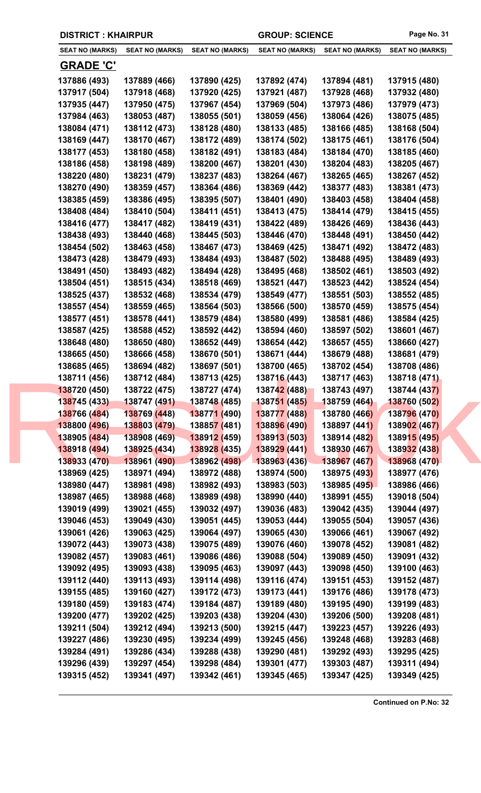| <b>DISTRICT: KHAIRPUR</b>    |                              |                              | <b>GROUP: SCIENCE</b>        |                              | Page No. 31                  |
|------------------------------|------------------------------|------------------------------|------------------------------|------------------------------|------------------------------|
| <b>SEAT NO (MARKS)</b>       | <b>SEAT NO (MARKS)</b>       | <b>SEAT NO (MARKS)</b>       | <b>SEAT NO (MARKS)</b>       | <b>SEAT NO (MARKS)</b>       | <b>SEAT NO (MARKS)</b>       |
| <b>GRADE 'C'</b>             |                              |                              |                              |                              |                              |
| 137886 (493)                 | 137889 (466)                 | 137890 (425)                 | 137892 (474)                 | 137894 (481)                 | 137915 (480)                 |
| 137917 (504)                 | 137918 (468)                 | 137920 (425)                 | 137921 (487)                 | 137928 (468)                 | 137932 (480)                 |
| 137935 (447)                 | 137950 (475)                 | 137967 (454)                 | 137969 (504)                 | 137973 (486)                 | 137979 (473)                 |
| 137984 (463)                 | 138053 (487)                 | 138055 (501)                 | 138059 (456)                 | 138064 (426)                 | 138075 (485)                 |
| 138084 (471)                 | 138112 (473)                 | 138128 (480)                 | 138133 (485)                 | 138166 (485)                 | 138168 (504)                 |
| 138169 (447)                 | 138170 (467)                 | 138172 (489)                 | 138174 (502)                 | 138175 (461)                 | 138176 (504)                 |
| 138177 (453)                 | 138180 (458)                 | 138182 (491)                 | 138183 (484)                 | 138184 (470)                 | 138185 (460)                 |
| 138186 (458)                 | 138198 (489)                 | 138200 (467)                 | 138201 (430)                 | 138204 (483)                 | 138205 (467)                 |
| 138220 (480)                 | 138231 (479)                 | 138237 (483)                 | 138264 (467)                 | 138265 (465)                 | 138267 (452)                 |
| 138270 (490)                 | 138359 (457)                 | 138364 (486)                 | 138369 (442)                 | 138377 (483)                 | 138381 (473)                 |
| 138385 (459)                 | 138386 (495)                 | 138395 (507)                 | 138401 (490)                 | 138403 (458)                 | 138404 (458)                 |
| 138408 (484)                 | 138410 (504)                 | 138411 (451)                 | 138413 (475)                 | 138414 (479)                 | 138415 (455)                 |
| 138416 (477)                 | 138417 (482)                 | 138419 (431)                 | 138422 (489)                 | 138426 (469)                 | 138436 (443)                 |
| 138438 (493)                 | 138440 (468)                 | 138445 (503)                 | 138446 (470)                 | 138448 (491)                 | 138450 (442)                 |
| 138454 (502)                 | 138463 (458)                 | 138467 (473)                 | 138469 (425)                 | 138471 (492)                 | 138472 (483)                 |
| 138473 (428)                 | 138479 (493)                 | 138484 (493)                 | 138487 (502)                 | 138488 (495)                 | 138489 (493)                 |
| 138491 (450)                 | 138493 (482)                 | 138494 (428)                 | 138495 (468)                 | 138502 (461)                 | 138503 (492)                 |
| 138504 (451)                 | 138515 (434)                 | 138518 (469)                 | 138521 (447)                 | 138523 (442)                 | 138524 (454)                 |
| 138525 (437)                 | 138532 (468)                 | 138534 (479)                 | 138549 (477)                 | 138551 (503)                 | 138552 (485)                 |
| 138557 (454)                 | 138559 (465)                 | 138564 (503)                 | 138566 (500)                 | 138570 (459)                 | 138575 (454)                 |
| 138577 (451)                 | 138578 (441)                 | 138579 (484)                 | 138580 (499)                 | 138581 (486)                 | 138584 (425)                 |
| 138587 (425)                 | 138588 (452)                 | 138592 (442)                 | 138594 (460)                 | 138597 (502)                 | 138601 (467)                 |
| 138648 (480)                 | 138650 (480)                 | 138652 (449)                 | 138654 (442)                 | 138657 (455)                 | 138660 (427)                 |
| 138665 (450)                 | 138666 (458)                 | 138670 (501)                 | 138671 (444)                 | 138679 (488)                 | 138681 (479)                 |
| 138685 (465)                 | 138694 (482)                 | 138697 (501)                 | 138700 (465)                 | 138702 (454)                 | 138708 (486)                 |
| 138711 (456)                 | 138712 (484)                 | 138713 (425)                 | 138716 (443)                 | 138717 (463)                 | 138718 (471)                 |
| 138720 (450)                 | 138722 (475)                 | 138727 (474)                 | 138742 (488)                 | 138743 (497)                 | 138744 (437)                 |
| 138745 (433)                 | 138747 (491)                 | 138748 (485)                 | 138751 (485)                 | 138759 (464)                 | 138760 (502)                 |
| 138766 (484)                 | 138769 (448)                 | 138771 (490)                 | 138777 (488)                 | 138780 (466)                 | 138796 (470)                 |
| 138800 (496)                 | 138803 (479)                 | 138857 (481)                 | 138896 (490)                 | 138897 (441)                 | 138902 (467)                 |
| 138905 (484)                 | 138908 (469)                 | 138912 (459)                 | 138913 (503)                 | 138914 (482)                 | 138915 (495)                 |
| 138918 (494)                 | 138925 (434)                 | 138928 (435)                 | 138929 (441)                 | 138930 (467)                 | 138932 (438)                 |
| 138933 (470)                 | 138961 (490)                 | 138962 (498)                 | 138963 (436)                 | 138967 (467)                 | 138968 (470)                 |
| 138969 (425)                 | 138971 (494)                 | 138972 (488)                 | 138974 (500)                 | 138975 (493)                 | 138977 (476)                 |
| 138980 (447)                 | 138981 (498)                 | 138982 (493)                 | 138983 (503)                 | 138985 (495)                 | 138986 (466)                 |
| 138987 (465)                 | 138988 (468)                 | 138989 (498)                 | 138990 (440)                 | 138991 (455)                 | 139018 (504)                 |
| 139019 (499)                 | 139021 (455)                 | 139032 (497)                 | 139036 (483)                 | 139042 (435)                 | 139044 (497)                 |
| 139046 (453)                 | 139049 (430)                 | 139051 (445)                 | 139053 (444)                 | 139055 (504)                 | 139057 (436)                 |
| 139061 (426)                 | 139063 (425)                 | 139064 (497)                 | 139065 (430)                 | 139066 (461)                 | 139067 (492)                 |
| 139072 (443)                 | 139073 (438)                 | 139075 (489)                 | 139076 (460)                 | 139078 (452)                 | 139081 (482)                 |
| 139082 (457)                 | 139083 (461)                 | 139086 (486)                 | 139088 (504)                 | 139089 (450)                 | 139091 (432)                 |
| 139092 (495)                 | 139093 (438)                 | 139095 (463)                 | 139097 (443)                 | 139098 (450)                 | 139100 (463)                 |
| 139112 (440)                 | 139113 (493)                 | 139114 (498)                 | 139116 (474)                 | 139151 (453)                 | 139152 (487)                 |
| 139155 (485)                 | 139160 (427)                 | 139172 (473)                 | 139173 (441)                 | 139176 (486)                 | 139178 (473)                 |
| 139180 (459)                 | 139183 (474)                 | 139184 (487)                 | 139189 (480)                 | 139195 (490)                 | 139199 (483)                 |
| 139200 (477)                 | 139202 (425)                 | 139203 (438)                 | 139204 (430)                 | 139206 (500)                 | 139208 (481)                 |
| 139211 (504)                 | 139212 (494)                 | 139213 (500)                 | 139215 (447)<br>139245 (456) | 139223 (457)<br>139248 (468) | 139226 (493)<br>139283 (468) |
| 139227 (486)<br>139284 (491) | 139230 (495)<br>139286 (434) | 139234 (499)<br>139288 (438) | 139290 (481)                 | 139292 (493)                 | 139295 (425)                 |
| 139296 (439)                 | 139297 (454)                 | 139298 (484)                 | 139301 (477)                 | 139303 (487)                 | 139311 (494)                 |
| 139315 (452)                 | 139341 (497)                 | 139342 (461)                 | 139345 (465)                 | 139347 (425)                 | 139349 (425)                 |
|                              |                              |                              |                              |                              |                              |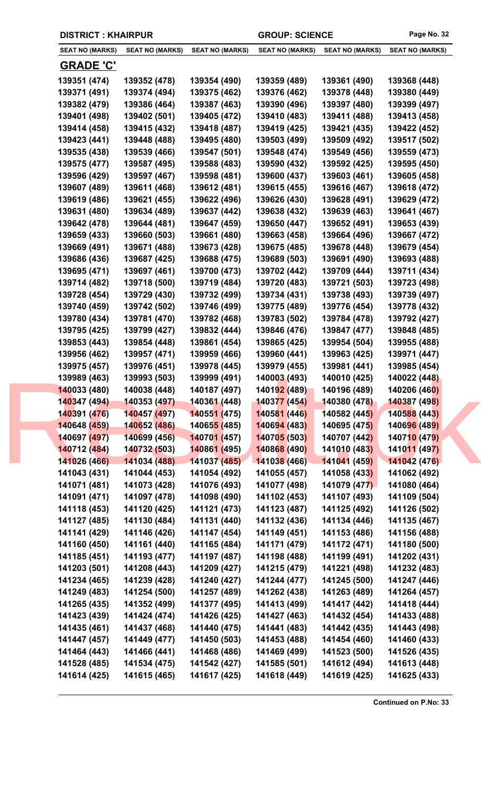|  | <b>DISTRICT: KHAIRPUR</b> |
|--|---------------------------|
|--|---------------------------|

| <b>SEAT NO (MARKS)</b>       | <b>SEAT NO (MARKS)</b>       | <b>SEAT NO (MARKS)</b>       | <b>SEAT NO (MARKS)</b>       | <b>SEAT NO (MARKS)</b>       | <b>SEAT NO (MARKS)</b>       |
|------------------------------|------------------------------|------------------------------|------------------------------|------------------------------|------------------------------|
| <b>GRADE 'C'</b>             |                              |                              |                              |                              |                              |
| 139351 (474)                 | 139352 (478)                 | 139354 (490)                 | 139359 (489)                 | 139361 (490)                 | 139368 (448)                 |
| 139371 (491)                 | 139374 (494)                 | 139375 (462)                 | 139376 (462)                 | 139378 (448)                 | 139380 (449)                 |
| 139382 (479)                 | 139386 (464)                 | 139387 (463)                 | 139390 (496)                 | 139397 (480)                 | 139399 (497)                 |
| 139401 (498)                 | 139402 (501)                 | 139405 (472)                 | 139410 (483)                 | 139411 (488)                 | 139413 (458)                 |
| 139414 (458)                 | 139415 (432)                 | 139418 (487)                 | 139419 (425)                 | 139421 (435)                 | 139422 (452)                 |
| 139423 (441)                 | 139448 (488)                 | 139495 (480)                 | 139503 (499)                 | 139509 (492)                 | 139517 (502)                 |
| 139535 (438)                 | 139539 (466)                 | 139547 (501)                 | 139548 (474)                 | 139549 (456)                 | 139559 (473)                 |
| 139575 (477)                 | 139587 (495)                 | 139588 (483)                 | 139590 (432)                 | 139592 (425)                 | 139595 (450)                 |
| 139596 (429)                 | 139597 (467)                 | 139598 (481)                 | 139600 (437)                 | 139603 (461)                 | 139605 (458)                 |
| 139607 (489)                 | 139611 (468)                 | 139612 (481)                 | 139615 (455)                 | 139616 (467)                 | 139618 (472)                 |
| 139619 (486)                 | 139621 (455)                 | 139622 (496)                 | 139626 (430)                 | 139628 (491)                 | 139629 (472)                 |
| 139631 (480)                 | 139634 (489)                 | 139637 (442)                 | 139638 (432)                 | 139639 (463)                 | 139641 (467)                 |
| 139642 (478)                 | 139644 (481)                 | 139647 (459)                 | 139650 (447)                 | 139652 (491)                 | 139653 (439)                 |
| 139659 (433)                 | 139660 (503)                 | 139661 (480)                 | 139663 (458)                 | 139664 (496)                 | 139667 (472)                 |
| 139669 (491)                 | 139671 (488)                 | 139673 (428)                 | 139675 (485)                 | 139678 (448)                 | 139679 (454)                 |
| 139686 (436)                 | 139687 (425)                 | 139688 (475)                 | 139689 (503)                 | 139691 (490)                 | 139693 (488)                 |
| 139695 (471)                 | 139697 (461)                 | 139700 (473)                 | 139702 (442)                 | 139709 (444)                 | 139711 (434)                 |
| 139714 (482)                 | 139718 (500)                 | 139719 (484)                 | 139720 (483)                 | 139721 (503)                 | 139723 (498)                 |
| 139728 (454)                 | 139729 (430)                 | 139732 (499)                 | 139734 (431)                 | 139738 (493)                 | 139739 (497)                 |
| 139740 (459)                 | 139742 (502)                 | 139746 (499)                 | 139775 (489)                 | 139776 (454)                 | 139778 (432)                 |
| 139780 (434)                 | 139781 (470)                 | 139782 (468)                 | 139783 (502)                 | 139784 (478)                 | 139792 (427)                 |
| 139795 (425)                 | 139799 (427)                 | 139832 (444)                 | 139846 (476)                 | 139847 (477)                 | 139848 (485)                 |
| 139853 (443)                 | 139854 (448)                 | 139861 (454)                 | 139865 (425)                 | 139954 (504)                 | 139955 (488)                 |
| 139956 (462)                 | 139957 (471)                 | 139959 (466)                 | 139960 (441)                 | 139963 (425)                 | 139971 (447)                 |
|                              |                              |                              |                              |                              |                              |
| 139975 (457)                 | 139976 (451)<br>139993 (503) | 139978 (445)<br>139999 (491) | 139979 (455)                 | 139981 (441)                 | 139985 (454)<br>140022 (448) |
| 139989 (463)                 |                              |                              | 140003 (493)<br>140192 (489) | 140010 (425)                 | 140206 (460)                 |
| 140033 (480)                 | 140038 (448)                 | 140187 (497)<br>140361 (448) | 140377 (454)                 | 140196 (489)<br>140380 (478) | 140387 (498)                 |
| 140347 (494)<br>140391 (476) | 140353 (497)<br>140457 (497) | 140551 (475)                 | 140581 (446)                 | 140582 (445)                 | 140588 (443)                 |
| 140648 (459)                 | 140652 (486)                 | 14065 <mark>5 (</mark> 485)  | 140694 (483)                 | 140695 (475)                 | 140696 (489)                 |
| 140697 (497)                 | 140699 (456)                 | 140701 (457)                 | 140705 (503)                 | 140707 (442)                 | 140710 (479)                 |
| 140712 (484)                 | 140732 (503)                 | 140861 (495)                 | 140868 (490)                 | 141010 (483)                 | 141011 (497)                 |
| 141026 (466)                 | 141034 (488)                 | 141037 (485)                 | 141038 (466)                 | 141041 (459)                 | 141042 (476)                 |
| 141043 (431)                 | 141044 (453)                 | 141054 (492)                 | 141055 (457)                 | 141058 (433)                 | 141062 (492)                 |
| 141071 (481)                 | 141073 (428)                 | 141076 (493)                 | 141077 (498)                 | 141079 (477)                 | 141080 (464)                 |
| 141091 (471)                 | 141097 (478)                 | 141098 (490)                 | 141102 (453)                 | 141107 (493)                 | 141109 (504)                 |
| 141118 (453)                 | 141120 (425)                 | 141121 (473)                 | 141123 (487)                 | 141125 (492)                 | 141126 (502)                 |
| 141127 (485)                 | 141130 (484)                 | 141131 (440)                 | 141132 (436)                 | 141134 (446)                 | 141135 (467)                 |
| 141141 (429)                 | 141146 (426)                 | 141147 (454)                 | 141149 (451)                 | 141153 (486)                 | 141156 (488)                 |
| 141160 (450)                 | 141161 (440)                 | 141165 (484)                 | 141171 (479)                 | 141172 (471)                 | 141180 (500)                 |
| 141185 (451)                 | 141193 (477)                 | 141197 (487)                 | 141198 (488)                 | 141199 (491)                 | 141202 (431)                 |
| 141203 (501)                 | 141208 (443)                 | 141209 (427)                 | 141215 (479)                 | 141221 (498)                 | 141232 (483)                 |
| 141234 (465)                 | 141239 (428)                 | 141240 (427)                 | 141244 (477)                 | 141245 (500)                 | 141247 (446)                 |
| 141249 (483)                 | 141254 (500)                 | 141257 (489)                 | 141262 (438)                 | 141263 (489)                 | 141264 (457)                 |
| 141265 (435)                 | 141352 (499)                 | 141377 (495)                 | 141413 (499)                 | 141417 (442)                 | 141418 (444)                 |
|                              |                              |                              |                              |                              |                              |
| 141423 (439)                 | 141424 (474)<br>141437 (468) | 141426 (425)                 | 141427 (463)                 | 141432 (454)                 | 141433 (488)                 |
|                              |                              | 141440 (475)                 | 141441 (483)                 | 141442 (435)                 | 141443 (498)                 |
| 141435 (461)                 |                              |                              |                              |                              |                              |
| 141447 (457)                 | 141449 (477)                 | 141450 (503)                 | 141453 (488)                 | 141454 (460)                 | 141460 (433)                 |
| 141464 (443)<br>141528 (485) | 141466 (441)<br>141534 (475) | 141468 (486)<br>141542 (427) | 141469 (499)<br>141585 (501) | 141523 (500)<br>141612 (494) | 141526 (435)<br>141613 (448) |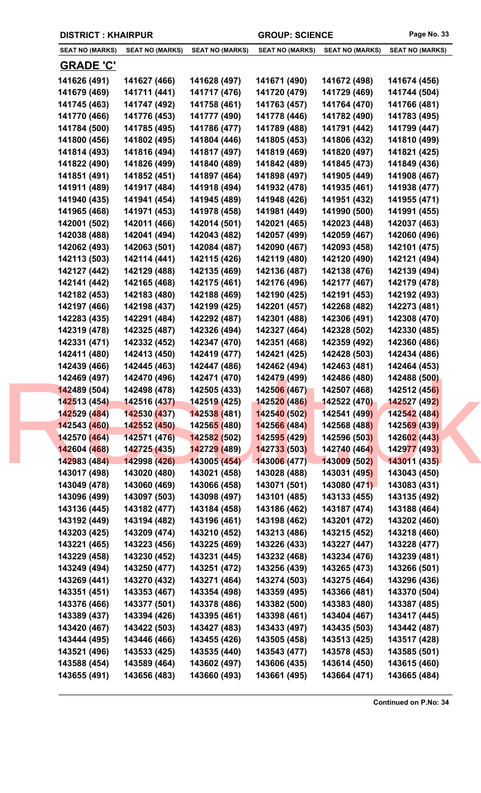|  | <b>DISTRICT: KHAIRPUR</b> |                        |                             | <b>GROUP: SCIENCE</b>  |                        | Page No. 33            |
|--|---------------------------|------------------------|-----------------------------|------------------------|------------------------|------------------------|
|  | <b>SEAT NO (MARKS)</b>    | <b>SEAT NO (MARKS)</b> | <b>SEAT NO (MARKS)</b>      | <b>SEAT NO (MARKS)</b> | <b>SEAT NO (MARKS)</b> | <b>SEAT NO (MARKS)</b> |
|  | <b>GRADE 'C'</b>          |                        |                             |                        |                        |                        |
|  | 141626 (491)              | 141627 (466)           | 141628 (497)                | 141671 (490)           | 141672 (498)           | 141674 (456)           |
|  | 141679 (469)              | 141711 (441)           | 141717 (476)                | 141720 (479)           | 141729 (469)           | 141744 (504)           |
|  | 141745 (463)              | 141747 (492)           | 141758 (461)                | 141763 (457)           | 141764 (470)           | 141766 (481)           |
|  | 141770 (466)              | 141776 (453)           | 141777 (490)                | 141778 (446)           | 141782 (490)           | 141783 (495)           |
|  | 141784 (500)              | 141785 (495)           | 141786 (477)                | 141789 (488)           | 141791 (442)           | 141799 (447)           |
|  | 141800 (456)              | 141802 (495)           | 141804 (446)                | 141805 (453)           | 141806 (432)           | 141810 (499)           |
|  | 141814 (493)              | 141816 (494)           | 141817 (497)                | 141819 (469)           | 141820 (497)           | 141821 (425)           |
|  | 141822 (490)              | 141826 (499)           | 141840 (489)                | 141842 (489)           | 141845 (473)           | 141849 (436)           |
|  | 141851 (491)              | 141852 (451)           | 141897 (464)                | 141898 (497)           | 141905 (449)           | 141908 (467)           |
|  | 141911 (489)              | 141917 (484)           | 141918 (494)                | 141932 (478)           | 141935 (461)           | 141938 (477)           |
|  | 141940 (435)              | 141941 (454)           | 141945 (489)                | 141948 (426)           | 141951 (432)           | 141955 (471)           |
|  | 141965 (468)              | 141971 (453)           | 141978 (458)                | 141981 (449)           | 141990 (500)           | 141991 (455)           |
|  | 142001 (502)              | 142011 (466)           | 142014 (501)                | 142021 (465)           | 142023 (448)           | 142037 (463)           |
|  | 142038 (488)              | 142041 (494)           | 142043 (482)                | 142057 (499)           | 142059 (467)           | 142060 (496)           |
|  | 142062 (493)              | 142063 (501)           | 142084 (487)                | 142090 (467)           | 142093 (458)           | 142101 (475)           |
|  | 142113 (503)              | 142114 (441)           | 142115 (426)                | 142119 (480)           | 142120 (490)           | 142121 (494)           |
|  | 142127 (442)              | 142129 (488)           | 142135 (469)                | 142136 (487)           | 142138 (476)           | 142139 (494)           |
|  | 142141 (442)              | 142165 (468)           | 142175 (461)                | 142176 (496)           | 142177 (467)           | 142179 (478)           |
|  | 142182 (453)              | 142183 (480)           | 142188 (469)                | 142190 (425)           | 142191 (453)           | 142192 (493)           |
|  | 142197 (466)              | 142198 (437)           | 142199 (425)                | 142201 (457)           | 142268 (482)           | 142273 (481)           |
|  | 142283 (435)              | 142291 (484)           | 142292 (487)                | 142301 (488)           | 142306 (491)           | 142308 (470)           |
|  | 142319 (478)              | 142325 (487)           | 142326 (494)                | 142327 (464)           | 142328 (502)           | 142330 (485)           |
|  | 142331 (471)              | 142332 (452)           | 142347 (470)                | 142351 (468)           | 142359 (492)           | 142360 (486)           |
|  | 142411 (480)              | 142413 (450)           | 142419 (477)                | 142421 (425)           | 142428 (503)           | 142434 (486)           |
|  | 142439 (466)              | 142445 (463)           | 142447 (486)                | 142462 (494)           | 142463 (481)           | 142464 (453)           |
|  | 142469 (497)              | 142470 (496)           | 142471 (470)                | 142479 (499)           | 142486 (480)           | 142488 (500)           |
|  | 142489 (504)              | 142498 (478)           | 142505 (433)                | 142506 (467)           | 142507 (468)           | 142512 (456)           |
|  | 142513 (454)              | 142516 (437)           | 14251 <mark>9 (</mark> 425) | 142520 (486)           | 142522 (470)           | 142527 (492)           |
|  | 142529 (484)              | 142530 (437)           | 142538 (481)                | 142540 (502)           | 142541 (499)           | 142542 (484)           |
|  | 142543 (460)              | 142552 (450)           | 14256 <mark>5 (</mark> 480) | 142566 (484)           | 142568 (488)           | 142569 (439)           |
|  | 142570 (464)              | 142571 (476)           | 142582 (502)                | 142595 (429)           | 142596 (503)           | 142602 (443)           |
|  | 142604 (468)              | 142725 (435)           | 142729 (489)                | 142733 (503)           | 142740 (464)           | 142977 (493)           |
|  | 142983 (484)              | 142998 (426)           | 143005 (454)                | 143006 (477)           | 143009 (502)           | 143011 (435)           |
|  | 143017 (498)              | 143020 (480)           | 143021 (458)                | 143028 (488)           | 143031 (495)           | 143043 (450)           |
|  | 143049 (478)              | 143060 (469)           | 143066 (458)                | 143071 (501)           | 143080 (471)           | 143083 (431)           |
|  | 143096 (499)              | 143097 (503)           | 143098 (497)                | 143101 (485)           | 143133 (455)           | 143135 (492)           |
|  | 143136 (445)              | 143182 (477)           | 143184 (458)                | 143186 (462)           | 143187 (474)           | 143188 (464)           |
|  | 143192 (449)              | 143194 (482)           | 143196 (461)                | 143198 (462)           | 143201 (472)           | 143202 (460)           |
|  | 143203 (425)              | 143209 (474)           | 143210 (452)                | 143213 (486)           | 143215 (452)           | 143218 (460)           |
|  | 143221 (465)              | 143223 (456)           | 143225 (469)                | 143226 (433)           | 143227 (447)           | 143228 (477)           |
|  | 143229 (458)              | 143230 (452)           | 143231 (445)                | 143232 (468)           | 143234 (476)           | 143239 (481)           |
|  | 143249 (494)              | 143250 (477)           | 143251 (472)                | 143256 (439)           | 143265 (473)           | 143266 (501)           |
|  | 143269 (441)              | 143270 (432)           | 143271 (464)                | 143274 (503)           | 143275 (464)           | 143296 (436)           |
|  | 143351 (451)              | 143353 (467)           | 143354 (498)                | 143359 (495)           | 143366 (481)           | 143370 (504)           |
|  | 143376 (466)              | 143377 (501)           | 143378 (486)                | 143382 (500)           | 143383 (480)           | 143387 (485)           |
|  | 143389 (437)              | 143394 (426)           | 143395 (461)                | 143398 (461)           | 143404 (467)           | 143417 (445)           |
|  | 143420 (467)              | 143422 (503)           | 143427 (483)                | 143433 (497)           | 143435 (503)           | 143442 (487)           |
|  | 143444 (495)              | 143446 (466)           | 143455 (426)                | 143505 (458)           | 143513 (425)           | 143517 (428)           |
|  | 143521 (496)              | 143533 (425)           | 143535 (440)                | 143543 (477)           | 143578 (453)           | 143585 (501)           |
|  | 143588 (454)              | 143589 (464)           | 143602 (497)                | 143606 (435)           | 143614 (450)           | 143615 (460)           |
|  | 143655 (491)              | 143656 (483)           | 143660 (493)                | 143661 (495)           | 143664 (471)           | 143665 (484)           |
|  |                           |                        |                             |                        |                        |                        |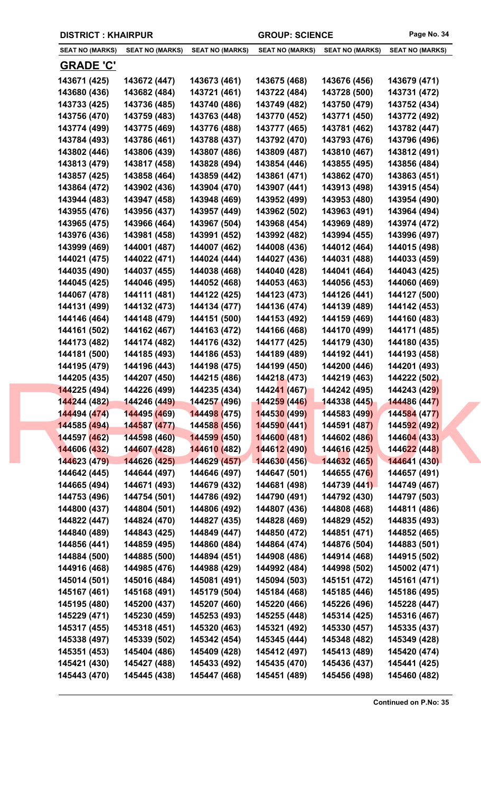|                              | <b>DISTRICT: KHAIRPUR</b>                 |                             | <b>GROUP: SCIENCE</b>        |                              | Page No. 34                  |
|------------------------------|-------------------------------------------|-----------------------------|------------------------------|------------------------------|------------------------------|
| <b>SEAT NO (MARKS)</b>       | <b>SEAT NO (MARKS)</b>                    | <b>SEAT NO (MARKS)</b>      | <b>SEAT NO (MARKS)</b>       | <b>SEAT NO (MARKS)</b>       | <b>SEAT NO (MARKS)</b>       |
| <b>GRADE 'C'</b>             |                                           |                             |                              |                              |                              |
| 143671 (425)                 | 143672 (447)                              | 143673 (461)                | 143675 (468)                 | 143676 (456)                 | 143679 (471)                 |
| 143680 (436)                 | 143682 (484)                              | 143721 (461)                | 143722 (484)                 | 143728 (500)                 | 143731 (472)                 |
| 143733 (425)                 | 143736 (485)                              | 143740 (486)                | 143749 (482)                 | 143750 (479)                 | 143752 (434)                 |
| 143756 (470)                 | 143759 (483)                              | 143763 (448)                | 143770 (452)                 | 143771 (450)                 | 143772 (492)                 |
| 143774 (499)                 | 143775 (469)                              | 143776 (488)                | 143777 (465)                 | 143781 (462)                 | 143782 (447)                 |
| 143784 (493)                 | 143786 (461)                              | 143788 (437)                | 143792 (470)                 | 143793 (476)                 | 143796 (496)                 |
| 143802 (446)                 | 143806 (439)                              | 143807 (486)                | 143809 (487)                 | 143810 (467)                 | 143812 (491)                 |
| 143813 (479)                 | 143817 (458)                              | 143828 (494)                | 143854 (446)                 | 143855 (495)                 | 143856 (484)                 |
| 143857 (425)                 | 143858 (464)                              | 143859 (442)                | 143861 (471)                 | 143862 (470)                 | 143863 (451)                 |
| 143864 (472)                 | 143902 (436)                              | 143904 (470)                | 143907 (441)                 | 143913 (498)                 | 143915 (454)                 |
| 143944 (483)                 | 143947 (458)                              | 143948 (469)                | 143952 (499)                 | 143953 (480)                 | 143954 (490)                 |
| 143955 (476)                 | 143956 (437)                              | 143957 (449)                | 143962 (502)                 | 143963 (491)                 | 143964 (494)                 |
| 143965 (475)                 | 143966 (464)                              | 143967 (504)                | 143968 (454)                 | 143969 (489)                 | 143974 (472)                 |
| 143976 (436)                 | 143981 (458)                              | 143991 (452)                | 143992 (482)                 | 143994 (455)                 | 143996 (497)                 |
| 143999 (469)                 | 144001 (487)                              | 144007 (462)                | 144008 (436)                 | 144012 (464)                 | 144015 (498)                 |
| 144021 (475)                 | 144022 (471)                              | 144024 (444)                | 144027 (436)                 | 144031 (488)                 | 144033 (459)                 |
| 144035 (490)                 | 144037 (455)                              | 144038 (468)                | 144040 (428)                 | 144041 (464)                 | 144043 (425)                 |
| 144045 (425)                 | 144046 (495)                              | 144052 (468)                | 144053 (463)                 | 144056 (453)                 | 144060 (469)                 |
| 144067 (478)                 | 144111 (481)                              | 144122 (425)                | 144123 (473)                 | 144126 (441)                 | 144127 (500)                 |
| 144131 (499)                 | 144132 (473)                              | 144134 (477)                | 144136 (474)                 | 144139 (489)                 | 144142 (453)                 |
| 144146 (464)                 | 144148 (479)                              | 144151 (500)                | 144153 (492)                 | 144159 (469)                 | 144160 (483)                 |
| 144161 (502)                 | 144162 (467)                              | 144163 (472)                | 144166 (468)                 | 144170 (499)                 | 144171 (485)                 |
| 144173 (482)                 | 144174 (482)                              | 144176 (432)                | 144177 (425)                 | 144179 (430)                 | 144180 (435)                 |
| 144181 (500)                 | 144185 (493)                              | 144186 (453)                | 144189 (489)                 | 144192 (441)                 | 144193 (458)                 |
| 144195 (479)                 | 144196 (443)                              | 144198 (475)                | 144199 (450)                 | 144200 (446)                 | 144201 (493)                 |
| 144205 (435)                 | 144207 (450)                              | 144215 (486)                | 144218 (473)                 | 144219 (463)                 | 144222 (502)                 |
| 144225 (494)                 | 144226 (499)                              | 144235 (434)                | 144241 (467)                 | 144242 (495)                 | 144243 (429)                 |
| 144244 (482)                 | 144246 (449)                              | 144257 (496)                | 144259 (446)                 | 144338 (445)                 | 144486 (447)                 |
| 144494 (474)                 | 144495 (469)                              | 144498 (475)                | 144530 (499)                 | 144583 (499)                 | 144584 (477)                 |
| 144585 (494)                 | 144587 (477)                              | 14458 <mark>8 (</mark> 456) | 144590 (441)                 | 144591 (487)                 | 144592 (492)<br>144604 (433) |
| 144597 (462)<br>144606 (432) | 144598 (460) 144599 (450)<br>144607 (428) | 144610 (482)                | 144600 (481)<br>144612 (490) | 144602 (486)<br>144616 (425) | 144622 (448)                 |
| 144623 (479)                 | 144626 (425)                              | 144629 (457)                | 144630 (456)                 | 144632 (465)                 | 144641 (430)                 |
| 144642 (445)                 | 144644 (497)                              | 144646 (497)                | 144647 (501)                 | 144655 (476)                 | 144657 (491)                 |
| 144665 (494)                 | 144671 (493)                              | 144679 (432)                | 144681 (498)                 | 144739 (441)                 | 144749 (467)                 |
| 144753 (496)                 | 144754 (501)                              | 144786 (492)                | 144790 (491)                 | 144792 (430)                 | 144797 (503)                 |
| 144800 (437)                 | 144804 (501)                              | 144806 (492)                | 144807 (436)                 | 144808 (468)                 | 144811 (486)                 |
| 144822 (447)                 | 144824 (470)                              | 144827 (435)                | 144828 (469)                 | 144829 (452)                 | 144835 (493)                 |
| 144840 (489)                 | 144843 (425)                              | 144849 (447)                | 144850 (472)                 | 144851 (471)                 | 144852 (465)                 |
| 144856 (441)                 | 144859 (495)                              | 144860 (484)                | 144864 (474)                 | 144876 (504)                 | 144883 (501)                 |
| 144884 (500)                 | 144885 (500)                              | 144894 (451)                | 144908 (486)                 | 144914 (468)                 | 144915 (502)                 |
| 144916 (468)                 | 144985 (476)                              | 144988 (429)                | 144992 (484)                 | 144998 (502)                 | 145002 (471)                 |
| 145014 (501)                 | 145016 (484)                              | 145081 (491)                | 145094 (503)                 | 145151 (472)                 | 145161 (471)                 |
| 145167 (461)                 | 145168 (491)                              | 145179 (504)                | 145184 (468)                 | 145185 (446)                 | 145186 (495)                 |
| 145195 (480)                 | 145200 (437)                              | 145207 (460)                | 145220 (466)                 | 145226 (496)                 | 145228 (447)                 |
| 145229 (471)                 | 145230 (459)                              | 145253 (493)                | 145255 (448)                 | 145314 (425)                 | 145316 (467)                 |
| 145317 (455)                 | 145318 (451)                              | 145320 (463)                | 145321 (492)                 | 145330 (457)                 | 145335 (437)                 |
| 145338 (497)                 | 145339 (502)                              | 145342 (454)                | 145345 (444)                 | 145348 (482)                 | 145349 (428)                 |
| 145351 (453)                 | 145404 (486)                              | 145409 (428)                | 145412 (497)                 | 145413 (489)                 | 145420 (474)                 |
| 145421 (430)                 | 145427 (488)                              | 145433 (492)                | 145435 (470)                 | 145436 (437)                 | 145441 (425)                 |
| 145443 (470)                 | 145445 (438)                              | 145447 (468)                | 145451 (489)                 | 145456 (498)                 | 145460 (482)                 |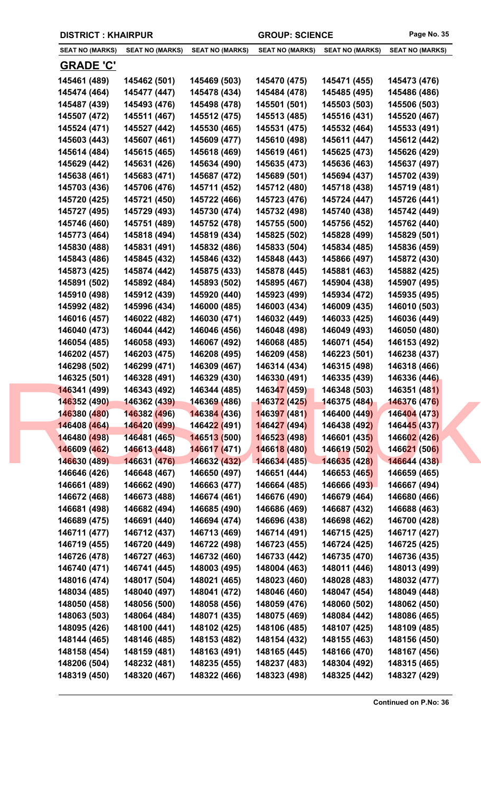| <b>DISTRICT: KHAIRPUR</b> |  |  |
|---------------------------|--|--|
|---------------------------|--|--|

| <b>SEAT NO (MARKS)</b> | <b>SEAT NO (MARKS)</b> | <b>SEAT NO (MARKS)</b>      | <b>SEAT NO (MARKS)</b>       | <b>SEAT NO (MARKS)</b> | <b>SEAT NO (MARKS)</b> |
|------------------------|------------------------|-----------------------------|------------------------------|------------------------|------------------------|
| <b>GRADE 'C'</b>       |                        |                             |                              |                        |                        |
| 145461 (489)           | 145462 (501)           | 145469 (503)                | 145470 (475)                 | 145471 (455)           | 145473 (476)           |
| 145474 (464)           | 145477 (447)           | 145478 (434)                | 145484 (478)                 | 145485 (495)           | 145486 (486)           |
| 145487 (439)           | 145493 (476)           | 145498 (478)                | 145501 (501)                 | 145503 (503)           | 145506 (503)           |
| 145507 (472)           | 145511 (467)           | 145512 (475)                | 145513 (485)                 | 145516 (431)           | 145520 (467)           |
| 145524 (471)           | 145527 (442)           | 145530 (465)                | 145531 (475)                 | 145532 (464)           | 145533 (491)           |
| 145603 (443)           | 145607 (461)           | 145609 (477)                | 145610 (498)                 | 145611 (447)           | 145612 (442)           |
| 145614 (484)           | 145615 (465)           | 145618 (469)                | 145619 (461)                 | 145625 (473)           | 145626 (429)           |
| 145629 (442)           | 145631 (426)           | 145634 (490)                | 145635 (473)                 | 145636 (463)           | 145637 (497)           |
| 145638 (461)           | 145683 (471)           | 145687 (472)                | 145689 (501)                 | 145694 (437)           | 145702 (439)           |
| 145703 (436)           | 145706 (476)           | 145711 (452)                | 145712 (480)                 | 145718 (438)           | 145719 (481)           |
| 145720 (425)           | 145721 (450)           | 145722 (466)                | 145723 (476)                 | 145724 (447)           | 145726 (441)           |
| 145727 (495)           | 145729 (493)           | 145730 (474)                | 145732 (498)                 | 145740 (438)           | 145742 (449)           |
| 145746 (460)           | 145751 (489)           | 145752 (478)                | 145755 (500)                 | 145756 (452)           | 145762 (440)           |
| 145773 (464)           | 145818 (494)           | 145819 (434)                | 145825 (502)                 | 145828 (499)           | 145829 (501)           |
| 145830 (488)           | 145831 (491)           | 145832 (486)                | 145833 (504)                 | 145834 (485)           | 145836 (459)           |
| 145843 (486)           | 145845 (432)           | 145846 (432)                | 145848 (443)                 | 145866 (497)           | 145872 (430)           |
| 145873 (425)           | 145874 (442)           | 145875 (433)                | 145878 (445)                 | 145881 (463)           | 145882 (425)           |
| 145891 (502)           | 145892 (484)           | 145893 (502)                | 145895 (467)                 | 145904 (438)           | 145907 (495)           |
|                        | 145912 (439)           | 145920 (440)                |                              | 145934 (472)           |                        |
| 145910 (498)           |                        |                             | 145923 (499)<br>146003 (434) |                        | 145935 (495)           |
| 145992 (482)           | 145996 (434)           | 146000 (485)                |                              | 146009 (435)           | 146010 (503)           |
| 146016 (457)           | 146022 (482)           | 146030 (471)                | 146032 (449)                 | 146033 (425)           | 146036 (449)           |
| 146040 (473)           | 146044 (442)           | 146046 (456)                | 146048 (498)                 | 146049 (493)           | 146050 (480)           |
| 146054 (485)           | 146058 (493)           | 146067 (492)                | 146068 (485)                 | 146071 (454)           | 146153 (492)           |
| 146202 (457)           | 146203 (475)           | 146208 (495)                | 146209 (458)                 | 146223 (501)           | 146238 (437)           |
| 146298 (502)           | 146299 (471)           | 146309 (467)                | 146314 (434)                 | 146315 (498)           | 146318 (466)           |
| 146325 (501)           | 146328 (491)           | 146329 (430)                | 146330 (491)                 | 146335 (439)           | 146336 (446)           |
| 146341 (499)           | 146343 (492)           | 146344 (485)                | 146347 (459)                 | 146348 (503)           | 146351 (481)           |
| 146352 (490)           | 146362 (439)           | 146369 (486)                | <b>146372 (425)</b>          | 146375 (484)           | 146376 (476)           |
| 146380 (480)           | 146382 (496)           | 146384 (436)                | 146397 (481)                 | 146400 (449)           | 146404 (473)           |
| 146408 (464)           | 146420 (499)           | 14642 <mark>2 (</mark> 491) | 146427 (494)                 | 146438 (492)           | 146445 (437)           |
| 146480 (498)           | 146481 (465)           | 146513 (500)                | 146523 (498)                 | 146601 (435)           | 146602 (426)           |
| 146609 (462)           | 146613 (448)           | 146617 (471)                | 146618 (480)                 | 146619 (502)           | 146621 (506)           |
| 146630 (489)           | 146631 (476)           | 146632 (432)                | 146634 (485)                 | 146635 (428)           | 146644 (438)           |
| 146646 (426)           | 146648 (467)           | 146650 (497)                | 146651 (444)                 | 146653 (465)           | 146659 (465)           |
| 146661 (489)           | 146662 (490)           | 146663 (477)                | 146664 (485)                 | 146666 (493)           | 146667 (494)           |
| 146672 (468)           | 146673 (488)           | 146674 (461)                | 146676 (490)                 | 146679 (464)           | 146680 (466)           |
| 146681 (498)           | 146682 (494)           | 146685 (490)                | 146686 (469)                 | 146687 (432)           | 146688 (463)           |
| 146689 (475)           | 146691 (440)           | 146694 (474)                | 146696 (438)                 | 146698 (462)           | 146700 (428)           |
| 146711 (477)           | 146712 (437)           | 146713 (469)                | 146714 (491)                 | 146715 (425)           | 146717 (427)           |
| 146719 (455)           | 146720 (449)           | 146722 (498)                | 146723 (455)                 | 146724 (425)           | 146725 (425)           |
| 146726 (478)           | 146727 (463)           | 146732 (460)                | 146733 (442)                 | 146735 (470)           | 146736 (435)           |
| 146740 (471)           | 146741 (445)           | 148003 (495)                | 148004 (463)                 | 148011 (446)           | 148013 (499)           |
| 148016 (474)           | 148017 (504)           | 148021 (465)                | 148023 (460)                 | 148028 (483)           | 148032 (477)           |
| 148034 (485)           | 148040 (497)           | 148041 (472)                | 148046 (460)                 | 148047 (454)           | 148049 (448)           |
| 148050 (458)           | 148056 (500)           | 148058 (456)                | 148059 (476)                 | 148060 (502)           | 148062 (450)           |
| 148063 (503)           | 148064 (484)           | 148071 (435)                | 148075 (469)                 | 148084 (442)           | 148086 (465)           |
| 148095 (426)           | 148100 (441)           | 148102 (425)                | 148106 (485)                 | 148107 (425)           | 148109 (485)           |
| 148144 (465)           | 148146 (485)           | 148153 (482)                | 148154 (432)                 | 148155 (463)           | 148156 (450)           |
| 148158 (454)           | 148159 (481)           | 148163 (491)                | 148165 (445)                 | 148166 (470)           | 148167 (456)           |
| 148206 (504)           | 148232 (481)           | 148235 (455)                | 148237 (483)                 | 148304 (492)           | 148315 (465)           |
| 148319 (450)           | 148320 (467)           | 148322 (466)                | 148323 (498)                 | 148325 (442)           | 148327 (429)           |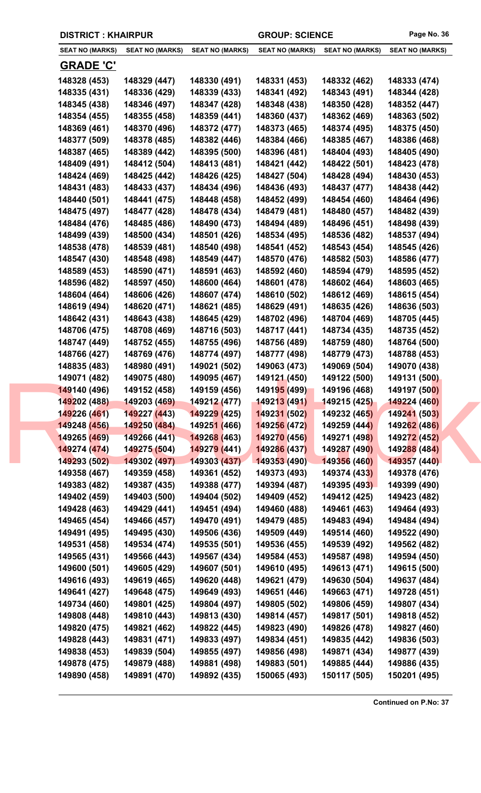| <b>DISTRICT: KHAIRPUR</b> |  |  |
|---------------------------|--|--|
|---------------------------|--|--|

| <b>SEAT NO (MARKS)</b> | <b>SEAT NO (MARKS)</b> | <b>SEAT NO (MARKS)</b>      | <b>SEAT NO (MARKS)</b>      | <b>SEAT NO (MARKS)</b> | <b>SEAT NO (MARKS)</b> |
|------------------------|------------------------|-----------------------------|-----------------------------|------------------------|------------------------|
| <u>GRADE 'C'</u>       |                        |                             |                             |                        |                        |
| 148328 (453)           | 148329 (447)           | 148330 (491)                | 148331 (453)                | 148332 (462)           | 148333 (474)           |
| 148335 (431)           | 148336 (429)           | 148339 (433)                | 148341 (492)                | 148343 (491)           | 148344 (428)           |
| 148345 (438)           | 148346 (497)           | 148347 (428)                | 148348 (438)                | 148350 (428)           | 148352 (447)           |
| 148354 (455)           | 148355 (458)           | 148359 (441)                | 148360 (437)                | 148362 (469)           | 148363 (502)           |
| 148369 (461)           | 148370 (496)           | 148372 (477)                | 148373 (465)                | 148374 (495)           | 148375 (450)           |
| 148377 (509)           | 148378 (485)           | 148382 (446)                | 148384 (466)                | 148385 (467)           | 148386 (468)           |
| 148387 (465)           | 148389 (442)           | 148395 (500)                | 148396 (481)                | 148404 (493)           | 148405 (490)           |
| 148409 (491)           | 148412 (504)           | 148413 (481)                | 148421 (442)                | 148422 (501)           | 148423 (478)           |
| 148424 (469)           | 148425 (442)           | 148426 (425)                | 148427 (504)                | 148428 (494)           | 148430 (453)           |
| 148431 (483)           | 148433 (437)           | 148434 (496)                | 148436 (493)                | 148437 (477)           | 148438 (442)           |
| 148440 (501)           | 148441 (475)           | 148448 (458)                | 148452 (499)                | 148454 (460)           | 148464 (496)           |
| 148475 (497)           | 148477 (428)           | 148478 (434)                | 148479 (481)                | 148480 (457)           | 148482 (439)           |
| 148484 (476)           | 148485 (486)           | 148490 (473)                | 148494 (489)                | 148496 (451)           | 148498 (439)           |
| 148499 (439)           | 148500 (434)           | 148501 (426)                | 148534 (495)                | 148536 (482)           | 148537 (494)           |
| 148538 (478)           | 148539 (481)           | 148540 (498)                | 148541 (452)                | 148543 (454)           | 148545 (426)           |
| 148547 (430)           | 148548 (498)           | 148549 (447)                | 148570 (476)                | 148582 (503)           | 148586 (477)           |
| 148589 (453)           | 148590 (471)           | 148591 (463)                | 148592 (460)                | 148594 (479)           | 148595 (452)           |
| 148596 (482)           | 148597 (450)           | 148600 (464)                | 148601 (478)                | 148602 (464)           | 148603 (465)           |
|                        |                        |                             |                             |                        |                        |
| 148604 (464)           | 148606 (426)           | 148607 (474)                | 148610 (502)                | 148612 (469)           | 148615 (454)           |
| 148619 (494)           | 148620 (471)           | 148621 (485)                | 148629 (491)                | 148635 (426)           | 148636 (503)           |
| 148642 (431)           | 148643 (438)           | 148645 (429)                | 148702 (496)                | 148704 (469)           | 148705 (445)           |
| 148706 (475)           | 148708 (469)           | 148716 (503)                | 148717 (441)                | 148734 (435)           | 148735 (452)           |
| 148747 (449)           | 148752 (455)           | 148755 (496)                | 148756 (489)                | 148759 (480)           | 148764 (500)           |
| 148766 (427)           | 148769 (476)           | 148774 (497)                | 148777 (498)                | 148779 (473)           | 148788 (453)           |
| 148835 (483)           | 148980 (491)           | 149021 (502)                | 149063 (473)                | 149069 (504)           | 149070 (438)           |
| 149071 (482)           | 149075 (480)           | 149095 (467)                | 149121 (450)                | 149122 (500)           | 149131 (500)           |
| 149140 (496)           | 149152 (458)           | 149159 (456)                | 14919 <mark>5 (</mark> 499) | 149196 (468)           | 149197 (500)           |
| 149202 (488)           |                        |                             | <mark>-149213 (491)</mark>  | 149215 (425)           | 149224 (460)           |
| 149226 (461)           | 149227 (443)           | 149229 (425)                | 149231 (502)                | 149232 (465)           | 149241 (503)           |
| 149248 (456)           | 149250 (484)           | 14925 <mark>1 (</mark> 466) | 149256 (472)                | 149259 (444)           | 149262 (486)           |
| 149265 (469)           | 149266 (441)           | 149268 (463)                | 149270 (456)                | 149271 (498)           | 149272 (452)           |
| 149274 (474)           | 149275 (504)           | 149279 (441)                | 149286 (437)                | 149287 (490)           | 149288 (484)           |
| 149293 (502)           | 149302 (497)           | 149303 (437)                | 149353 (490)                | 149356 (460)           | 149357 (440)           |
| 149358 (467)           | 149359 (458)           | 149361 (452)                | 149373 (493)                | 149374 (433)           | 149378 (476)           |
| 149383 (482)           | 149387 (435)           | 149388 (477)                | 149394 (487)                | 149395 (493)           | 149399 (490)           |
| 149402 (459)           | 149403 (500)           | 149404 (502)                | 149409 (452)                | 149412 (425)           | 149423 (482)           |
| 149428 (463)           | 149429 (441)           | 149451 (494)                | 149460 (488)                | 149461 (463)           | 149464 (493)           |
| 149465 (454)           | 149466 (457)           | 149470 (491)                | 149479 (485)                | 149483 (494)           | 149484 (494)           |
| 149491 (495)           | 149495 (430)           | 149506 (436)                | 149509 (449)                | 149514 (460)           | 149522 (490)           |
| 149531 (458)           | 149534 (474)           | 149535 (501)                | 149536 (455)                | 149539 (492)           | 149562 (482)           |
| 149565 (431)           | 149566 (443)           | 149567 (434)                | 149584 (453)                | 149587 (498)           | 149594 (450)           |
| 149600 (501)           | 149605 (429)           | 149607 (501)                | 149610 (495)                | 149613 (471)           | 149615 (500)           |
| 149616 (493)           | 149619 (465)           | 149620 (448)                | 149621 (479)                | 149630 (504)           | 149637 (484)           |
| 149641 (427)           | 149648 (475)           | 149649 (493)                | 149651 (446)                | 149663 (471)           | 149728 (451)           |
| 149734 (460)           | 149801 (425)           | 149804 (497)                | 149805 (502)                | 149806 (459)           | 149807 (434)           |
| 149808 (448)           | 149810 (443)           | 149813 (430)                | 149814 (457)                | 149817 (501)           | 149818 (452)           |
| 149820 (475)           | 149821 (462)           | 149822 (445)                | 149823 (490)                | 149826 (478)           | 149827 (460)           |
| 149828 (443)           | 149831 (471)           | 149833 (497)                | 149834 (451)                | 149835 (442)           | 149836 (503)           |
| 149838 (453)           | 149839 (504)           | 149855 (497)                | 149856 (498)                | 149871 (434)           | 149877 (439)           |
| 149878 (475)           | 149879 (488)           | 149881 (498)                | 149883 (501)                | 149885 (444)           | 149886 (435)           |
|                        |                        |                             |                             |                        |                        |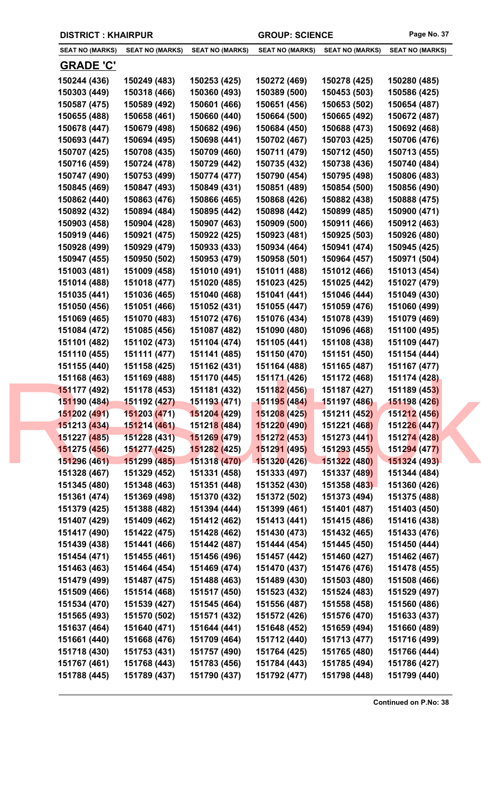| <b>DISTRICT: KHAIRPUR</b> |                        |                             | <b>GROUP: SCIENCE</b>  |                        | Page No. 37            |
|---------------------------|------------------------|-----------------------------|------------------------|------------------------|------------------------|
| <b>SEAT NO (MARKS)</b>    | <b>SEAT NO (MARKS)</b> | <b>SEAT NO (MARKS)</b>      | <b>SEAT NO (MARKS)</b> | <b>SEAT NO (MARKS)</b> | <b>SEAT NO (MARKS)</b> |
| <b>GRADE 'C'</b>          |                        |                             |                        |                        |                        |
| 150244 (436)              | 150249 (483)           | 150253 (425)                | 150272 (469)           | 150278 (425)           | 150280 (485)           |
| 150303 (449)              | 150318 (466)           | 150360 (493)                | 150389 (500)           | 150453 (503)           | 150586 (425)           |
| 150587 (475)              | 150589 (492)           | 150601 (466)                | 150651 (456)           | 150653 (502)           | 150654 (487)           |
| 150655 (488)              | 150658 (461)           | 150660 (440)                | 150664 (500)           | 150665 (492)           | 150672 (487)           |
| 150678 (447)              | 150679 (498)           | 150682 (496)                | 150684 (450)           | 150688 (473)           | 150692 (468)           |
| 150693 (447)              | 150694 (495)           | 150698 (441)                | 150702 (467)           | 150703 (425)           | 150706 (476)           |
| 150707 (425)              | 150708 (435)           | 150709 (460)                | 150711 (479)           | 150712 (450)           | 150713 (455)           |
| 150716 (459)              | 150724 (478)           | 150729 (442)                | 150735 (432)           | 150738 (436)           | 150740 (484)           |
| 150747 (490)              | 150753 (499)           | 150774 (477)                | 150790 (454)           | 150795 (498)           | 150806 (483)           |
| 150845 (469)              | 150847 (493)           | 150849 (431)                | 150851 (489)           | 150854 (500)           | 150856 (490)           |
| 150862 (440)              | 150863 (476)           | 150866 (465)                | 150868 (426)           | 150882 (438)           | 150888 (475)           |
| 150892 (432)              | 150894 (484)           | 150895 (442)                | 150898 (442)           | 150899 (485)           | 150900 (471)           |
| 150903 (458)              | 150904 (428)           | 150907 (463)                | 150909 (500)           | 150911 (466)           | 150912 (463)           |
| 150919 (446)              | 150921 (475)           | 150922 (425)                | 150923 (481)           | 150925 (503)           | 150926 (480)           |
| 150928 (499)              | 150929 (479)           | 150933 (433)                | 150934 (464)           | 150941 (474)           | 150945 (425)           |
| 150947 (455)              | 150950 (502)           | 150953 (479)                | 150958 (501)           | 150964 (457)           | 150971 (504)           |
| 151003 (481)              | 151009 (458)           | 151010 (491)                | 151011 (488)           | 151012 (466)           | 151013 (454)           |
| 151014 (488)              | 151018 (477)           | 151020 (485)                | 151023 (425)           | 151025 (442)           | 151027 (479)           |
| 151035 (441)              | 151036 (465)           | 151040 (468)                | 151041 (441)           | 151046 (444)           | 151049 (430)           |
| 151050 (456)              | 151051 (466)           | 151052 (431)                | 151055 (447)           | 151059 (476)           | 151060 (499)           |
| 151069 (465)              | 151070 (483)           | 151072 (476)                | 151076 (434)           | 151078 (439)           | 151079 (469)           |
| 151084 (472)              | 151085 (456)           | 151087 (482)                | 151090 (480)           | 151096 (468)           | 151100 (495)           |
| 151101 (482)              | 151102 (473)           | 151104 (474)                | 151105 (441)           | 151108 (438)           | 151109 (447)           |
| 151110 (455)              | 151111 (477)           | 151141 (485)                | 151150 (470)           | 151151 (450)           | 151154 (444)           |
| 151155 (440)              | 151158 (425)           | 151162 (431)                | 151164 (488)           | 151165 (487)           | 151167 (477)           |
| 151168 (463)              | 151169 (488)           | 151170 (445)                | 151171 (426)           | 151172 (468)           | 151174 (428)           |
| 151177 (492)              | 151178 (453)           | 151181 (432)                | 151182 (456)           | 151187 (427)           | 151189 (453)           |
| 151190 (484)              | 151192 (427)           | 151193 (471)                | <b>151195 (484)</b>    | 151197 (486)           | 151198 (426)           |
| 151202 (491)              | 151203 (471)           | 151204 (429)                | 151208 (425)           | 151211 (452)           | 151212 (456)           |
| 151213 (434)              | 151214 (461)           | 15121 <mark>8 (</mark> 484) | 151220 (490)           | 151221 (468)           | 151226 (447)           |
| 151227 (485)              | 151228 (431)           | 151269 (479)                | 151272 (453)           | 151273 (441)           | 151274 (428)           |
| 151275 (456)              | 151277 (425)           | 151282 (425)                | 151291 (495)           | 151293 (455)           | 151294 (477)           |
| 151296 (461)              | 151299 (485)           | 151318 (470)                | 151320 (426)           | 151322 (480)           | 151324 (493)           |
| 151328 (467)              | 151329 (452)           | 151331 (458)                | 151333 (497)           | 151337 (489)           | 151344 (484)           |
| 151345 (480)              | 151348 (463)           | 151351 (448)                | 151352 (430)           | 151358 (483)           | 151360 (426)           |
| 151361 (474)              | 151369 (498)           | 151370 (432)                | 151372 (502)           | 151373 (494)           | 151375 (488)           |
| 151379 (425)              | 151388 (482)           | 151394 (444)                | 151399 (461)           | 151401 (487)           | 151403 (450)           |
| 151407 (429)              | 151409 (462)           | 151412 (462)                | 151413 (441)           | 151415 (486)           | 151416 (438)           |
| 151417 (490)              | 151422 (475)           | 151428 (462)                | 151430 (473)           | 151432 (465)           | 151433 (476)           |
| 151439 (438)              | 151441 (466)           | 151442 (487)                | 151444 (454)           | 151445 (450)           | 151450 (444)           |
| 151454 (471)              | 151455 (461)           | 151456 (496)                | 151457 (442)           | 151460 (427)           | 151462 (467)           |
| 151463 (463)              | 151464 (454)           | 151469 (474)                | 151470 (437)           | 151476 (476)           | 151478 (455)           |
| 151479 (499)              | 151487 (475)           | 151488 (463)                | 151489 (430)           | 151503 (480)           | 151508 (466)           |
| 151509 (466)              | 151514 (468)           | 151517 (450)                | 151523 (432)           | 151524 (483)           | 151529 (497)           |
| 151534 (470)              | 151539 (427)           | 151545 (464)                | 151556 (487)           | 151558 (458)           | 151560 (486)           |
| 151565 (493)              | 151570 (502)           | 151571 (432)                | 151572 (426)           | 151576 (470)           | 151633 (437)           |
| 151637 (464)              | 151640 (471)           | 151644 (441)                | 151648 (452)           | 151659 (494)           | 151660 (489)           |
| 151661 (440)              | 151668 (476)           | 151709 (464)                | 151712 (440)           | 151713 (477)           | 151716 (499)           |
| 151718 (430)              | 151753 (431)           | 151757 (490)                | 151764 (425)           | 151765 (480)           | 151766 (444)           |
| 151767 (461)              | 151768 (443)           | 151783 (456)                | 151784 (443)           | 151785 (494)           | 151786 (427)           |
|                           |                        |                             |                        |                        |                        |

**151788 (445) 151789 (437) 151790 (437) 151792 (477) 151798 (448) 151799 (440)**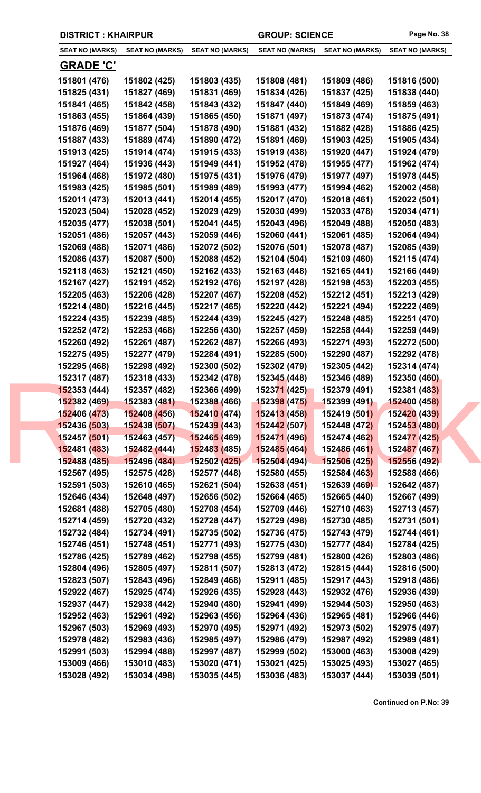|                        | <b>DISTRICT: KHAIRPUR</b> |                             | <b>GROUP: SCIENCE</b>  |                        | Page No. 38            |
|------------------------|---------------------------|-----------------------------|------------------------|------------------------|------------------------|
| <b>SEAT NO (MARKS)</b> | <b>SEAT NO (MARKS)</b>    | <b>SEAT NO (MARKS)</b>      | <b>SEAT NO (MARKS)</b> | <b>SEAT NO (MARKS)</b> | <b>SEAT NO (MARKS)</b> |
| <b>GRADE 'C'</b>       |                           |                             |                        |                        |                        |
| 151801 (476)           | 151802 (425)              | 151803 (435)                | 151808 (481)           | 151809 (486)           | 151816 (500)           |
| 151825 (431)           | 151827 (469)              | 151831 (469)                | 151834 (426)           | 151837 (425)           | 151838 (440)           |
| 151841 (465)           | 151842 (458)              | 151843 (432)                | 151847 (440)           | 151849 (469)           | 151859 (463)           |
| 151863 (455)           | 151864 (439)              | 151865 (450)                | 151871 (497)           | 151873 (474)           | 151875 (491)           |
| 151876 (469)           | 151877 (504)              | 151878 (490)                | 151881 (432)           | 151882 (428)           | 151886 (425)           |
| 151887 (433)           | 151889 (474)              | 151890 (472)                | 151891 (469)           | 151903 (425)           | 151905 (434)           |
| 151913 (425)           | 151914 (474)              | 151915 (433)                | 151919 (438)           | 151920 (447)           | 151924 (479)           |
| 151927 (464)           | 151936 (443)              | 151949 (441)                | 151952 (478)           | 151955 (477)           | 151962 (474)           |
| 151964 (468)           | 151972 (480)              | 151975 (431)                | 151976 (479)           | 151977 (497)           | 151978 (445)           |
| 151983 (425)           | 151985 (501)              | 151989 (489)                | 151993 (477)           | 151994 (462)           | 152002 (458)           |
| 152011 (473)           | 152013 (441)              | 152014 (455)                | 152017 (470)           | 152018 (461)           | 152022 (501)           |
| 152023 (504)           | 152028 (452)              | 152029 (429)                | 152030 (499)           | 152033 (478)           | 152034 (471)           |
| 152035 (477)           | 152038 (501)              | 152041 (445)                | 152043 (496)           | 152049 (488)           | 152050 (483)           |
| 152051 (486)           | 152057 (443)              | 152059 (446)                | 152060 (441)           | 152061 (485)           | 152064 (494)           |
| 152069 (488)           | 152071 (486)              | 152072 (502)                | 152076 (501)           | 152078 (487)           | 152085 (439)           |
| 152086 (437)           | 152087 (500)              | 152088 (452)                | 152104 (504)           | 152109 (460)           | 152115 (474)           |
| 152118 (463)           | 152121 (450)              | 152162 (433)                | 152163 (448)           | 152165 (441)           | 152166 (449)           |
| 152167 (427)           | 152191 (452)              | 152192 (476)                | 152197 (428)           | 152198 (453)           | 152203 (455)           |
| 152205 (463)           | 152206 (428)              | 152207 (467)                | 152208 (452)           | 152212 (451)           | 152213 (429)           |
| 152214 (480)           | 152216 (445)              | 152217 (465)                | 152220 (442)           | 152221 (494)           | 152222 (469)           |
| 152224 (435)           | 152239 (485)              | 152244 (439)                | 152245 (427)           | 152248 (485)           | 152251 (470)           |
| 152252 (472)           | 152253 (468)              | 152256 (430)                | 152257 (459)           | 152258 (444)           | 152259 (449)           |
| 152260 (492)           | 152261 (487)              | 152262 (487)                | 152266 (493)           | 152271 (493)           | 152272 (500)           |
| 152275 (495)           | 152277 (479)              | 152284 (491)                | 152285 (500)           | 152290 (487)           | 152292 (478)           |
| 152295 (468)           | 152298 (492)              | 152300 (502)                | 152302 (479)           | 152305 (442)           | 152314 (474)           |
| 152317 (487)           | 152318 (433)              | 152342 (478)                | 152345 (448)           | 152346 (489)           | 152350 (460)           |
| 152353 (444)           | 152357 (482)              | 152366 (499)                | 152371 (425)           | 152379 (491)           | 152381 (483)           |
| 152382 (469)           | 152383 (481)              | 15238 <mark>8 (466)</mark>  | 152398 (475)           | 152399 (491)           | 152400 (458)           |
| 152406 (473)           | 152408 (456)              | 152410 (474)                | 152413 (458)           | 152419 (501)           | 152420 (439)           |
| 152436 (503)           | 152438 (507)              | 15243 <mark>9 (</mark> 443) | 152442 (507)           | 152448 (472)           | 152453 (480)           |
| 152457 (501)           | 152463 (457)              | 152465 (469)                | 152471 (496)           | 152474 (462)           | 152477 (425)           |
| 152481 (483)           | 152482 (444)              | 152483 (485)                | 152485 (464)           | 152486 (461)           | 152487 (467)           |
| 152488 (485)           | 152496 (484)              | 152502 (425)                | 152504(494)            | 152506 (425)           | 152556 (492)           |
| 152567 (495)           | 152575 (428)              | 152577 (448)                | 152580 (455)           | 152584 (463)           | 152588 (466)           |
| 152591 (503)           | 152610 (465)              | 152621 (504)                | 152638 (451)           | 152639 (469)           | 152642 (487)           |
| 152646 (434)           | 152648 (497)              | 152656 (502)                | 152664 (465)           | 152665 (440)           | 152667 (499)           |
| 152681 (488)           | 152705 (480)              | 152708 (454)                | 152709 (446)           | 152710 (463)           | 152713 (457)           |
| 152714 (459)           | 152720 (432)              | 152728 (447)                | 152729 (498)           | 152730 (485)           | 152731 (501)           |
| 152732 (484)           | 152734 (491)              | 152735 (502)                | 152736 (475)           | 152743 (479)           | 152744 (461)           |
| 152746 (451)           | 152748 (451)              | 152771 (493)                | 152775 (430)           | 152777 (484)           | 152784 (425)           |
| 152786 (425)           | 152789 (462)              | 152798 (455)                | 152799 (481)           | 152800 (426)           | 152803 (486)           |
| 152804 (496)           | 152805 (497)              | 152811 (507)                | 152813 (472)           | 152815 (444)           | 152816 (500)           |
| 152823 (507)           | 152843 (496)              | 152849 (468)                | 152911 (485)           | 152917 (443)           | 152918 (486)           |
| 152922 (467)           | 152925 (474)              | 152926 (435)                | 152928 (443)           | 152932 (476)           | 152936 (439)           |
| 152937 (447)           | 152938 (442)              | 152940 (480)                | 152941 (499)           | 152944 (503)           | 152950 (463)           |
| 152952 (463)           | 152961 (492)              | 152963 (456)                | 152964 (436)           | 152965 (481)           | 152966 (446)           |
| 152967 (503)           | 152969 (493)              | 152970 (495)                | 152971 (492)           | 152973 (502)           | 152975 (497)           |
| 152978 (482)           | 152983 (436)              | 152985 (497)                | 152986 (479)           | 152987 (492)           | 152989 (481)           |
| 152991 (503)           | 152994 (488)              | 152997 (487)                | 152999 (502)           | 153000 (463)           | 153008 (429)           |
| 153009 (466)           | 153010 (483)              | 153020 (471)                | 153021 (425)           | 153025 (493)           | 153027 (465)           |

**153028 (492) 153034 (498) 153035 (445) 153036 (483) 153037 (444) 153039 (501)**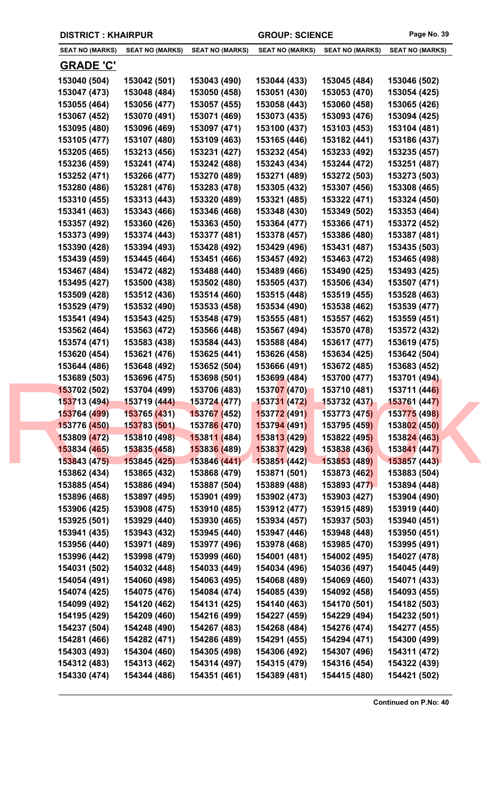|  | <b>DISTRICT: KHAIRPUR</b> |                        |                             | <b>GROUP: SCIENCE</b>     |                        | Page No. 39            |
|--|---------------------------|------------------------|-----------------------------|---------------------------|------------------------|------------------------|
|  | <b>SEAT NO (MARKS)</b>    | <b>SEAT NO (MARKS)</b> | <b>SEAT NO (MARKS)</b>      | <b>SEAT NO (MARKS)</b>    | <b>SEAT NO (MARKS)</b> | <b>SEAT NO (MARKS)</b> |
|  | <b>GRADE 'C'</b>          |                        |                             |                           |                        |                        |
|  | 153040 (504)              | 153042 (501)           | 153043 (490)                | 153044 (433)              | 153045 (484)           | 153046 (502)           |
|  | 153047 (473)              | 153048 (484)           | 153050 (458)                | 153051 (430)              | 153053 (470)           | 153054 (425)           |
|  | 153055 (464)              | 153056 (477)           | 153057 (455)                | 153058 (443)              | 153060 (458)           | 153065 (426)           |
|  | 153067 (452)              | 153070 (491)           | 153071 (469)                | 153073 (435)              | 153093 (476)           | 153094 (425)           |
|  | 153095 (480)              | 153096 (469)           | 153097 (471)                | 153100 (437)              | 153103 (453)           | 153104 (481)           |
|  | 153105 (477)              | 153107 (480)           | 153109 (463)                | 153165 (446)              | 153182 (441)           | 153186 (437)           |
|  | 153205 (465)              | 153213 (456)           | 153231 (427)                | 153232 (454)              | 153233 (492)           | 153235 (457)           |
|  | 153236 (459)              | 153241 (474)           | 153242 (488)                | 153243 (434)              | 153244 (472)           | 153251 (487)           |
|  | 153252 (471)              | 153266 (477)           | 153270 (489)                | 153271 (489)              | 153272 (503)           | 153273 (503)           |
|  | 153280 (486)              | 153281 (476)           | 153283 (478)                | 153305 (432)              | 153307 (456)           | 153308 (465)           |
|  | 153310 (455)              | 153313 (443)           | 153320 (489)                | 153321 (485)              | 153322 (471)           | 153324 (450)           |
|  | 153341 (463)              | 153343 (466)           | 153346 (468)                | 153348 (430)              | 153349 (502)           | 153353 (464)           |
|  | 153357 (492)              | 153360 (426)           | 153363 (450)                | 153364 (477)              | 153366 (471)           | 153372 (452)           |
|  | 153373 (499)              | 153374 (443)           | 153377 (481)                | 153378 (457)              | 153386 (480)           | 153387 (481)           |
|  | 153390 (428)              | 153394 (493)           | 153428 (492)                | 153429 (496)              | 153431 (487)           | 153435 (503)           |
|  | 153439 (459)              | 153445 (464)           | 153451 (466)                | 153457 (492)              | 153463 (472)           | 153465 (498)           |
|  | 153467 (484)              | 153472 (482)           | 153488 (440)                | 153489 (466)              | 153490 (425)           | 153493 (425)           |
|  | 153495 (427)              | 153500 (438)           | 153502 (480)                | 153505 (437)              | 153506 (434)           | 153507 (471)           |
|  | 153509 (428)              | 153512 (436)           | 153514 (460)                | 153515 (448)              | 153519 (455)           | 153528 (463)           |
|  | 153529 (479)              | 153532 (490)           | 153533 (458)                | 153534 (490)              | 153538 (462)           | 153539 (477)           |
|  | 153541 (494)              | 153543 (425)           | 153548 (479)                | 153555 (481)              | 153557 (462)           | 153559 (451)           |
|  | 153562 (464)              | 153563 (472)           | 153566 (448)                | 153567 (494)              | 153570 (478)           | 153572 (432)           |
|  | 153574 (471)              | 153583 (438)           | 153584 (443)                | 153588 (484)              | 153617 (477)           | 153619 (475)           |
|  | 153620 (454)              | 153621 (476)           | 153625 (441)                | 153626 (458)              | 153634 (425)           | 153642 (504)           |
|  | 153644 (486)              | 153648 (492)           | 153652 (504)                | 153666 (491)              | 153672 (485)           | 153683 (452)           |
|  | 153689 (503)              | 153696 (475)           | 153698 (501)                | 153699 (484)              | 153700 (477)           | 153701 (494)           |
|  | 153702 (502)              | 153704 (499)           | 153706 (483)                | 153707 (470)              | 153710 (481)           | 153711 (446)           |
|  | 153713 (494)              | 153719 (444)           | 153724 (477)                | <mark>153731 (472)</mark> | 153732 (437)           | 153761 (447)           |
|  | 153764 (499)              | 153765 (431)           | 153767 (452)                | 153772 (491)              | 153773 (475)           | 153775 (498)           |
|  | 153776 (450)              | 153783 (501)           | 15378 <mark>6 (</mark> 470) | 153794 (491)              | 153795 (459)           | 153802 (450)           |
|  | 153809 (472)              | 153810 (498)           | 153811 (484)                | 153813 (429)              | 153822 (495)           | 153824 (463)           |
|  | 153834 (465)              | 153835 (458)           | 153836 (489)                | 153837 (429)              | 153838 (436)           | 153841 (447)           |
|  | 153843 (475)              | 153845 (425)           | 153846 (441)                | 153851 (442)              | 153853 (489)           | 153857 (443)           |
|  | 153862 (434)              | 153865 (432)           | 153868 (479)                | 153871 (501)              | 153873 (462)           | 153883 (504)           |
|  | 153885 (454)              | 153886 (494)           | 153887 (504)                | 153889 (488)              | 153893 (477)           | 153894 (448)           |
|  | 153896 (468)              | 153897 (495)           | 153901 (499)                | 153902 (473)              | 153903 (427)           | 153904 (490)           |
|  | 153906 (425)              | 153908 (475)           | 153910 (485)                | 153912 (477)              | 153915 (489)           | 153919 (440)           |
|  | 153925 (501)              | 153929 (440)           | 153930 (465)                | 153934 (457)              | 153937 (503)           | 153940 (451)           |
|  | 153941 (435)              | 153943 (432)           | 153945 (440)                | 153947 (446)              | 153948 (448)           | 153950 (451)           |
|  | 153956 (440)              | 153971 (489)           | 153977 (496)                | 153978 (468)              | 153985 (470)           | 153995 (491)           |
|  | 153996 (442)              | 153998 (479)           | 153999 (460)                | 154001 (481)              | 154002 (495)           | 154027 (478)           |
|  | 154031 (502)              | 154032 (448)           | 154033 (449)                | 154034 (496)              | 154036 (497)           | 154045 (449)           |
|  | 154054 (491)              | 154060 (498)           | 154063 (495)                | 154068 (489)              | 154069 (460)           | 154071 (433)           |
|  | 154074 (425)              | 154075 (476)           | 154084 (474)                | 154085 (439)              | 154092 (458)           | 154093 (455)           |
|  | 154099 (492)              | 154120 (462)           | 154131 (425)                | 154140 (463)              | 154170 (501)           | 154182 (503)           |
|  | 154195 (429)              | 154209 (460)           | 154216 (499)                | 154227 (459)              | 154229 (494)           | 154232 (501)           |
|  | 154237 (504)              | 154248 (490)           | 154267 (483)                | 154268 (484)              | 154276 (474)           | 154277 (455)           |
|  | 154281 (466)              | 154282 (471)           | 154286 (489)                | 154291 (455)              | 154294 (471)           | 154300 (499)           |
|  | 154303 (493)              | 154304 (460)           | 154305 (498)                | 154306 (492)              | 154307 (496)           | 154311 (472)           |
|  | 154312 (483)              | 154313 (462)           | 154314 (497)                | 154315 (479)              | 154316 (454)           | 154322 (439)           |
|  | 154330 (474)              | 154344 (486)           | 154351 (461)                | 154389 (481)              | 154415 (480)           | 154421 (502)           |
|  |                           |                        |                             |                           |                        |                        |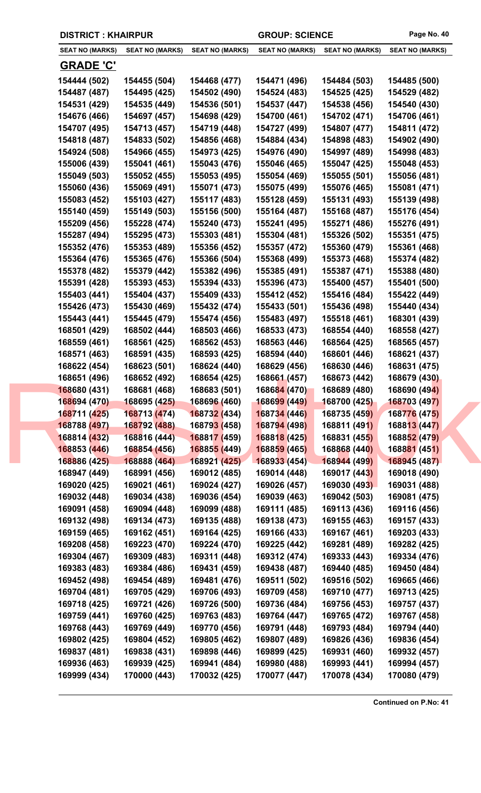| <b>DISTRICT: KHAIRPUR</b>    |                              |                              | <b>GROUP: SCIENCE</b>        |                              | Page No. 40                  |
|------------------------------|------------------------------|------------------------------|------------------------------|------------------------------|------------------------------|
| <b>SEAT NO (MARKS)</b>       | <b>SEAT NO (MARKS)</b>       | <b>SEAT NO (MARKS)</b>       | <b>SEAT NO (MARKS)</b>       | <b>SEAT NO (MARKS)</b>       | <b>SEAT NO (MARKS)</b>       |
| <b>GRADE 'C'</b>             |                              |                              |                              |                              |                              |
| 154444 (502)                 | 154455 (504)                 | 154468 (477)                 | 154471 (496)                 | 154484 (503)                 | 154485 (500)                 |
| 154487 (487)                 | 154495 (425)                 | 154502 (490)                 | 154524 (483)                 | 154525 (425)                 | 154529 (482)                 |
| 154531 (429)                 | 154535 (449)                 | 154536 (501)                 | 154537 (447)                 | 154538 (456)                 | 154540 (430)                 |
| 154676 (466)                 | 154697 (457)                 | 154698 (429)                 | 154700 (461)                 | 154702 (471)                 | 154706 (461)                 |
| 154707 (495)                 | 154713 (457)                 | 154719 (448)                 | 154727 (499)                 | 154807 (477)                 | 154811 (472)                 |
| 154818 (487)                 | 154833 (502)                 | 154856 (468)                 | 154884 (434)                 | 154898 (483)                 | 154902 (490)                 |
| 154924 (508)                 | 154966 (455)                 | 154973 (425)                 | 154976 (490)                 | 154997 (489)                 | 154998 (483)                 |
| 155006 (439)                 | 155041 (461)                 | 155043 (476)                 | 155046 (465)                 | 155047 (425)                 | 155048 (453)                 |
| 155049 (503)                 | 155052 (455)                 | 155053 (495)                 | 155054 (469)                 | 155055 (501)                 | 155056 (481)                 |
| 155060 (436)                 | 155069 (491)                 | 155071 (473)                 | 155075 (499)                 | 155076 (465)                 | 155081 (471)                 |
| 155083 (452)                 | 155103 (427)                 | 155117 (483)                 | 155128 (459)                 | 155131 (493)                 | 155139 (498)                 |
| 155140 (459)                 | 155149 (503)                 | 155156 (500)                 | 155164 (487)                 | 155168 (487)                 | 155176 (454)                 |
| 155209 (456)                 | 155228 (474)                 | 155240 (473)                 | 155241 (495)                 | 155271 (486)                 | 155276 (491)                 |
| 155287 (494)                 | 155295 (473)                 | 155303 (481)                 | 155304 (481)                 | 155326 (502)                 | 155351 (475)                 |
| 155352 (476)                 | 155353 (489)                 | 155356 (452)                 | 155357 (472)                 | 155360 (479)                 | 155361 (468)                 |
| 155364 (476)                 | 155365 (476)                 | 155366 (504)                 | 155368 (499)                 | 155373 (468)                 | 155374 (482)                 |
| 155378 (482)                 | 155379 (442)                 | 155382 (496)                 | 155385 (491)                 | 155387 (471)                 | 155388 (480)                 |
| 155391 (428)                 | 155393 (453)                 | 155394 (433)                 | 155396 (473)                 | 155400 (457)                 | 155401 (500)                 |
| 155403 (441)                 | 155404 (437)                 | 155409 (433)                 | 155412 (452)                 | 155416 (484)                 | 155422 (449)                 |
| 155426 (473)                 | 155430 (469)                 | 155432 (474)                 | 155433 (501)                 | 155436 (498)                 | 155440 (434)                 |
| 155443 (441)                 | 155445 (479)                 | 155474 (456)                 | 155483 (497)                 | 155518 (461)                 | 168301 (439)                 |
| 168501 (429)                 | 168502 (444)                 | 168503 (466)                 | 168533 (473)                 | 168554 (440)                 | 168558 (427)                 |
| 168559 (461)                 | 168561 (425)                 | 168562 (453)                 | 168563 (446)                 | 168564 (425)                 | 168565 (457)                 |
| 168571 (463)                 | 168591 (435)                 | 168593 (425)                 | 168594 (440)                 | 168601 (446)                 | 168621 (437)                 |
| 168622 (454)                 | 168623 (501)                 | 168624 (440)                 | 168629 (456)                 | 168630 (446)                 | 168631 (475)                 |
| 168651 (496)                 | 168652 (492)                 | 168654 (425)                 | 168661 (457)                 | 168673 (442)                 | 168679 (430)                 |
| 168680 (431)                 | 168681 (468)                 | 168683 (501)                 | 168684 (470)                 | 168689 (480)                 | 168690 (494)                 |
| 168694 (470)                 | 168695 (425)                 | 168696 (460)                 | 168699 (449)                 | 168700 (425)                 | 168703 (497)                 |
| 168711 (425)                 | 168713 (474)                 | 168732 (434)                 | 168734 (446)                 | 168735 (459)                 | 168776 (475)                 |
| 168788 (497)                 | 168792 (488)                 | 16879 <mark>3 (</mark> 458)  | 168794 (498)                 | 168811 (491)                 | 168813 (447)                 |
| 168814 (432)                 | 168816 (444)                 | 168817 (459)                 | 168818 (425)                 | 168831 (455)                 | 168852 (479)                 |
| 168853 (446)                 | 168854 (456)                 | 168855 (449)                 | 168859 (465)                 | 168868 (440)                 | 168881 (451)                 |
| 168886 (425)                 | 168888 (464)                 | 168921 (425)                 | 168933 (454)                 | 168944 (499)                 | 168945 (487)                 |
| 168947 (449)                 | 168991 (456)                 | 169012 (485)                 | 169014 (448)                 | 169017 (443)                 | 169018 (490)                 |
| 169020 (425)                 | 169021 (461)                 | 169024 (427)                 | 169026 (457)                 | 169030 (493)                 | 169031 (488)                 |
| 169032 (448)                 | 169034 (438)                 | 169036 (454)                 | 169039 (463)<br>169111 (485) | 169042 (503)<br>169113 (436) | 169081 (475)<br>169116 (456) |
| 169091 (458)<br>169132 (498) | 169094 (448)<br>169134 (473) | 169099 (488)<br>169135 (488) | 169138 (473)                 | 169155 (463)                 | 169157 (433)                 |
| 169159 (465)                 | 169162 (451)                 | 169164 (425)                 | 169166 (433)                 | 169167 (461)                 | 169203 (433)                 |
| 169208 (458)                 | 169223 (470)                 | 169224 (470)                 | 169225 (442)                 | 169281 (489)                 | 169282 (425)                 |
| 169304 (467)                 | 169309 (483)                 | 169311 (448)                 | 169312 (474)                 | 169333 (443)                 | 169334 (476)                 |
| 169383 (483)                 | 169384 (486)                 | 169431 (459)                 | 169438 (487)                 | 169440 (485)                 | 169450 (484)                 |
| 169452 (498)                 | 169454 (489)                 | 169481 (476)                 | 169511 (502)                 | 169516 (502)                 | 169665 (466)                 |
| 169704 (481)                 | 169705 (429)                 | 169706 (493)                 | 169709 (458)                 | 169710 (477)                 | 169713 (425)                 |
| 169718 (425)                 | 169721 (426)                 | 169726 (500)                 | 169736 (484)                 | 169756 (453)                 | 169757 (437)                 |
| 169759 (441)                 | 169760 (425)                 | 169763 (483)                 | 169764 (447)                 | 169765 (472)                 | 169767 (458)                 |
| 169768 (443)                 | 169769 (449)                 | 169770 (456)                 | 169791 (448)                 | 169793 (484)                 | 169794 (440)                 |
| 169802 (425)                 | 169804 (452)                 | 169805 (462)                 | 169807 (489)                 | 169826 (436)                 | 169836 (454)                 |
| 169837 (481)                 | 169838 (431)                 | 169898 (446)                 | 169899 (425)                 | 169931 (460)                 | 169932 (457)                 |
| 169936 (463)                 | 169939 (425)                 | 169941 (484)                 | 169980 (488)                 | 169993 (441)                 | 169994 (457)                 |

**169999 (434) 170000 (443) 170032 (425) 170077 (447) 170078 (434) 170080 (479)**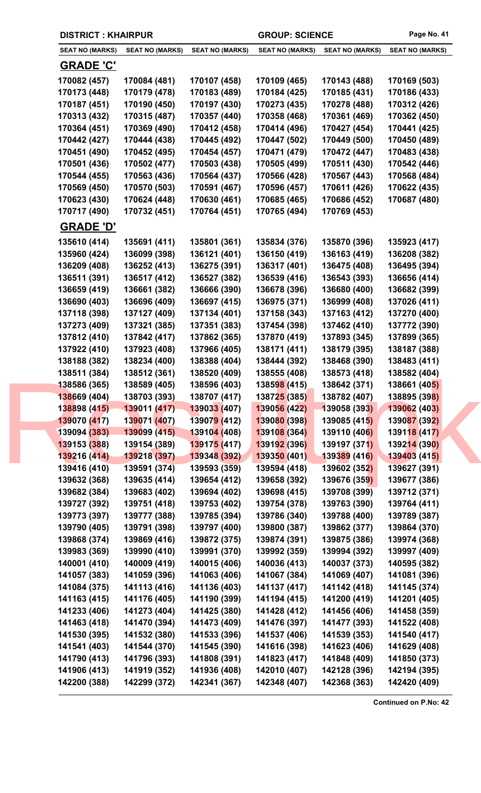|  | <b>DISTRICT: KHAIRPUR</b>    |                              |                              | <b>GROUP: SCIENCE</b>        |                              | Page No. 41                  |
|--|------------------------------|------------------------------|------------------------------|------------------------------|------------------------------|------------------------------|
|  | <b>SEAT NO (MARKS)</b>       | <b>SEAT NO (MARKS)</b>       | <b>SEAT NO (MARKS)</b>       | <b>SEAT NO (MARKS)</b>       | <b>SEAT NO (MARKS)</b>       | <b>SEAT NO (MARKS)</b>       |
|  | <b>GRADE 'C'</b>             |                              |                              |                              |                              |                              |
|  | 170082 (457)                 | 170084 (481)                 | 170107 (458)                 | 170109 (465)                 | 170143 (488)                 | 170169 (503)                 |
|  | 170173 (448)                 | 170179 (478)                 | 170183 (489)                 | 170184 (425)                 | 170185 (431)                 | 170186 (433)                 |
|  | 170187 (451)                 | 170190 (450)                 | 170197 (430)                 | 170273 (435)                 | 170278 (488)                 | 170312 (426)                 |
|  | 170313 (432)                 | 170315 (487)                 | 170357 (440)                 | 170358 (468)                 | 170361 (469)                 | 170362 (450)                 |
|  | 170364 (451)                 | 170369 (490)                 | 170412 (458)                 | 170414 (496)                 | 170427 (454)                 | 170441 (425)                 |
|  | 170442 (427)                 | 170444 (438)                 | 170445 (492)                 | 170447 (502)                 | 170449 (500)                 | 170450 (489)                 |
|  | 170451 (490)                 | 170452 (495)                 | 170454 (457)                 | 170471 (479)                 | 170472 (447)                 | 170483 (438)                 |
|  | 170501 (436)                 | 170502 (477)                 | 170503 (438)                 | 170505 (499)                 | 170511 (430)                 | 170542 (446)                 |
|  | 170544 (455)                 | 170563 (436)                 | 170564 (437)                 | 170566 (428)                 | 170567 (443)                 | 170568 (484)                 |
|  | 170569 (450)                 | 170570 (503)                 | 170591 (467)                 | 170596 (457)                 | 170611 (426)                 | 170622 (435)                 |
|  | 170623 (430)                 | 170624 (448)                 | 170630 (461)                 | 170685 (465)                 | 170686 (452)                 | 170687 (480)                 |
|  | 170717 (490)                 | 170732 (451)                 | 170764 (451)                 | 170765 (494)                 | 170769 (453)                 |                              |
|  | <b>GRADE 'D'</b>             |                              |                              |                              |                              |                              |
|  | 135610 (414)                 | 135691 (411)                 | 135801 (361)                 | 135834 (376)                 | 135870 (396)                 | 135923 (417)                 |
|  | 135960 (424)                 | 136099 (398)                 | 136121 (401)                 | 136150 (419)                 | 136163 (419)                 | 136208 (382)                 |
|  | 136209 (408)                 | 136252 (413)                 | 136275 (391)                 | 136317 (401)                 | 136475 (408)                 | 136495 (394)                 |
|  | 136511 (391)                 | 136517 (412)                 | 136527 (382)                 | 136539 (416)                 | 136543 (393)                 | 136656 (414)                 |
|  | 136659 (419)                 | 136661 (382)                 | 136666 (390)                 | 136678 (396)                 | 136680 (400)                 | 136682 (399)                 |
|  | 136690 (403)                 | 136696 (409)                 | 136697 (415)                 | 136975 (371)                 | 136999 (408)                 | 137026 (411)                 |
|  | 137118 (398)                 | 137127 (409)                 | 137134 (401)                 | 137158 (343)                 | 137163 (412)                 | 137270 (400)                 |
|  | 137273 (409)                 | 137321 (385)                 | 137351 (383)                 | 137454 (398)                 | 137462 (410)                 | 137772 (390)                 |
|  | 137812 (410)                 | 137842 (417)                 | 137862 (365)                 | 137870 (419)                 | 137893 (345)                 | 137899 (365)                 |
|  | 137922 (410)                 | 137923 (408)                 | 137966 (405)                 | 138171 (411)                 | 138179 (395)                 | 138187 (388)                 |
|  | 138188 (382)                 | 138234 (400)                 | 138388 (404)                 | 138444 (392)                 | 138468 (390)                 | 138483 (411)                 |
|  | 138511 (384)                 | 138512 (361)                 | 138520 (409)                 | 138555 (408)                 | 138573 (418)                 | 138582 (404)                 |
|  | 138586 (365)                 | 138589 (405)                 | 138596 (403)                 | 138598 (415)                 | 138642 (371)                 | 138661 (405)                 |
|  | 138669 (404)                 | 138703 (393)                 | 138707 (417)                 | 138725 (385)                 | 138782 (407)                 | 138895 (398)                 |
|  | 138898 (415)                 | 139011 (417)                 | 139033 (407)                 | 139056 (422)                 | 139058 (393)                 | 139062 (403)                 |
|  | 139070 (417)                 | 139071 (407)                 | 139079 (412)                 | 139080 (398)                 | 139085 (415)                 | 139087 (392)                 |
|  | 139094 (383)                 | 139099 (415)                 | 13910 <mark>4 (</mark> 408)  | 139108 (364)                 | 139110 (406)                 | 139118 (417)                 |
|  | 139153 (388)                 | 139154 (389)                 | 139175 (417)                 | 139192 (396)                 | 139197 (371)                 | 139214 (390)                 |
|  | 139216 (414)                 | 139218 (397)                 | 139348 (392)                 | 139350 (401)                 | 139389 (416)                 | 139403 (415)                 |
|  | 139416 (410)                 | 139591 (374)<br>139635 (414) | 139593 (359)                 | 139594 (418)                 | 139602 (352)                 | 139627 (391)                 |
|  | 139632 (368)<br>139682 (384) | 139683 (402)                 | 139654 (412)<br>139694 (402) | 139658 (392)<br>139698 (415) | 139676 (359)<br>139708 (399) | 139677 (386)<br>139712 (371) |
|  | 139727 (392)                 | 139751 (418)                 | 139753 (402)                 | 139754 (378)                 | 139763 (390)                 | 139764 (411)                 |
|  | 139773 (397)                 | 139777 (388)                 | 139785 (394)                 | 139786 (340)                 | 139788 (400)                 | 139789 (387)                 |
|  | 139790 (405)                 | 139791 (398)                 | 139797 (400)                 | 139800 (387)                 | 139862 (377)                 | 139864 (370)                 |
|  | 139868 (374)                 | 139869 (416)                 | 139872 (375)                 | 139874 (391)                 | 139875 (386)                 | 139974 (368)                 |
|  | 139983 (369)                 | 139990 (410)                 | 139991 (370)                 | 139992 (359)                 | 139994 (392)                 | 139997 (409)                 |
|  | 140001 (410)                 | 140009 (419)                 | 140015 (406)                 | 140036 (413)                 | 140037 (373)                 | 140595 (382)                 |
|  | 141057 (383)                 | 141059 (396)                 | 141063 (406)                 | 141067 (384)                 | 141069 (407)                 | 141081 (396)                 |
|  | 141084 (375)                 | 141113 (416)                 | 141136 (403)                 | 141137 (417)                 | 141142 (418)                 | 141145 (374)                 |
|  | 141163 (415)                 | 141176 (405)                 | 141190 (399)                 | 141194 (415)                 | 141200 (419)                 | 141201 (405)                 |
|  | 141233 (406)                 | 141273 (404)                 | 141425 (380)                 | 141428 (412)                 | 141456 (406)                 | 141458 (359)                 |
|  | 141463 (418)                 | 141470 (394)                 | 141473 (409)                 | 141476 (397)                 | 141477 (393)                 | 141522 (408)                 |
|  | 141530 (395)                 | 141532 (380)                 | 141533 (396)                 | 141537 (406)                 | 141539 (353)                 | 141540 (417)                 |
|  | 141541 (403)                 | 141544 (370)                 | 141545 (390)                 | 141616 (398)                 | 141623 (406)                 | 141629 (408)                 |
|  | 141790 (413)                 | 141796 (393)                 | 141808 (391)                 | 141823 (417)                 | 141848 (409)                 | 141850 (373)                 |
|  | 141906 (413)                 | 141919 (352)                 | 141936 (408)                 | 142010 (407)                 | 142128 (396)                 | 142194 (395)                 |
|  | 142200 (388)                 | 142299 (372)                 | 142341 (367)                 | 142348 (407)                 | 142368 (363)                 | 142420 (409)                 |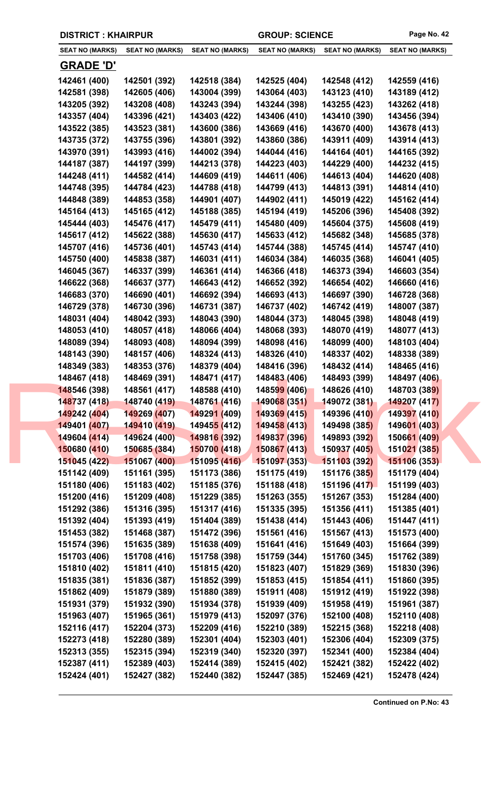| <b>DISTRICT: KHAIRPUR</b> |                        |                             | <b>GROUP: SCIENCE</b>  |                        | Page No. 42            |
|---------------------------|------------------------|-----------------------------|------------------------|------------------------|------------------------|
| <b>SEAT NO (MARKS)</b>    | <b>SEAT NO (MARKS)</b> | <b>SEAT NO (MARKS)</b>      | <b>SEAT NO (MARKS)</b> | <b>SEAT NO (MARKS)</b> | <b>SEAT NO (MARKS)</b> |
| <u>GRADE 'D'</u>          |                        |                             |                        |                        |                        |
| 142461 (400)              | 142501 (392)           | 142518 (384)                | 142525 (404)           | 142548 (412)           | 142559 (416)           |
| 142581 (398)              | 142605 (406)           | 143004 (399)                | 143064 (403)           | 143123 (410)           | 143189 (412)           |
| 143205 (392)              | 143208 (408)           | 143243 (394)                | 143244 (398)           | 143255 (423)           | 143262 (418)           |
| 143357 (404)              | 143396 (421)           | 143403 (422)                | 143406 (410)           | 143410 (390)           | 143456 (394)           |
| 143522 (385)              | 143523 (381)           | 143600 (386)                | 143669 (416)           | 143670 (400)           | 143678 (413)           |
| 143735 (372)              | 143755 (396)           | 143801 (392)                | 143860 (386)           | 143911 (409)           | 143914 (413)           |
| 143970 (391)              | 143993 (416)           | 144002 (394)                | 144044 (416)           | 144164 (401)           | 144165 (392)           |
| 144187 (387)              | 144197 (399)           | 144213 (378)                | 144223 (403)           | 144229 (400)           | 144232 (415)           |
| 144248 (411)              | 144582 (414)           | 144609 (419)                | 144611 (406)           | 144613 (404)           | 144620 (408)           |
| 144748 (395)              | 144784 (423)           | 144788 (418)                | 144799 (413)           | 144813 (391)           | 144814 (410)           |
| 144848 (389)              | 144853 (358)           | 144901 (407)                | 144902 (411)           | 145019 (422)           | 145162 (414)           |
| 145164 (413)              | 145165 (412)           | 145188 (385)                | 145194 (419)           | 145206 (396)           | 145408 (392)           |
| 145444 (403)              | 145476 (417)           | 145479 (411)                | 145480 (409)           | 145604 (375)           | 145608 (419)           |
| 145617 (412)              | 145622 (388)           | 145630 (417)                | 145633 (412)           | 145682 (348)           | 145685 (378)           |
| 145707 (416)              | 145736 (401)           | 145743 (414)                | 145744 (388)           | 145745 (414)           | 145747 (410)           |
| 145750 (400)              | 145838 (387)           | 146031 (411)                | 146034 (384)           | 146035 (368)           | 146041 (405)           |
| 146045 (367)              | 146337 (399)           | 146361 (414)                | 146366 (418)           | 146373 (394)           | 146603 (354)           |
| 146622 (368)              | 146637 (377)           | 146643 (412)                | 146652 (392)           | 146654 (402)           | 146660 (416)           |
| 146683 (370)              | 146690 (401)           | 146692 (394)                | 146693 (413)           | 146697 (390)           | 146728 (368)           |
| 146729 (378)              | 146730 (396)           | 146731 (387)                | 146737 (402)           | 146742 (419)           | 148007 (387)           |
| 148031 (404)              | 148042 (393)           | 148043 (390)                | 148044 (373)           | 148045 (398)           | 148048 (419)           |
| 148053 (410)              | 148057 (418)           | 148066 (404)                | 148068 (393)           | 148070 (419)           | 148077 (413)           |
| 148089 (394)              | 148093 (408)           | 148094 (399)                | 148098 (416)           | 148099 (400)           | 148103 (404)           |
| 148143 (390)              | 148157 (406)           | 148324 (413)                | 148326 (410)           | 148337 (402)           | 148338 (389)           |
| 148349 (383)              | 148353 (376)           | 148379 (404)                | 148416 (396)           | 148432 (414)           | 148465 (416)           |
| 148467 (418)              | 148469 (391)           | 148471 (417)                | 148483 (406)           | 148493 (399)           | 148497 (406)           |
| 148546 (398)              | 148561 (417)           | 148588 (410)                | 148599 (406)           | 148626 (410)           | 148703 (389)           |
| 148737 (418)              | 148740 (419)           | 148761 (416)                | 149068 (351)           | 149072 (381)           | 149207 (417)           |
| 149242 (404)              | 149269 (407)           | 149291 (409)                | 149369 (415)           | 149396 (410)           | 149397 (410)           |
| 149401 (407)              | 149410 (419)           | 14945 <mark>5 (</mark> 412) | 149458 (413)           | 149498 (385)           | 149601 (403)           |
| 149604 (414)              | 149624 (400)           | 149816 (392)                | 149837 (396)           | 149893 (392)           | 150661 (409)           |
| 150680 (410)              | 150685 (384)           | 150700 (418)                | 150867 (413)           | 150937 (405)           | 151021 (385)           |
| 151045 (422)              | 151067 (400)           | 151095 (416)                | 151097 (353)           | 151103 (392)           | 151106 (353)           |
| 151142 (409)              | 151161 (395)           | 151173 (386)                | 151175 (419)           | 151176 (385)           | 151179 (404)           |
| 151180 (406)              | 151183 (402)           | 151185 (376)                | 151188 (418)           | 151196 (417)           | 151199 (403)           |
| 151200 (416)              | 151209 (408)           | 151229 (385)                | 151263 (355)           | 151267 (353)           | 151284 (400)           |
| 151292 (386)              | 151316 (395)           | 151317 (416)                | 151335 (395)           | 151356 (411)           | 151385 (401)           |
| 151392 (404)              | 151393 (419)           | 151404 (389)                | 151438 (414)           | 151443 (406)           | 151447 (411)           |
| 151453 (382)              | 151468 (387)           | 151472 (396)                | 151561 (416)           | 151567 (413)           | 151573 (400)           |
| 151574 (396)              | 151635 (389)           | 151638 (409)                | 151641 (416)           | 151649 (403)           | 151664 (399)           |
| 151703 (406)              | 151708 (416)           | 151758 (398)                | 151759 (344)           | 151760 (345)           | 151762 (389)           |
| 151810 (402)              | 151811 (410)           | 151815 (420)                | 151823 (407)           | 151829 (369)           | 151830 (396)           |
| 151835 (381)              | 151836 (387)           | 151852 (399)                | 151853 (415)           | 151854 (411)           | 151860 (395)           |
| 151862 (409)              | 151879 (389)           | 151880 (389)                | 151911 (408)           | 151912 (419)           | 151922 (398)           |
| 151931 (379)              | 151932 (390)           | 151934 (378)                | 151939 (409)           | 151958 (419)           | 151961 (387)           |
| 151963 (407)              | 151965 (361)           | 151979 (413)                | 152097 (376)           | 152100 (408)           | 152110 (408)           |
| 152116 (417)              | 152204 (373)           | 152209 (416)                | 152210 (389)           | 152215 (368)           | 152218 (408)           |
| 152273 (418)              | 152280 (389)           | 152301 (404)                | 152303 (401)           | 152306 (404)           | 152309 (375)           |
| 152313 (355)              | 152315 (394)           | 152319 (340)                | 152320 (397)           | 152341 (400)           | 152384 (404)           |
| 152387 (411)              | 152389 (403)           | 152414 (389)                | 152415 (402)           | 152421 (382)           | 152422 (402)           |
| 152424 (401)              | 152427 (382)           | 152440 (382)                | 152447 (385)           | 152469 (421)           | 152478 (424)           |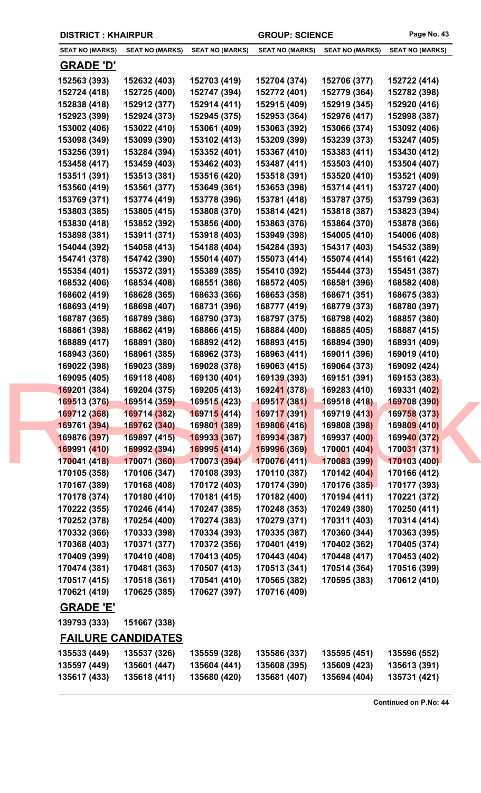|  | <b>DISTRICT: KHAIRPUR</b> |                           | <b>GROUP: SCIENCE</b>       |                        | Page No. 43            |                        |  |
|--|---------------------------|---------------------------|-----------------------------|------------------------|------------------------|------------------------|--|
|  | <b>SEAT NO (MARKS)</b>    | <b>SEAT NO (MARKS)</b>    | <b>SEAT NO (MARKS)</b>      | <b>SEAT NO (MARKS)</b> | <b>SEAT NO (MARKS)</b> | <b>SEAT NO (MARKS)</b> |  |
|  | <b>GRADE 'D'</b>          |                           |                             |                        |                        |                        |  |
|  | 152563 (393)              | 152632 (403)              | 152703 (419)                | 152704 (374)           | 152706 (377)           | 152722 (414)           |  |
|  | 152724 (418)              | 152725 (400)              | 152747 (394)                | 152772 (401)           | 152779 (364)           | 152782 (398)           |  |
|  | 152838 (418)              | 152912 (377)              | 152914 (411)                | 152915 (409)           | 152919 (345)           | 152920 (416)           |  |
|  | 152923 (399)              | 152924 (373)              | 152945 (375)                | 152953 (364)           | 152976 (417)           | 152998 (387)           |  |
|  | 153002 (406)              | 153022 (410)              | 153061 (409)                | 153063 (392)           | 153066 (374)           | 153092 (406)           |  |
|  | 153098 (349)              | 153099 (390)              | 153102 (413)                | 153209 (399)           | 153239 (373)           | 153247 (405)           |  |
|  | 153256 (391)              | 153284 (394)              | 153352 (401)                | 153367 (410)           | 153383 (411)           | 153430 (412)           |  |
|  | 153458 (417)              | 153459 (403)              | 153462 (403)                | 153487 (411)           | 153503 (410)           | 153504 (407)           |  |
|  | 153511 (391)              | 153513 (381)              | 153516 (420)                | 153518 (391)           | 153520 (410)           | 153521 (409)           |  |
|  | 153560 (419)              | 153561 (377)              | 153649 (361)                | 153653 (398)           | 153714 (411)           | 153727 (400)           |  |
|  | 153769 (371)              | 153774 (419)              | 153778 (396)                | 153781 (418)           | 153787 (375)           | 153799 (363)           |  |
|  | 153803 (385)              | 153805 (415)              | 153808 (370)                | 153814 (421)           | 153818 (387)           | 153823 (394)           |  |
|  | 153830 (418)              | 153852 (392)              | 153856 (400)                | 153863 (376)           | 153864 (370)           | 153878 (366)           |  |
|  | 153898 (381)              | 153911 (371)              | 153918 (403)                | 153949 (398)           | 154005 (410)           | 154006 (408)           |  |
|  | 154044 (392)              | 154058 (413)              | 154188 (404)                | 154284 (393)           | 154317 (403)           | 154532 (389)           |  |
|  | 154741 (378)              | 154742 (390)              | 155014 (407)                | 155073 (414)           | 155074 (414)           | 155161 (422)           |  |
|  | 155354 (401)              | 155372 (391)              | 155389 (385)                | 155410 (392)           | 155444 (373)           | 155451 (387)           |  |
|  | 168532 (406)              | 168534 (408)              | 168551 (386)                | 168572 (405)           | 168581 (396)           | 168582 (408)           |  |
|  | 168602 (419)              | 168628 (365)              | 168633 (366)                | 168653 (358)           | 168671 (351)           | 168675 (383)           |  |
|  | 168693 (419)              | 168698 (407)              | 168731 (396)                | 168777 (419)           | 168779 (373)           | 168780 (397)           |  |
|  | 168787 (365)              | 168789 (386)              | 168790 (373)                | 168797 (375)           | 168798 (402)           | 168857 (380)           |  |
|  | 168861 (398)              | 168862 (419)              | 168866 (415)                | 168884 (400)           | 168885 (405)           | 168887 (415)           |  |
|  | 168889 (417)              | 168891 (380)              | 168892 (412)                | 168893 (415)           | 168894 (390)           | 168931 (409)           |  |
|  | 168943 (360)              | 168961 (385)              | 168962 (373)                | 168963 (411)           | 169011 (396)           | 169019 (410)           |  |
|  | 169022 (398)              | 169023 (389)              | 169028 (378)                | 169063 (415)           | 169064 (373)           | 169092 (424)           |  |
|  | 169095 (405)              | 169118 (408)              | 169130 (401)                | 169139 (393)           | 169151 (391)           | 169153 (383)           |  |
|  | 169201 (384)              | 169204 (375)              | 169205 (413)                | 169241 (378)           | 169283 (410)           | 169331 (402)           |  |
|  | 169513 (376)              | 169514 (359)              | 169515 (423)                | 169517 (381)           | 169518 (418)           | 169708 (390)           |  |
|  | 169712 (368)              | 169714 (382)              | 169715 (414)                | 169717 (391)           | 169719 (413)           | 169758 (373)           |  |
|  | 169761 (394)              | 169762 (340)              | 16980 <mark>1 (</mark> 389) | 169806 (416)           | 169808 (398)           | 169809 (410)           |  |
|  | 169876 (397)              | 169897 (415)              | 169933 (367)                | 169934 (387)           | 169937 (400)           | 169940 (372)           |  |
|  | 169991 (410)              | 169992 (394)              | 169995 (414)                | 169996 (369)           | 170001 (404)           | 170031 (371)           |  |
|  | 170041 (418)              | 170071 (360)              | 170073 (394)                | 170076 (411)           | 170083 (399)           | 170103 (400)           |  |
|  | 170105 (358)              | 170106 (347)              | 170108 (393)                | 170110 (387)           | 170142 (404)           | 170166 (412)           |  |
|  | 170167 (389)              | 170168 (408)              | 170172 (403)                | 170174 (390)           | 170176 (385)           | 170177 (393)           |  |
|  | 170178 (374)              | 170180 (410)              | 170181 (415)                | 170182 (400)           | 170194 (411)           | 170221 (372)           |  |
|  | 170222 (355)              | 170246 (414)              | 170247 (385)                | 170248 (353)           | 170249 (380)           | 170250 (411)           |  |
|  | 170252 (378)              | 170254 (400)              | 170274 (383)                | 170279 (371)           | 170311 (403)           | 170314 (414)           |  |
|  | 170332 (366)              | 170333 (398)              | 170334 (393)                | 170335 (387)           | 170360 (344)           | 170363 (395)           |  |
|  | 170368 (403)              | 170371 (377)              | 170372 (356)                | 170401 (419)           | 170402 (362)           | 170405 (374)           |  |
|  | 170409 (399)              | 170410 (408)              | 170413 (405)                | 170443 (404)           | 170448 (417)           | 170453 (402)           |  |
|  | 170474 (381)              | 170481 (363)              | 170507 (413)                | 170513 (341)           | 170514 (364)           | 170516 (399)           |  |
|  | 170517 (415)              | 170518 (361)              | 170541 (410)                | 170565 (382)           | 170595 (383)           | 170612 (410)           |  |
|  | 170621 (419)              | 170625 (385)              | 170627 (397)                | 170716 (409)           |                        |                        |  |
|  | <b>GRADE 'E'</b>          |                           |                             |                        |                        |                        |  |
|  | 139793 (333)              | 151667 (338)              |                             |                        |                        |                        |  |
|  |                           | <b>FAILURE CANDIDATES</b> |                             |                        |                        |                        |  |
|  | 135533 (449)              | 135537 (326)              | 135559 (328)                | 135586 (337)           | 135595 (451)           | 135596 (552)           |  |
|  | 135597 (449)              | 135601 (447)              | 135604 (441)                | 135608 (395)           | 135609 (423)           | 135613 (391)           |  |
|  | 135617 (433)              | 135618 (411)              | 135680 (420)                | 135681 (407)           | 135694 (404)           | 135731 (421)           |  |
|  |                           |                           |                             |                        |                        |                        |  |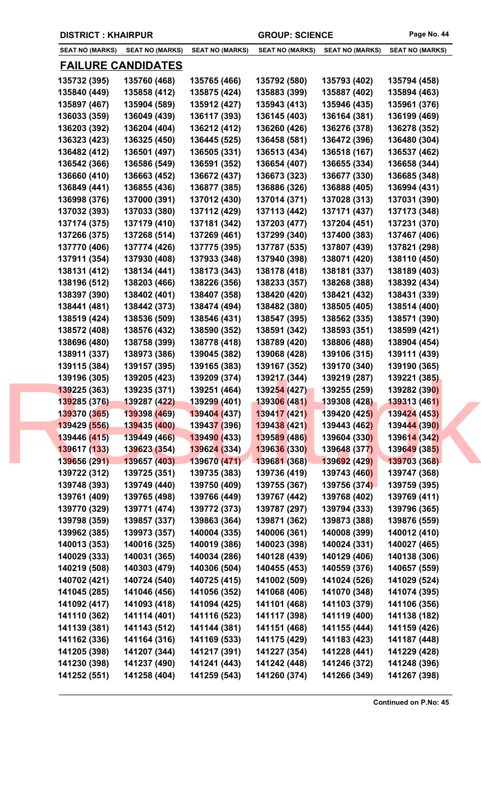| <b>DISTRICT: KHAIRPUR</b> |  |  |  |  |
|---------------------------|--|--|--|--|
|---------------------------|--|--|--|--|

| <b>SEAT NO (MARKS)</b>       | <b>SEAT NO (MARKS)</b>       | <b>SEAT NO (MARKS)</b>       | <b>SEAT NO (MARKS)</b>       | <b>SEAT NO (MARKS)</b>       | <b>SEAT NO (MARKS)</b>       |
|------------------------------|------------------------------|------------------------------|------------------------------|------------------------------|------------------------------|
|                              | <b>FAILURE CANDIDATES</b>    |                              |                              |                              |                              |
| 135732 (395)                 | 135760 (468)                 | 135765 (466)                 | 135792 (580)                 | 135793 (402)                 | 135794 (458)                 |
| 135840 (449)                 | 135858 (412)                 | 135875 (424)                 | 135883 (399)                 | 135887 (402)                 | 135894 (463)                 |
| 135897 (467)                 | 135904 (589)                 | 135912 (427)                 | 135943 (413)                 | 135946 (435)                 | 135961 (376)                 |
| 136033 (359)                 | 136049 (439)                 | 136117 (393)                 | 136145 (403)                 | 136164 (381)                 | 136199 (469)                 |
| 136203 (392)                 | 136204 (404)                 | 136212 (412)                 | 136260 (426)                 | 136276 (378)                 | 136278 (352)                 |
| 136323 (423)                 | 136325 (450)                 | 136445 (525)                 | 136458 (581)                 | 136472 (396)                 | 136480 (304)                 |
| 136482 (412)                 | 136501 (497)                 | 136505 (331)                 | 136513 (434)                 | 136518 (167)                 | 136537 (462)                 |
| 136542 (366)                 | 136586 (549)                 | 136591 (352)                 | 136654 (407)                 | 136655 (334)                 | 136658 (344)                 |
| 136660 (410)                 | 136663 (452)                 | 136672 (437)                 | 136673 (323)                 | 136677 (330)                 | 136685 (348)                 |
| 136849 (441)                 | 136855 (436)                 | 136877 (385)                 | 136886 (326)                 | 136888 (405)                 | 136994 (431)                 |
| 136998 (376)                 | 137000 (391)                 | 137012 (430)                 | 137014 (371)                 | 137028 (313)                 | 137031 (390)                 |
| 137032 (393)                 | 137033 (380)                 | 137112 (429)                 | 137113 (442)                 | 137171 (437)                 | 137173 (348)                 |
| 137174 (375)                 | 137179 (410)                 | 137181 (342)                 | 137203 (477)                 | 137204 (451)                 | 137231 (370)                 |
| 137266 (375)                 | 137268 (514)                 | 137269 (461)                 | 137299 (340)                 | 137400 (383)                 | 137467 (406)                 |
| 137770 (406)                 | 137774 (426)                 | 137775 (395)                 | 137787 (535)                 | 137807 (439)                 | 137821 (298)                 |
| 137911 (354)                 | 137930 (408)                 | 137933 (348)                 | 137940 (398)                 | 138071 (420)                 | 138110 (450)                 |
| 138131 (412)                 | 138134 (441)                 | 138173 (343)                 | 138178 (418)                 | 138181 (337)                 | 138189 (403)                 |
|                              |                              | 138226 (356)                 | 138233 (357)                 | 138268 (388)                 | 138392 (434)                 |
| 138196 (512)<br>138397 (390) | 138203 (466)<br>138402 (401) | 138407 (358)                 | 138420 (420)                 | 138421 (432)                 | 138431 (339)                 |
|                              |                              |                              |                              |                              |                              |
| 138441 (481)                 | 138442 (373)                 | 138474 (494)                 | 138482 (380)                 | 138505 (405)                 | 138514 (400)                 |
| 138519 (424)                 | 138536 (509)                 | 138546 (431)                 | 138547 (395)                 | 138562 (335)                 | 138571 (390)                 |
| 138572 (408)                 | 138576 (432)                 | 138590 (352)                 | 138591 (342)                 | 138593 (351)                 | 138599 (421)                 |
| 138696 (480)                 | 138758 (399)                 | 138778 (418)                 | 138789 (420)<br>139068 (428) | 138806 (488)                 | 138904 (454)                 |
| 138911 (337)                 | 138973 (386)                 | 139045 (382)                 |                              | 139106 (315)                 | 139111 (439)                 |
| 139115 (384)                 | 139157 (395)<br>139205 (423) | 139165 (383)                 | 139167 (352)                 | 139170 (340)                 | 139190 (365)                 |
| 139196 (305)<br>139225 (363) | 139235 (371)                 | 139209 (374)<br>139251 (464) | 139217 (344)<br>139254 (427) | 139219 (287)<br>139255 (259) | 139221 (385)<br>139282 (390) |
| 139285 (376)                 | 139287 (422)                 | 139299 (401)                 | 139306 (481)                 | 139308 (428)                 | 139313 (461)                 |
| 139370 (365)                 | 139398 (469)                 | 139404 (437)                 | 139417 (421)                 | 139420 (425)                 | 139424 (453)                 |
| 139429 (556)                 | 139435 (400)                 | 13943 <mark>7 (</mark> 396)  | 139438 (421)                 | 139443 (462)                 | 139444 (390)                 |
| 139446 (415)                 | 139449 (466)                 |                              | 139589 (486)                 | 139604 (330)                 |                              |
|                              |                              | 139490 (433)                 |                              |                              | 139614 (342)                 |
| 139617 (133)                 | 139623 (354)                 | 139624 (334)                 | 139636 (330)<br>139681 (368) | 139648 (377)<br>139692 (429) | 139649 (385)                 |
| 139656 (291)                 | 139657 (403)                 | 139670 (471)<br>139735 (383) | 139736 (419)                 |                              | 139703 (368)<br>139747 (368) |
| 139722 (312)                 | 139725 (351)                 |                              |                              | 139743 (460)<br>139756 (374) |                              |
| 139748 (393)                 | 139749 (440)                 | 139750 (409)                 | 139755 (367)                 |                              | 139759 (395)                 |
| 139761 (409)                 | 139765 (498)                 | 139766 (449)                 | 139767 (442)                 | 139768 (402)                 | 139769 (411)                 |
| 139770 (329)                 | 139771 (474)                 | 139772 (373)                 | 139787 (297)                 | 139794 (333)                 | 139796 (365)                 |
| 139798 (359)                 | 139857 (337)                 | 139863 (364)                 | 139871 (362)                 | 139873 (388)                 | 139876 (559)                 |
| 139962 (385)                 | 139973 (357)                 | 140004 (335)                 | 140006 (361)                 | 140008 (399)                 | 140012 (410)                 |
| 140013 (353)                 | 140016 (325)                 | 140019 (386)                 | 140023 (398)                 | 140024 (331)                 | 140027 (465)                 |
| 140029 (333)                 | 140031 (365)                 | 140034 (286)                 | 140128 (439)                 | 140129 (406)                 | 140138 (306)                 |
| 140219 (508)                 | 140303 (479)                 | 140306 (504)                 | 140455 (453)                 | 140559 (376)                 | 140657 (559)                 |
| 140702 (421)                 | 140724 (540)                 | 140725 (415)                 | 141002 (509)                 | 141024 (526)                 | 141029 (524)                 |
| 141045 (285)                 | 141046 (456)                 | 141056 (352)                 | 141068 (406)                 | 141070 (348)                 | 141074 (395)                 |
| 141092 (417)                 | 141093 (418)                 | 141094 (425)                 | 141101 (468)                 | 141103 (379)                 | 141106 (356)                 |
| 141110 (362)                 | 141114 (401)                 | 141116 (523)                 | 141117 (398)                 | 141119 (400)                 | 141138 (182)                 |
| 141139 (381)                 | 141143 (512)                 | 141144 (381)                 | 141151 (468)                 | 141155 (444)                 | 141159 (426)                 |
| 141162 (336)                 | 141164 (316)                 | 141169 (533)                 | 141175 (429)                 | 141183 (423)                 | 141187 (448)                 |
| 141205 (398)                 | 141207 (344)                 | 141217 (391)                 | 141227 (354)                 | 141228 (441)                 | 141229 (428)                 |
| 141230 (398)                 | 141237 (490)                 | 141241 (443)                 | 141242 (448)                 | 141246 (372)                 | 141248 (396)                 |
| 141252 (551)                 | 141258 (404)                 | 141259 (543)                 | 141260 (374)                 | 141266 (349)                 | 141267 (398)                 |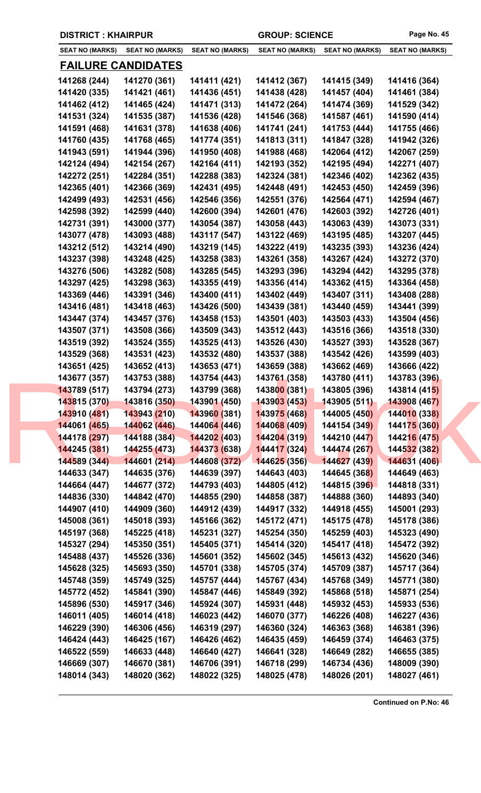|  |  | <b>DISTRICT: KHAIRPUR</b> |
|--|--|---------------------------|
|--|--|---------------------------|

| <b>SEAT NO (MARKS)</b>       | <b>SEAT NO (MARKS)</b>       | <b>SEAT NO (MARKS)</b>       | <b>SEAT NO (MARKS)</b>       | <b>SEAT NO (MARKS)</b>       | <b>SEAT NO (MARKS)</b>       |
|------------------------------|------------------------------|------------------------------|------------------------------|------------------------------|------------------------------|
|                              | <b>FAILURE CANDIDATES</b>    |                              |                              |                              |                              |
| 141268 (244)                 | 141270 (361)                 | 141411 (421)                 | 141412 (367)                 | 141415 (349)                 | 141416 (364)                 |
| 141420 (335)                 | 141421 (461)                 | 141436 (451)                 | 141438 (428)                 | 141457 (404)                 | 141461 (384)                 |
| 141462 (412)                 | 141465 (424)                 | 141471 (313)                 | 141472 (264)                 | 141474 (369)                 | 141529 (342)                 |
| 141531 (324)                 | 141535 (387)                 | 141536 (428)                 | 141546 (368)                 | 141587 (461)                 | 141590 (414)                 |
| 141591 (468)                 | 141631 (378)                 | 141638 (406)                 | 141741 (241)                 | 141753 (444)                 | 141755 (466)                 |
| 141760 (435)                 | 141768 (465)                 | 141774 (351)                 | 141813 (311)                 | 141847 (328)                 | 141942 (326)                 |
| 141943 (591)                 | 141944 (396)                 | 141950 (408)                 | 141988 (468)                 | 142064 (412)                 | 142067 (259)                 |
| 142124 (494)                 | 142154 (267)                 | 142164 (411)                 | 142193 (352)                 | 142195 (494)                 | 142271 (407)                 |
| 142272 (251)                 | 142284 (351)                 | 142288 (383)                 | 142324 (381)                 | 142346 (402)                 | 142362 (435)                 |
| 142365 (401)                 | 142366 (369)                 | 142431 (495)                 | 142448 (491)                 | 142453 (450)                 | 142459 (396)                 |
| 142499 (493)                 | 142531 (456)                 | 142546 (356)                 | 142551 (376)                 | 142564 (471)                 | 142594 (467)                 |
| 142598 (392)                 | 142599 (440)                 | 142600 (394)                 | 142601 (476)                 | 142603 (392)                 | 142726 (401)                 |
| 142731 (391)                 | 143000 (377)                 | 143054 (387)                 | 143058 (443)                 | 143063 (439)                 | 143073 (331)                 |
| 143077 (478)                 | 143093 (488)                 | 143117 (547)                 | 143122 (469)                 | 143195 (485)                 | 143207 (445)                 |
| 143212 (512)                 | 143214 (490)                 | 143219 (145)                 | 143222 (419)                 | 143235 (393)                 | 143236 (424)                 |
| 143237 (398)                 | 143248 (425)                 | 143258 (383)                 | 143261 (358)                 | 143267 (424)                 | 143272 (370)                 |
| 143276 (506)                 | 143282 (508)                 | 143285 (545)                 | 143293 (396)                 | 143294 (442)                 | 143295 (378)                 |
|                              | 143298 (363)                 | 143355 (419)                 | 143356 (414)                 | 143362 (415)                 |                              |
| 143297 (425)<br>143369 (446) |                              | 143400 (411)                 | 143402 (449)                 | 143407 (311)                 | 143364 (458)                 |
|                              | 143391 (346)                 |                              |                              |                              | 143408 (288)                 |
| 143416 (481)                 | 143418 (463)                 | 143426 (500)                 | 143439 (381)                 | 143440 (459)                 | 143441 (399)                 |
| 143447 (374)                 | 143457 (376)                 | 143458 (153)                 | 143501 (403)                 | 143503 (433)                 | 143504 (456)                 |
| 143507 (371)                 | 143508 (366)                 | 143509 (343)                 | 143512 (443)                 | 143516 (366)                 | 143518 (330)                 |
| 143519 (392)                 | 143524 (355)                 | 143525 (413)                 | 143526 (430)                 | 143527 (393)                 | 143528 (367)                 |
| 143529 (368)                 | 143531 (423)                 | 143532 (480)                 | 143537 (388)                 | 143542 (426)                 | 143599 (403)                 |
| 143651 (425)                 | 143652 (413)                 | 143653 (471)                 | 143659 (388)                 | 143662 (469)                 | 143666 (422)                 |
| 143677 (357)<br>143789 (517) | 143753 (388)                 | 143754 (443)                 | 143761 (358)<br>143800 (381) | 143780 (411)                 | 143783 (396)<br>143814 (415) |
| 143815 (370)                 | 143794 (273)<br>143816 (350) | 143799 (368)<br>143901 (450) | 143903 (453)                 | 143805 (396)<br>143905 (511) | 143908 (467)                 |
| 143910 (481)                 | 143943 (210)                 | 143960 (381)                 | 143975 (468)                 | 144005 (450)                 | 144010 (338)                 |
| 144061 (465)                 | 144062 (446)                 | 14406 <mark>4 (</mark> 446)  | 144068 (409)                 | 144154 (349)                 | 144175 (360)                 |
| 144178 (297)                 | 144188 (384)                 |                              | 144204 (319)                 | 144210 (447)                 | 144216 (475)                 |
|                              |                              | 144202 (403)                 |                              |                              |                              |
| 144245 (381)                 | 144255 (473)                 | 144373 (638)                 | 144417 (324)                 | 144474 (267)                 | 144532 (382)                 |
| 144589 (344)                 | 144601 (214)                 | 144608 (372)                 | 144625 (356)                 | 144627 (439)                 | 144631 (406)                 |
| 144633 (347)                 | 144635 (376)                 | 144639 (397)                 | 144643 (403)                 | 144645 (368)                 | 144649 (463)                 |
| 144664 (447)                 | 144677 (372)                 | 144793 (403)                 | 144805 (412)                 | 144815 (396)                 | 144818 (331)                 |
| 144836 (330)                 | 144842 (470)                 | 144855 (290)                 | 144858 (387)                 | 144888 (360)                 | 144893 (340)                 |
| 144907 (410)                 | 144909 (360)                 | 144912 (439)                 | 144917 (332)                 | 144918 (455)                 | 145001 (293)                 |
| 145008 (361)                 | 145018 (393)                 | 145166 (362)                 | 145172 (471)                 | 145175 (478)                 | 145178 (386)                 |
| 145197 (368)                 | 145225 (418)                 | 145231 (327)                 | 145254 (350)                 | 145259 (403)                 | 145323 (490)                 |
| 145327 (294)                 | 145350 (351)                 | 145405 (371)                 | 145414 (320)                 | 145417 (418)                 | 145472 (392)                 |
| 145488 (437)                 | 145526 (336)                 | 145601 (352)                 | 145602 (345)                 | 145613 (432)                 | 145620 (346)                 |
| 145628 (325)                 | 145693 (350)                 | 145701 (338)                 | 145705 (374)                 | 145709 (387)                 | 145717 (364)                 |
| 145748 (359)                 | 145749 (325)                 | 145757 (444)                 | 145767 (434)                 | 145768 (349)                 | 145771 (380)                 |
| 145772 (452)                 | 145841 (390)                 | 145847 (446)                 | 145849 (392)                 | 145868 (518)                 | 145871 (254)                 |
| 145896 (530)                 | 145917 (346)                 | 145924 (307)                 | 145931 (448)                 | 145932 (453)                 | 145933 (536)                 |
| 146011 (405)                 | 146014 (418)                 | 146023 (442)                 | 146070 (377)                 | 146226 (408)                 | 146227 (436)                 |
| 146229 (390)                 | 146306 (456)                 | 146319 (297)                 | 146360 (324)                 | 146363 (368)                 | 146381 (396)                 |
| 146424 (443)                 | 146425 (167)                 | 146426 (462)                 | 146435 (459)                 | 146459 (374)                 | 146463 (375)                 |
| 146522 (559)                 | 146633 (448)                 | 146640 (427)                 | 146641 (328)                 | 146649 (282)                 | 146655 (385)                 |
| 146669 (307)                 | 146670 (381)                 | 146706 (391)                 | 146718 (299)                 | 146734 (436)                 | 148009 (390)                 |
| 148014 (343)                 | 148020 (362)                 | 148022 (325)                 | 148025 (478)                 | 148026 (201)                 | 148027 (461)                 |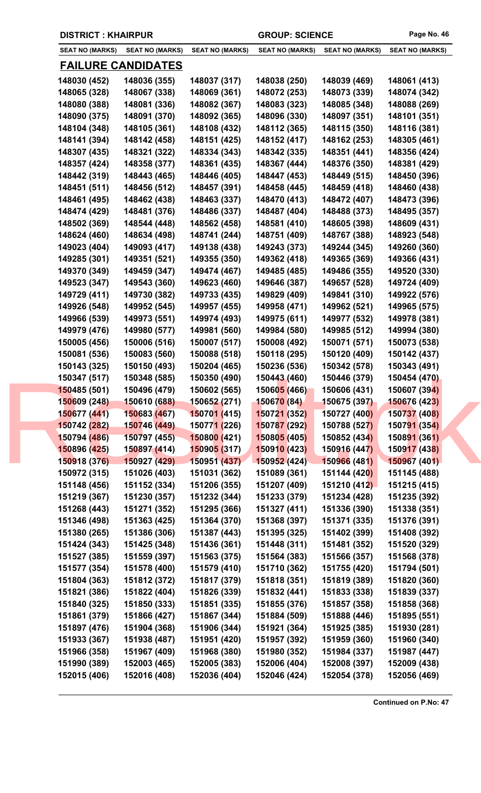| <b>DISTRICT: KHAIRPUR</b> |  |  |  |
|---------------------------|--|--|--|
|---------------------------|--|--|--|

| <b>SEAT NO (MARKS)</b> | <b>SEAT NO (MARKS)</b>    | <b>SEAT NO (MARKS)</b>      | <b>SEAT NO (MARKS)</b>   | <b>SEAT NO (MARKS)</b> | <b>SEAT NO (MARKS)</b> |
|------------------------|---------------------------|-----------------------------|--------------------------|------------------------|------------------------|
|                        | <u>FAILURE CANDIDATES</u> |                             |                          |                        |                        |
| 148030 (452)           | 148036 (355)              | 148037 (317)                | 148038 (250)             | 148039 (469)           | 148061 (413)           |
| 148065 (328)           | 148067 (338)              | 148069 (361)                | 148072 (253)             | 148073 (339)           | 148074 (342)           |
| 148080 (388)           | 148081 (336)              | 148082 (367)                | 148083 (323)             | 148085 (348)           | 148088 (269)           |
| 148090 (375)           | 148091 (370)              | 148092 (365)                | 148096 (330)             | 148097 (351)           | 148101 (351)           |
| 148104 (348)           | 148105 (361)              | 148108 (432)                | 148112 (365)             | 148115 (350)           | 148116 (381)           |
| 148141 (394)           | 148142 (458)              | 148151 (425)                | 148152 (417)             | 148162 (253)           | 148305 (461)           |
| 148307 (435)           | 148321 (322)              | 148334 (343)                | 148342 (335)             | 148351 (441)           | 148356 (424)           |
| 148357 (424)           | 148358 (377)              | 148361 (435)                | 148367 (444)             | 148376 (350)           | 148381 (429)           |
| 148442 (319)           | 148443 (465)              | 148446 (405)                | 148447 (453)             | 148449 (515)           | 148450 (396)           |
| 148451 (511)           | 148456 (512)              | 148457 (391)                | 148458 (445)             | 148459 (418)           | 148460 (438)           |
| 148461 (495)           | 148462 (438)              | 148463 (337)                | 148470 (413)             | 148472 (407)           | 148473 (396)           |
| 148474 (429)           | 148481 (376)              | 148486 (337)                | 148487 (404)             | 148488 (373)           | 148495 (357)           |
| 148502 (369)           | 148544 (448)              | 148562 (458)                | 148581 (410)             | 148605 (398)           | 148609 (431)           |
| 148624 (460)           | 148634 (498)              | 148741 (244)                | 148751 (409)             | 148767 (388)           | 148923 (548)           |
| 149023 (404)           | 149093 (417)              | 149138 (438)                | 149243 (373)             | 149244 (345)           | 149260 (360)           |
| 149285 (301)           | 149351 (521)              | 149355 (350)                | 149362 (418)             | 149365 (369)           | 149366 (431)           |
| 149370 (349)           | 149459 (347)              | 149474 (467)                | 149485 (485)             | 149486 (355)           | 149520 (330)           |
| 149523 (347)           | 149543 (360)              | 149623 (460)                | 149646 (387)             | 149657 (528)           | 149724 (409)           |
| 149729 (411)           | 149730 (382)              | 149733 (435)                | 149829 (409)             | 149841 (310)           | 149922 (576)           |
| 149926 (548)           | 149952 (545)              | 149957 (455)                | 149958 (471)             | 149962 (521)           | 149965 (575)           |
| 149966 (539)           | 149973 (551)              | 149974 (493)                | 149975 (611)             | 149977 (532)           | 149978 (381)           |
| 149979 (476)           | 149980 (577)              | 149981 (560)                | 149984 (580)             | 149985 (512)           | 149994 (380)           |
| 150005 (456)           | 150006 (516)              | 150007 (517)                | 150008 (492)             | 150071 (571)           | 150073 (538)           |
| 150081 (536)           | 150083 (560)              | 150088 (518)                | 150118 (295)             | 150120 (409)           | 150142 (437)           |
| 150143 (325)           | 150150 (493)              | 150204 (465)                | 150236 (536)             | 150342 (578)           | 150343 (491)           |
| 150347 (517)           | 150348 (585)              | 150350 (490)                | 150443 (460)             | 150446 (379)           | 150454 (470)           |
| 150485 (501)           | 150496 (479)              | 150602 (565)                | 150605 (466)             | 150606 (431)           | 150607 (394)           |
| 150609 (248)           | 150610 (688)              | 150652 (271)                | <mark>150670 (84)</mark> | 150675 (397)           | 150676 (423)           |
| 150677 (441)           | 150683 (467)              | 150701 (415)                | 150721 (352)             | 150727 (400)           | 150737 (408)           |
| 150742 (282)           | 150746 (449)              | 15077 <mark>1 (</mark> 226) | 150787 (292)             | 150788 (527)           | 150791 (354)           |
| 150794 (486)           | 150797 (455)              | 150800 (421)                | 150805 (405)             | 150852 (434)           | 150891 (361)           |
| 150896 (425)           | 150897 (414)              | 150905 (317)                | 150910 (423)             | 150916 (447)           | 150917 (438)           |
| 150918 (376)           | 150927 (429)              | 150951 (437)                | 150952 (424)             | 150966 (481)           | 150967 (401)           |
| 150972 (315)           | 151026 (403)              | 151031 (362)                | 151089 (361)             | 151144 (420)           | 151145 (488)           |
| 151148 (456)           | 151152 (334)              | 151206 (355)                | 151207 (409)             | 151210 (412)           | 151215 (415)           |
| 151219 (367)           | 151230 (357)              | 151232 (344)                | 151233 (379)             | 151234 (428)           | 151235 (392)           |
| 151268 (443)           | 151271 (352)              | 151295 (366)                | 151327 (411)             | 151336 (390)           | 151338 (351)           |
| 151346 (498)           | 151363 (425)              | 151364 (370)                | 151368 (397)             | 151371 (335)           | 151376 (391)           |
| 151380 (265)           | 151386 (306)              | 151387 (443)                | 151395 (325)             | 151402 (399)           | 151408 (392)           |
| 151424 (343)           | 151425 (348)              | 151436 (361)                | 151448 (311)             | 151481 (352)           | 151520 (329)           |
| 151527 (385)           | 151559 (397)              | 151563 (375)                | 151564 (383)             | 151566 (357)           | 151568 (378)           |
| 151577 (354)           | 151578 (400)              | 151579 (410)                | 151710 (362)             | 151755 (420)           | 151794 (501)           |
| 151804 (363)           | 151812 (372)              | 151817 (379)                | 151818 (351)             | 151819 (389)           | 151820 (360)           |
| 151821 (386)           | 151822 (404)              | 151826 (339)                | 151832 (441)             | 151833 (338)           | 151839 (337)           |
| 151840 (325)           | 151850 (333)              | 151851 (335)                | 151855 (376)             | 151857 (358)           | 151858 (368)           |
| 151861 (379)           | 151866 (427)              | 151867 (344)                | 151884 (509)             | 151888 (446)           | 151895 (551)           |
| 151897 (476)           | 151904 (368)              | 151906 (344)                | 151921 (364)             | 151925 (385)           | 151930 (281)           |
| 151933 (367)           | 151938 (487)              | 151951 (420)                | 151957 (392)             | 151959 (360)           | 151960 (340)           |
| 151966 (358)           | 151967 (409)              | 151968 (380)                | 151980 (352)             | 151984 (337)           | 151987 (447)           |
| 151990 (389)           | 152003 (465)              | 152005 (383)                | 152006 (404)             | 152008 (397)           | 152009 (438)           |
| 152015 (406)           | 152016 (408)              | 152036 (404)                | 152046 (424)             | 152054 (378)           | 152056 (469)           |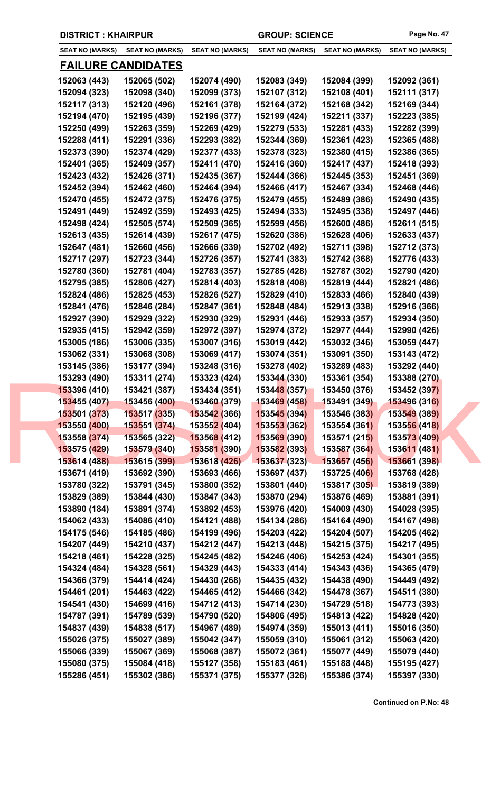| <b>DISTRICT: KHAIRPUR</b> |  |
|---------------------------|--|
|---------------------------|--|

| <b>SEAT NO (MARKS)</b> | <b>SEAT NO (MARKS)</b>    | <b>SEAT NO (MARKS)</b>            | <b>SEAT NO (MARKS)</b> | <b>SEAT NO (MARKS)</b> | <b>SEAT NO (MARKS)</b>       |
|------------------------|---------------------------|-----------------------------------|------------------------|------------------------|------------------------------|
|                        | <u>FAILURE CANDIDATES</u> |                                   |                        |                        |                              |
| 152063 (443)           | 152065 (502)              | 152074 (490)                      | 152083 (349)           | 152084 (399)           | 152092 (361)                 |
| 152094 (323)           | 152098 (340)              | 152099 (373)                      | 152107 (312)           | 152108 (401)           | 152111 (317)                 |
| 152117 (313)           | 152120 (496)              | 152161 (378)                      | 152164 (372)           | 152168 (342)           | 152169 (344)                 |
| 152194 (470)           | 152195 (439)              | 152196 (377)                      | 152199 (424)           | 152211 (337)           | 152223 (385)                 |
| 152250 (499)           | 152263 (359)              | 152269 (429)                      | 152279 (533)           | 152281 (433)           | 152282 (399)                 |
| 152288 (411)           | 152291 (336)              | 152293 (382)                      | 152344 (369)           | 152361 (423)           | 152365 (488)                 |
| 152373 (390)           | 152374 (429)              | 152377 (433)                      | 152378 (323)           | 152380 (415)           | 152386 (365)                 |
| 152401 (365)           | 152409 (357)              | 152411 (470)                      | 152416 (360)           | 152417 (437)           |                              |
| 152423 (432)           | 152426 (371)              |                                   | 152444 (366)           |                        | 152418 (393)<br>152451 (369) |
|                        |                           | 152435 (367)                      |                        | 152445 (353)           |                              |
| 152452 (394)           | 152462 (460)              | 152464 (394)                      | 152466 (417)           | 152467 (334)           | 152468 (446)                 |
| 152470 (455)           | 152472 (375)              | 152476 (375)                      | 152479 (455)           | 152489 (386)           | 152490 (435)                 |
| 152491 (449)           | 152492 (359)              | 152493 (425)                      | 152494 (333)           | 152495 (338)           | 152497 (446)                 |
| 152498 (424)           | 152505 (574)              | 152509 (365)                      | 152599 (456)           | 152600 (486)           | 152611 (515)                 |
| 152613 (435)           | 152614 (439)              | 152617 (475)                      | 152620 (386)           | 152628 (406)           | 152633 (437)                 |
| 152647 (481)           | 152660 (456)              | 152666 (339)                      | 152702 (492)           | 152711 (398)           | 152712 (373)                 |
| 152717 (297)           | 152723 (344)              | 152726 (357)                      | 152741 (383)           | 152742 (368)           | 152776 (433)                 |
| 152780 (360)           | 152781 (404)              | 152783 (357)                      | 152785 (428)           | 152787 (302)           | 152790 (420)                 |
| 152795 (385)           | 152806 (427)              | 152814 (403)                      | 152818 (408)           | 152819 (444)           | 152821 (486)                 |
| 152824 (486)           | 152825 (453)              | 152826 (527)                      | 152829 (410)           | 152833 (466)           | 152840 (439)                 |
| 152841 (476)           | 152846 (284)              | 152847 (361)                      | 152848 (484)           | 152913 (338)           | 152916 (366)                 |
| 152927 (390)           | 152929 (322)              | 152930 (329)                      | 152931 (446)           | 152933 (357)           | 152934 (350)                 |
| 152935 (415)           | 152942 (359)              | 152972 (397)                      | 152974 (372)           | 152977 (444)           | 152990 (426)                 |
| 153005 (186)           | 153006 (335)              | 153007 (316)                      | 153019 (442)           | 153032 (346)           | 153059 (447)                 |
| 153062 (331)           | 153068 (308)              | 153069 (417)                      | 153074 (351)           | 153091 (350)           | 153143 (472)                 |
| 153145 (386)           | 153177 (394)              | 153248 (316)                      | 153278 (402)           | 153289 (483)           | 153292 (440)                 |
| 153293 (490)           | 153311 (274)              | 153323 (424)                      | 153344 (330)           | 153361 (354)           | 153388 (270)                 |
| 153396 (410)           | 153421 (387)              | 153434 (351)                      | 153448(357)            | 153450 (376)           | 153452 (397)                 |
| 153455 (407)           | 153456 (400)              | 153460 (379)                      | 153469 (458)           | 153491 (349)           | 153496 (316)                 |
| 153501 (373)           | 153517 (335)              | <b>15354<mark>2 (</mark>366</b> ) | 153545 (394)           | 153546 (383)           | 153549 (389)                 |
| 153550 (400)           | 153551 (374)              | 15355 <mark>2 (</mark> 404)       | 153553 (362)           | 153554 (361)           | 153556 (418)                 |
| 153558 (374)           | 153565 (322)              | 153568 (412)                      | 153569 (390)           | 153571 (215)           | 153573 (409)                 |
| 153575 (429)           | 153579 (340)              | 153581 (390)                      | 153582 (393)           | 153587 (364)           | 153611 (481)                 |
| 153614 (488)           | 153615 (399)              | 153618 (426)                      | 153637 (323)           | 153657 (456)           | 153661 (398)                 |
| 153671 (419)           | 153692 (390)              | 153693 (466)                      | 153697 (437)           | 153725 (406)           | 153768 (428)                 |
| 153780 (322)           | 153791 (345)              | 153800 (352)                      | 153801 (440)           | 153817 (305)           | 153819 (389)                 |
| 153829 (389)           | 153844 (430)              | 153847 (343)                      | 153870 (294)           | 153876 (469)           | 153881 (391)                 |
| 153890 (184)           | 153891 (374)              | 153892 (453)                      | 153976 (420)           | 154009 (430)           | 154028 (395)                 |
| 154062 (433)           | 154086 (410)              | 154121 (488)                      | 154134 (286)           | 154164 (490)           | 154167 (498)                 |
| 154175 (546)           | 154185 (486)              | 154199 (496)                      | 154203 (422)           | 154204 (507)           | 154205 (462)                 |
| 154207 (449)           | 154210 (437)              | 154212 (447)                      | 154213 (448)           | 154215 (375)           | 154217 (495)                 |
| 154218 (461)           | 154228 (325)              | 154245 (482)                      | 154246 (406)           | 154253 (424)           | 154301 (355)                 |
| 154324 (484)           | 154328 (561)              | 154329 (443)                      | 154333 (414)           | 154343 (436)           | 154365 (479)                 |
| 154366 (379)           | 154414 (424)              | 154430 (268)                      | 154435 (432)           | 154438 (490)           | 154449 (492)                 |
| 154461 (201)           | 154463 (422)              | 154465 (412)                      | 154466 (342)           | 154478 (367)           | 154511 (380)                 |
| 154541 (430)           | 154699 (416)              | 154712 (413)                      | 154714 (230)           | 154729 (518)           | 154773 (393)                 |
| 154787 (391)           | 154789 (539)              | 154790 (520)                      | 154806 (495)           | 154813 (422)           | 154828 (420)                 |
| 154837 (439)           | 154838 (517)              | 154967 (489)                      | 154974 (359)           | 155013 (411)           | 155016 (350)                 |
| 155026 (375)           | 155027 (389)              | 155042 (347)                      | 155059 (310)           | 155061 (312)           | 155063 (420)                 |
| 155066 (339)           | 155067 (369)              | 155068 (387)                      | 155072 (361)           | 155077 (449)           | 155079 (440)                 |
| 155080 (375)           | 155084 (418)              | 155127 (358)                      | 155183 (461)           | 155188 (448)           | 155195 (427)                 |
| 155286 (451)           | 155302 (386)              | 155371 (375)                      | 155377 (326)           | 155386 (374)           | 155397 (330)                 |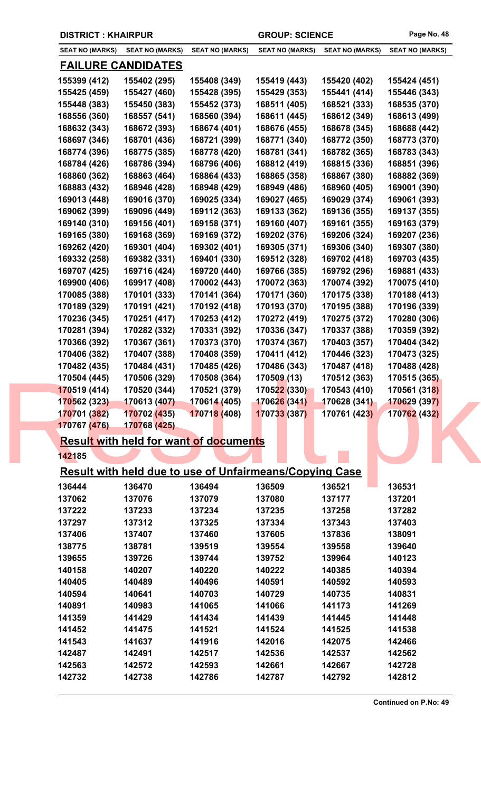| Page No. 48 |  |
|-------------|--|
|             |  |

|                        | <b>DISTRICT: KHAIRPUR</b> |                                                                |                        | <b>GROUP: SCIENCE</b>  |                        |
|------------------------|---------------------------|----------------------------------------------------------------|------------------------|------------------------|------------------------|
| <b>SEAT NO (MARKS)</b> | <b>SEAT NO (MARKS)</b>    | <b>SEAT NO (MARKS)</b>                                         | <b>SEAT NO (MARKS)</b> | <b>SEAT NO (MARKS)</b> | <b>SEAT NO (MARKS)</b> |
|                        | <u>FAILURE CANDIDATES</u> |                                                                |                        |                        |                        |
| 155399 (412)           | 155402 (295)              | 155408 (349)                                                   | 155419 (443)           | 155420 (402)           | 155424 (451)           |
| 155425 (459)           | 155427 (460)              | 155428 (395)                                                   | 155429 (353)           | 155441 (414)           | 155446 (343)           |
| 155448 (383)           | 155450 (383)              | 155452 (373)                                                   | 168511 (405)           | 168521 (333)           | 168535 (370)           |
| 168556 (360)           | 168557 (541)              | 168560 (394)                                                   | 168611 (445)           | 168612 (349)           | 168613 (499)           |
| 168632 (343)           | 168672 (393)              | 168674 (401)                                                   | 168676 (455)           | 168678 (345)           | 168688 (442)           |
| 168697 (346)           | 168701 (436)              | 168721 (399)                                                   | 168771 (340)           | 168772 (350)           | 168773 (370)           |
| 168774 (396)           | 168775 (385)              | 168778 (420)                                                   | 168781 (341)           | 168782 (365)           | 168783 (343)           |
| 168784 (426)           | 168786 (394)              | 168796 (406)                                                   | 168812 (419)           | 168815 (336)           | 168851 (396)           |
| 168860 (362)           | 168863 (464)              | 168864 (433)                                                   | 168865 (358)           | 168867 (380)           | 168882 (369)           |
| 168883 (432)           | 168946 (428)              | 168948 (429)                                                   | 168949 (486)           | 168960 (405)           | 169001 (390)           |
| 169013 (448)           | 169016 (370)              | 169025 (334)                                                   | 169027 (465)           | 169029 (374)           | 169061 (393)           |
| 169062 (399)           | 169096 (449)              | 169112 (363)                                                   | 169133 (362)           | 169136 (355)           | 169137 (355)           |
| 169140 (310)           | 169156 (401)              | 169158 (371)                                                   | 169160 (407)           | 169161 (355)           | 169163 (379)           |
| 169165 (380)           | 169168 (369)              | 169169 (372)                                                   | 169202 (376)           | 169206 (324)           | 169207 (236)           |
| 169262 (420)           | 169301 (404)              | 169302 (401)                                                   | 169305 (371)           | 169306 (340)           | 169307 (380)           |
| 169332 (258)           | 169382 (331)              | 169401 (330)                                                   | 169512 (328)           | 169702 (418)           | 169703 (435)           |
| 169707 (425)           | 169716 (424)              | 169720 (440)                                                   | 169766 (385)           | 169792 (296)           | 169881 (433)           |
| 169900 (406)           | 169917 (408)              | 170002 (443)                                                   | 170072 (363)           | 170074 (392)           | 170075 (410)           |
| 170085 (388)           | 170101 (333)              | 170141 (364)                                                   | 170171 (360)           | 170175 (338)           | 170188 (413)           |
| 170189 (329)           | 170191 (421)              | 170192 (418)                                                   | 170193 (370)           | 170195 (388)           | 170196 (339)           |
| 170236 (345)           | 170251 (417)              | 170253 (412)                                                   | 170272 (419)           | 170275 (372)           | 170280 (306)           |
| 170281 (394)           | 170282 (332)              | 170331 (392)                                                   | 170336 (347)           | 170337 (388)           | 170359 (392)           |
| 170366 (392)           | 170367 (361)              | 170373 (370)                                                   | 170374 (367)           | 170403 (357)           | 170404 (342)           |
| 170406 (382)           | 170407 (388)              | 170408 (359)                                                   | 170411 (412)           | 170446 (323)           | 170473 (325)           |
| 170482 (435)           | 170484 (431)              | 170485 (426)                                                   | 170486 (343)           | 170487 (418)           | 170488 (428)           |
| 170504 (445)           | 170506 (329)              | 170508 (364)                                                   | 170509 (13)            | 170512 (363)           | 170515 (365)           |
| 170519 (414)           | 170520 (344)              | 170521 (379)                                                   | 170522 (330)           | 170543 (410)           | 170561 (318)           |
| 170562 (323)           | 170613 (407)              | 170614 (405)                                                   | 170626 (341)           | 170628 (341)           | 170629 (397)           |
| 170701 (382)           | 170702 (435)              | 170718 (408)                                                   | 170733 (387)           | 170761 (423)           | 170762 (432)           |
| 170767 (476)           | 170768 (425)              |                                                                |                        |                        |                        |
|                        |                           | <b>Result with held for want of documents</b>                  |                        |                        |                        |
| 142185                 |                           |                                                                |                        |                        |                        |
|                        |                           | <b>Result with held due to use of Unfairmeans/Copying Case</b> |                        |                        |                        |
| 136444                 | 136470                    | 136494                                                         | 136509                 | 136521                 | 136531                 |
| 137062                 | 137076                    | 137079                                                         | 137080                 | 137177                 | 137201                 |
| 137222                 | 137233                    | 137234                                                         | 137235                 | 137258                 | 137282                 |
| 137297                 | 137312                    | 137325                                                         | 137334                 | 137343                 | 137403                 |
| 137406                 | 137407                    | 137460                                                         | 137605                 | 137836                 | 138091                 |
| 138775                 | 138781                    | 139519                                                         | 139554                 | 139558                 | 139640                 |
| 139655                 | 139726                    | 139744                                                         | 139752                 | 139964                 | 140123                 |
| 140158                 | 140207                    | 140220                                                         | 140222                 | 140385                 | 140394                 |
| 140405                 | 140489                    | 140496                                                         | 140591                 | 140592                 | 140593                 |
| 140594                 | 140641                    | 140703                                                         | 140729                 | 140735                 | 140831                 |
| 140891                 | 140983                    | 141065                                                         | 141066                 | 141173                 | 141269                 |
| 141359                 | 141429                    | 141434                                                         | 141439                 | 141445                 | 141448                 |
| 141452                 | 141475                    | 141521                                                         | 141524                 | 141525                 | 141538                 |
| 141543                 | 141637                    | 141916                                                         | 142016                 | 142075                 | 142466                 |
| 142487                 | 142491                    | 142517                                                         | 142536                 | 142537                 | 142562                 |
| 142563                 | 142572                    | 142593                                                         | 142661                 | 142667                 | 142728                 |
| 142732                 | 142738                    | 142786                                                         | 142787                 | 142792                 | 142812                 |
|                        |                           |                                                                |                        |                        |                        |